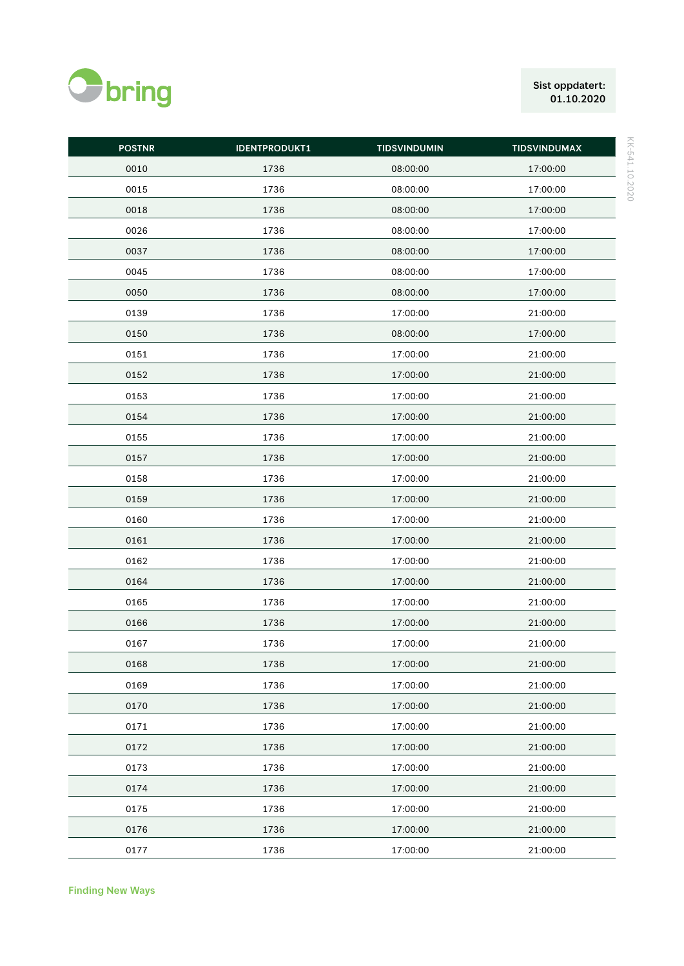

## Sist oppdatert:  $01.10.2020$

| ı |
|---|
| ٠ |
|   |
|   |
| ı |
|   |
|   |
|   |
|   |
| ı |
|   |
|   |
|   |
|   |
|   |
|   |
|   |
|   |
|   |
|   |
|   |
|   |

| <b>POSTNR</b> | <b>IDENTPRODUKT1</b> | <b>TIDSVINDUMIN</b> | <b>TIDSVINDUMAX</b> |
|---------------|----------------------|---------------------|---------------------|
| 0010          | 1736                 | 08:00:00            | 17:00:00            |
| 0015          | 1736                 | 08:00:00            | 17:00:00            |
| 0018          | 1736                 | 08:00:00            | 17:00:00            |
| 0026          | 1736                 | 08:00:00            | 17:00:00            |
| 0037          | 1736                 | 08:00:00            | 17:00:00            |
| 0045          | 1736                 | 08:00:00            | 17:00:00            |
| 0050          | 1736                 | 08:00:00            | 17:00:00            |
| 0139          | 1736                 | 17:00:00            | 21:00:00            |
| 0150          | 1736                 | 08:00:00            | 17:00:00            |
| 0151          | 1736                 | 17:00:00            | 21:00:00            |
| 0152          | 1736                 | 17:00:00            | 21:00:00            |
| 0153          | 1736                 | 17:00:00            | 21:00:00            |
| 0154          | 1736                 | 17:00:00            | 21:00:00            |
| 0155          | 1736                 | 17:00:00            | 21:00:00            |
| 0157          | 1736                 | 17:00:00            | 21:00:00            |
| 0158          | 1736                 | 17:00:00            | 21:00:00            |
| 0159          | 1736                 | 17:00:00            | 21:00:00            |
| 0160          | 1736                 | 17:00:00            | 21:00:00            |
| 0161          | 1736                 | 17:00:00            | 21:00:00            |
| 0162          | 1736                 | 17:00:00            | 21:00:00            |
| 0164          | 1736                 | 17:00:00            | 21:00:00            |
| 0165          | 1736                 | 17:00:00            | 21:00:00            |
| 0166          | 1736                 | 17:00:00            | 21:00:00            |
| 0167          | 1736                 | 17:00:00            | 21:00:00            |
| 0168          | 1736                 | 17:00:00            | 21:00:00            |
| 0169          | 1736                 | 17:00:00            | 21:00:00            |
| 0170          | 1736                 | 17:00:00            | 21:00:00            |
| 0171          | 1736                 | 17:00:00            | 21:00:00            |
| 0172          | 1736                 | 17:00:00            | 21:00:00            |
| 0173          | 1736                 | 17:00:00            | 21:00:00            |
| 0174          | 1736                 | 17:00:00            | 21:00:00            |
| 0175          | 1736                 | 17:00:00            | 21:00:00            |
| 0176          | 1736                 | 17:00:00            | 21:00:00            |
| 0177          | 1736                 | 17:00:00            | 21:00:00            |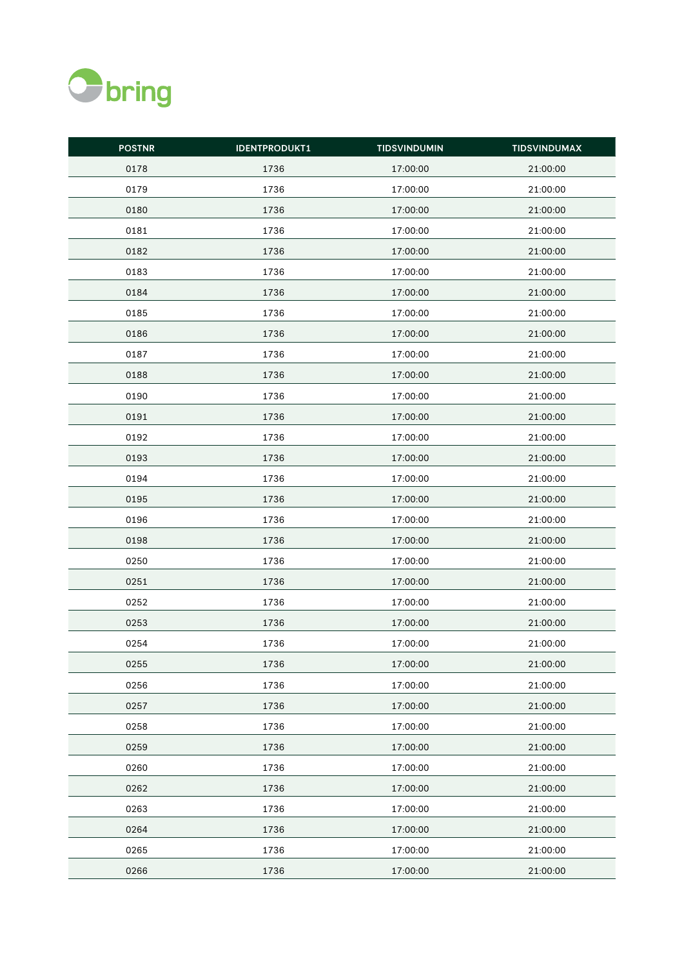

| <b>POSTNR</b> | <b>IDENTPRODUKT1</b> | <b>TIDSVINDUMIN</b> | <b>TIDSVINDUMAX</b> |
|---------------|----------------------|---------------------|---------------------|
| 0178          | 1736                 | 17:00:00            | 21:00:00            |
| 0179          | 1736                 | 17:00:00            | 21:00:00            |
| 0180          | 1736                 | 17:00:00            | 21:00:00            |
| 0181          | 1736                 | 17:00:00            | 21:00:00            |
| 0182          | 1736                 | 17:00:00            | 21:00:00            |
| 0183          | 1736                 | 17:00:00            | 21:00:00            |
| 0184          | 1736                 | 17:00:00            | 21:00:00            |
| 0185          | 1736                 | 17:00:00            | 21:00:00            |
| 0186          | 1736                 | 17:00:00            | 21:00:00            |
| 0187          | 1736                 | 17:00:00            | 21:00:00            |
| 0188          | 1736                 | 17:00:00            | 21:00:00            |
| 0190          | 1736                 | 17:00:00            | 21:00:00            |
| 0191          | 1736                 | 17:00:00            | 21:00:00            |
| 0192          | 1736                 | 17:00:00            | 21:00:00            |
| 0193          | 1736                 | 17:00:00            | 21:00:00            |
| 0194          | 1736                 | 17:00:00            | 21:00:00            |
| 0195          | 1736                 | 17:00:00            | 21:00:00            |
| 0196          | 1736                 | 17:00:00            | 21:00:00            |
| 0198          | 1736                 | 17:00:00            | 21:00:00            |
| 0250          | 1736                 | 17:00:00            | 21:00:00            |
| 0251          | 1736                 | 17:00:00            | 21:00:00            |
| 0252          | 1736                 | 17:00:00            | 21:00:00            |
| 0253          | 1736                 | 17:00:00            | 21:00:00            |
| 0254          | 1736                 | 17:00:00            | 21:00:00            |
| 0255          | 1736                 | 17:00:00            | 21:00:00            |
| 0256          | 1736                 | 17:00:00            | 21:00:00            |
| 0257          | 1736                 | 17:00:00            | 21:00:00            |
| 0258          | 1736                 | 17:00:00            | 21:00:00            |
| 0259          | 1736                 | 17:00:00            | 21:00:00            |
| 0260          | 1736                 | 17:00:00            | 21:00:00            |
| 0262          | 1736                 | 17:00:00            | 21:00:00            |
| 0263          | 1736                 | 17:00:00            | 21:00:00            |
| 0264          | 1736                 | 17:00:00            | 21:00:00            |
| 0265          | 1736                 | 17:00:00            | 21:00:00            |
| 0266          | 1736                 | 17:00:00            | 21:00:00            |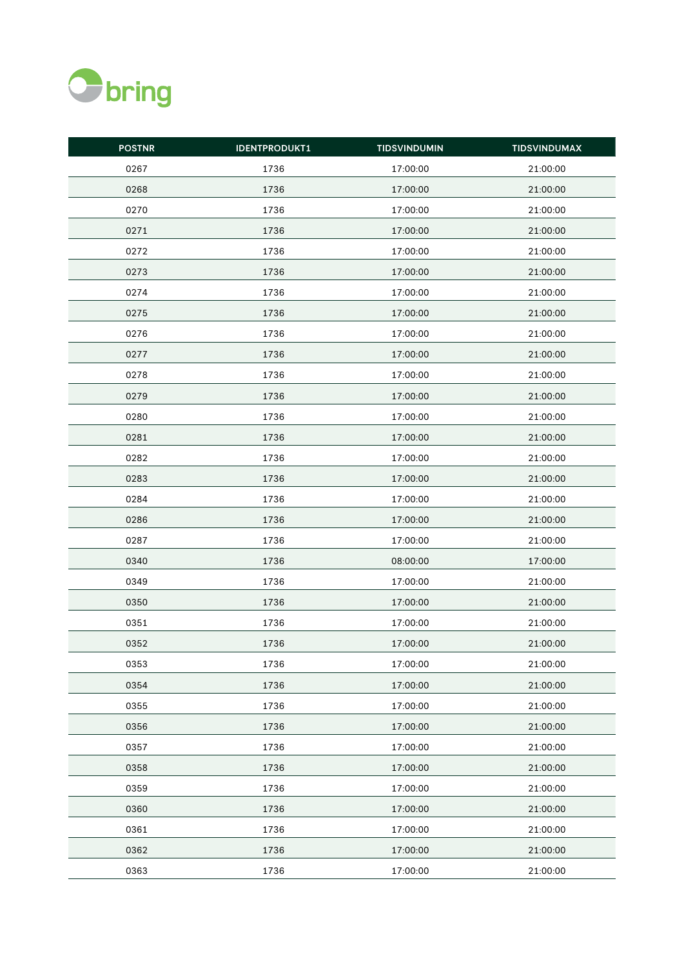

| <b>POSTNR</b> | <b>IDENTPRODUKT1</b> | <b>TIDSVINDUMIN</b> | <b>TIDSVINDUMAX</b> |
|---------------|----------------------|---------------------|---------------------|
| 0267          | 1736                 | 17:00:00            | 21:00:00            |
| 0268          | 1736                 | 17:00:00            | 21:00:00            |
| 0270          | 1736                 | 17:00:00            | 21:00:00            |
| 0271          | 1736                 | 17:00:00            | 21:00:00            |
| 0272          | 1736                 | 17:00:00            | 21:00:00            |
| 0273          | 1736                 | 17:00:00            | 21:00:00            |
| 0274          | 1736                 | 17:00:00            | 21:00:00            |
| 0275          | 1736                 | 17:00:00            | 21:00:00            |
| 0276          | 1736                 | 17:00:00            | 21:00:00            |
| 0277          | 1736                 | 17:00:00            | 21:00:00            |
| 0278          | 1736                 | 17:00:00            | 21:00:00            |
| 0279          | 1736                 | 17:00:00            | 21:00:00            |
| 0280          | 1736                 | 17:00:00            | 21:00:00            |
| 0281          | 1736                 | 17:00:00            | 21:00:00            |
| 0282          | 1736                 | 17:00:00            | 21:00:00            |
| 0283          | 1736                 | 17:00:00            | 21:00:00            |
| 0284          | 1736                 | 17:00:00            | 21:00:00            |
| 0286          | 1736                 | 17:00:00            | 21:00:00            |
| 0287          | 1736                 | 17:00:00            | 21:00:00            |
| 0340          | 1736                 | 08:00:00            | 17:00:00            |
| 0349          | 1736                 | 17:00:00            | 21:00:00            |
| 0350          | 1736                 | 17:00:00            | 21:00:00            |
| 0351          | 1736                 | 17:00:00            | 21:00:00            |
| 0352          | 1736                 | 17:00:00            | 21:00:00            |
| 0353          | 1736                 | 17:00:00            | 21:00:00            |
| 0354          | 1736                 | 17:00:00            | 21:00:00            |
| 0355          | 1736                 | 17:00:00            | 21:00:00            |
| 0356          | 1736                 | 17:00:00            | 21:00:00            |
| 0357          | 1736                 | 17:00:00            | 21:00:00            |
| 0358          | 1736                 | 17:00:00            | 21:00:00            |
| 0359          | 1736                 | 17:00:00            | 21:00:00            |
| 0360          | 1736                 | 17:00:00            | 21:00:00            |
| 0361          | 1736                 | 17:00:00            | 21:00:00            |
| 0362          | 1736                 | 17:00:00            | 21:00:00            |
| 0363          | 1736                 | 17:00:00            | 21:00:00            |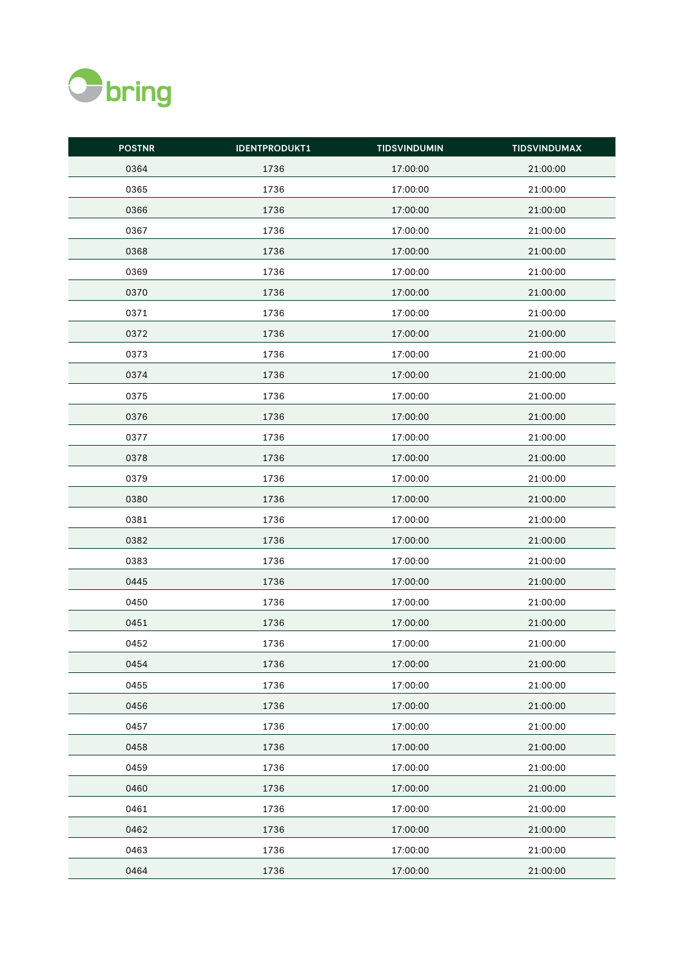

| <b>POSTNR</b> | <b>IDENTPRODUKT1</b> | <b>TIDSVINDUMIN</b> | <b>TIDSVINDUMAX</b> |
|---------------|----------------------|---------------------|---------------------|
| 0364          | 1736                 | 17:00:00            | 21:00:00            |
| 0365          | 1736                 | 17:00:00            | 21:00:00            |
| 0366          | 1736                 | 17:00:00            | 21:00:00            |
| 0367          | 1736                 | 17:00:00            | 21:00:00            |
| 0368          | 1736                 | 17:00:00            | 21:00:00            |
| 0369          | 1736                 | 17:00:00            | 21:00:00            |
| 0370          | 1736                 | 17:00:00            | 21:00:00            |
| 0371          | 1736                 | 17:00:00            | 21:00:00            |
| 0372          | 1736                 | 17:00:00            | 21:00:00            |
| 0373          | 1736                 | 17:00:00            | 21:00:00            |
| 0374          | 1736                 | 17:00:00            | 21:00:00            |
| 0375          | 1736                 | 17:00:00            | 21:00:00            |
| 0376          | 1736                 | 17:00:00            | 21:00:00            |
| 0377          | 1736                 | 17:00:00            | 21:00:00            |
| 0378          | 1736                 | 17:00:00            | 21:00:00            |
| 0379          | 1736                 | 17:00:00            | 21:00:00            |
| 0380          | 1736                 | 17:00:00            | 21:00:00            |
| 0381          | 1736                 | 17:00:00            | 21:00:00            |
| 0382          | 1736                 | 17:00:00            | 21:00:00            |
| 0383          | 1736                 | 17:00:00            | 21:00:00            |
| 0445          | 1736                 | 17:00:00            | 21:00:00            |
| 0450          | 1736                 | 17:00:00            | 21:00:00            |
| 0451          | 1736                 | 17:00:00            | 21:00:00            |
| 0452          | 1736                 | 17:00:00            | 21:00:00            |
| 0454          | 1736                 | 17:00:00            | 21:00:00            |
| 0455          | 1736                 | 17:00:00            | 21:00:00            |
| 0456          | 1736                 | 17:00:00            | 21:00:00            |
| 0457          | 1736                 | 17:00:00            | 21:00:00            |
| 0458          | 1736                 | 17:00:00            | 21:00:00            |
| 0459          | 1736                 | 17:00:00            | 21:00:00            |
| 0460          | 1736                 | 17:00:00            | 21:00:00            |
| 0461          | 1736                 | 17:00:00            | 21:00:00            |
| 0462          | 1736                 | 17:00:00            | 21:00:00            |
| 0463          | 1736                 | 17:00:00            | 21:00:00            |
| 0464          | 1736                 | 17:00:00            | 21:00:00            |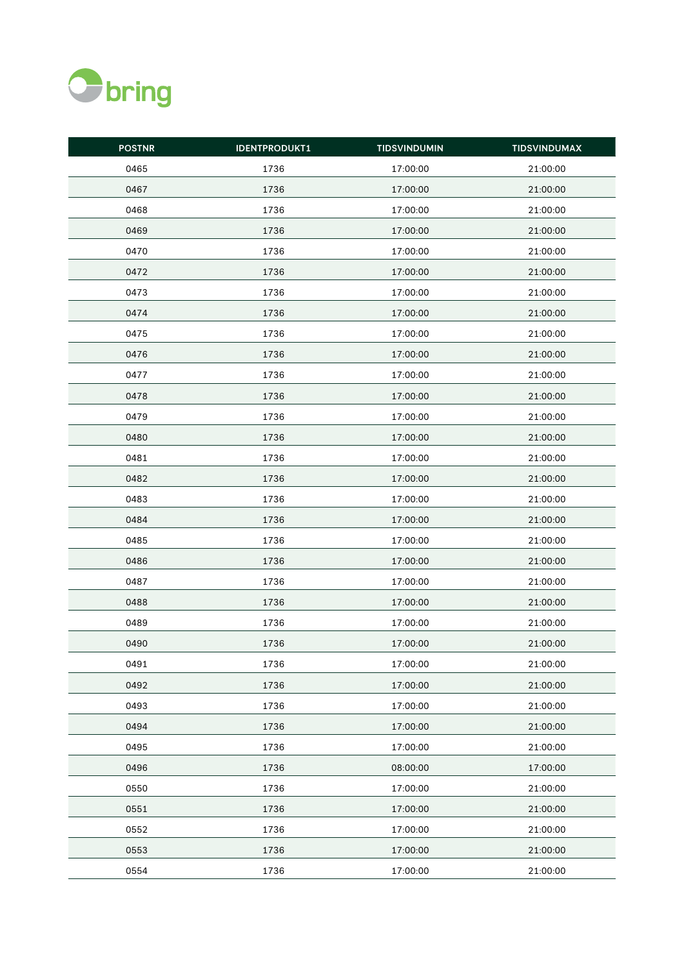

| <b>POSTNR</b> | <b>IDENTPRODUKT1</b> | <b>TIDSVINDUMIN</b> | <b>TIDSVINDUMAX</b> |
|---------------|----------------------|---------------------|---------------------|
| 0465          | 1736                 | 17:00:00            | 21:00:00            |
| 0467          | 1736                 | 17:00:00            | 21:00:00            |
| 0468          | 1736                 | 17:00:00            | 21:00:00            |
| 0469          | 1736                 | 17:00:00            | 21:00:00            |
| 0470          | 1736                 | 17:00:00            | 21:00:00            |
| 0472          | 1736                 | 17:00:00            | 21:00:00            |
| 0473          | 1736                 | 17:00:00            | 21:00:00            |
| 0474          | 1736                 | 17:00:00            | 21:00:00            |
| 0475          | 1736                 | 17:00:00            | 21:00:00            |
| 0476          | 1736                 | 17:00:00            | 21:00:00            |
| 0477          | 1736                 | 17:00:00            | 21:00:00            |
| 0478          | 1736                 | 17:00:00            | 21:00:00            |
| 0479          | 1736                 | 17:00:00            | 21:00:00            |
| 0480          | 1736                 | 17:00:00            | 21:00:00            |
| 0481          | 1736                 | 17:00:00            | 21:00:00            |
| 0482          | 1736                 | 17:00:00            | 21:00:00            |
| 0483          | 1736                 | 17:00:00            | 21:00:00            |
| 0484          | 1736                 | 17:00:00            | 21:00:00            |
| 0485          | 1736                 | 17:00:00            | 21:00:00            |
| 0486          | 1736                 | 17:00:00            | 21:00:00            |
| 0487          | 1736                 | 17:00:00            | 21:00:00            |
| 0488          | 1736                 | 17:00:00            | 21:00:00            |
| 0489          | 1736                 | 17:00:00            | 21:00:00            |
| 0490          | 1736                 | 17:00:00            | 21:00:00            |
| 0491          | 1736                 | 17:00:00            | 21:00:00            |
| 0492          | 1736                 | 17:00:00            | 21:00:00            |
| 0493          | 1736                 | 17:00:00            | 21:00:00            |
| 0494          | 1736                 | 17:00:00            | 21:00:00            |
| 0495          | 1736                 | 17:00:00            | 21:00:00            |
| 0496          | 1736                 | 08:00:00            | 17:00:00            |
| 0550          | 1736                 | 17:00:00            | 21:00:00            |
| 0551          | 1736                 | 17:00:00            | 21:00:00            |
| 0552          | 1736                 | 17:00:00            | 21:00:00            |
| 0553          | 1736                 | 17:00:00            | 21:00:00            |
| 0554          | 1736                 | 17:00:00            | 21:00:00            |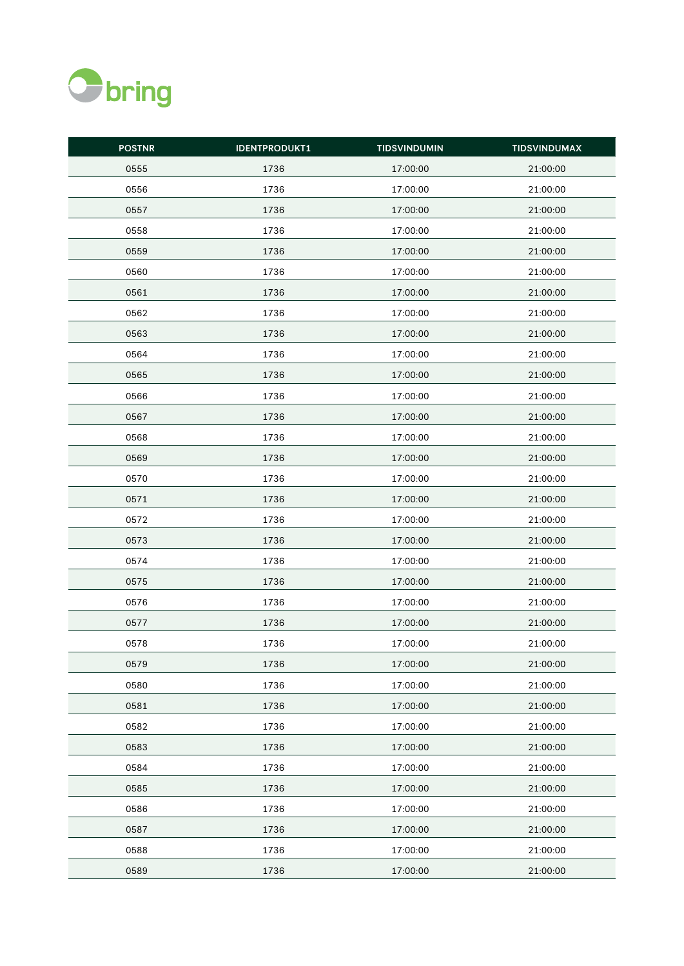

| <b>POSTNR</b> | <b>IDENTPRODUKT1</b> | <b>TIDSVINDUMIN</b> | <b>TIDSVINDUMAX</b> |
|---------------|----------------------|---------------------|---------------------|
| 0555          | 1736                 | 17:00:00            | 21:00:00            |
| 0556          | 1736                 | 17:00:00            | 21:00:00            |
| 0557          | 1736                 | 17:00:00            | 21:00:00            |
| 0558          | 1736                 | 17:00:00            | 21:00:00            |
| 0559          | 1736                 | 17:00:00            | 21:00:00            |
| 0560          | 1736                 | 17:00:00            | 21:00:00            |
| 0561          | 1736                 | 17:00:00            | 21:00:00            |
| 0562          | 1736                 | 17:00:00            | 21:00:00            |
| 0563          | 1736                 | 17:00:00            | 21:00:00            |
| 0564          | 1736                 | 17:00:00            | 21:00:00            |
| 0565          | 1736                 | 17:00:00            | 21:00:00            |
| 0566          | 1736                 | 17:00:00            | 21:00:00            |
| 0567          | 1736                 | 17:00:00            | 21:00:00            |
| 0568          | 1736                 | 17:00:00            | 21:00:00            |
| 0569          | 1736                 | 17:00:00            | 21:00:00            |
| 0570          | 1736                 | 17:00:00            | 21:00:00            |
| 0571          | 1736                 | 17:00:00            | 21:00:00            |
| 0572          | 1736                 | 17:00:00            | 21:00:00            |
| 0573          | 1736                 | 17:00:00            | 21:00:00            |
| 0574          | 1736                 | 17:00:00            | 21:00:00            |
| 0575          | 1736                 | 17:00:00            | 21:00:00            |
| 0576          | 1736                 | 17:00:00            | 21:00:00            |
| 0577          | 1736                 | 17:00:00            | 21:00:00            |
| 0578          | 1736                 | 17:00:00            | 21:00:00            |
| 0579          | 1736                 | 17:00:00            | 21:00:00            |
| 0580          | 1736                 | 17:00:00            | 21:00:00            |
| 0581          | 1736                 | 17:00:00            | 21:00:00            |
| 0582          | 1736                 | 17:00:00            | 21:00:00            |
| 0583          | 1736                 | 17:00:00            | 21:00:00            |
| 0584          | 1736                 | 17:00:00            | 21:00:00            |
| 0585          | 1736                 | 17:00:00            | 21:00:00            |
| 0586          | 1736                 | 17:00:00            | 21:00:00            |
| 0587          | 1736                 | 17:00:00            | 21:00:00            |
| 0588          | 1736                 | 17:00:00            | 21:00:00            |
| 0589          | 1736                 | 17:00:00            | 21:00:00            |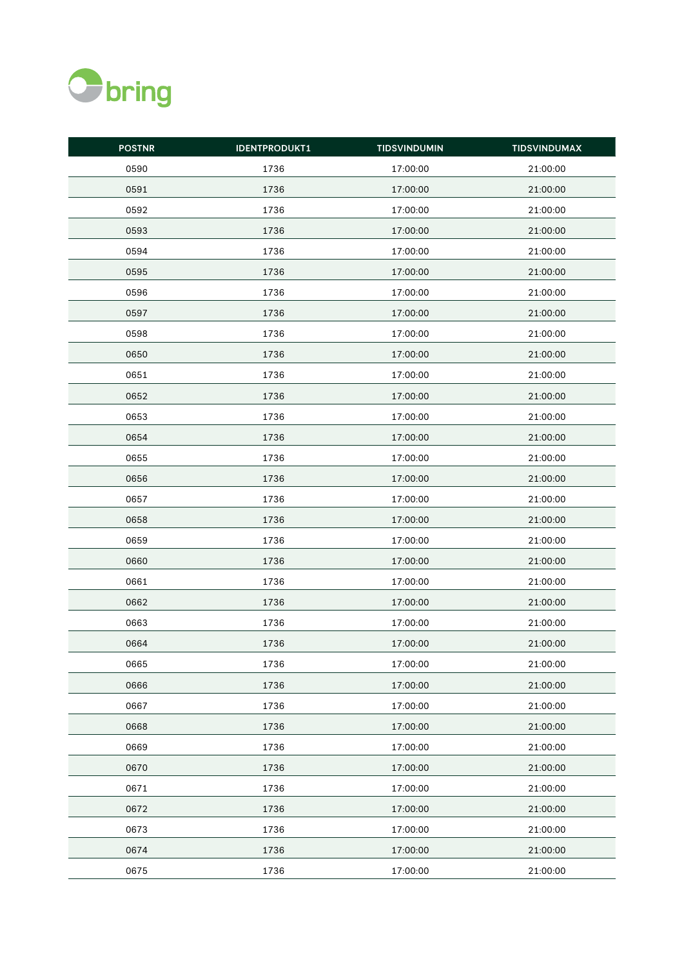

| <b>POSTNR</b> | <b>IDENTPRODUKT1</b> | <b>TIDSVINDUMIN</b> | <b>TIDSVINDUMAX</b> |
|---------------|----------------------|---------------------|---------------------|
| 0590          | 1736                 | 17:00:00            | 21:00:00            |
| 0591          | 1736                 | 17:00:00            | 21:00:00            |
| 0592          | 1736                 | 17:00:00            | 21:00:00            |
| 0593          | 1736                 | 17:00:00            | 21:00:00            |
| 0594          | 1736                 | 17:00:00            | 21:00:00            |
| 0595          | 1736                 | 17:00:00            | 21:00:00            |
| 0596          | 1736                 | 17:00:00            | 21:00:00            |
| 0597          | 1736                 | 17:00:00            | 21:00:00            |
| 0598          | 1736                 | 17:00:00            | 21:00:00            |
| 0650          | 1736                 | 17:00:00            | 21:00:00            |
| 0651          | 1736                 | 17:00:00            | 21:00:00            |
| 0652          | 1736                 | 17:00:00            | 21:00:00            |
| 0653          | 1736                 | 17:00:00            | 21:00:00            |
| 0654          | 1736                 | 17:00:00            | 21:00:00            |
| 0655          | 1736                 | 17:00:00            | 21:00:00            |
| 0656          | 1736                 | 17:00:00            | 21:00:00            |
| 0657          | 1736                 | 17:00:00            | 21:00:00            |
| 0658          | 1736                 | 17:00:00            | 21:00:00            |
| 0659          | 1736                 | 17:00:00            | 21:00:00            |
| 0660          | 1736                 | 17:00:00            | 21:00:00            |
| 0661          | 1736                 | 17:00:00            | 21:00:00            |
| 0662          | 1736                 | 17:00:00            | 21:00:00            |
| 0663          | 1736                 | 17:00:00            | 21:00:00            |
| 0664          | 1736                 | 17:00:00            | 21:00:00            |
| 0665          | 1736                 | 17:00:00            | 21:00:00            |
| 0666          | 1736                 | 17:00:00            | 21:00:00            |
| 0667          | 1736                 | 17:00:00            | 21:00:00            |
| 0668          | 1736                 | 17:00:00            | 21:00:00            |
| 0669          | 1736                 | 17:00:00            | 21:00:00            |
| 0670          | 1736                 | 17:00:00            | 21:00:00            |
| 0671          | 1736                 | 17:00:00            | 21:00:00            |
| 0672          | 1736                 | 17:00:00            | 21:00:00            |
| 0673          | 1736                 | 17:00:00            | 21:00:00            |
| 0674          | 1736                 | 17:00:00            | 21:00:00            |
| 0675          | 1736                 | 17:00:00            | 21:00:00            |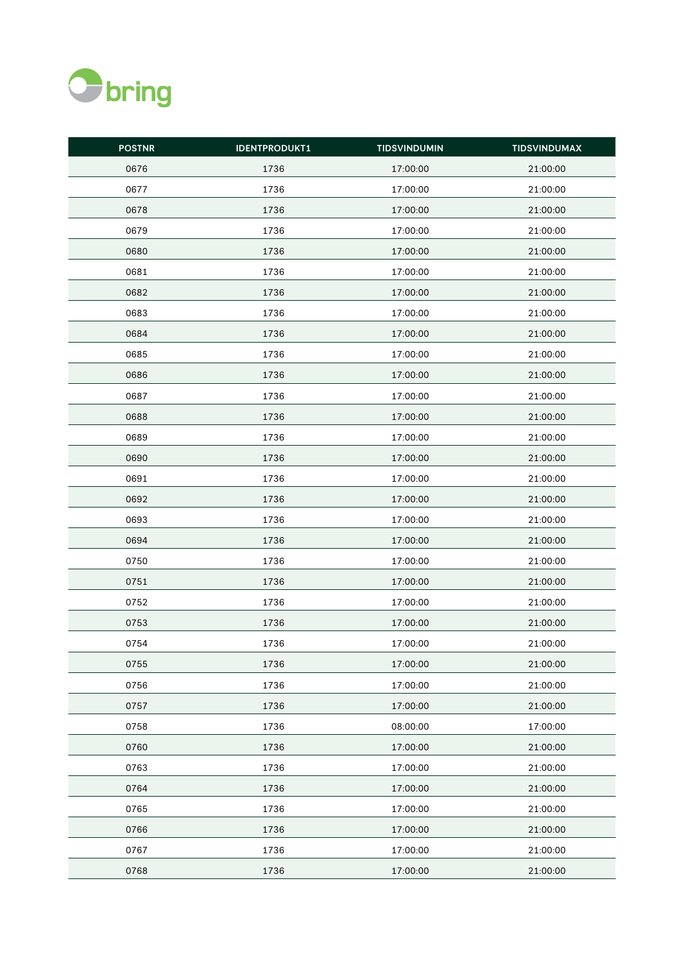

| <b>POSTNR</b> | <b>IDENTPRODUKT1</b> | <b>TIDSVINDUMIN</b> | <b>TIDSVINDUMAX</b> |
|---------------|----------------------|---------------------|---------------------|
| 0676          | 1736                 | 17:00:00            | 21:00:00            |
| 0677          | 1736                 | 17:00:00            | 21:00:00            |
| 0678          | 1736                 | 17:00:00            | 21:00:00            |
| 0679          | 1736                 | 17:00:00            | 21:00:00            |
| 0680          | 1736                 | 17:00:00            | 21:00:00            |
| 0681          | 1736                 | 17:00:00            | 21:00:00            |
| 0682          | 1736                 | 17:00:00            | 21:00:00            |
| 0683          | 1736                 | 17:00:00            | 21:00:00            |
| 0684          | 1736                 | 17:00:00            | 21:00:00            |
| 0685          | 1736                 | 17:00:00            | 21:00:00            |
| 0686          | 1736                 | 17:00:00            | 21:00:00            |
| 0687          | 1736                 | 17:00:00            | 21:00:00            |
| 0688          | 1736                 | 17:00:00            | 21:00:00            |
| 0689          | 1736                 | 17:00:00            | 21:00:00            |
| 0690          | 1736                 | 17:00:00            | 21:00:00            |
| 0691          | 1736                 | 17:00:00            | 21:00:00            |
| 0692          | 1736                 | 17:00:00            | 21:00:00            |
| 0693          | 1736                 | 17:00:00            | 21:00:00            |
| 0694          | 1736                 | 17:00:00            | 21:00:00            |
| 0750          | 1736                 | 17:00:00            | 21:00:00            |
| 0751          | 1736                 | 17:00:00            | 21:00:00            |
| 0752          | 1736                 | 17:00:00            | 21:00:00            |
| 0753          | 1736                 | 17:00:00            | 21:00:00            |
| 0754          | 1736                 | 17:00:00            | 21:00:00            |
| 0755          | 1736                 | 17:00:00            | 21:00:00            |
| 0756          | 1736                 | 17:00:00            | 21:00:00            |
| 0757          | 1736                 | 17:00:00            | 21:00:00            |
| 0758          | 1736                 | 08:00:00            | 17:00:00            |
| 0760          | 1736                 | 17:00:00            | 21:00:00            |
| 0763          | 1736                 | 17:00:00            | 21:00:00            |
| 0764          | 1736                 | 17:00:00            | 21:00:00            |
| 0765          | 1736                 | 17:00:00            | 21:00:00            |
| 0766          | 1736                 | 17:00:00            | 21:00:00            |
| 0767          | 1736                 | 17:00:00            | 21:00:00            |
| 0768          | 1736                 | 17:00:00            | 21:00:00            |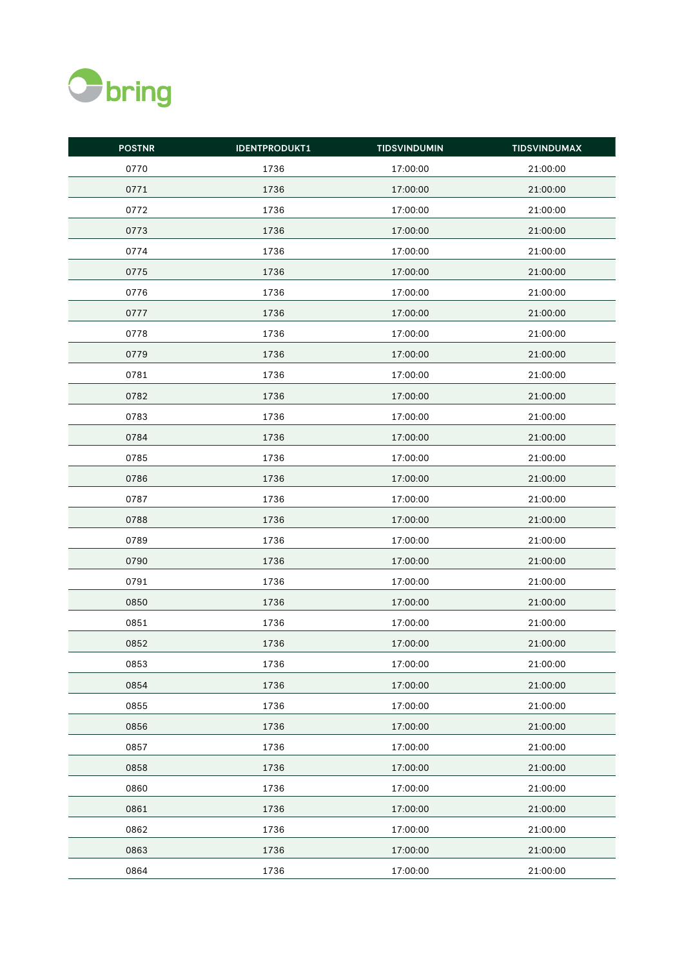

| <b>POSTNR</b> | <b>IDENTPRODUKT1</b> | <b>TIDSVINDUMIN</b> | <b>TIDSVINDUMAX</b> |
|---------------|----------------------|---------------------|---------------------|
| 0770          | 1736                 | 17:00:00            | 21:00:00            |
| 0771          | 1736                 | 17:00:00            | 21:00:00            |
| 0772          | 1736                 | 17:00:00            | 21:00:00            |
| 0773          | 1736                 | 17:00:00            | 21:00:00            |
| 0774          | 1736                 | 17:00:00            | 21:00:00            |
| 0775          | 1736                 | 17:00:00            | 21:00:00            |
| 0776          | 1736                 | 17:00:00            | 21:00:00            |
| 0777          | 1736                 | 17:00:00            | 21:00:00            |
| 0778          | 1736                 | 17:00:00            | 21:00:00            |
| 0779          | 1736                 | 17:00:00            | 21:00:00            |
| 0781          | 1736                 | 17:00:00            | 21:00:00            |
| 0782          | 1736                 | 17:00:00            | 21:00:00            |
| 0783          | 1736                 | 17:00:00            | 21:00:00            |
| 0784          | 1736                 | 17:00:00            | 21:00:00            |
| 0785          | 1736                 | 17:00:00            | 21:00:00            |
| 0786          | 1736                 | 17:00:00            | 21:00:00            |
| 0787          | 1736                 | 17:00:00            | 21:00:00            |
| 0788          | 1736                 | 17:00:00            | 21:00:00            |
| 0789          | 1736                 | 17:00:00            | 21:00:00            |
| 0790          | 1736                 | 17:00:00            | 21:00:00            |
| 0791          | 1736                 | 17:00:00            | 21:00:00            |
| 0850          | 1736                 | 17:00:00            | 21:00:00            |
| 0851          | 1736                 | 17:00:00            | 21:00:00            |
| 0852          | 1736                 | 17:00:00            | 21:00:00            |
| 0853          | 1736                 | 17:00:00            | 21:00:00            |
| 0854          | 1736                 | 17:00:00            | 21:00:00            |
| 0855          | 1736                 | 17:00:00            | 21:00:00            |
| 0856          | 1736                 | 17:00:00            | 21:00:00            |
| 0857          | 1736                 | 17:00:00            | 21:00:00            |
| 0858          | 1736                 | 17:00:00            | 21:00:00            |
| 0860          | 1736                 | 17:00:00            | 21:00:00            |
| 0861          | 1736                 | 17:00:00            | 21:00:00            |
| 0862          | 1736                 | 17:00:00            | 21:00:00            |
| 0863          | 1736                 | 17:00:00            | 21:00:00            |
| 0864          | 1736                 | 17:00:00            | 21:00:00            |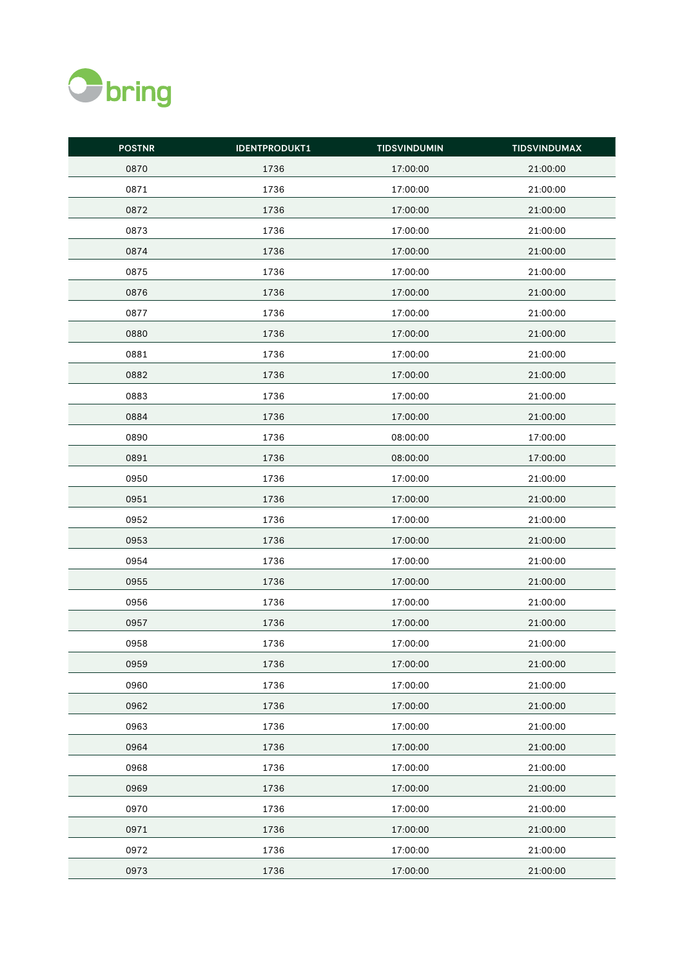

| <b>POSTNR</b> | <b>IDENTPRODUKT1</b> | <b>TIDSVINDUMIN</b> | <b>TIDSVINDUMAX</b> |
|---------------|----------------------|---------------------|---------------------|
| 0870          | 1736                 | 17:00:00            | 21:00:00            |
| 0871          | 1736                 | 17:00:00            | 21:00:00            |
| 0872          | 1736                 | 17:00:00            | 21:00:00            |
| 0873          | 1736                 | 17:00:00            | 21:00:00            |
| 0874          | 1736                 | 17:00:00            | 21:00:00            |
| 0875          | 1736                 | 17:00:00            | 21:00:00            |
| 0876          | 1736                 | 17:00:00            | 21:00:00            |
| 0877          | 1736                 | 17:00:00            | 21:00:00            |
| 0880          | 1736                 | 17:00:00            | 21:00:00            |
| 0881          | 1736                 | 17:00:00            | 21:00:00            |
| 0882          | 1736                 | 17:00:00            | 21:00:00            |
| 0883          | 1736                 | 17:00:00            | 21:00:00            |
| 0884          | 1736                 | 17:00:00            | 21:00:00            |
| 0890          | 1736                 | 08:00:00            | 17:00:00            |
| 0891          | 1736                 | 08:00:00            | 17:00:00            |
| 0950          | 1736                 | 17:00:00            | 21:00:00            |
| 0951          | 1736                 | 17:00:00            | 21:00:00            |
| 0952          | 1736                 | 17:00:00            | 21:00:00            |
| 0953          | 1736                 | 17:00:00            | 21:00:00            |
| 0954          | 1736                 | 17:00:00            | 21:00:00            |
| 0955          | 1736                 | 17:00:00            | 21:00:00            |
| 0956          | 1736                 | 17:00:00            | 21:00:00            |
| 0957          | 1736                 | 17:00:00            | 21:00:00            |
| 0958          | 1736                 | 17:00:00            | 21:00:00            |
| 0959          | 1736                 | 17:00:00            | 21:00:00            |
| 0960          | 1736                 | 17:00:00            | 21:00:00            |
| 0962          | 1736                 | 17:00:00            | 21:00:00            |
| 0963          | 1736                 | 17:00:00            | 21:00:00            |
| 0964          | 1736                 | 17:00:00            | 21:00:00            |
| 0968          | 1736                 | 17:00:00            | 21:00:00            |
| 0969          | 1736                 | 17:00:00            | 21:00:00            |
| 0970          | 1736                 | 17:00:00            | 21:00:00            |
| 0971          | 1736                 | 17:00:00            | 21:00:00            |
| 0972          | 1736                 | 17:00:00            | 21:00:00            |
| 0973          | 1736                 | 17:00:00            | 21:00:00            |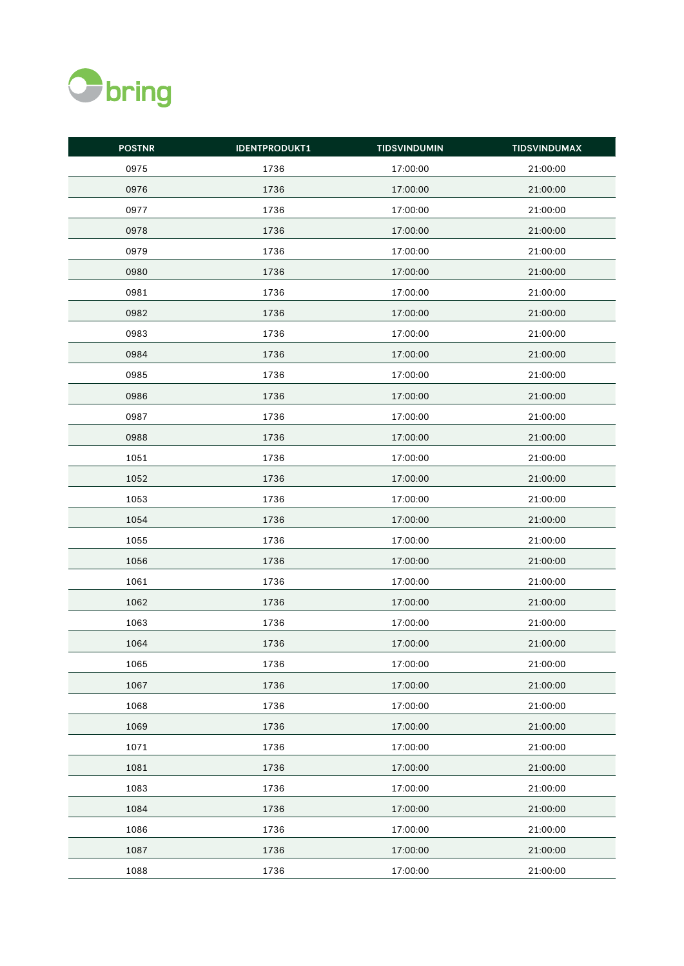

| <b>POSTNR</b> | <b>IDENTPRODUKT1</b> | <b>TIDSVINDUMIN</b> | <b>TIDSVINDUMAX</b> |
|---------------|----------------------|---------------------|---------------------|
| 0975          | 1736                 | 17:00:00            | 21:00:00            |
| 0976          | 1736                 | 17:00:00            | 21:00:00            |
| 0977          | 1736                 | 17:00:00            | 21:00:00            |
| 0978          | 1736                 | 17:00:00            | 21:00:00            |
| 0979          | 1736                 | 17:00:00            | 21:00:00            |
| 0980          | 1736                 | 17:00:00            | 21:00:00            |
| 0981          | 1736                 | 17:00:00            | 21:00:00            |
| 0982          | 1736                 | 17:00:00            | 21:00:00            |
| 0983          | 1736                 | 17:00:00            | 21:00:00            |
| 0984          | 1736                 | 17:00:00            | 21:00:00            |
| 0985          | 1736                 | 17:00:00            | 21:00:00            |
| 0986          | 1736                 | 17:00:00            | 21:00:00            |
| 0987          | 1736                 | 17:00:00            | 21:00:00            |
| 0988          | 1736                 | 17:00:00            | 21:00:00            |
| 1051          | 1736                 | 17:00:00            | 21:00:00            |
| 1052          | 1736                 | 17:00:00            | 21:00:00            |
| 1053          | 1736                 | 17:00:00            | 21:00:00            |
| 1054          | 1736                 | 17:00:00            | 21:00:00            |
| 1055          | 1736                 | 17:00:00            | 21:00:00            |
| 1056          | 1736                 | 17:00:00            | 21:00:00            |
| 1061          | 1736                 | 17:00:00            | 21:00:00            |
| 1062          | 1736                 | 17:00:00            | 21:00:00            |
| 1063          | 1736                 | 17:00:00            | 21:00:00            |
| 1064          | 1736                 | 17:00:00            | 21:00:00            |
| 1065          | 1736                 | 17:00:00            | 21:00:00            |
| 1067          | 1736                 | 17:00:00            | 21:00:00            |
| 1068          | 1736                 | 17:00:00            | 21:00:00            |
| 1069          | 1736                 | 17:00:00            | 21:00:00            |
| 1071          | 1736                 | 17:00:00            | 21:00:00            |
| 1081          | 1736                 | 17:00:00            | 21:00:00            |
| 1083          | 1736                 | 17:00:00            | 21:00:00            |
| 1084          | 1736                 | 17:00:00            | 21:00:00            |
| 1086          | 1736                 | 17:00:00            | 21:00:00            |
| 1087          | 1736                 | 17:00:00            | 21:00:00            |
| 1088          | 1736                 | 17:00:00            | 21:00:00            |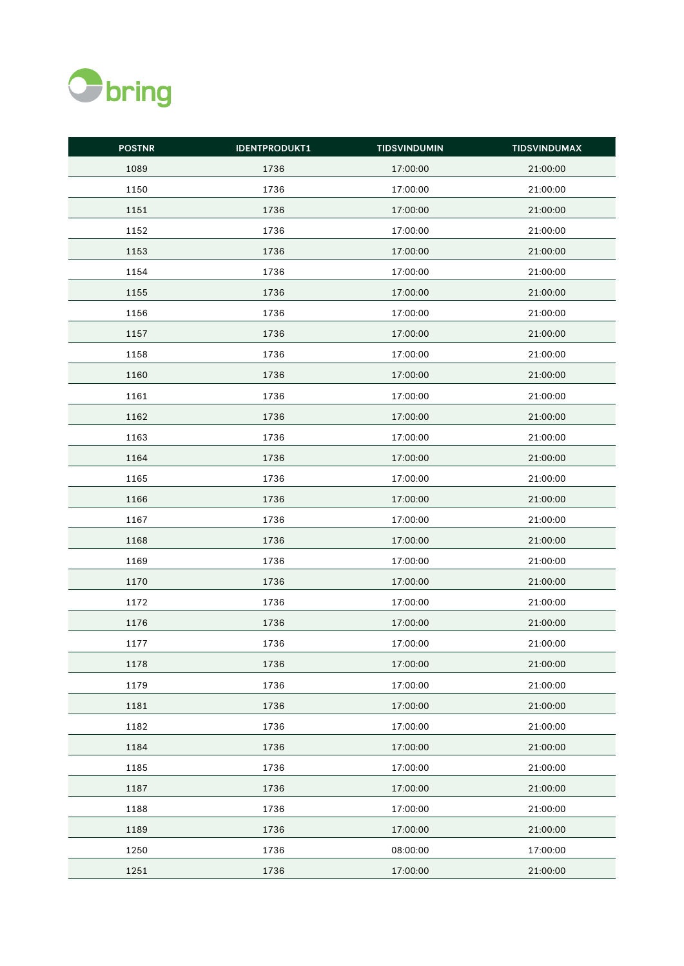

| <b>POSTNR</b> | <b>IDENTPRODUKT1</b> | <b>TIDSVINDUMIN</b> | <b>TIDSVINDUMAX</b> |
|---------------|----------------------|---------------------|---------------------|
| 1089          | 1736                 | 17:00:00            | 21:00:00            |
| 1150          | 1736                 | 17:00:00            | 21:00:00            |
| 1151          | 1736                 | 17:00:00            | 21:00:00            |
| 1152          | 1736                 | 17:00:00            | 21:00:00            |
| 1153          | 1736                 | 17:00:00            | 21:00:00            |
| 1154          | 1736                 | 17:00:00            | 21:00:00            |
| 1155          | 1736                 | 17:00:00            | 21:00:00            |
| 1156          | 1736                 | 17:00:00            | 21:00:00            |
| 1157          | 1736                 | 17:00:00            | 21:00:00            |
| 1158          | 1736                 | 17:00:00            | 21:00:00            |
| 1160          | 1736                 | 17:00:00            | 21:00:00            |
| 1161          | 1736                 | 17:00:00            | 21:00:00            |
| 1162          | 1736                 | 17:00:00            | 21:00:00            |
| 1163          | 1736                 | 17:00:00            | 21:00:00            |
| 1164          | 1736                 | 17:00:00            | 21:00:00            |
| 1165          | 1736                 | 17:00:00            | 21:00:00            |
| 1166          | 1736                 | 17:00:00            | 21:00:00            |
| 1167          | 1736                 | 17:00:00            | 21:00:00            |
| 1168          | 1736                 | 17:00:00            | 21:00:00            |
| 1169          | 1736                 | 17:00:00            | 21:00:00            |
| 1170          | 1736                 | 17:00:00            | 21:00:00            |
| 1172          | 1736                 | 17:00:00            | 21:00:00            |
| 1176          | 1736                 | 17:00:00            | 21:00:00            |
| 1177          | 1736                 | 17:00:00            | 21:00:00            |
| 1178          | 1736                 | 17:00:00            | 21:00:00            |
| 1179          | 1736                 | 17:00:00            | 21:00:00            |
| 1181          | 1736                 | 17:00:00            | 21:00:00            |
| 1182          | 1736                 | 17:00:00            | 21:00:00            |
| 1184          | 1736                 | 17:00:00            | 21:00:00            |
| 1185          | 1736                 | 17:00:00            | 21:00:00            |
| 1187          | 1736                 | 17:00:00            | 21:00:00            |
| 1188          | 1736                 | 17:00:00            | 21:00:00            |
| 1189          | 1736                 | 17:00:00            | 21:00:00            |
| 1250          | 1736                 | 08:00:00            | 17:00:00            |
| 1251          | 1736                 | 17:00:00            | 21:00:00            |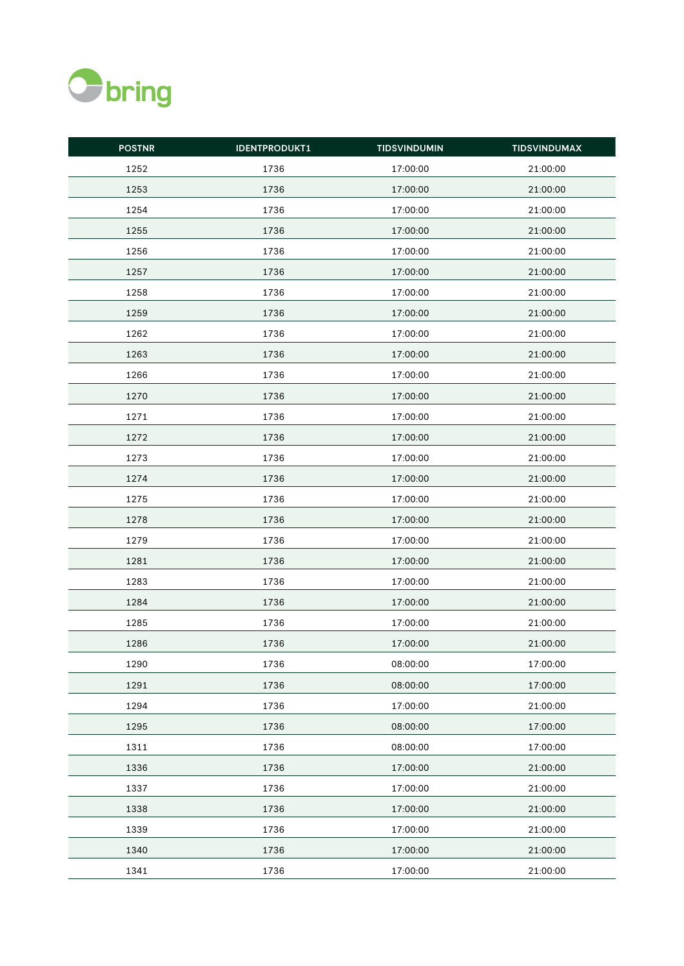

| <b>POSTNR</b> | <b>IDENTPRODUKT1</b> | <b>TIDSVINDUMIN</b> | <b>TIDSVINDUMAX</b> |
|---------------|----------------------|---------------------|---------------------|
| 1252          | 1736                 | 17:00:00            | 21:00:00            |
| 1253          | 1736                 | 17:00:00            | 21:00:00            |
| 1254          | 1736                 | 17:00:00            | 21:00:00            |
| 1255          | 1736                 | 17:00:00            | 21:00:00            |
| 1256          | 1736                 | 17:00:00            | 21:00:00            |
| 1257          | 1736                 | 17:00:00            | 21:00:00            |
| 1258          | 1736                 | 17:00:00            | 21:00:00            |
| 1259          | 1736                 | 17:00:00            | 21:00:00            |
| 1262          | 1736                 | 17:00:00            | 21:00:00            |
| 1263          | 1736                 | 17:00:00            | 21:00:00            |
| 1266          | 1736                 | 17:00:00            | 21:00:00            |
| 1270          | 1736                 | 17:00:00            | 21:00:00            |
| 1271          | 1736                 | 17:00:00            | 21:00:00            |
| 1272          | 1736                 | 17:00:00            | 21:00:00            |
| 1273          | 1736                 | 17:00:00            | 21:00:00            |
| 1274          | 1736                 | 17:00:00            | 21:00:00            |
| 1275          | 1736                 | 17:00:00            | 21:00:00            |
| 1278          | 1736                 | 17:00:00            | 21:00:00            |
| 1279          | 1736                 | 17:00:00            | 21:00:00            |
| 1281          | 1736                 | 17:00:00            | 21:00:00            |
| 1283          | 1736                 | 17:00:00            | 21:00:00            |
| 1284          | 1736                 | 17:00:00            | 21:00:00            |
| 1285          | 1736                 | 17:00:00            | 21:00:00            |
| 1286          | 1736                 | 17:00:00            | 21:00:00            |
| 1290          | 1736                 | 08:00:00            | 17:00:00            |
| 1291          | 1736                 | 08:00:00            | 17:00:00            |
| 1294          | 1736                 | 17:00:00            | 21:00:00            |
| 1295          | 1736                 | 08:00:00            | 17:00:00            |
| 1311          | 1736                 | 08:00:00            | 17:00:00            |
| 1336          | 1736                 | 17:00:00            | 21:00:00            |
| 1337          | 1736                 | 17:00:00            | 21:00:00            |
| 1338          | 1736                 | 17:00:00            | 21:00:00            |
| 1339          | 1736                 | 17:00:00            | 21:00:00            |
| 1340          | 1736                 | 17:00:00            | 21:00:00            |
| 1341          | 1736                 | 17:00:00            | 21:00:00            |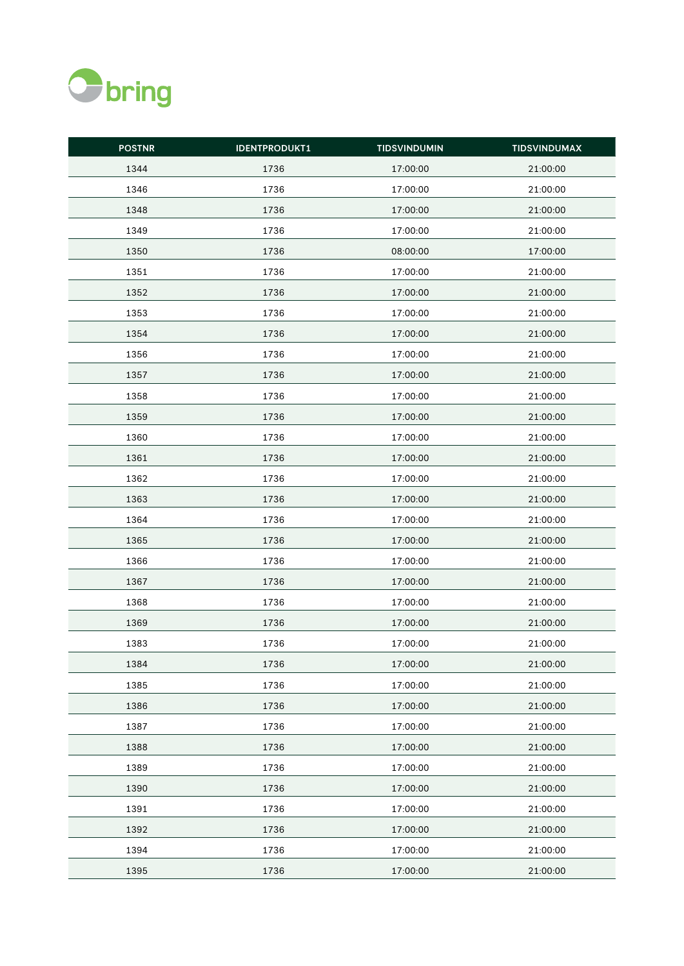

| <b>POSTNR</b> | <b>IDENTPRODUKT1</b> | <b>TIDSVINDUMIN</b> | <b>TIDSVINDUMAX</b> |
|---------------|----------------------|---------------------|---------------------|
| 1344          | 1736                 | 17:00:00            | 21:00:00            |
| 1346          | 1736                 | 17:00:00            | 21:00:00            |
| 1348          | 1736                 | 17:00:00            | 21:00:00            |
| 1349          | 1736                 | 17:00:00            | 21:00:00            |
| 1350          | 1736                 | 08:00:00            | 17:00:00            |
| 1351          | 1736                 | 17:00:00            | 21:00:00            |
| 1352          | 1736                 | 17:00:00            | 21:00:00            |
| 1353          | 1736                 | 17:00:00            | 21:00:00            |
| 1354          | 1736                 | 17:00:00            | 21:00:00            |
| 1356          | 1736                 | 17:00:00            | 21:00:00            |
| 1357          | 1736                 | 17:00:00            | 21:00:00            |
| 1358          | 1736                 | 17:00:00            | 21:00:00            |
| 1359          | 1736                 | 17:00:00            | 21:00:00            |
| 1360          | 1736                 | 17:00:00            | 21:00:00            |
| 1361          | 1736                 | 17:00:00            | 21:00:00            |
| 1362          | 1736                 | 17:00:00            | 21:00:00            |
| 1363          | 1736                 | 17:00:00            | 21:00:00            |
| 1364          | 1736                 | 17:00:00            | 21:00:00            |
| 1365          | 1736                 | 17:00:00            | 21:00:00            |
| 1366          | 1736                 | 17:00:00            | 21:00:00            |
| 1367          | 1736                 | 17:00:00            | 21:00:00            |
| 1368          | 1736                 | 17:00:00            | 21:00:00            |
| 1369          | 1736                 | 17:00:00            | 21:00:00            |
| 1383          | 1736                 | 17:00:00            | 21:00:00            |
| 1384          | 1736                 | 17:00:00            | 21:00:00            |
| 1385          | 1736                 | 17:00:00            | 21:00:00            |
| 1386          | 1736                 | 17:00:00            | 21:00:00            |
| 1387          | 1736                 | 17:00:00            | 21:00:00            |
| 1388          | 1736                 | 17:00:00            | 21:00:00            |
| 1389          | 1736                 | 17:00:00            | 21:00:00            |
| 1390          | 1736                 | 17:00:00            | 21:00:00            |
| 1391          | 1736                 | 17:00:00            | 21:00:00            |
| 1392          | 1736                 | 17:00:00            | 21:00:00            |
| 1394          | 1736                 | 17:00:00            | 21:00:00            |
| 1395          | 1736                 | 17:00:00            | 21:00:00            |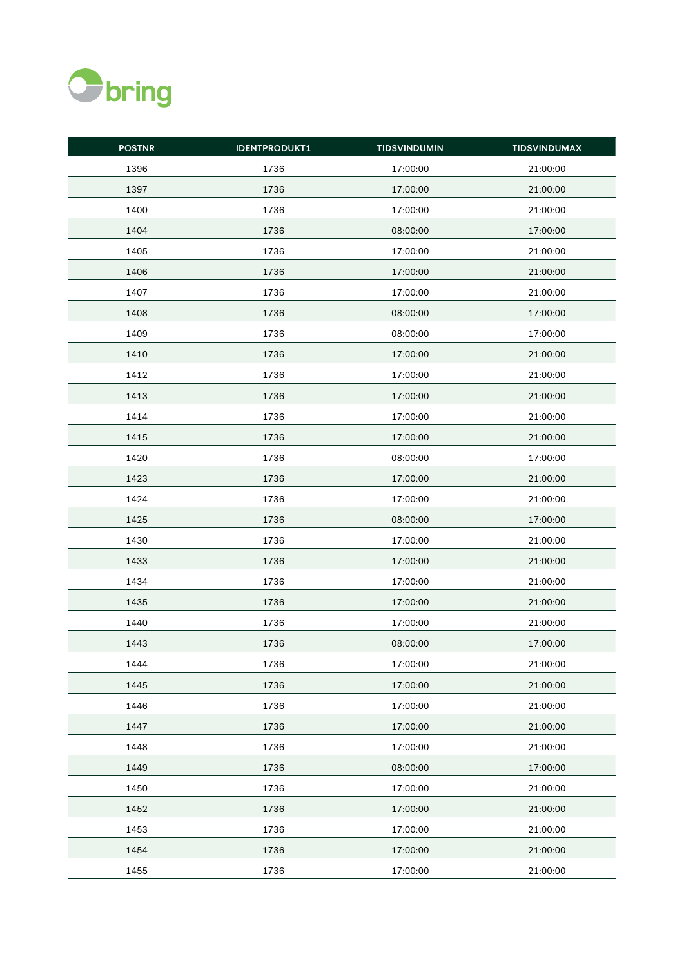

| <b>POSTNR</b> | <b>IDENTPRODUKT1</b> | <b>TIDSVINDUMIN</b> | <b>TIDSVINDUMAX</b> |
|---------------|----------------------|---------------------|---------------------|
| 1396          | 1736                 | 17:00:00            | 21:00:00            |
| 1397          | 1736                 | 17:00:00            | 21:00:00            |
| 1400          | 1736                 | 17:00:00            | 21:00:00            |
| 1404          | 1736                 | 08:00:00            | 17:00:00            |
| 1405          | 1736                 | 17:00:00            | 21:00:00            |
| 1406          | 1736                 | 17:00:00            | 21:00:00            |
| 1407          | 1736                 | 17:00:00            | 21:00:00            |
| 1408          | 1736                 | 08:00:00            | 17:00:00            |
| 1409          | 1736                 | 08:00:00            | 17:00:00            |
| 1410          | 1736                 | 17:00:00            | 21:00:00            |
| 1412          | 1736                 | 17:00:00            | 21:00:00            |
| 1413          | 1736                 | 17:00:00            | 21:00:00            |
| 1414          | 1736                 | 17:00:00            | 21:00:00            |
| 1415          | 1736                 | 17:00:00            | 21:00:00            |
| 1420          | 1736                 | 08:00:00            | 17:00:00            |
| 1423          | 1736                 | 17:00:00            | 21:00:00            |
| 1424          | 1736                 | 17:00:00            | 21:00:00            |
| 1425          | 1736                 | 08:00:00            | 17:00:00            |
| 1430          | 1736                 | 17:00:00            | 21:00:00            |
| 1433          | 1736                 | 17:00:00            | 21:00:00            |
| 1434          | 1736                 | 17:00:00            | 21:00:00            |
| 1435          | 1736                 | 17:00:00            | 21:00:00            |
| 1440          | 1736                 | 17:00:00            | 21:00:00            |
| 1443          | 1736                 | 08:00:00            | 17:00:00            |
| 1444          | 1736                 | 17:00:00            | 21:00:00            |
| 1445          | 1736                 | 17:00:00            | 21:00:00            |
| 1446          | 1736                 | 17:00:00            | 21:00:00            |
| 1447          | 1736                 | 17:00:00            | 21:00:00            |
| 1448          | 1736                 | 17:00:00            | 21:00:00            |
| 1449          | 1736                 | 08:00:00            | 17:00:00            |
| 1450          | 1736                 | 17:00:00            | 21:00:00            |
| 1452          | 1736                 | 17:00:00            | 21:00:00            |
| 1453          | 1736                 | 17:00:00            | 21:00:00            |
| 1454          | 1736                 | 17:00:00            | 21:00:00            |
| 1455          | 1736                 | 17:00:00            | 21:00:00            |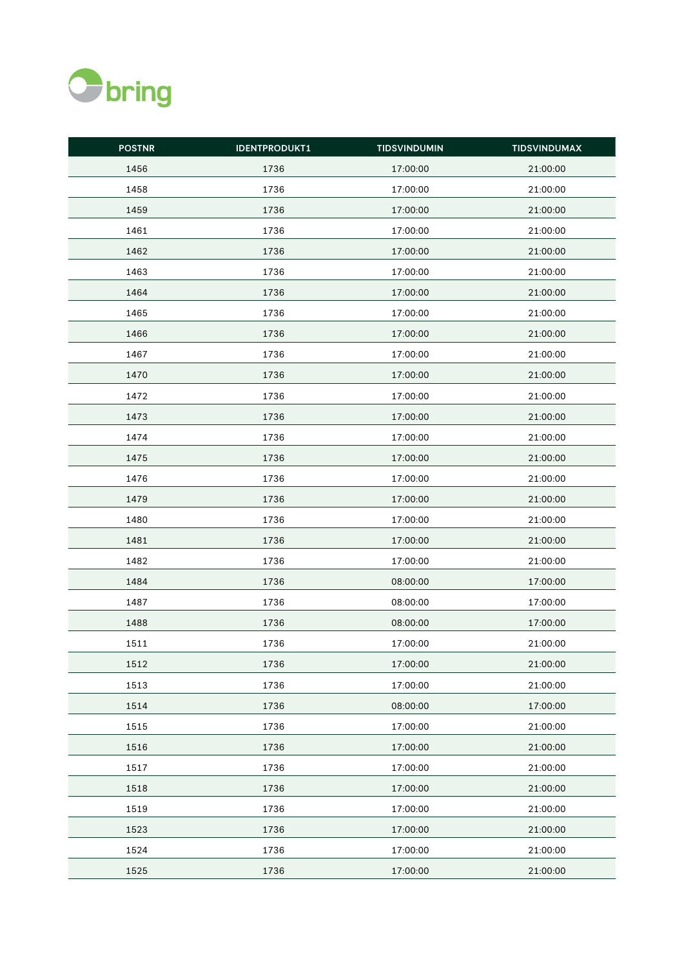

| <b>POSTNR</b> | <b>IDENTPRODUKT1</b> | <b>TIDSVINDUMIN</b> | <b>TIDSVINDUMAX</b> |
|---------------|----------------------|---------------------|---------------------|
| 1456          | 1736                 | 17:00:00            | 21:00:00            |
| 1458          | 1736                 | 17:00:00            | 21:00:00            |
| 1459          | 1736                 | 17:00:00            | 21:00:00            |
| 1461          | 1736                 | 17:00:00            | 21:00:00            |
| 1462          | 1736                 | 17:00:00            | 21:00:00            |
| 1463          | 1736                 | 17:00:00            | 21:00:00            |
| 1464          | 1736                 | 17:00:00            | 21:00:00            |
| 1465          | 1736                 | 17:00:00            | 21:00:00            |
| 1466          | 1736                 | 17:00:00            | 21:00:00            |
| 1467          | 1736                 | 17:00:00            | 21:00:00            |
| 1470          | 1736                 | 17:00:00            | 21:00:00            |
| 1472          | 1736                 | 17:00:00            | 21:00:00            |
| 1473          | 1736                 | 17:00:00            | 21:00:00            |
| 1474          | 1736                 | 17:00:00            | 21:00:00            |
| 1475          | 1736                 | 17:00:00            | 21:00:00            |
| 1476          | 1736                 | 17:00:00            | 21:00:00            |
| 1479          | 1736                 | 17:00:00            | 21:00:00            |
| 1480          | 1736                 | 17:00:00            | 21:00:00            |
| 1481          | 1736                 | 17:00:00            | 21:00:00            |
| 1482          | 1736                 | 17:00:00            | 21:00:00            |
| 1484          | 1736                 | 08:00:00            | 17:00:00            |
| 1487          | 1736                 | 08:00:00            | 17:00:00            |
| 1488          | 1736                 | 08:00:00            | 17:00:00            |
| 1511          | 1736                 | 17:00:00            | 21:00:00            |
| 1512          | 1736                 | 17:00:00            | 21:00:00            |
| 1513          | 1736                 | 17:00:00            | 21:00:00            |
| 1514          | 1736                 | 08:00:00            | 17:00:00            |
| 1515          | 1736                 | 17:00:00            | 21:00:00            |
| 1516          | 1736                 | 17:00:00            | 21:00:00            |
| 1517          | 1736                 | 17:00:00            | 21:00:00            |
| 1518          | 1736                 | 17:00:00            | 21:00:00            |
| 1519          | 1736                 | 17:00:00            | 21:00:00            |
| 1523          | 1736                 | 17:00:00            | 21:00:00            |
| 1524          | 1736                 | 17:00:00            | 21:00:00            |
| 1525          | 1736                 | 17:00:00            | 21:00:00            |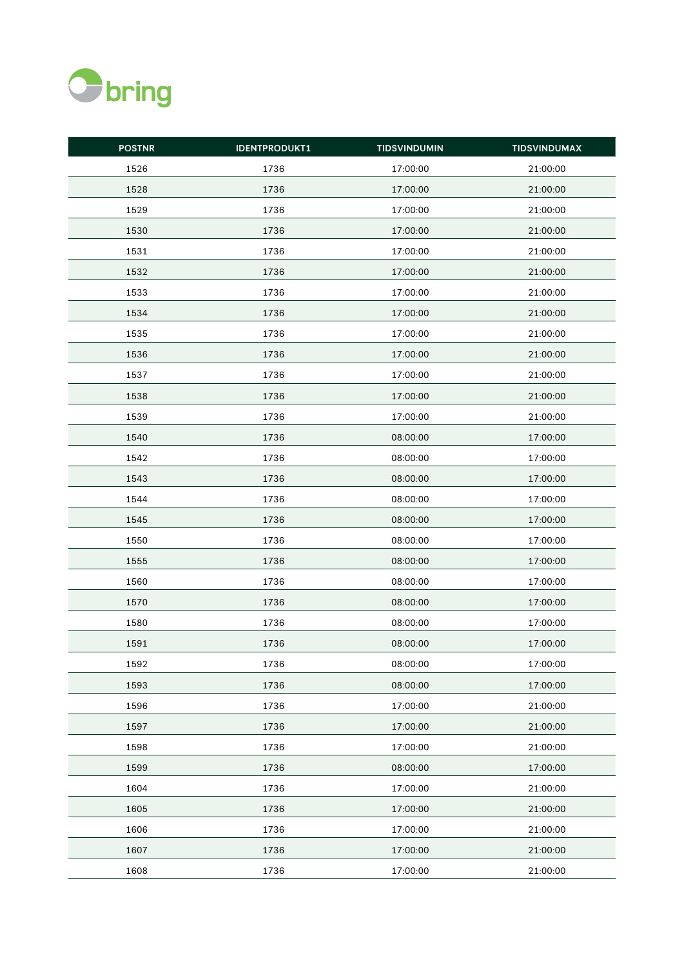

| <b>POSTNR</b> | <b>IDENTPRODUKT1</b> | <b>TIDSVINDUMIN</b> | <b>TIDSVINDUMAX</b> |
|---------------|----------------------|---------------------|---------------------|
| 1526          | 1736                 | 17:00:00            | 21:00:00            |
| 1528          | 1736                 | 17:00:00            | 21:00:00            |
| 1529          | 1736                 | 17:00:00            | 21:00:00            |
| 1530          | 1736                 | 17:00:00            | 21:00:00            |
| 1531          | 1736                 | 17:00:00            | 21:00:00            |
| 1532          | 1736                 | 17:00:00            | 21:00:00            |
| 1533          | 1736                 | 17:00:00            | 21:00:00            |
| 1534          | 1736                 | 17:00:00            | 21:00:00            |
| 1535          | 1736                 | 17:00:00            | 21:00:00            |
| 1536          | 1736                 | 17:00:00            | 21:00:00            |
| 1537          | 1736                 | 17:00:00            | 21:00:00            |
| 1538          | 1736                 | 17:00:00            | 21:00:00            |
| 1539          | 1736                 | 17:00:00            | 21:00:00            |
| 1540          | 1736                 | 08:00:00            | 17:00:00            |
| 1542          | 1736                 | 08:00:00            | 17:00:00            |
| 1543          | 1736                 | 08:00:00            | 17:00:00            |
| 1544          | 1736                 | 08:00:00            | 17:00:00            |
| 1545          | 1736                 | 08:00:00            | 17:00:00            |
| 1550          | 1736                 | 08:00:00            | 17:00:00            |
| 1555          | 1736                 | 08:00:00            | 17:00:00            |
| 1560          | 1736                 | 08:00:00            | 17:00:00            |
| 1570          | 1736                 | 08:00:00            | 17:00:00            |
| 1580          | 1736                 | 08:00:00            | 17:00:00            |
| 1591          | 1736                 | 08:00:00            | 17:00:00            |
| 1592          | 1736                 | 08:00:00            | 17:00:00            |
| 1593          | 1736                 | 08:00:00            | 17:00:00            |
| 1596          | 1736                 | 17:00:00            | 21:00:00            |
| 1597          | 1736                 | 17:00:00            | 21:00:00            |
| 1598          | 1736                 | 17:00:00            | 21:00:00            |
| 1599          | 1736                 | 08:00:00            | 17:00:00            |
| 1604          | 1736                 | 17:00:00            | 21:00:00            |
| 1605          | 1736                 | 17:00:00            | 21:00:00            |
| 1606          | 1736                 | 17:00:00            | 21:00:00            |
| 1607          | 1736                 | 17:00:00            | 21:00:00            |
| 1608          | 1736                 | 17:00:00            | 21:00:00            |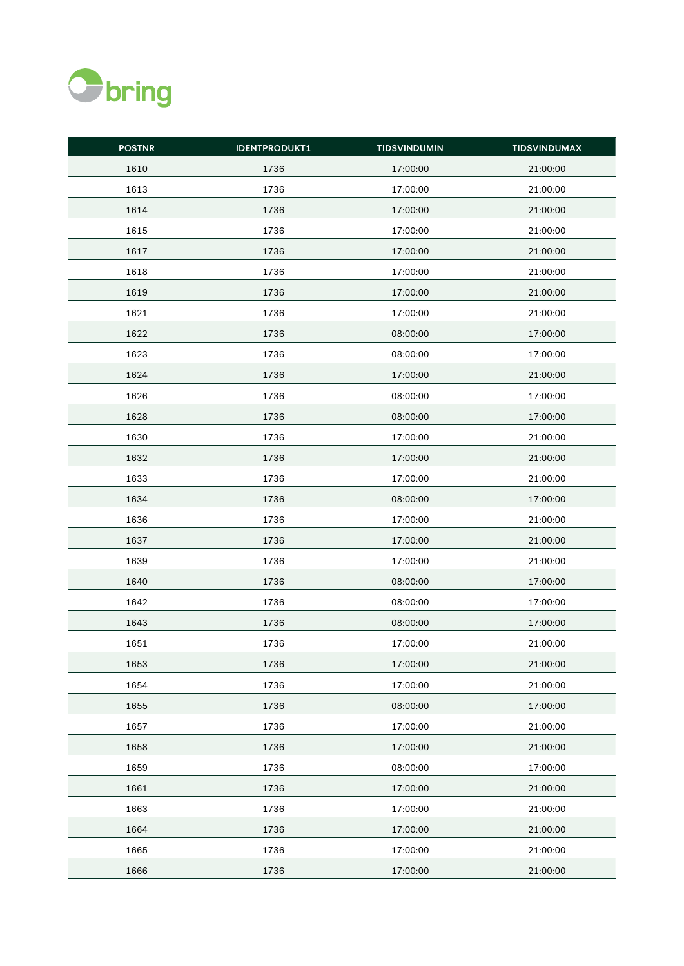

| <b>POSTNR</b> | <b>IDENTPRODUKT1</b> | <b>TIDSVINDUMIN</b> | <b>TIDSVINDUMAX</b> |
|---------------|----------------------|---------------------|---------------------|
| 1610          | 1736                 | 17:00:00            | 21:00:00            |
| 1613          | 1736                 | 17:00:00            | 21:00:00            |
| 1614          | 1736                 | 17:00:00            | 21:00:00            |
| 1615          | 1736                 | 17:00:00            | 21:00:00            |
| 1617          | 1736                 | 17:00:00            | 21:00:00            |
| 1618          | 1736                 | 17:00:00            | 21:00:00            |
| 1619          | 1736                 | 17:00:00            | 21:00:00            |
| 1621          | 1736                 | 17:00:00            | 21:00:00            |
| 1622          | 1736                 | 08:00:00            | 17:00:00            |
| 1623          | 1736                 | 08:00:00            | 17:00:00            |
| 1624          | 1736                 | 17:00:00            | 21:00:00            |
| 1626          | 1736                 | 08:00:00            | 17:00:00            |
| 1628          | 1736                 | 08:00:00            | 17:00:00            |
| 1630          | 1736                 | 17:00:00            | 21:00:00            |
| 1632          | 1736                 | 17:00:00            | 21:00:00            |
| 1633          | 1736                 | 17:00:00            | 21:00:00            |
| 1634          | 1736                 | 08:00:00            | 17:00:00            |
| 1636          | 1736                 | 17:00:00            | 21:00:00            |
| 1637          | 1736                 | 17:00:00            | 21:00:00            |
| 1639          | 1736                 | 17:00:00            | 21:00:00            |
| 1640          | 1736                 | 08:00:00            | 17:00:00            |
| 1642          | 1736                 | 08:00:00            | 17:00:00            |
| 1643          | 1736                 | 08:00:00            | 17:00:00            |
| 1651          | 1736                 | 17:00:00            | 21:00:00            |
| 1653          | 1736                 | 17:00:00            | 21:00:00            |
| 1654          | 1736                 | 17:00:00            | 21:00:00            |
| 1655          | 1736                 | 08:00:00            | 17:00:00            |
| 1657          | 1736                 | 17:00:00            | 21:00:00            |
| 1658          | 1736                 | 17:00:00            | 21:00:00            |
| 1659          | 1736                 | 08:00:00            | 17:00:00            |
| 1661          | 1736                 | 17:00:00            | 21:00:00            |
| 1663          | 1736                 | 17:00:00            | 21:00:00            |
| 1664          | 1736                 | 17:00:00            | 21:00:00            |
| 1665          | 1736                 | 17:00:00            | 21:00:00            |
| 1666          | 1736                 | 17:00:00            | 21:00:00            |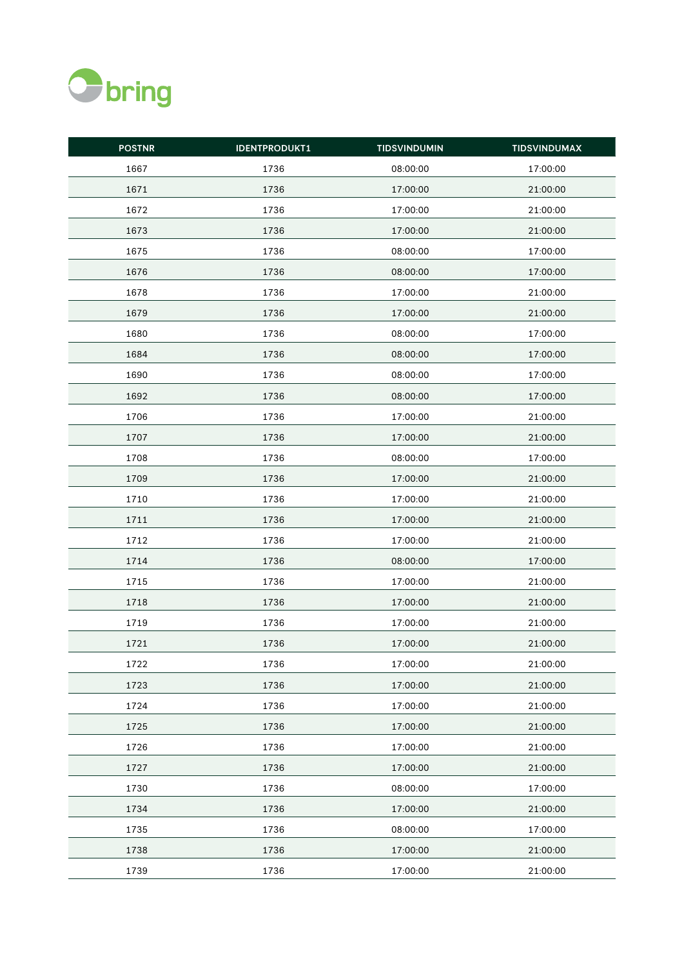

| <b>POSTNR</b> | <b>IDENTPRODUKT1</b> | <b>TIDSVINDUMIN</b> | <b>TIDSVINDUMAX</b> |
|---------------|----------------------|---------------------|---------------------|
| 1667          | 1736                 | 08:00:00            | 17:00:00            |
| 1671          | 1736                 | 17:00:00            | 21:00:00            |
| 1672          | 1736                 | 17:00:00            | 21:00:00            |
| 1673          | 1736                 | 17:00:00            | 21:00:00            |
| 1675          | 1736                 | 08:00:00            | 17:00:00            |
| 1676          | 1736                 | 08:00:00            | 17:00:00            |
| 1678          | 1736                 | 17:00:00            | 21:00:00            |
| 1679          | 1736                 | 17:00:00            | 21:00:00            |
| 1680          | 1736                 | 08:00:00            | 17:00:00            |
| 1684          | 1736                 | 08:00:00            | 17:00:00            |
| 1690          | 1736                 | 08:00:00            | 17:00:00            |
| 1692          | 1736                 | 08:00:00            | 17:00:00            |
| 1706          | 1736                 | 17:00:00            | 21:00:00            |
| 1707          | 1736                 | 17:00:00            | 21:00:00            |
| 1708          | 1736                 | 08:00:00            | 17:00:00            |
| 1709          | 1736                 | 17:00:00            | 21:00:00            |
| 1710          | 1736                 | 17:00:00            | 21:00:00            |
| 1711          | 1736                 | 17:00:00            | 21:00:00            |
| 1712          | 1736                 | 17:00:00            | 21:00:00            |
| 1714          | 1736                 | 08:00:00            | 17:00:00            |
| 1715          | 1736                 | 17:00:00            | 21:00:00            |
| 1718          | 1736                 | 17:00:00            | 21:00:00            |
| 1719          | 1736                 | 17:00:00            | 21:00:00            |
| 1721          | 1736                 | 17:00:00            | 21:00:00            |
| 1722          | 1736                 | 17:00:00            | 21:00:00            |
| 1723          | 1736                 | 17:00:00            | 21:00:00            |
| 1724          | 1736                 | 17:00:00            | 21:00:00            |
| 1725          | 1736                 | 17:00:00            | 21:00:00            |
| 1726          | 1736                 | 17:00:00            | 21:00:00            |
| 1727          | 1736                 | 17:00:00            | 21:00:00            |
| 1730          | 1736                 | 08:00:00            | 17:00:00            |
| 1734          | 1736                 | 17:00:00            | 21:00:00            |
| 1735          | 1736                 | 08:00:00            | 17:00:00            |
| 1738          | 1736                 | 17:00:00            | 21:00:00            |
| 1739          | 1736                 | 17:00:00            | 21:00:00            |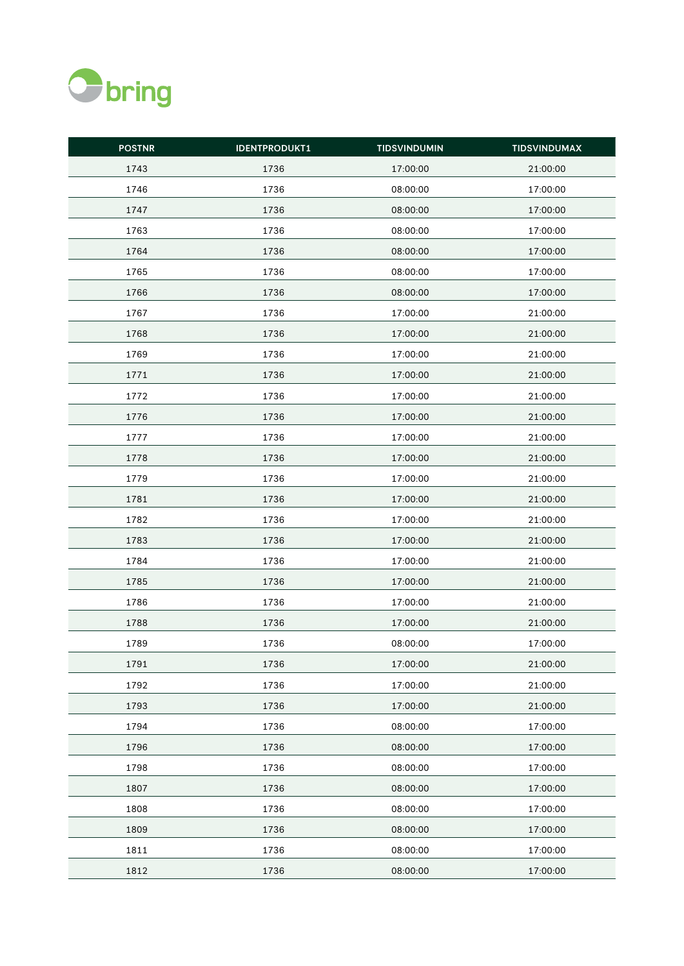

| <b>POSTNR</b> | <b>IDENTPRODUKT1</b> | <b>TIDSVINDUMIN</b> | <b>TIDSVINDUMAX</b> |
|---------------|----------------------|---------------------|---------------------|
| 1743          | 1736                 | 17:00:00            | 21:00:00            |
| 1746          | 1736                 | 08:00:00            | 17:00:00            |
| 1747          | 1736                 | 08:00:00            | 17:00:00            |
| 1763          | 1736                 | 08:00:00            | 17:00:00            |
| 1764          | 1736                 | 08:00:00            | 17:00:00            |
| 1765          | 1736                 | 08:00:00            | 17:00:00            |
| 1766          | 1736                 | 08:00:00            | 17:00:00            |
| 1767          | 1736                 | 17:00:00            | 21:00:00            |
| 1768          | 1736                 | 17:00:00            | 21:00:00            |
| 1769          | 1736                 | 17:00:00            | 21:00:00            |
| 1771          | 1736                 | 17:00:00            | 21:00:00            |
| 1772          | 1736                 | 17:00:00            | 21:00:00            |
| 1776          | 1736                 | 17:00:00            | 21:00:00            |
| 1777          | 1736                 | 17:00:00            | 21:00:00            |
| 1778          | 1736                 | 17:00:00            | 21:00:00            |
| 1779          | 1736                 | 17:00:00            | 21:00:00            |
| 1781          | 1736                 | 17:00:00            | 21:00:00            |
| 1782          | 1736                 | 17:00:00            | 21:00:00            |
| 1783          | 1736                 | 17:00:00            | 21:00:00            |
| 1784          | 1736                 | 17:00:00            | 21:00:00            |
| 1785          | 1736                 | 17:00:00            | 21:00:00            |
| 1786          | 1736                 | 17:00:00            | 21:00:00            |
| 1788          | 1736                 | 17:00:00            | 21:00:00            |
| 1789          | 1736                 | 08:00:00            | 17:00:00            |
| 1791          | 1736                 | 17:00:00            | 21:00:00            |
| 1792          | 1736                 | 17:00:00            | 21:00:00            |
| 1793          | 1736                 | 17:00:00            | 21:00:00            |
| 1794          | 1736                 | 08:00:00            | 17:00:00            |
| 1796          | 1736                 | 08:00:00            | 17:00:00            |
| 1798          | 1736                 | 08:00:00            | 17:00:00            |
| 1807          | 1736                 | 08:00:00            | 17:00:00            |
| 1808          | 1736                 | 08:00:00            | 17:00:00            |
| 1809          | 1736                 | 08:00:00            | 17:00:00            |
| 1811          | 1736                 | 08:00:00            | 17:00:00            |
| 1812          | 1736                 | 08:00:00            | 17:00:00            |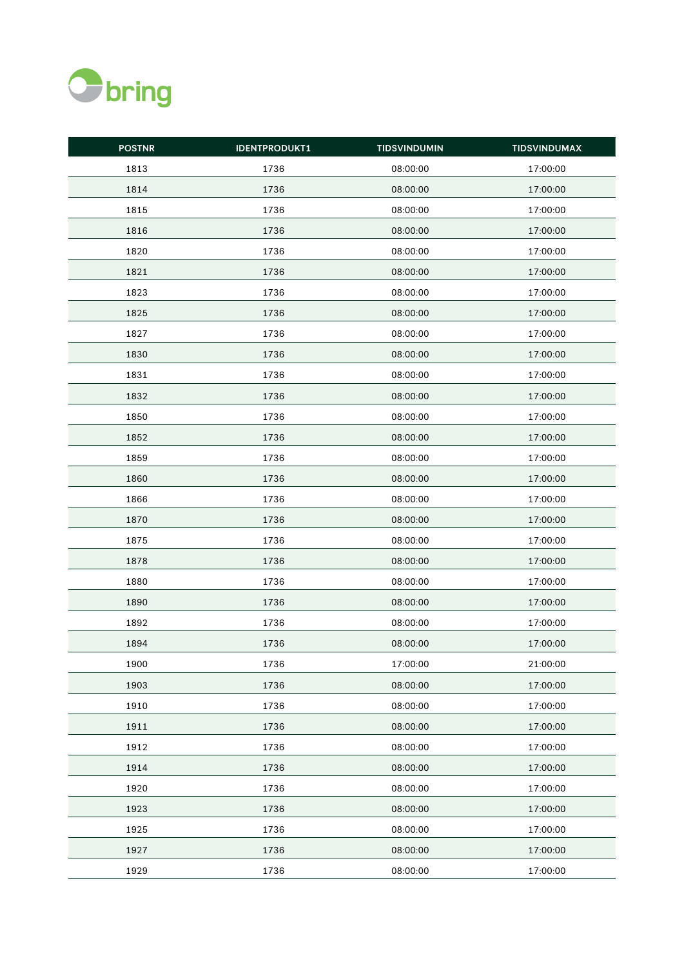

| <b>POSTNR</b> | <b>IDENTPRODUKT1</b> | <b>TIDSVINDUMIN</b> | <b>TIDSVINDUMAX</b> |
|---------------|----------------------|---------------------|---------------------|
| 1813          | 1736                 | 08:00:00            | 17:00:00            |
| 1814          | 1736                 | 08:00:00            | 17:00:00            |
| 1815          | 1736                 | 08:00:00            | 17:00:00            |
| 1816          | 1736                 | 08:00:00            | 17:00:00            |
| 1820          | 1736                 | 08:00:00            | 17:00:00            |
| 1821          | 1736                 | 08:00:00            | 17:00:00            |
| 1823          | 1736                 | 08:00:00            | 17:00:00            |
| 1825          | 1736                 | 08:00:00            | 17:00:00            |
| 1827          | 1736                 | 08:00:00            | 17:00:00            |
| 1830          | 1736                 | 08:00:00            | 17:00:00            |
| 1831          | 1736                 | 08:00:00            | 17:00:00            |
| 1832          | 1736                 | 08:00:00            | 17:00:00            |
| 1850          | 1736                 | 08:00:00            | 17:00:00            |
| 1852          | 1736                 | 08:00:00            | 17:00:00            |
| 1859          | 1736                 | 08:00:00            | 17:00:00            |
| 1860          | 1736                 | 08:00:00            | 17:00:00            |
| 1866          | 1736                 | 08:00:00            | 17:00:00            |
| 1870          | 1736                 | 08:00:00            | 17:00:00            |
| 1875          | 1736                 | 08:00:00            | 17:00:00            |
| 1878          | 1736                 | 08:00:00            | 17:00:00            |
| 1880          | 1736                 | 08:00:00            | 17:00:00            |
| 1890          | 1736                 | 08:00:00            | 17:00:00            |
| 1892          | 1736                 | 08:00:00            | 17:00:00            |
| 1894          | 1736                 | 08:00:00            | 17:00:00            |
| 1900          | 1736                 | 17:00:00            | 21:00:00            |
| 1903          | 1736                 | 08:00:00            | 17:00:00            |
| 1910          | 1736                 | 08:00:00            | 17:00:00            |
| 1911          | 1736                 | 08:00:00            | 17:00:00            |
| 1912          | 1736                 | 08:00:00            | 17:00:00            |
| 1914          | 1736                 | 08:00:00            | 17:00:00            |
| 1920          | 1736                 | 08:00:00            | 17:00:00            |
| 1923          | 1736                 | 08:00:00            | 17:00:00            |
| 1925          | 1736                 | 08:00:00            | 17:00:00            |
| 1927          | 1736                 | 08:00:00            | 17:00:00            |
| 1929          | 1736                 | 08:00:00            | 17:00:00            |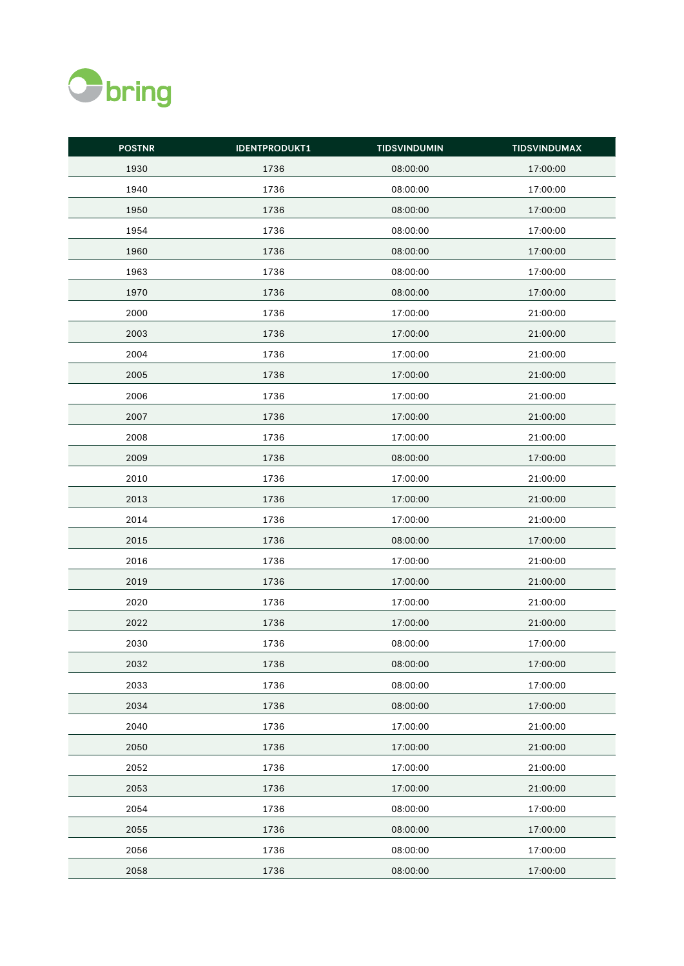

| <b>POSTNR</b> | <b>IDENTPRODUKT1</b> | <b>TIDSVINDUMIN</b> | <b>TIDSVINDUMAX</b> |
|---------------|----------------------|---------------------|---------------------|
| 1930          | 1736                 | 08:00:00            | 17:00:00            |
| 1940          | 1736                 | 08:00:00            | 17:00:00            |
| 1950          | 1736                 | 08:00:00            | 17:00:00            |
| 1954          | 1736                 | 08:00:00            | 17:00:00            |
| 1960          | 1736                 | 08:00:00            | 17:00:00            |
| 1963          | 1736                 | 08:00:00            | 17:00:00            |
| 1970          | 1736                 | 08:00:00            | 17:00:00            |
| 2000          | 1736                 | 17:00:00            | 21:00:00            |
| 2003          | 1736                 | 17:00:00            | 21:00:00            |
| 2004          | 1736                 | 17:00:00            | 21:00:00            |
| 2005          | 1736                 | 17:00:00            | 21:00:00            |
| 2006          | 1736                 | 17:00:00            | 21:00:00            |
| 2007          | 1736                 | 17:00:00            | 21:00:00            |
| 2008          | 1736                 | 17:00:00            | 21:00:00            |
| 2009          | 1736                 | 08:00:00            | 17:00:00            |
| 2010          | 1736                 | 17:00:00            | 21:00:00            |
| 2013          | 1736                 | 17:00:00            | 21:00:00            |
| 2014          | 1736                 | 17:00:00            | 21:00:00            |
| 2015          | 1736                 | 08:00:00            | 17:00:00            |
| 2016          | 1736                 | 17:00:00            | 21:00:00            |
| 2019          | 1736                 | 17:00:00            | 21:00:00            |
| 2020          | 1736                 | 17:00:00            | 21:00:00            |
| 2022          | 1736                 | 17:00:00            | 21:00:00            |
| 2030          | 1736                 | 08:00:00            | 17:00:00            |
| 2032          | 1736                 | 08:00:00            | 17:00:00            |
| 2033          | 1736                 | 08:00:00            | 17:00:00            |
| 2034          | 1736                 | 08:00:00            | 17:00:00            |
| 2040          | 1736                 | 17:00:00            | 21:00:00            |
| 2050          | 1736                 | 17:00:00            | 21:00:00            |
| 2052          | 1736                 | 17:00:00            | 21:00:00            |
| 2053          | 1736                 | 17:00:00            | 21:00:00            |
| 2054          | 1736                 | 08:00:00            | 17:00:00            |
| 2055          | 1736                 | 08:00:00            | 17:00:00            |
| 2056          | 1736                 | 08:00:00            | 17:00:00            |
| 2058          | 1736                 | 08:00:00            | 17:00:00            |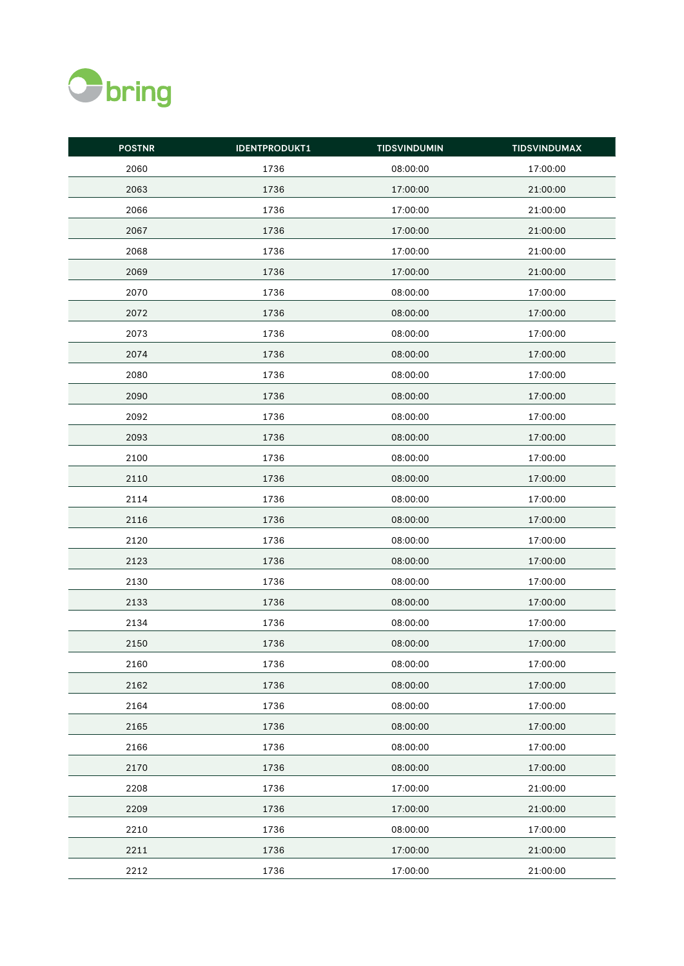

| <b>POSTNR</b> | <b>IDENTPRODUKT1</b> | <b>TIDSVINDUMIN</b> | <b>TIDSVINDUMAX</b> |
|---------------|----------------------|---------------------|---------------------|
| 2060          | 1736                 | 08:00:00            | 17:00:00            |
| 2063          | 1736                 | 17:00:00            | 21:00:00            |
| 2066          | 1736                 | 17:00:00            | 21:00:00            |
| 2067          | 1736                 | 17:00:00            | 21:00:00            |
| 2068          | 1736                 | 17:00:00            | 21:00:00            |
| 2069          | 1736                 | 17:00:00            | 21:00:00            |
| 2070          | 1736                 | 08:00:00            | 17:00:00            |
| 2072          | 1736                 | 08:00:00            | 17:00:00            |
| 2073          | 1736                 | 08:00:00            | 17:00:00            |
| 2074          | 1736                 | 08:00:00            | 17:00:00            |
| 2080          | 1736                 | 08:00:00            | 17:00:00            |
| 2090          | 1736                 | 08:00:00            | 17:00:00            |
| 2092          | 1736                 | 08:00:00            | 17:00:00            |
| 2093          | 1736                 | 08:00:00            | 17:00:00            |
| 2100          | 1736                 | 08:00:00            | 17:00:00            |
| 2110          | 1736                 | 08:00:00            | 17:00:00            |
| 2114          | 1736                 | 08:00:00            | 17:00:00            |
| 2116          | 1736                 | 08:00:00            | 17:00:00            |
| 2120          | 1736                 | 08:00:00            | 17:00:00            |
| 2123          | 1736                 | 08:00:00            | 17:00:00            |
| 2130          | 1736                 | 08:00:00            | 17:00:00            |
| 2133          | 1736                 | 08:00:00            | 17:00:00            |
| 2134          | 1736                 | 08:00:00            | 17:00:00            |
| 2150          | 1736                 | 08:00:00            | 17:00:00            |
| 2160          | 1736                 | 08:00:00            | 17:00:00            |
| 2162          | 1736                 | 08:00:00            | 17:00:00            |
| 2164          | 1736                 | 08:00:00            | 17:00:00            |
| 2165          | 1736                 | 08:00:00            | 17:00:00            |
| 2166          | 1736                 | 08:00:00            | 17:00:00            |
| 2170          | 1736                 | 08:00:00            | 17:00:00            |
| 2208          | 1736                 | 17:00:00            | 21:00:00            |
| 2209          | 1736                 | 17:00:00            | 21:00:00            |
| 2210          | 1736                 | 08:00:00            | 17:00:00            |
| 2211          | 1736                 | 17:00:00            | 21:00:00            |
| 2212          | 1736                 | 17:00:00            | 21:00:00            |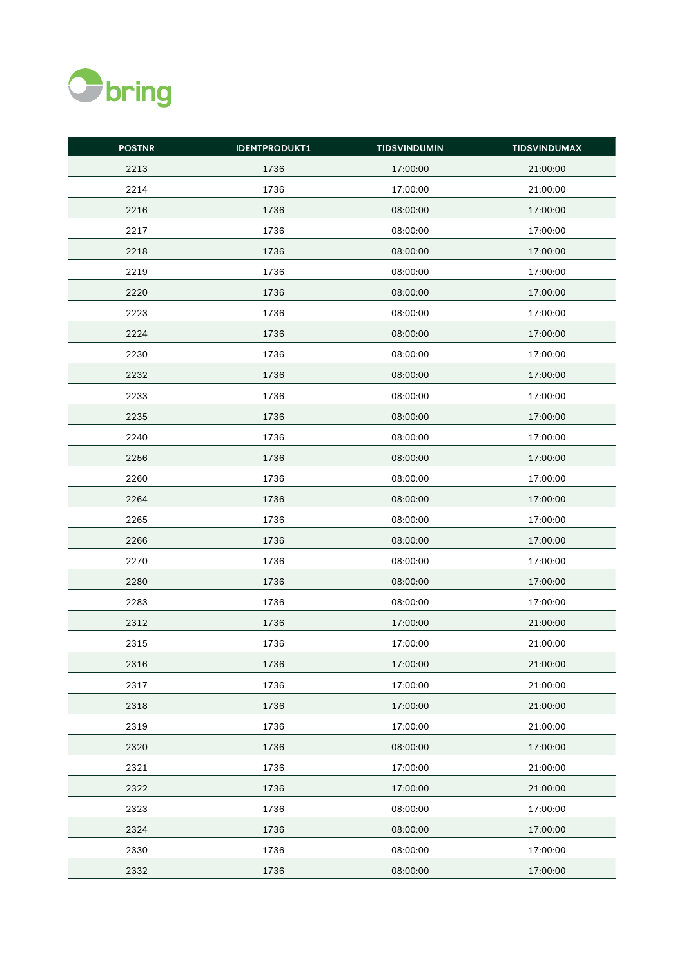

| <b>POSTNR</b> | <b>IDENTPRODUKT1</b> | <b>TIDSVINDUMIN</b> | <b>TIDSVINDUMAX</b> |
|---------------|----------------------|---------------------|---------------------|
| 2213          | 1736                 | 17:00:00            | 21:00:00            |
| 2214          | 1736                 | 17:00:00            | 21:00:00            |
| 2216          | 1736                 | 08:00:00            | 17:00:00            |
| 2217          | 1736                 | 08:00:00            | 17:00:00            |
| 2218          | 1736                 | 08:00:00            | 17:00:00            |
| 2219          | 1736                 | 08:00:00            | 17:00:00            |
| 2220          | 1736                 | 08:00:00            | 17:00:00            |
| 2223          | 1736                 | 08:00:00            | 17:00:00            |
| 2224          | 1736                 | 08:00:00            | 17:00:00            |
| 2230          | 1736                 | 08:00:00            | 17:00:00            |
| 2232          | 1736                 | 08:00:00            | 17:00:00            |
| 2233          | 1736                 | 08:00:00            | 17:00:00            |
| 2235          | 1736                 | 08:00:00            | 17:00:00            |
| 2240          | 1736                 | 08:00:00            | 17:00:00            |
| 2256          | 1736                 | 08:00:00            | 17:00:00            |
| 2260          | 1736                 | 08:00:00            | 17:00:00            |
| 2264          | 1736                 | 08:00:00            | 17:00:00            |
| 2265          | 1736                 | 08:00:00            | 17:00:00            |
| 2266          | 1736                 | 08:00:00            | 17:00:00            |
| 2270          | 1736                 | 08:00:00            | 17:00:00            |
| 2280          | 1736                 | 08:00:00            | 17:00:00            |
| 2283          | 1736                 | 08:00:00            | 17:00:00            |
| 2312          | 1736                 | 17:00:00            | 21:00:00            |
| 2315          | 1736                 | 17:00:00            | 21:00:00            |
| 2316          | 1736                 | 17:00:00            | 21:00:00            |
| 2317          | 1736                 | 17:00:00            | 21:00:00            |
| 2318          | 1736                 | 17:00:00            | 21:00:00            |
| 2319          | 1736                 | 17:00:00            | 21:00:00            |
| 2320          | 1736                 | 08:00:00            | 17:00:00            |
| 2321          | 1736                 | 17:00:00            | 21:00:00            |
| 2322          | 1736                 | 17:00:00            | 21:00:00            |
| 2323          | 1736                 | 08:00:00            | 17:00:00            |
| 2324          | 1736                 | 08:00:00            | 17:00:00            |
| 2330          | 1736                 | 08:00:00            | 17:00:00            |
| 2332          | 1736                 | 08:00:00            | 17:00:00            |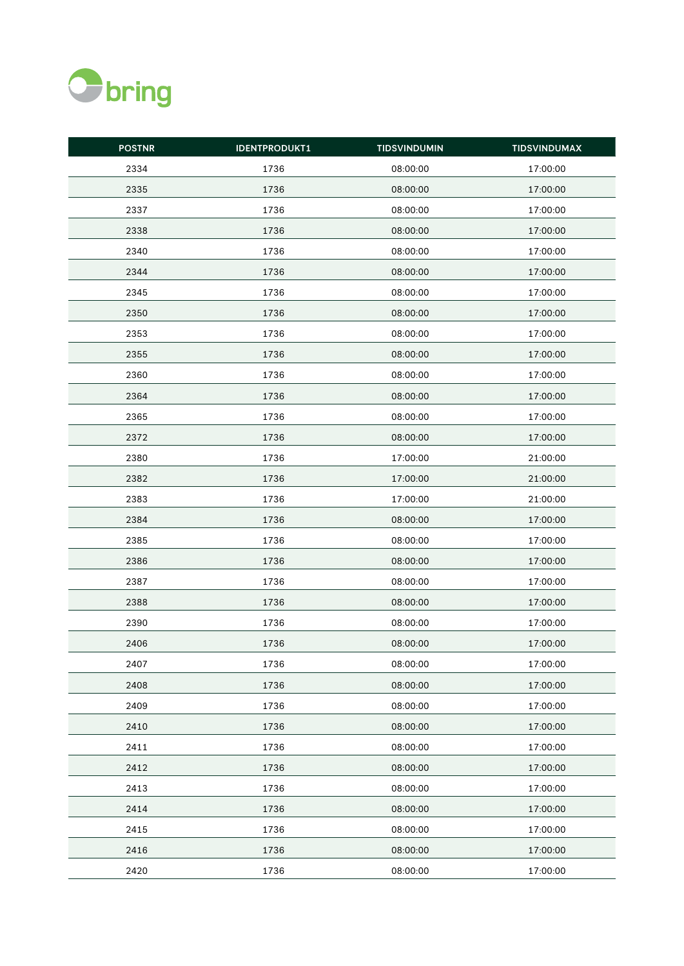

| <b>POSTNR</b> | <b>IDENTPRODUKT1</b> | <b>TIDSVINDUMIN</b> | <b>TIDSVINDUMAX</b> |
|---------------|----------------------|---------------------|---------------------|
| 2334          | 1736                 | 08:00:00            | 17:00:00            |
| 2335          | 1736                 | 08:00:00            | 17:00:00            |
| 2337          | 1736                 | 08:00:00            | 17:00:00            |
| 2338          | 1736                 | 08:00:00            | 17:00:00            |
| 2340          | 1736                 | 08:00:00            | 17:00:00            |
| 2344          | 1736                 | 08:00:00            | 17:00:00            |
| 2345          | 1736                 | 08:00:00            | 17:00:00            |
| 2350          | 1736                 | 08:00:00            | 17:00:00            |
| 2353          | 1736                 | 08:00:00            | 17:00:00            |
| 2355          | 1736                 | 08:00:00            | 17:00:00            |
| 2360          | 1736                 | 08:00:00            | 17:00:00            |
| 2364          | 1736                 | 08:00:00            | 17:00:00            |
| 2365          | 1736                 | 08:00:00            | 17:00:00            |
| 2372          | 1736                 | 08:00:00            | 17:00:00            |
| 2380          | 1736                 | 17:00:00            | 21:00:00            |
| 2382          | 1736                 | 17:00:00            | 21:00:00            |
| 2383          | 1736                 | 17:00:00            | 21:00:00            |
| 2384          | 1736                 | 08:00:00            | 17:00:00            |
| 2385          | 1736                 | 08:00:00            | 17:00:00            |
| 2386          | 1736                 | 08:00:00            | 17:00:00            |
| 2387          | 1736                 | 08:00:00            | 17:00:00            |
| 2388          | 1736                 | 08:00:00            | 17:00:00            |
| 2390          | 1736                 | 08:00:00            | 17:00:00            |
| 2406          | 1736                 | 08:00:00            | 17:00:00            |
| 2407          | 1736                 | 08:00:00            | 17:00:00            |
| 2408          | 1736                 | 08:00:00            | 17:00:00            |
| 2409          | 1736                 | 08:00:00            | 17:00:00            |
| 2410          | 1736                 | 08:00:00            | 17:00:00            |
| 2411          | 1736                 | 08:00:00            | 17:00:00            |
| 2412          | 1736                 | 08:00:00            | 17:00:00            |
| 2413          | 1736                 | 08:00:00            | 17:00:00            |
| 2414          | 1736                 | 08:00:00            | 17:00:00            |
| 2415          | 1736                 | 08:00:00            | 17:00:00            |
| 2416          | 1736                 | 08:00:00            | 17:00:00            |
| 2420          | 1736                 | 08:00:00            | 17:00:00            |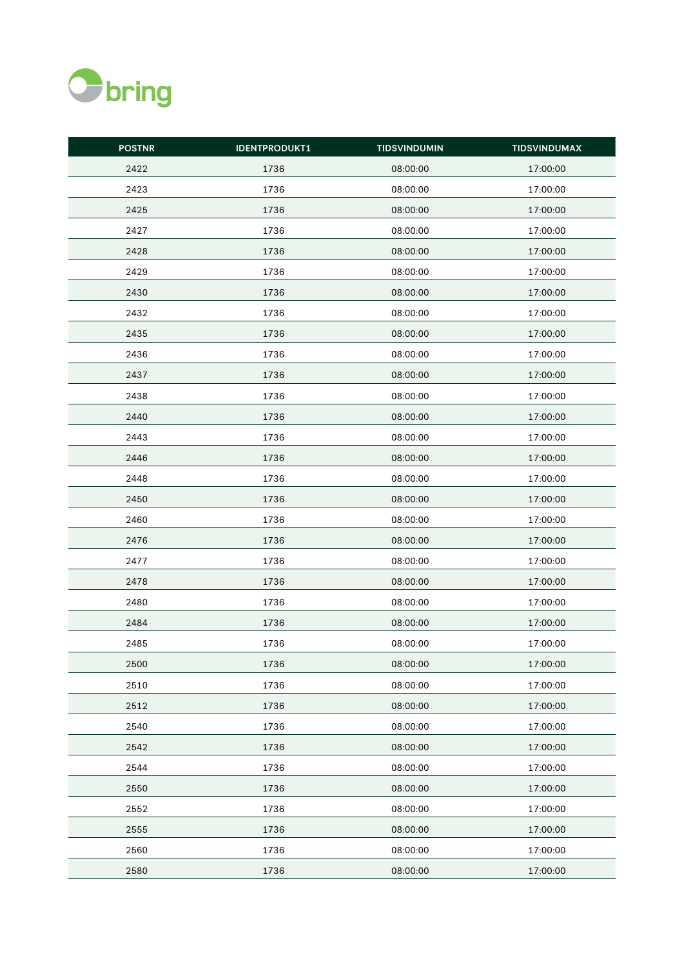

| <b>POSTNR</b> | <b>IDENTPRODUKT1</b> | <b>TIDSVINDUMIN</b> | <b>TIDSVINDUMAX</b> |
|---------------|----------------------|---------------------|---------------------|
| 2422          | 1736                 | 08:00:00            | 17:00:00            |
| 2423          | 1736                 | 08:00:00            | 17:00:00            |
| 2425          | 1736                 | 08:00:00            | 17:00:00            |
| 2427          | 1736                 | 08:00:00            | 17:00:00            |
| 2428          | 1736                 | 08:00:00            | 17:00:00            |
| 2429          | 1736                 | 08:00:00            | 17:00:00            |
| 2430          | 1736                 | 08:00:00            | 17:00:00            |
| 2432          | 1736                 | 08:00:00            | 17:00:00            |
| 2435          | 1736                 | 08:00:00            | 17:00:00            |
| 2436          | 1736                 | 08:00:00            | 17:00:00            |
| 2437          | 1736                 | 08:00:00            | 17:00:00            |
| 2438          | 1736                 | 08:00:00            | 17:00:00            |
| 2440          | 1736                 | 08:00:00            | 17:00:00            |
| 2443          | 1736                 | 08:00:00            | 17:00:00            |
| 2446          | 1736                 | 08:00:00            | 17:00:00            |
| 2448          | 1736                 | 08:00:00            | 17:00:00            |
| 2450          | 1736                 | 08:00:00            | 17:00:00            |
| 2460          | 1736                 | 08:00:00            | 17:00:00            |
| 2476          | 1736                 | 08:00:00            | 17:00:00            |
| 2477          | 1736                 | 08:00:00            | 17:00:00            |
| 2478          | 1736                 | 08:00:00            | 17:00:00            |
| 2480          | 1736                 | 08:00:00            | 17:00:00            |
| 2484          | 1736                 | 08:00:00            | 17:00:00            |
| 2485          | 1736                 | 08:00:00            | 17:00:00            |
| 2500          | 1736                 | 08:00:00            | 17:00:00            |
| 2510          | 1736                 | 08:00:00            | 17:00:00            |
| 2512          | 1736                 | 08:00:00            | 17:00:00            |
| 2540          | 1736                 | 08:00:00            | 17:00:00            |
| 2542          | 1736                 | 08:00:00            | 17:00:00            |
| 2544          | 1736                 | 08:00:00            | 17:00:00            |
| 2550          | 1736                 | 08:00:00            | 17:00:00            |
| 2552          | 1736                 | 08:00:00            | 17:00:00            |
| 2555          | 1736                 | 08:00:00            | 17:00:00            |
| 2560          | 1736                 | 08:00:00            | 17:00:00            |
| 2580          | 1736                 | 08:00:00            | 17:00:00            |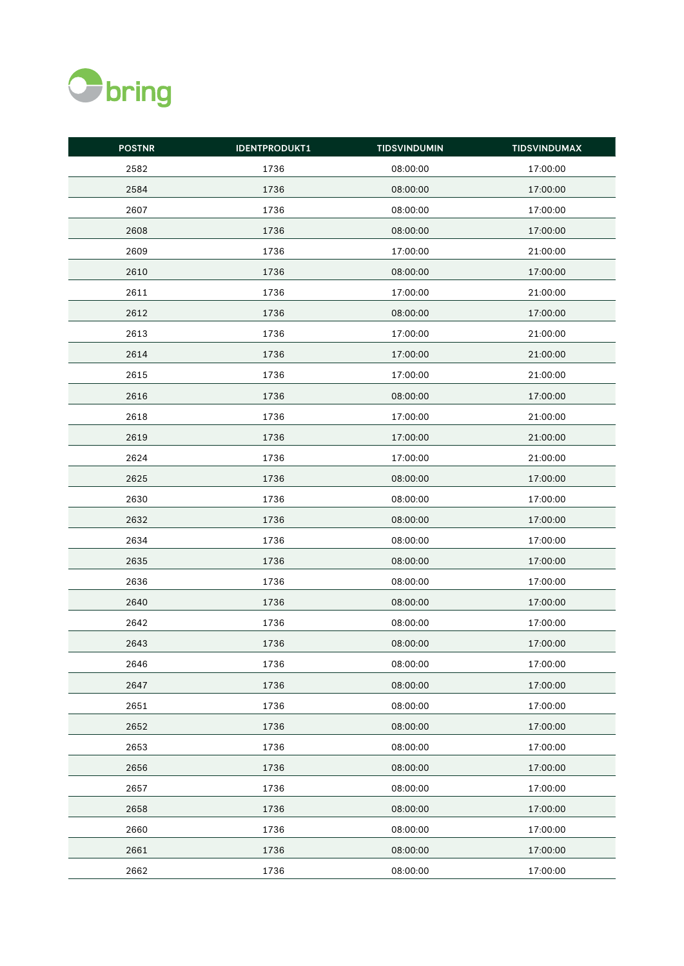

| <b>POSTNR</b> | <b>IDENTPRODUKT1</b> | <b>TIDSVINDUMIN</b> | <b>TIDSVINDUMAX</b> |
|---------------|----------------------|---------------------|---------------------|
| 2582          | 1736                 | 08:00:00            | 17:00:00            |
| 2584          | 1736                 | 08:00:00            | 17:00:00            |
| 2607          | 1736                 | 08:00:00            | 17:00:00            |
| 2608          | 1736                 | 08:00:00            | 17:00:00            |
| 2609          | 1736                 | 17:00:00            | 21:00:00            |
| 2610          | 1736                 | 08:00:00            | 17:00:00            |
| 2611          | 1736                 | 17:00:00            | 21:00:00            |
| 2612          | 1736                 | 08:00:00            | 17:00:00            |
| 2613          | 1736                 | 17:00:00            | 21:00:00            |
| 2614          | 1736                 | 17:00:00            | 21:00:00            |
| 2615          | 1736                 | 17:00:00            | 21:00:00            |
| 2616          | 1736                 | 08:00:00            | 17:00:00            |
| 2618          | 1736                 | 17:00:00            | 21:00:00            |
| 2619          | 1736                 | 17:00:00            | 21:00:00            |
| 2624          | 1736                 | 17:00:00            | 21:00:00            |
| 2625          | 1736                 | 08:00:00            | 17:00:00            |
| 2630          | 1736                 | 08:00:00            | 17:00:00            |
| 2632          | 1736                 | 08:00:00            | 17:00:00            |
| 2634          | 1736                 | 08:00:00            | 17:00:00            |
| 2635          | 1736                 | 08:00:00            | 17:00:00            |
| 2636          | 1736                 | 08:00:00            | 17:00:00            |
| 2640          | 1736                 | 08:00:00            | 17:00:00            |
| 2642          | 1736                 | 08:00:00            | 17:00:00            |
| 2643          | 1736                 | 08:00:00            | 17:00:00            |
| 2646          | 1736                 | 08:00:00            | 17:00:00            |
| 2647          | 1736                 | 08:00:00            | 17:00:00            |
| 2651          | 1736                 | 08:00:00            | 17:00:00            |
| 2652          | 1736                 | 08:00:00            | 17:00:00            |
| 2653          | 1736                 | 08:00:00            | 17:00:00            |
| 2656          | 1736                 | 08:00:00            | 17:00:00            |
| 2657          | 1736                 | 08:00:00            | 17:00:00            |
| 2658          | 1736                 | 08:00:00            | 17:00:00            |
| 2660          | 1736                 | 08:00:00            | 17:00:00            |
| 2661          | 1736                 | 08:00:00            | 17:00:00            |
| 2662          | 1736                 | 08:00:00            | 17:00:00            |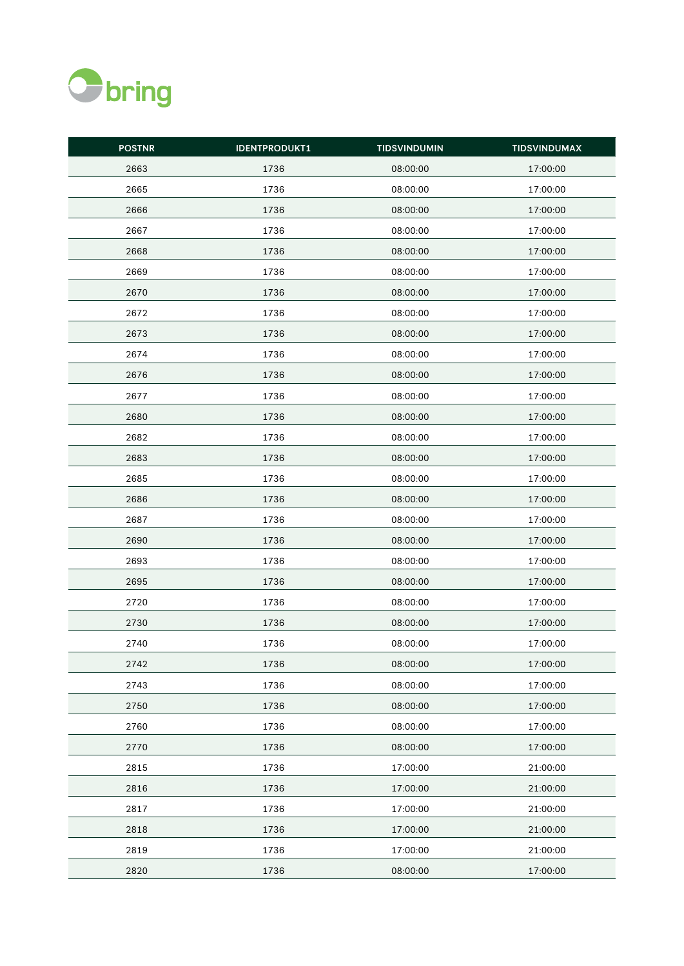

| <b>POSTNR</b> | <b>IDENTPRODUKT1</b> | <b>TIDSVINDUMIN</b> | <b>TIDSVINDUMAX</b> |
|---------------|----------------------|---------------------|---------------------|
| 2663          | 1736                 | 08:00:00            | 17:00:00            |
| 2665          | 1736                 | 08:00:00            | 17:00:00            |
| 2666          | 1736                 | 08:00:00            | 17:00:00            |
| 2667          | 1736                 | 08:00:00            | 17:00:00            |
| 2668          | 1736                 | 08:00:00            | 17:00:00            |
| 2669          | 1736                 | 08:00:00            | 17:00:00            |
| 2670          | 1736                 | 08:00:00            | 17:00:00            |
| 2672          | 1736                 | 08:00:00            | 17:00:00            |
| 2673          | 1736                 | 08:00:00            | 17:00:00            |
| 2674          | 1736                 | 08:00:00            | 17:00:00            |
| 2676          | 1736                 | 08:00:00            | 17:00:00            |
| 2677          | 1736                 | 08:00:00            | 17:00:00            |
| 2680          | 1736                 | 08:00:00            | 17:00:00            |
| 2682          | 1736                 | 08:00:00            | 17:00:00            |
| 2683          | 1736                 | 08:00:00            | 17:00:00            |
| 2685          | 1736                 | 08:00:00            | 17:00:00            |
| 2686          | 1736                 | 08:00:00            | 17:00:00            |
| 2687          | 1736                 | 08:00:00            | 17:00:00            |
| 2690          | 1736                 | 08:00:00            | 17:00:00            |
| 2693          | 1736                 | 08:00:00            | 17:00:00            |
| 2695          | 1736                 | 08:00:00            | 17:00:00            |
| 2720          | 1736                 | 08:00:00            | 17:00:00            |
| 2730          | 1736                 | 08:00:00            | 17:00:00            |
| 2740          | 1736                 | 08:00:00            | 17:00:00            |
| 2742          | 1736                 | 08:00:00            | 17:00:00            |
| 2743          | 1736                 | 08:00:00            | 17:00:00            |
| 2750          | 1736                 | 08:00:00            | 17:00:00            |
| 2760          | 1736                 | 08:00:00            | 17:00:00            |
| 2770          | 1736                 | 08:00:00            | 17:00:00            |
| 2815          | 1736                 | 17:00:00            | 21:00:00            |
| 2816          | 1736                 | 17:00:00            | 21:00:00            |
| 2817          | 1736                 | 17:00:00            | 21:00:00            |
| 2818          | 1736                 | 17:00:00            | 21:00:00            |
| 2819          | 1736                 | 17:00:00            | 21:00:00            |
| 2820          | 1736                 | 08:00:00            | 17:00:00            |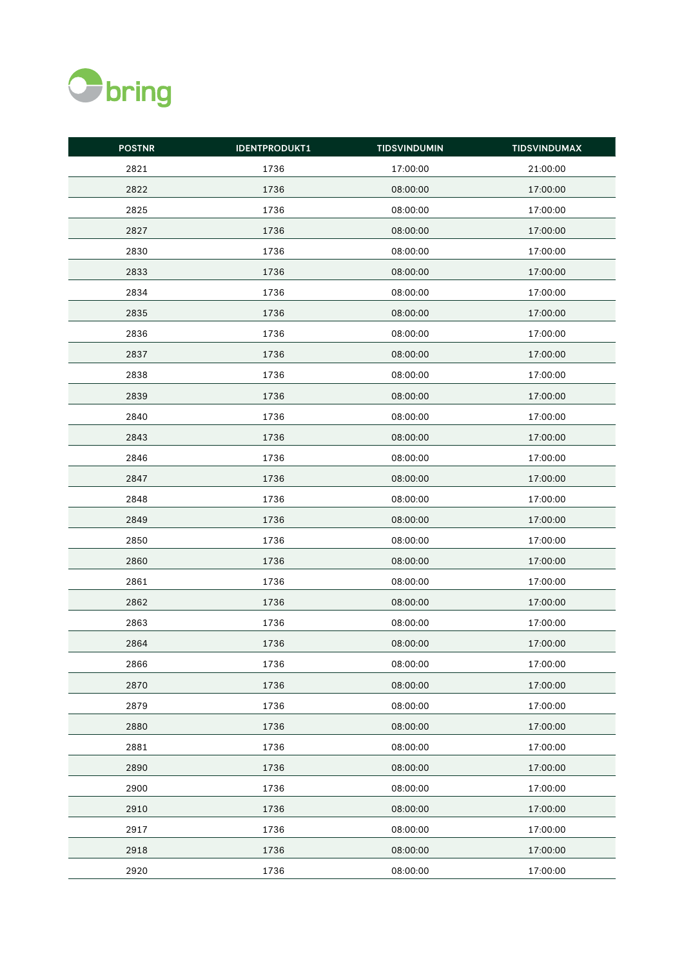

| <b>POSTNR</b> | <b>IDENTPRODUKT1</b> | <b>TIDSVINDUMIN</b> | <b>TIDSVINDUMAX</b> |
|---------------|----------------------|---------------------|---------------------|
| 2821          | 1736                 | 17:00:00            | 21:00:00            |
| 2822          | 1736                 | 08:00:00            | 17:00:00            |
| 2825          | 1736                 | 08:00:00            | 17:00:00            |
| 2827          | 1736                 | 08:00:00            | 17:00:00            |
| 2830          | 1736                 | 08:00:00            | 17:00:00            |
| 2833          | 1736                 | 08:00:00            | 17:00:00            |
| 2834          | 1736                 | 08:00:00            | 17:00:00            |
| 2835          | 1736                 | 08:00:00            | 17:00:00            |
| 2836          | 1736                 | 08:00:00            | 17:00:00            |
| 2837          | 1736                 | 08:00:00            | 17:00:00            |
| 2838          | 1736                 | 08:00:00            | 17:00:00            |
| 2839          | 1736                 | 08:00:00            | 17:00:00            |
| 2840          | 1736                 | 08:00:00            | 17:00:00            |
| 2843          | 1736                 | 08:00:00            | 17:00:00            |
| 2846          | 1736                 | 08:00:00            | 17:00:00            |
| 2847          | 1736                 | 08:00:00            | 17:00:00            |
| 2848          | 1736                 | 08:00:00            | 17:00:00            |
| 2849          | 1736                 | 08:00:00            | 17:00:00            |
| 2850          | 1736                 | 08:00:00            | 17:00:00            |
| 2860          | 1736                 | 08:00:00            | 17:00:00            |
| 2861          | 1736                 | 08:00:00            | 17:00:00            |
| 2862          | 1736                 | 08:00:00            | 17:00:00            |
| 2863          | 1736                 | 08:00:00            | 17:00:00            |
| 2864          | 1736                 | 08:00:00            | 17:00:00            |
| 2866          | 1736                 | 08:00:00            | 17:00:00            |
| 2870          | 1736                 | 08:00:00            | 17:00:00            |
| 2879          | 1736                 | 08:00:00            | 17:00:00            |
| 2880          | 1736                 | 08:00:00            | 17:00:00            |
| 2881          | 1736                 | 08:00:00            | 17:00:00            |
| 2890          | 1736                 | 08:00:00            | 17:00:00            |
| 2900          | 1736                 | 08:00:00            | 17:00:00            |
| 2910          | 1736                 | 08:00:00            | 17:00:00            |
| 2917          | 1736                 | 08:00:00            | 17:00:00            |
| 2918          | 1736                 | 08:00:00            | 17:00:00            |
| 2920          | 1736                 | 08:00:00            | 17:00:00            |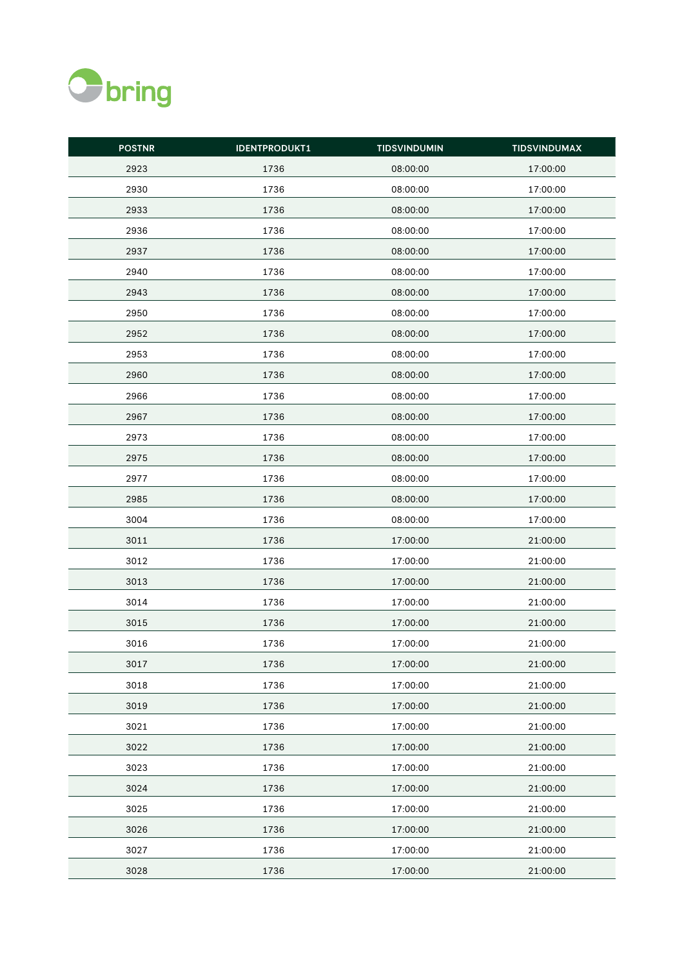

| <b>POSTNR</b> | <b>IDENTPRODUKT1</b> | <b>TIDSVINDUMIN</b> | <b>TIDSVINDUMAX</b> |
|---------------|----------------------|---------------------|---------------------|
| 2923          | 1736                 | 08:00:00            | 17:00:00            |
| 2930          | 1736                 | 08:00:00            | 17:00:00            |
| 2933          | 1736                 | 08:00:00            | 17:00:00            |
| 2936          | 1736                 | 08:00:00            | 17:00:00            |
| 2937          | 1736                 | 08:00:00            | 17:00:00            |
| 2940          | 1736                 | 08:00:00            | 17:00:00            |
| 2943          | 1736                 | 08:00:00            | 17:00:00            |
| 2950          | 1736                 | 08:00:00            | 17:00:00            |
| 2952          | 1736                 | 08:00:00            | 17:00:00            |
| 2953          | 1736                 | 08:00:00            | 17:00:00            |
| 2960          | 1736                 | 08:00:00            | 17:00:00            |
| 2966          | 1736                 | 08:00:00            | 17:00:00            |
| 2967          | 1736                 | 08:00:00            | 17:00:00            |
| 2973          | 1736                 | 08:00:00            | 17:00:00            |
| 2975          | 1736                 | 08:00:00            | 17:00:00            |
| 2977          | 1736                 | 08:00:00            | 17:00:00            |
| 2985          | 1736                 | 08:00:00            | 17:00:00            |
| 3004          | 1736                 | 08:00:00            | 17:00:00            |
| 3011          | 1736                 | 17:00:00            | 21:00:00            |
| 3012          | 1736                 | 17:00:00            | 21:00:00            |
| 3013          | 1736                 | 17:00:00            | 21:00:00            |
| 3014          | 1736                 | 17:00:00            | 21:00:00            |
| 3015          | 1736                 | 17:00:00            | 21:00:00            |
| 3016          | 1736                 | 17:00:00            | 21:00:00            |
| 3017          | 1736                 | 17:00:00            | 21:00:00            |
| 3018          | 1736                 | 17:00:00            | 21:00:00            |
| 3019          | 1736                 | 17:00:00            | 21:00:00            |
| 3021          | 1736                 | 17:00:00            | 21:00:00            |
| 3022          | 1736                 | 17:00:00            | 21:00:00            |
| 3023          | 1736                 | 17:00:00            | 21:00:00            |
| 3024          | 1736                 | 17:00:00            | 21:00:00            |
| 3025          | 1736                 | 17:00:00            | 21:00:00            |
| 3026          | 1736                 | 17:00:00            | 21:00:00            |
| 3027          | 1736                 | 17:00:00            | 21:00:00            |
| 3028          | 1736                 | 17:00:00            | 21:00:00            |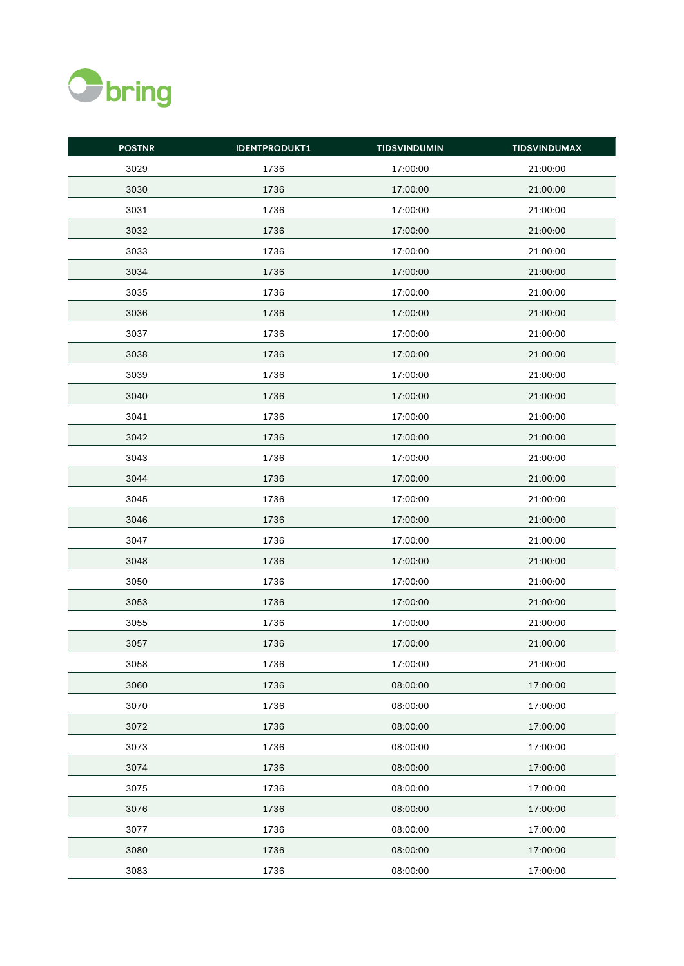

| <b>POSTNR</b> | <b>IDENTPRODUKT1</b> | <b>TIDSVINDUMIN</b> | <b>TIDSVINDUMAX</b> |
|---------------|----------------------|---------------------|---------------------|
| 3029          | 1736                 | 17:00:00            | 21:00:00            |
| 3030          | 1736                 | 17:00:00            | 21:00:00            |
| 3031          | 1736                 | 17:00:00            | 21:00:00            |
| 3032          | 1736                 | 17:00:00            | 21:00:00            |
| 3033          | 1736                 | 17:00:00            | 21:00:00            |
| 3034          | 1736                 | 17:00:00            | 21:00:00            |
| 3035          | 1736                 | 17:00:00            | 21:00:00            |
| 3036          | 1736                 | 17:00:00            | 21:00:00            |
| 3037          | 1736                 | 17:00:00            | 21:00:00            |
| 3038          | 1736                 | 17:00:00            | 21:00:00            |
| 3039          | 1736                 | 17:00:00            | 21:00:00            |
| 3040          | 1736                 | 17:00:00            | 21:00:00            |
| 3041          | 1736                 | 17:00:00            | 21:00:00            |
| 3042          | 1736                 | 17:00:00            | 21:00:00            |
| 3043          | 1736                 | 17:00:00            | 21:00:00            |
| 3044          | 1736                 | 17:00:00            | 21:00:00            |
| 3045          | 1736                 | 17:00:00            | 21:00:00            |
| 3046          | 1736                 | 17:00:00            | 21:00:00            |
| 3047          | 1736                 | 17:00:00            | 21:00:00            |
| 3048          | 1736                 | 17:00:00            | 21:00:00            |
| 3050          | 1736                 | 17:00:00            | 21:00:00            |
| 3053          | 1736                 | 17:00:00            | 21:00:00            |
| 3055          | 1736                 | 17:00:00            | 21:00:00            |
| 3057          | 1736                 | 17:00:00            | 21:00:00            |
| 3058          | 1736                 | 17:00:00            | 21:00:00            |
| 3060          | 1736                 | 08:00:00            | 17:00:00            |
| 3070          | 1736                 | 08:00:00            | 17:00:00            |
| 3072          | 1736                 | 08:00:00            | 17:00:00            |
| 3073          | 1736                 | 08:00:00            | 17:00:00            |
| 3074          | 1736                 | 08:00:00            | 17:00:00            |
| 3075          | 1736                 | 08:00:00            | 17:00:00            |
| 3076          | 1736                 | 08:00:00            | 17:00:00            |
| 3077          | 1736                 | 08:00:00            | 17:00:00            |
| 3080          | 1736                 | 08:00:00            | 17:00:00            |
| 3083          | 1736                 | 08:00:00            | 17:00:00            |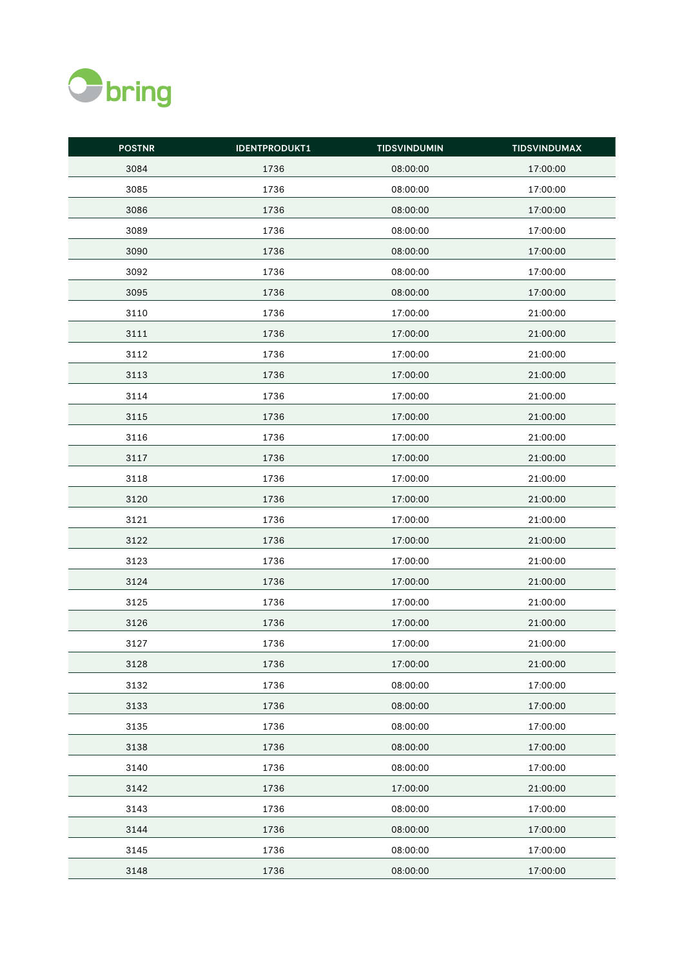

| <b>POSTNR</b> | <b>IDENTPRODUKT1</b> | <b>TIDSVINDUMIN</b> | <b>TIDSVINDUMAX</b> |
|---------------|----------------------|---------------------|---------------------|
| 3084          | 1736                 | 08:00:00            | 17:00:00            |
| 3085          | 1736                 | 08:00:00            | 17:00:00            |
| 3086          | 1736                 | 08:00:00            | 17:00:00            |
| 3089          | 1736                 | 08:00:00            | 17:00:00            |
| 3090          | 1736                 | 08:00:00            | 17:00:00            |
| 3092          | 1736                 | 08:00:00            | 17:00:00            |
| 3095          | 1736                 | 08:00:00            | 17:00:00            |
| 3110          | 1736                 | 17:00:00            | 21:00:00            |
| 3111          | 1736                 | 17:00:00            | 21:00:00            |
| 3112          | 1736                 | 17:00:00            | 21:00:00            |
| 3113          | 1736                 | 17:00:00            | 21:00:00            |
| 3114          | 1736                 | 17:00:00            | 21:00:00            |
| 3115          | 1736                 | 17:00:00            | 21:00:00            |
| 3116          | 1736                 | 17:00:00            | 21:00:00            |
| 3117          | 1736                 | 17:00:00            | 21:00:00            |
| 3118          | 1736                 | 17:00:00            | 21:00:00            |
| 3120          | 1736                 | 17:00:00            | 21:00:00            |
| 3121          | 1736                 | 17:00:00            | 21:00:00            |
| 3122          | 1736                 | 17:00:00            | 21:00:00            |
| 3123          | 1736                 | 17:00:00            | 21:00:00            |
| 3124          | 1736                 | 17:00:00            | 21:00:00            |
| 3125          | 1736                 | 17:00:00            | 21:00:00            |
| 3126          | 1736                 | 17:00:00            | 21:00:00            |
| 3127          | 1736                 | 17:00:00            | 21:00:00            |
| 3128          | 1736                 | 17:00:00            | 21:00:00            |
| 3132          | 1736                 | 08:00:00            | 17:00:00            |
| 3133          | 1736                 | 08:00:00            | 17:00:00            |
| 3135          | 1736                 | 08:00:00            | 17:00:00            |
| 3138          | 1736                 | 08:00:00            | 17:00:00            |
| 3140          | 1736                 | 08:00:00            | 17:00:00            |
| 3142          | 1736                 | 17:00:00            | 21:00:00            |
| 3143          | 1736                 | 08:00:00            | 17:00:00            |
| 3144          | 1736                 | 08:00:00            | 17:00:00            |
| 3145          | 1736                 | 08:00:00            | 17:00:00            |
| 3148          | 1736                 | 08:00:00            | 17:00:00            |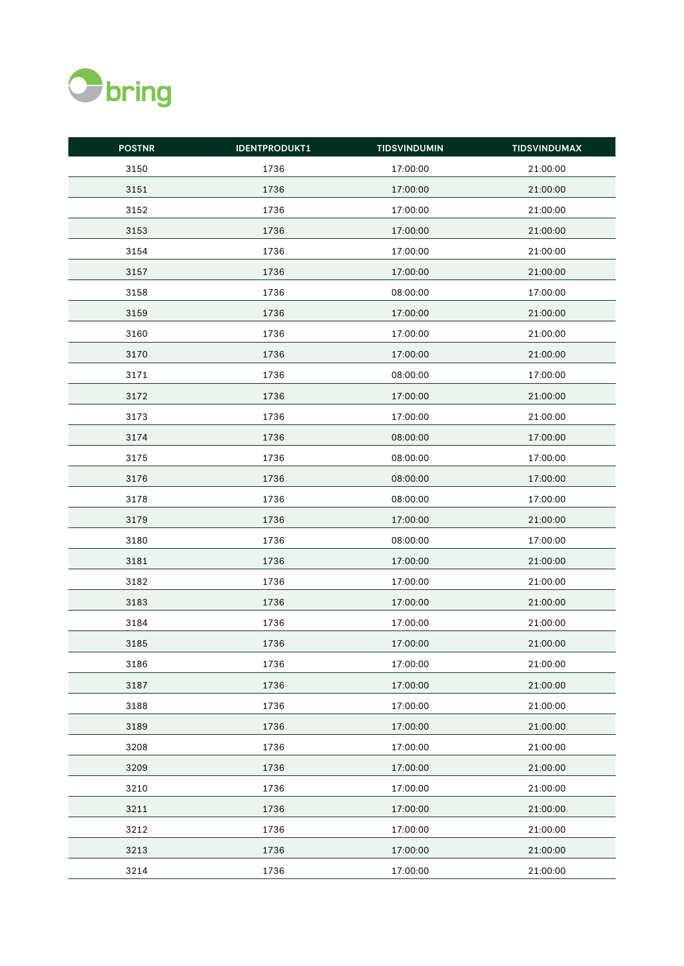

| <b>POSTNR</b> | <b>IDENTPRODUKT1</b> | <b>TIDSVINDUMIN</b> | <b>TIDSVINDUMAX</b> |
|---------------|----------------------|---------------------|---------------------|
| 3150          | 1736                 | 17:00:00            | 21:00:00            |
| 3151          | 1736                 | 17:00:00            | 21:00:00            |
| 3152          | 1736                 | 17:00:00            | 21:00:00            |
| 3153          | 1736                 | 17:00:00            | 21:00:00            |
| 3154          | 1736                 | 17:00:00            | 21:00:00            |
| 3157          | 1736                 | 17:00:00            | 21:00:00            |
| 3158          | 1736                 | 08:00:00            | 17:00:00            |
| 3159          | 1736                 | 17:00:00            | 21:00:00            |
| 3160          | 1736                 | 17:00:00            | 21:00:00            |
| 3170          | 1736                 | 17:00:00            | 21:00:00            |
| 3171          | 1736                 | 08:00:00            | 17:00:00            |
| 3172          | 1736                 | 17:00:00            | 21:00:00            |
| 3173          | 1736                 | 17:00:00            | 21:00:00            |
| 3174          | 1736                 | 08:00:00            | 17:00:00            |
| 3175          | 1736                 | 08:00:00            | 17:00:00            |
| 3176          | 1736                 | 08:00:00            | 17:00:00            |
| 3178          | 1736                 | 08:00:00            | 17:00:00            |
| 3179          | 1736                 | 17:00:00            | 21:00:00            |
| 3180          | 1736                 | 08:00:00            | 17:00:00            |
| 3181          | 1736                 | 17:00:00            | 21:00:00            |
| 3182          | 1736                 | 17:00:00            | 21:00:00            |
| 3183          | 1736                 | 17:00:00            | 21:00:00            |
| 3184          | 1736                 | 17:00:00            | 21:00:00            |
| 3185          | 1736                 | 17:00:00            | 21:00:00            |
| 3186          | 1736                 | 17:00:00            | 21:00:00            |
| 3187          | 1736                 | 17:00:00            | 21:00:00            |
| 3188          | 1736                 | 17:00:00            | 21:00:00            |
| 3189          | 1736                 | 17:00:00            | 21:00:00            |
| 3208          | 1736                 | 17:00:00            | 21:00:00            |
| 3209          | 1736                 | 17:00:00            | 21:00:00            |
| 3210          | 1736                 | 17:00:00            | 21:00:00            |
| 3211          | 1736                 | 17:00:00            | 21:00:00            |
| 3212          | 1736                 | 17:00:00            | 21:00:00            |
| 3213          | 1736                 | 17:00:00            | 21:00:00            |
| 3214          | 1736                 | 17:00:00            | 21:00:00            |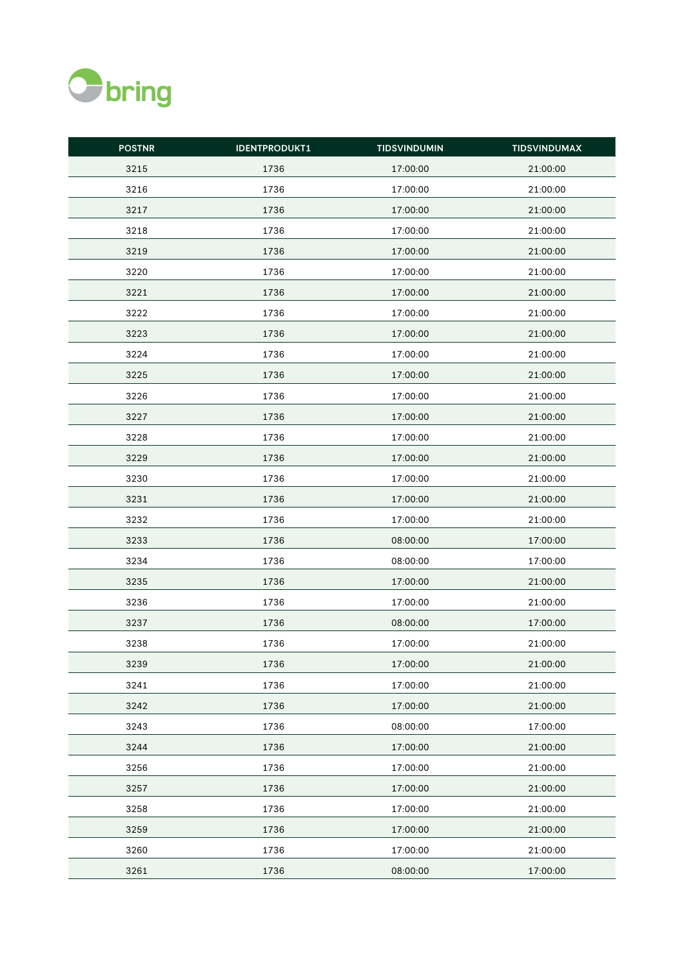

| <b>POSTNR</b> | <b>IDENTPRODUKT1</b> | <b>TIDSVINDUMIN</b> | <b>TIDSVINDUMAX</b> |
|---------------|----------------------|---------------------|---------------------|
| 3215          | 1736                 | 17:00:00            | 21:00:00            |
| 3216          | 1736                 | 17:00:00            | 21:00:00            |
| 3217          | 1736                 | 17:00:00            | 21:00:00            |
| 3218          | 1736                 | 17:00:00            | 21:00:00            |
| 3219          | 1736                 | 17:00:00            | 21:00:00            |
| 3220          | 1736                 | 17:00:00            | 21:00:00            |
| 3221          | 1736                 | 17:00:00            | 21:00:00            |
| 3222          | 1736                 | 17:00:00            | 21:00:00            |
| 3223          | 1736                 | 17:00:00            | 21:00:00            |
| 3224          | 1736                 | 17:00:00            | 21:00:00            |
| 3225          | 1736                 | 17:00:00            | 21:00:00            |
| 3226          | 1736                 | 17:00:00            | 21:00:00            |
| 3227          | 1736                 | 17:00:00            | 21:00:00            |
| 3228          | 1736                 | 17:00:00            | 21:00:00            |
| 3229          | 1736                 | 17:00:00            | 21:00:00            |
| 3230          | 1736                 | 17:00:00            | 21:00:00            |
| 3231          | 1736                 | 17:00:00            | 21:00:00            |
| 3232          | 1736                 | 17:00:00            | 21:00:00            |
| 3233          | 1736                 | 08:00:00            | 17:00:00            |
| 3234          | 1736                 | 08:00:00            | 17:00:00            |
| 3235          | 1736                 | 17:00:00            | 21:00:00            |
| 3236          | 1736                 | 17:00:00            | 21:00:00            |
| 3237          | 1736                 | 08:00:00            | 17:00:00            |
| 3238          | 1736                 | 17:00:00            | 21:00:00            |
| 3239          | 1736                 | 17:00:00            | 21:00:00            |
| 3241          | 1736                 | 17:00:00            | 21:00:00            |
| 3242          | 1736                 | 17:00:00            | 21:00:00            |
| 3243          | 1736                 | 08:00:00            | 17:00:00            |
| 3244          | 1736                 | 17:00:00            | 21:00:00            |
| 3256          | 1736                 | 17:00:00            | 21:00:00            |
| 3257          | 1736                 | 17:00:00            | 21:00:00            |
| 3258          | 1736                 | 17:00:00            | 21:00:00            |
| 3259          | 1736                 | 17:00:00            | 21:00:00            |
| 3260          | 1736                 | 17:00:00            | 21:00:00            |
| 3261          | 1736                 | 08:00:00            | 17:00:00            |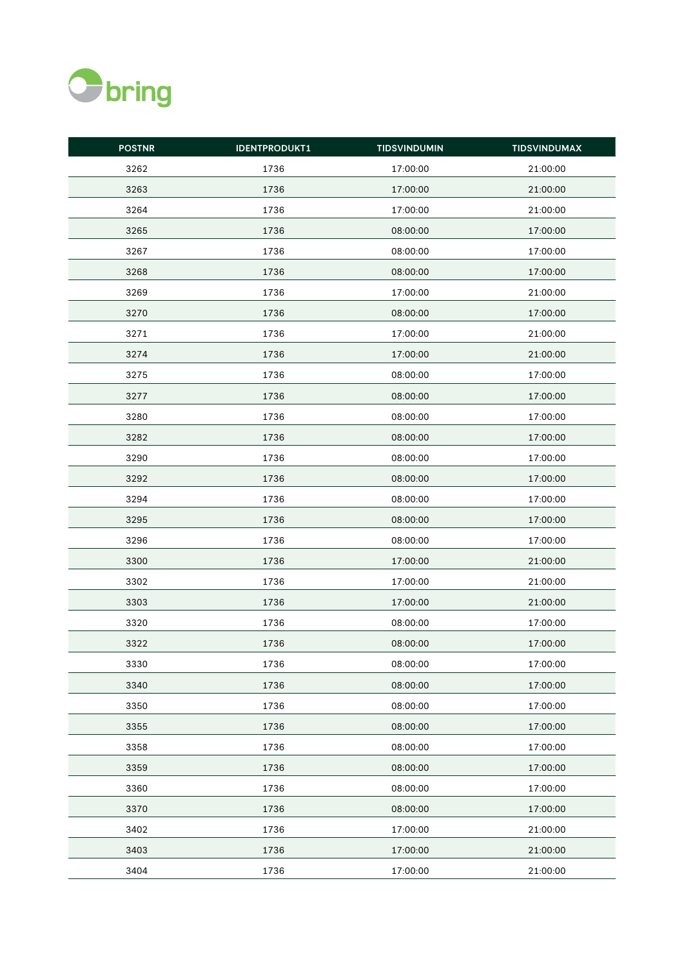

| <b>POSTNR</b> | <b>IDENTPRODUKT1</b> | <b>TIDSVINDUMIN</b> | <b>TIDSVINDUMAX</b> |
|---------------|----------------------|---------------------|---------------------|
| 3262          | 1736                 | 17:00:00            | 21:00:00            |
| 3263          | 1736                 | 17:00:00            | 21:00:00            |
| 3264          | 1736                 | 17:00:00            | 21:00:00            |
| 3265          | 1736                 | 08:00:00            | 17:00:00            |
| 3267          | 1736                 | 08:00:00            | 17:00:00            |
| 3268          | 1736                 | 08:00:00            | 17:00:00            |
| 3269          | 1736                 | 17:00:00            | 21:00:00            |
| 3270          | 1736                 | 08:00:00            | 17:00:00            |
| 3271          | 1736                 | 17:00:00            | 21:00:00            |
| 3274          | 1736                 | 17:00:00            | 21:00:00            |
| 3275          | 1736                 | 08:00:00            | 17:00:00            |
| 3277          | 1736                 | 08:00:00            | 17:00:00            |
| 3280          | 1736                 | 08:00:00            | 17:00:00            |
| 3282          | 1736                 | 08:00:00            | 17:00:00            |
| 3290          | 1736                 | 08:00:00            | 17:00:00            |
| 3292          | 1736                 | 08:00:00            | 17:00:00            |
| 3294          | 1736                 | 08:00:00            | 17:00:00            |
| 3295          | 1736                 | 08:00:00            | 17:00:00            |
| 3296          | 1736                 | 08:00:00            | 17:00:00            |
| 3300          | 1736                 | 17:00:00            | 21:00:00            |
| 3302          | 1736                 | 17:00:00            | 21:00:00            |
| 3303          | 1736                 | 17:00:00            | 21:00:00            |
| 3320          | 1736                 | 08:00:00            | 17:00:00            |
| 3322          | 1736                 | 08:00:00            | 17:00:00            |
| 3330          | 1736                 | 08:00:00            | 17:00:00            |
| 3340          | 1736                 | 08:00:00            | 17:00:00            |
| 3350          | 1736                 | 08:00:00            | 17:00:00            |
| 3355          | 1736                 | 08:00:00            | 17:00:00            |
| 3358          | 1736                 | 08:00:00            | 17:00:00            |
| 3359          | 1736                 | 08:00:00            | 17:00:00            |
| 3360          | 1736                 | 08:00:00            | 17:00:00            |
| 3370          | 1736                 | 08:00:00            | 17:00:00            |
| 3402          | 1736                 | 17:00:00            | 21:00:00            |
| 3403          | 1736                 | 17:00:00            | 21:00:00            |
| 3404          | 1736                 | 17:00:00            | 21:00:00            |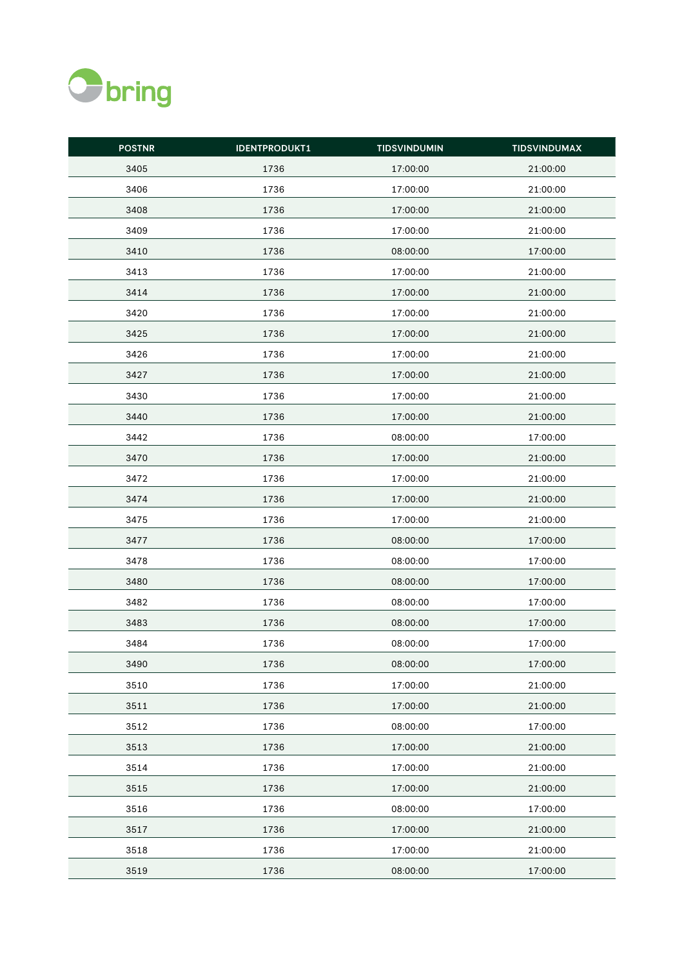

| <b>POSTNR</b> | <b>IDENTPRODUKT1</b> | <b>TIDSVINDUMIN</b> | <b>TIDSVINDUMAX</b> |
|---------------|----------------------|---------------------|---------------------|
| 3405          | 1736                 | 17:00:00            | 21:00:00            |
| 3406          | 1736                 | 17:00:00            | 21:00:00            |
| 3408          | 1736                 | 17:00:00            | 21:00:00            |
| 3409          | 1736                 | 17:00:00            | 21:00:00            |
| 3410          | 1736                 | 08:00:00            | 17:00:00            |
| 3413          | 1736                 | 17:00:00            | 21:00:00            |
| 3414          | 1736                 | 17:00:00            | 21:00:00            |
| 3420          | 1736                 | 17:00:00            | 21:00:00            |
| 3425          | 1736                 | 17:00:00            | 21:00:00            |
| 3426          | 1736                 | 17:00:00            | 21:00:00            |
| 3427          | 1736                 | 17:00:00            | 21:00:00            |
| 3430          | 1736                 | 17:00:00            | 21:00:00            |
| 3440          | 1736                 | 17:00:00            | 21:00:00            |
| 3442          | 1736                 | 08:00:00            | 17:00:00            |
| 3470          | 1736                 | 17:00:00            | 21:00:00            |
| 3472          | 1736                 | 17:00:00            | 21:00:00            |
| 3474          | 1736                 | 17:00:00            | 21:00:00            |
| 3475          | 1736                 | 17:00:00            | 21:00:00            |
| 3477          | 1736                 | 08:00:00            | 17:00:00            |
| 3478          | 1736                 | 08:00:00            | 17:00:00            |
| 3480          | 1736                 | 08:00:00            | 17:00:00            |
| 3482          | 1736                 | 08:00:00            | 17:00:00            |
| 3483          | 1736                 | 08:00:00            | 17:00:00            |
| 3484          | 1736                 | 08:00:00            | 17:00:00            |
| 3490          | 1736                 | 08:00:00            | 17:00:00            |
| 3510          | 1736                 | 17:00:00            | 21:00:00            |
| 3511          | 1736                 | 17:00:00            | 21:00:00            |
| 3512          | 1736                 | 08:00:00            | 17:00:00            |
| 3513          | 1736                 | 17:00:00            | 21:00:00            |
| 3514          | 1736                 | 17:00:00            | 21:00:00            |
| 3515          | 1736                 | 17:00:00            | 21:00:00            |
| 3516          | 1736                 | 08:00:00            | 17:00:00            |
| 3517          | 1736                 | 17:00:00            | 21:00:00            |
| 3518          | 1736                 | 17:00:00            | 21:00:00            |
| 3519          | 1736                 | 08:00:00            | 17:00:00            |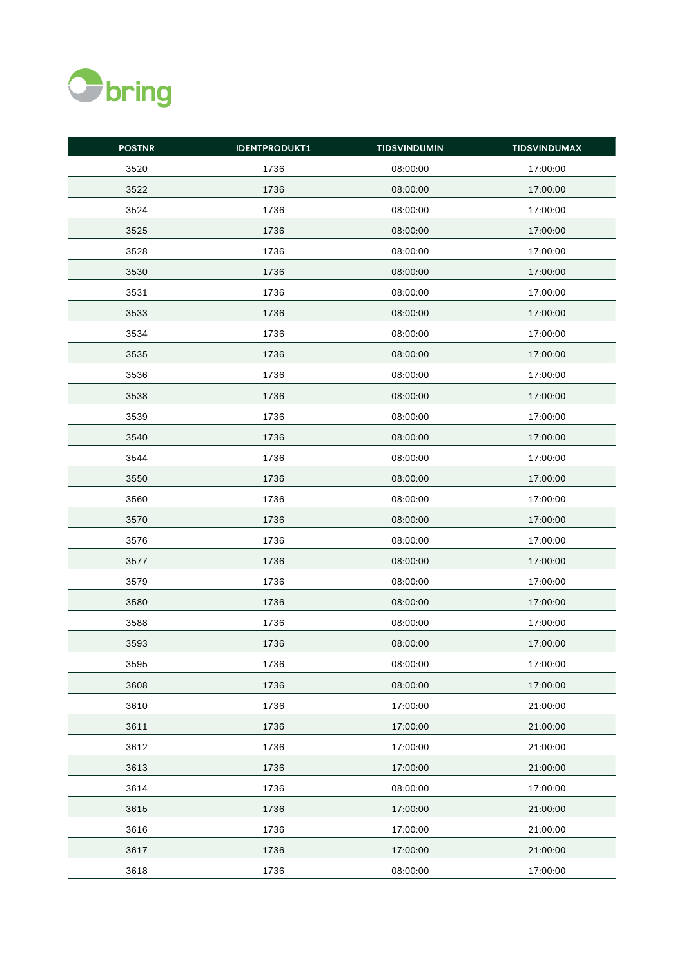

| <b>POSTNR</b> | <b>IDENTPRODUKT1</b> | <b>TIDSVINDUMIN</b> | <b>TIDSVINDUMAX</b> |
|---------------|----------------------|---------------------|---------------------|
| 3520          | 1736                 | 08:00:00            | 17:00:00            |
| 3522          | 1736                 | 08:00:00            | 17:00:00            |
| 3524          | 1736                 | 08:00:00            | 17:00:00            |
| 3525          | 1736                 | 08:00:00            | 17:00:00            |
| 3528          | 1736                 | 08:00:00            | 17:00:00            |
| 3530          | 1736                 | 08:00:00            | 17:00:00            |
| 3531          | 1736                 | 08:00:00            | 17:00:00            |
| 3533          | 1736                 | 08:00:00            | 17:00:00            |
| 3534          | 1736                 | 08:00:00            | 17:00:00            |
| 3535          | 1736                 | 08:00:00            | 17:00:00            |
| 3536          | 1736                 | 08:00:00            | 17:00:00            |
| 3538          | 1736                 | 08:00:00            | 17:00:00            |
| 3539          | 1736                 | 08:00:00            | 17:00:00            |
| 3540          | 1736                 | 08:00:00            | 17:00:00            |
| 3544          | 1736                 | 08:00:00            | 17:00:00            |
| 3550          | 1736                 | 08:00:00            | 17:00:00            |
| 3560          | 1736                 | 08:00:00            | 17:00:00            |
| 3570          | 1736                 | 08:00:00            | 17:00:00            |
| 3576          | 1736                 | 08:00:00            | 17:00:00            |
| 3577          | 1736                 | 08:00:00            | 17:00:00            |
| 3579          | 1736                 | 08:00:00            | 17:00:00            |
| 3580          | 1736                 | 08:00:00            | 17:00:00            |
| 3588          | 1736                 | 08:00:00            | 17:00:00            |
| 3593          | 1736                 | 08:00:00            | 17:00:00            |
| 3595          | 1736                 | 08:00:00            | 17:00:00            |
| 3608          | 1736                 | 08:00:00            | 17:00:00            |
| 3610          | 1736                 | 17:00:00            | 21:00:00            |
| 3611          | 1736                 | 17:00:00            | 21:00:00            |
| 3612          | 1736                 | 17:00:00            | 21:00:00            |
| 3613          | 1736                 | 17:00:00            | 21:00:00            |
| 3614          | 1736                 | 08:00:00            | 17:00:00            |
| 3615          | 1736                 | 17:00:00            | 21:00:00            |
| 3616          | 1736                 | 17:00:00            | 21:00:00            |
| 3617          | 1736                 | 17:00:00            | 21:00:00            |
| 3618          | 1736                 | 08:00:00            | 17:00:00            |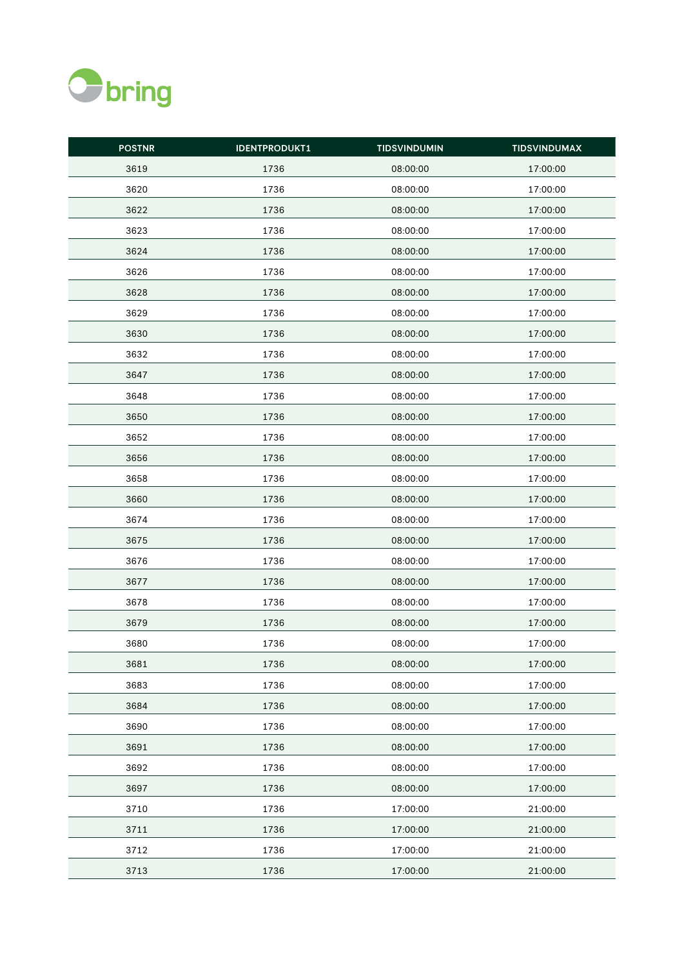

| <b>POSTNR</b> | <b>IDENTPRODUKT1</b> | <b>TIDSVINDUMIN</b> | <b>TIDSVINDUMAX</b> |
|---------------|----------------------|---------------------|---------------------|
| 3619          | 1736                 | 08:00:00            | 17:00:00            |
| 3620          | 1736                 | 08:00:00            | 17:00:00            |
| 3622          | 1736                 | 08:00:00            | 17:00:00            |
| 3623          | 1736                 | 08:00:00            | 17:00:00            |
| 3624          | 1736                 | 08:00:00            | 17:00:00            |
| 3626          | 1736                 | 08:00:00            | 17:00:00            |
| 3628          | 1736                 | 08:00:00            | 17:00:00            |
| 3629          | 1736                 | 08:00:00            | 17:00:00            |
| 3630          | 1736                 | 08:00:00            | 17:00:00            |
| 3632          | 1736                 | 08:00:00            | 17:00:00            |
| 3647          | 1736                 | 08:00:00            | 17:00:00            |
| 3648          | 1736                 | 08:00:00            | 17:00:00            |
| 3650          | 1736                 | 08:00:00            | 17:00:00            |
| 3652          | 1736                 | 08:00:00            | 17:00:00            |
| 3656          | 1736                 | 08:00:00            | 17:00:00            |
| 3658          | 1736                 | 08:00:00            | 17:00:00            |
| 3660          | 1736                 | 08:00:00            | 17:00:00            |
| 3674          | 1736                 | 08:00:00            | 17:00:00            |
| 3675          | 1736                 | 08:00:00            | 17:00:00            |
| 3676          | 1736                 | 08:00:00            | 17:00:00            |
| 3677          | 1736                 | 08:00:00            | 17:00:00            |
| 3678          | 1736                 | 08:00:00            | 17:00:00            |
| 3679          | 1736                 | 08:00:00            | 17:00:00            |
| 3680          | 1736                 | 08:00:00            | 17:00:00            |
| 3681          | 1736                 | 08:00:00            | 17:00:00            |
| 3683          | 1736                 | 08:00:00            | 17:00:00            |
| 3684          | 1736                 | 08:00:00            | 17:00:00            |
| 3690          | 1736                 | 08:00:00            | 17:00:00            |
| 3691          | 1736                 | 08:00:00            | 17:00:00            |
| 3692          | 1736                 | 08:00:00            | 17:00:00            |
| 3697          | 1736                 | 08:00:00            | 17:00:00            |
| 3710          | 1736                 | 17:00:00            | 21:00:00            |
| 3711          | 1736                 | 17:00:00            | 21:00:00            |
| 3712          | 1736                 | 17:00:00            | 21:00:00            |
| 3713          | 1736                 | 17:00:00            | 21:00:00            |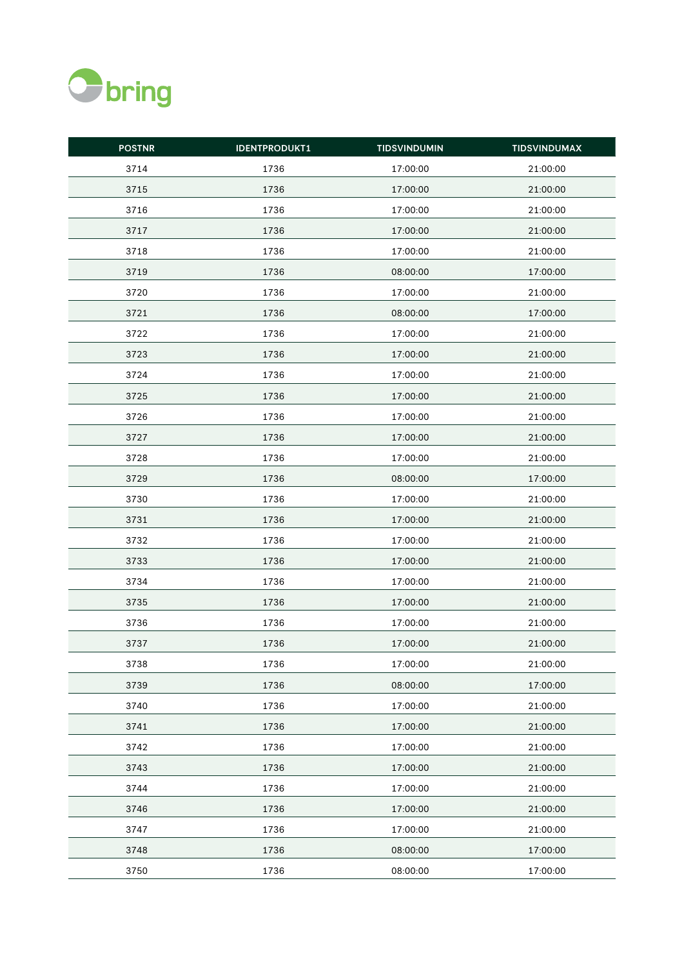

| <b>POSTNR</b> | <b>IDENTPRODUKT1</b> | <b>TIDSVINDUMIN</b> | <b>TIDSVINDUMAX</b> |
|---------------|----------------------|---------------------|---------------------|
| 3714          | 1736                 | 17:00:00            | 21:00:00            |
| 3715          | 1736                 | 17:00:00            | 21:00:00            |
| 3716          | 1736                 | 17:00:00            | 21:00:00            |
| 3717          | 1736                 | 17:00:00            | 21:00:00            |
| 3718          | 1736                 | 17:00:00            | 21:00:00            |
| 3719          | 1736                 | 08:00:00            | 17:00:00            |
| 3720          | 1736                 | 17:00:00            | 21:00:00            |
| 3721          | 1736                 | 08:00:00            | 17:00:00            |
| 3722          | 1736                 | 17:00:00            | 21:00:00            |
| 3723          | 1736                 | 17:00:00            | 21:00:00            |
| 3724          | 1736                 | 17:00:00            | 21:00:00            |
| 3725          | 1736                 | 17:00:00            | 21:00:00            |
| 3726          | 1736                 | 17:00:00            | 21:00:00            |
| 3727          | 1736                 | 17:00:00            | 21:00:00            |
| 3728          | 1736                 | 17:00:00            | 21:00:00            |
| 3729          | 1736                 | 08:00:00            | 17:00:00            |
| 3730          | 1736                 | 17:00:00            | 21:00:00            |
| 3731          | 1736                 | 17:00:00            | 21:00:00            |
| 3732          | 1736                 | 17:00:00            | 21:00:00            |
| 3733          | 1736                 | 17:00:00            | 21:00:00            |
| 3734          | 1736                 | 17:00:00            | 21:00:00            |
| 3735          | 1736                 | 17:00:00            | 21:00:00            |
| 3736          | 1736                 | 17:00:00            | 21:00:00            |
| 3737          | 1736                 | 17:00:00            | 21:00:00            |
| 3738          | 1736                 | 17:00:00            | 21:00:00            |
| 3739          | 1736                 | 08:00:00            | 17:00:00            |
| 3740          | 1736                 | 17:00:00            | 21:00:00            |
| 3741          | 1736                 | 17:00:00            | 21:00:00            |
| 3742          | 1736                 | 17:00:00            | 21:00:00            |
| 3743          | 1736                 | 17:00:00            | 21:00:00            |
| 3744          | 1736                 | 17:00:00            | 21:00:00            |
| 3746          | 1736                 | 17:00:00            | 21:00:00            |
| 3747          | 1736                 | 17:00:00            | 21:00:00            |
| 3748          | 1736                 | 08:00:00            | 17:00:00            |
| 3750          | 1736                 | 08:00:00            | 17:00:00            |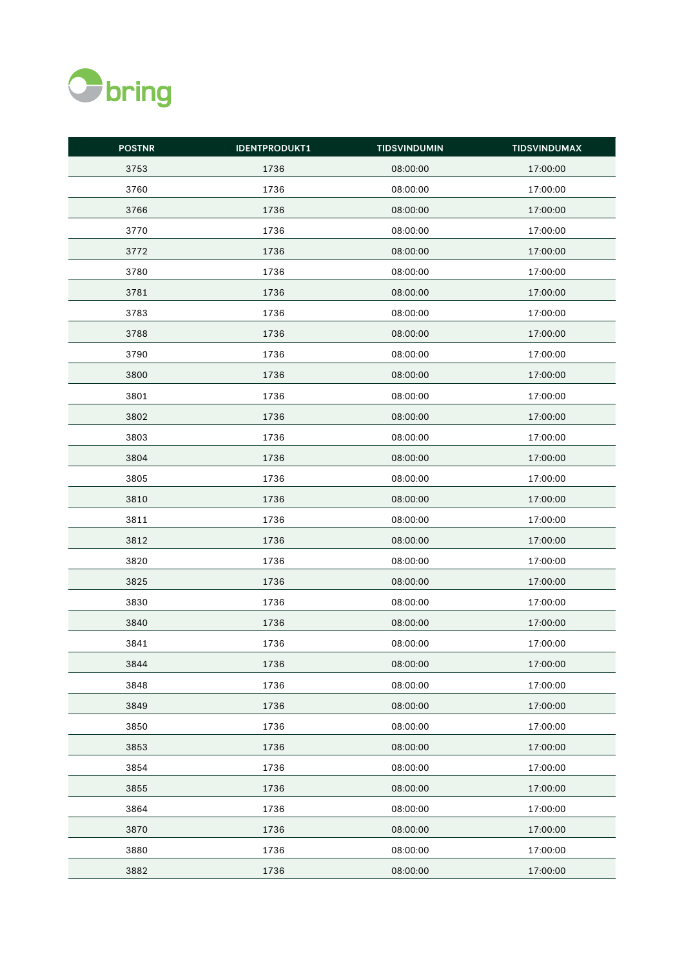

| <b>POSTNR</b> | <b>IDENTPRODUKT1</b> | <b>TIDSVINDUMIN</b> | <b>TIDSVINDUMAX</b> |
|---------------|----------------------|---------------------|---------------------|
| 3753          | 1736                 | 08:00:00            | 17:00:00            |
| 3760          | 1736                 | 08:00:00            | 17:00:00            |
| 3766          | 1736                 | 08:00:00            | 17:00:00            |
| 3770          | 1736                 | 08:00:00            | 17:00:00            |
| 3772          | 1736                 | 08:00:00            | 17:00:00            |
| 3780          | 1736                 | 08:00:00            | 17:00:00            |
| 3781          | 1736                 | 08:00:00            | 17:00:00            |
| 3783          | 1736                 | 08:00:00            | 17:00:00            |
| 3788          | 1736                 | 08:00:00            | 17:00:00            |
| 3790          | 1736                 | 08:00:00            | 17:00:00            |
| 3800          | 1736                 | 08:00:00            | 17:00:00            |
| 3801          | 1736                 | 08:00:00            | 17:00:00            |
| 3802          | 1736                 | 08:00:00            | 17:00:00            |
| 3803          | 1736                 | 08:00:00            | 17:00:00            |
| 3804          | 1736                 | 08:00:00            | 17:00:00            |
| 3805          | 1736                 | 08:00:00            | 17:00:00            |
| 3810          | 1736                 | 08:00:00            | 17:00:00            |
| 3811          | 1736                 | 08:00:00            | 17:00:00            |
| 3812          | 1736                 | 08:00:00            | 17:00:00            |
| 3820          | 1736                 | 08:00:00            | 17:00:00            |
| 3825          | 1736                 | 08:00:00            | 17:00:00            |
| 3830          | 1736                 | 08:00:00            | 17:00:00            |
| 3840          | 1736                 | 08:00:00            | 17:00:00            |
| 3841          | 1736                 | 08:00:00            | 17:00:00            |
| 3844          | 1736                 | 08:00:00            | 17:00:00            |
| 3848          | 1736                 | 08:00:00            | 17:00:00            |
| 3849          | 1736                 | 08:00:00            | 17:00:00            |
| 3850          | 1736                 | 08:00:00            | 17:00:00            |
| 3853          | 1736                 | 08:00:00            | 17:00:00            |
| 3854          | 1736                 | 08:00:00            | 17:00:00            |
| 3855          | 1736                 | 08:00:00            | 17:00:00            |
| 3864          | 1736                 | 08:00:00            | 17:00:00            |
| 3870          | 1736                 | 08:00:00            | 17:00:00            |
| 3880          | 1736                 | 08:00:00            | 17:00:00            |
| 3882          | 1736                 | 08:00:00            | 17:00:00            |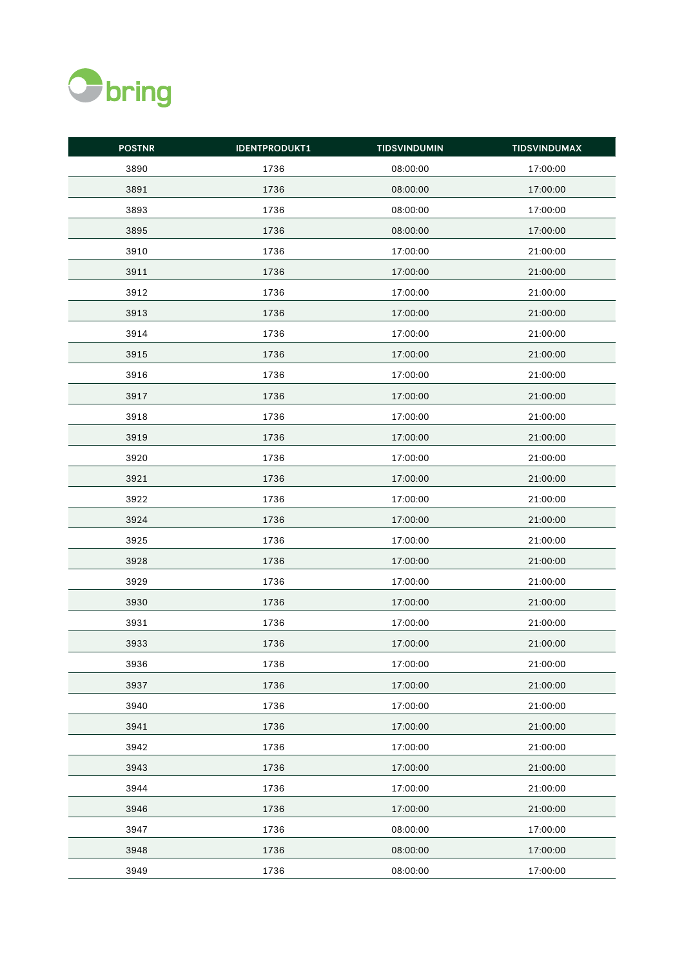

| <b>POSTNR</b> | <b>IDENTPRODUKT1</b> | <b>TIDSVINDUMIN</b> | <b>TIDSVINDUMAX</b> |
|---------------|----------------------|---------------------|---------------------|
| 3890          | 1736                 | 08:00:00            | 17:00:00            |
| 3891          | 1736                 | 08:00:00            | 17:00:00            |
| 3893          | 1736                 | 08:00:00            | 17:00:00            |
| 3895          | 1736                 | 08:00:00            | 17:00:00            |
| 3910          | 1736                 | 17:00:00            | 21:00:00            |
| 3911          | 1736                 | 17:00:00            | 21:00:00            |
| 3912          | 1736                 | 17:00:00            | 21:00:00            |
| 3913          | 1736                 | 17:00:00            | 21:00:00            |
| 3914          | 1736                 | 17:00:00            | 21:00:00            |
| 3915          | 1736                 | 17:00:00            | 21:00:00            |
| 3916          | 1736                 | 17:00:00            | 21:00:00            |
| 3917          | 1736                 | 17:00:00            | 21:00:00            |
| 3918          | 1736                 | 17:00:00            | 21:00:00            |
| 3919          | 1736                 | 17:00:00            | 21:00:00            |
| 3920          | 1736                 | 17:00:00            | 21:00:00            |
| 3921          | 1736                 | 17:00:00            | 21:00:00            |
| 3922          | 1736                 | 17:00:00            | 21:00:00            |
| 3924          | 1736                 | 17:00:00            | 21:00:00            |
| 3925          | 1736                 | 17:00:00            | 21:00:00            |
| 3928          | 1736                 | 17:00:00            | 21:00:00            |
| 3929          | 1736                 | 17:00:00            | 21:00:00            |
| 3930          | 1736                 | 17:00:00            | 21:00:00            |
| 3931          | 1736                 | 17:00:00            | 21:00:00            |
| 3933          | 1736                 | 17:00:00            | 21:00:00            |
| 3936          | 1736                 | 17:00:00            | 21:00:00            |
| 3937          | 1736                 | 17:00:00            | 21:00:00            |
| 3940          | 1736                 | 17:00:00            | 21:00:00            |
| 3941          | 1736                 | 17:00:00            | 21:00:00            |
| 3942          | 1736                 | 17:00:00            | 21:00:00            |
| 3943          | 1736                 | 17:00:00            | 21:00:00            |
| 3944          | 1736                 | 17:00:00            | 21:00:00            |
| 3946          | 1736                 | 17:00:00            | 21:00:00            |
| 3947          | 1736                 | 08:00:00            | 17:00:00            |
| 3948          | 1736                 | 08:00:00            | 17:00:00            |
| 3949          | 1736                 | 08:00:00            | 17:00:00            |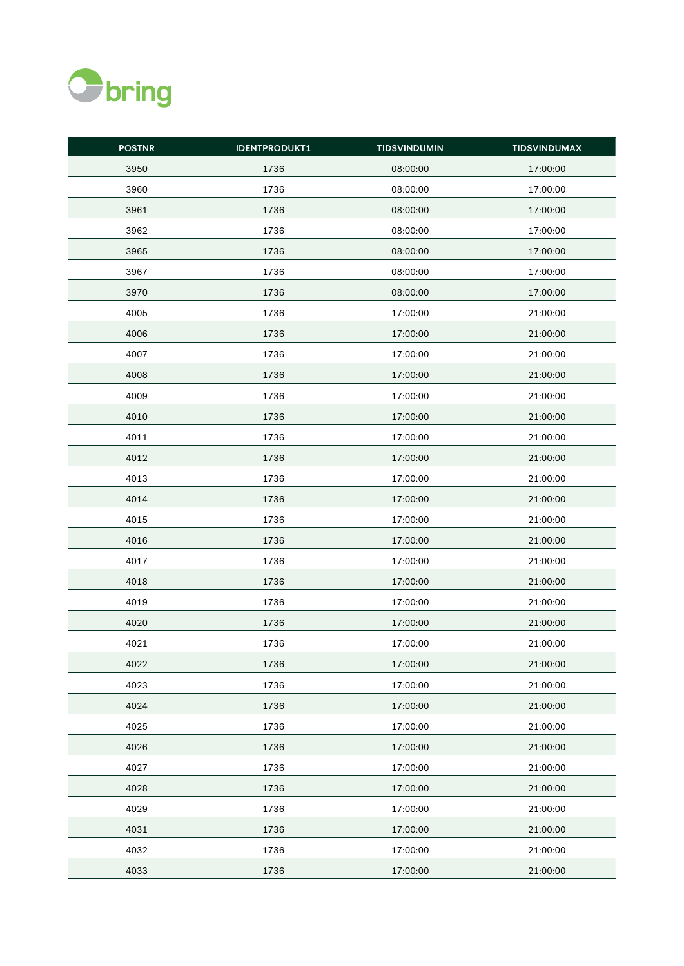

| <b>POSTNR</b> | <b>IDENTPRODUKT1</b> | <b>TIDSVINDUMIN</b> | <b>TIDSVINDUMAX</b> |
|---------------|----------------------|---------------------|---------------------|
| 3950          | 1736                 | 08:00:00            | 17:00:00            |
| 3960          | 1736                 | 08:00:00            | 17:00:00            |
| 3961          | 1736                 | 08:00:00            | 17:00:00            |
| 3962          | 1736                 | 08:00:00            | 17:00:00            |
| 3965          | 1736                 | 08:00:00            | 17:00:00            |
| 3967          | 1736                 | 08:00:00            | 17:00:00            |
| 3970          | 1736                 | 08:00:00            | 17:00:00            |
| 4005          | 1736                 | 17:00:00            | 21:00:00            |
| 4006          | 1736                 | 17:00:00            | 21:00:00            |
| 4007          | 1736                 | 17:00:00            | 21:00:00            |
| 4008          | 1736                 | 17:00:00            | 21:00:00            |
| 4009          | 1736                 | 17:00:00            | 21:00:00            |
| 4010          | 1736                 | 17:00:00            | 21:00:00            |
| 4011          | 1736                 | 17:00:00            | 21:00:00            |
| 4012          | 1736                 | 17:00:00            | 21:00:00            |
| 4013          | 1736                 | 17:00:00            | 21:00:00            |
| 4014          | 1736                 | 17:00:00            | 21:00:00            |
| 4015          | 1736                 | 17:00:00            | 21:00:00            |
| 4016          | 1736                 | 17:00:00            | 21:00:00            |
| 4017          | 1736                 | 17:00:00            | 21:00:00            |
| 4018          | 1736                 | 17:00:00            | 21:00:00            |
| 4019          | 1736                 | 17:00:00            | 21:00:00            |
| 4020          | 1736                 | 17:00:00            | 21:00:00            |
| 4021          | 1736                 | 17:00:00            | 21:00:00            |
| 4022          | 1736                 | 17:00:00            | 21:00:00            |
| 4023          | 1736                 | 17:00:00            | 21:00:00            |
| 4024          | 1736                 | 17:00:00            | 21:00:00            |
| 4025          | 1736                 | 17:00:00            | 21:00:00            |
| 4026          | 1736                 | 17:00:00            | 21:00:00            |
| 4027          | 1736                 | 17:00:00            | 21:00:00            |
| 4028          | 1736                 | 17:00:00            | 21:00:00            |
| 4029          | 1736                 | 17:00:00            | 21:00:00            |
| 4031          | 1736                 | 17:00:00            | 21:00:00            |
| 4032          | 1736                 | 17:00:00            | 21:00:00            |
| 4033          | 1736                 | 17:00:00            | 21:00:00            |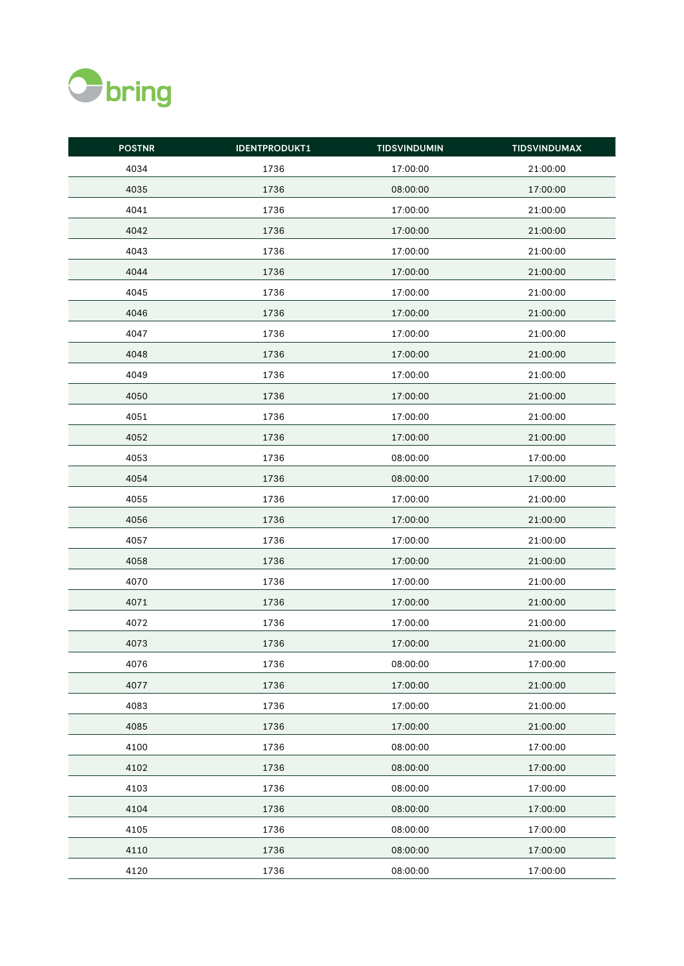

| <b>POSTNR</b> | <b>IDENTPRODUKT1</b> | <b>TIDSVINDUMIN</b> | <b>TIDSVINDUMAX</b> |
|---------------|----------------------|---------------------|---------------------|
| 4034          | 1736                 | 17:00:00            | 21:00:00            |
| 4035          | 1736                 | 08:00:00            | 17:00:00            |
| 4041          | 1736                 | 17:00:00            | 21:00:00            |
| 4042          | 1736                 | 17:00:00            | 21:00:00            |
| 4043          | 1736                 | 17:00:00            | 21:00:00            |
| 4044          | 1736                 | 17:00:00            | 21:00:00            |
| 4045          | 1736                 | 17:00:00            | 21:00:00            |
| 4046          | 1736                 | 17:00:00            | 21:00:00            |
| 4047          | 1736                 | 17:00:00            | 21:00:00            |
| 4048          | 1736                 | 17:00:00            | 21:00:00            |
| 4049          | 1736                 | 17:00:00            | 21:00:00            |
| 4050          | 1736                 | 17:00:00            | 21:00:00            |
| 4051          | 1736                 | 17:00:00            | 21:00:00            |
| 4052          | 1736                 | 17:00:00            | 21:00:00            |
| 4053          | 1736                 | 08:00:00            | 17:00:00            |
| 4054          | 1736                 | 08:00:00            | 17:00:00            |
| 4055          | 1736                 | 17:00:00            | 21:00:00            |
| 4056          | 1736                 | 17:00:00            | 21:00:00            |
| 4057          | 1736                 | 17:00:00            | 21:00:00            |
| 4058          | 1736                 | 17:00:00            | 21:00:00            |
| 4070          | 1736                 | 17:00:00            | 21:00:00            |
| 4071          | 1736                 | 17:00:00            | 21:00:00            |
| 4072          | 1736                 | 17:00:00            | 21:00:00            |
| 4073          | 1736                 | 17:00:00            | 21:00:00            |
| 4076          | 1736                 | 08:00:00            | 17:00:00            |
| 4077          | 1736                 | 17:00:00            | 21:00:00            |
| 4083          | 1736                 | 17:00:00            | 21:00:00            |
| 4085          | 1736                 | 17:00:00            | 21:00:00            |
| 4100          | 1736                 | 08:00:00            | 17:00:00            |
| 4102          | 1736                 | 08:00:00            | 17:00:00            |
| 4103          | 1736                 | 08:00:00            | 17:00:00            |
| 4104          | 1736                 | 08:00:00            | 17:00:00            |
| 4105          | 1736                 | 08:00:00            | 17:00:00            |
| 4110          | 1736                 | 08:00:00            | 17:00:00            |
| 4120          | 1736                 | 08:00:00            | 17:00:00            |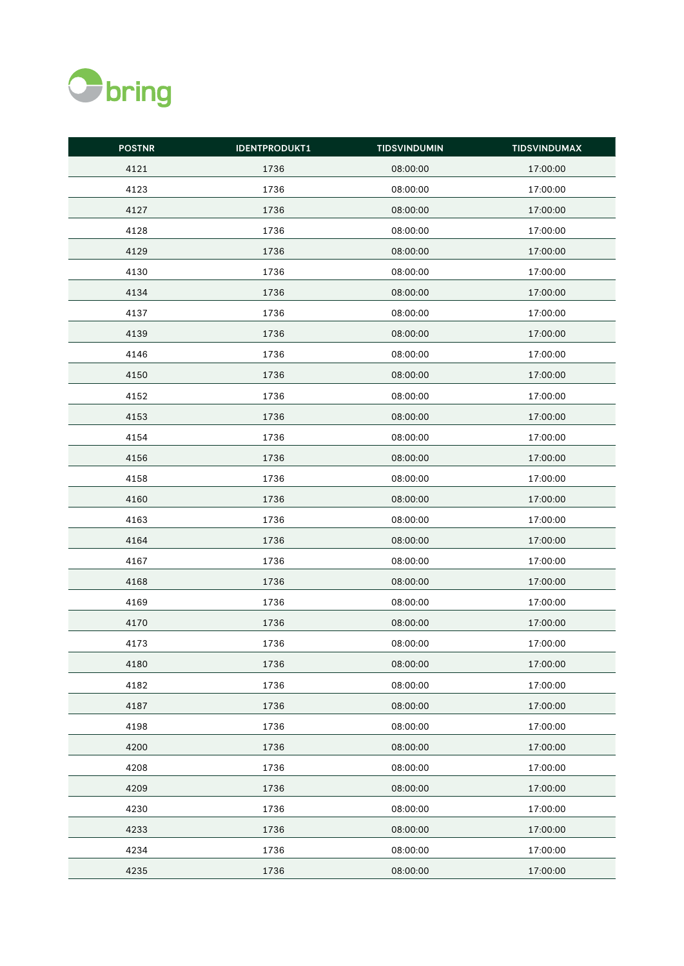

| <b>POSTNR</b> | <b>IDENTPRODUKT1</b> | <b>TIDSVINDUMIN</b> | <b>TIDSVINDUMAX</b> |
|---------------|----------------------|---------------------|---------------------|
| 4121          | 1736                 | 08:00:00            | 17:00:00            |
| 4123          | 1736                 | 08:00:00            | 17:00:00            |
| 4127          | 1736                 | 08:00:00            | 17:00:00            |
| 4128          | 1736                 | 08:00:00            | 17:00:00            |
| 4129          | 1736                 | 08:00:00            | 17:00:00            |
| 4130          | 1736                 | 08:00:00            | 17:00:00            |
| 4134          | 1736                 | 08:00:00            | 17:00:00            |
| 4137          | 1736                 | 08:00:00            | 17:00:00            |
| 4139          | 1736                 | 08:00:00            | 17:00:00            |
| 4146          | 1736                 | 08:00:00            | 17:00:00            |
| 4150          | 1736                 | 08:00:00            | 17:00:00            |
| 4152          | 1736                 | 08:00:00            | 17:00:00            |
| 4153          | 1736                 | 08:00:00            | 17:00:00            |
| 4154          | 1736                 | 08:00:00            | 17:00:00            |
| 4156          | 1736                 | 08:00:00            | 17:00:00            |
| 4158          | 1736                 | 08:00:00            | 17:00:00            |
| 4160          | 1736                 | 08:00:00            | 17:00:00            |
| 4163          | 1736                 | 08:00:00            | 17:00:00            |
| 4164          | 1736                 | 08:00:00            | 17:00:00            |
| 4167          | 1736                 | 08:00:00            | 17:00:00            |
| 4168          | 1736                 | 08:00:00            | 17:00:00            |
| 4169          | 1736                 | 08:00:00            | 17:00:00            |
| 4170          | 1736                 | 08:00:00            | 17:00:00            |
| 4173          | 1736                 | 08:00:00            | 17:00:00            |
| 4180          | 1736                 | 08:00:00            | 17:00:00            |
| 4182          | 1736                 | 08:00:00            | 17:00:00            |
| 4187          | 1736                 | 08:00:00            | 17:00:00            |
| 4198          | 1736                 | 08:00:00            | 17:00:00            |
| 4200          | 1736                 | 08:00:00            | 17:00:00            |
| 4208          | 1736                 | 08:00:00            | 17:00:00            |
| 4209          | 1736                 | 08:00:00            | 17:00:00            |
| 4230          | 1736                 | 08:00:00            | 17:00:00            |
| 4233          | 1736                 | 08:00:00            | 17:00:00            |
| 4234          | 1736                 | 08:00:00            | 17:00:00            |
| 4235          | 1736                 | 08:00:00            | 17:00:00            |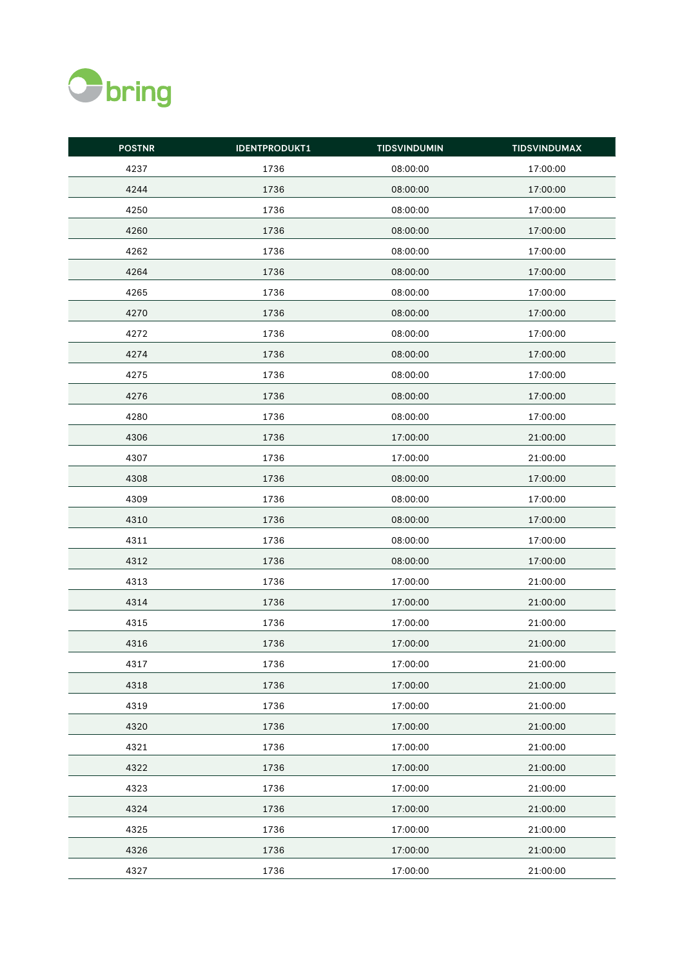

| <b>POSTNR</b> | <b>IDENTPRODUKT1</b> | <b>TIDSVINDUMIN</b> | <b>TIDSVINDUMAX</b> |
|---------------|----------------------|---------------------|---------------------|
| 4237          | 1736                 | 08:00:00            | 17:00:00            |
| 4244          | 1736                 | 08:00:00            | 17:00:00            |
| 4250          | 1736                 | 08:00:00            | 17:00:00            |
| 4260          | 1736                 | 08:00:00            | 17:00:00            |
| 4262          | 1736                 | 08:00:00            | 17:00:00            |
| 4264          | 1736                 | 08:00:00            | 17:00:00            |
| 4265          | 1736                 | 08:00:00            | 17:00:00            |
| 4270          | 1736                 | 08:00:00            | 17:00:00            |
| 4272          | 1736                 | 08:00:00            | 17:00:00            |
| 4274          | 1736                 | 08:00:00            | 17:00:00            |
| 4275          | 1736                 | 08:00:00            | 17:00:00            |
| 4276          | 1736                 | 08:00:00            | 17:00:00            |
| 4280          | 1736                 | 08:00:00            | 17:00:00            |
| 4306          | 1736                 | 17:00:00            | 21:00:00            |
| 4307          | 1736                 | 17:00:00            | 21:00:00            |
| 4308          | 1736                 | 08:00:00            | 17:00:00            |
| 4309          | 1736                 | 08:00:00            | 17:00:00            |
| 4310          | 1736                 | 08:00:00            | 17:00:00            |
| 4311          | 1736                 | 08:00:00            | 17:00:00            |
| 4312          | 1736                 | 08:00:00            | 17:00:00            |
| 4313          | 1736                 | 17:00:00            | 21:00:00            |
| 4314          | 1736                 | 17:00:00            | 21:00:00            |
| 4315          | 1736                 | 17:00:00            | 21:00:00            |
| 4316          | 1736                 | 17:00:00            | 21:00:00            |
| 4317          | 1736                 | 17:00:00            | 21:00:00            |
| 4318          | 1736                 | 17:00:00            | 21:00:00            |
| 4319          | 1736                 | 17:00:00            | 21:00:00            |
| 4320          | 1736                 | 17:00:00            | 21:00:00            |
| 4321          | 1736                 | 17:00:00            | 21:00:00            |
| 4322          | 1736                 | 17:00:00            | 21:00:00            |
| 4323          | 1736                 | 17:00:00            | 21:00:00            |
| 4324          | 1736                 | 17:00:00            | 21:00:00            |
| 4325          | 1736                 | 17:00:00            | 21:00:00            |
| 4326          | 1736                 | 17:00:00            | 21:00:00            |
| 4327          | 1736                 | 17:00:00            | 21:00:00            |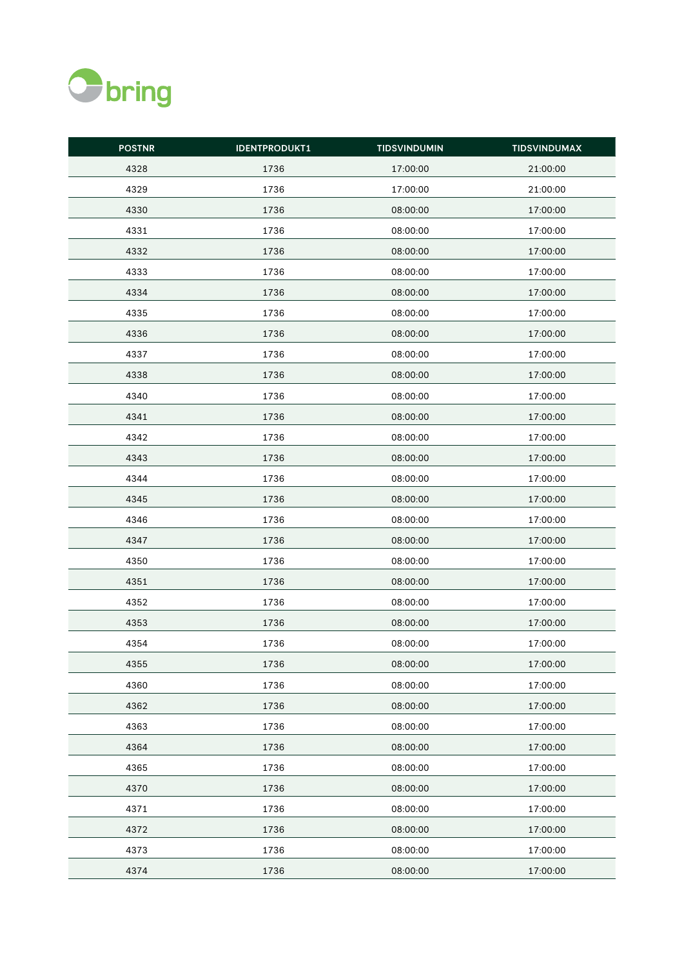

| <b>POSTNR</b> | <b>IDENTPRODUKT1</b> | <b>TIDSVINDUMIN</b> | <b>TIDSVINDUMAX</b> |
|---------------|----------------------|---------------------|---------------------|
| 4328          | 1736                 | 17:00:00            | 21:00:00            |
| 4329          | 1736                 | 17:00:00            | 21:00:00            |
| 4330          | 1736                 | 08:00:00            | 17:00:00            |
| 4331          | 1736                 | 08:00:00            | 17:00:00            |
| 4332          | 1736                 | 08:00:00            | 17:00:00            |
| 4333          | 1736                 | 08:00:00            | 17:00:00            |
| 4334          | 1736                 | 08:00:00            | 17:00:00            |
| 4335          | 1736                 | 08:00:00            | 17:00:00            |
| 4336          | 1736                 | 08:00:00            | 17:00:00            |
| 4337          | 1736                 | 08:00:00            | 17:00:00            |
| 4338          | 1736                 | 08:00:00            | 17:00:00            |
| 4340          | 1736                 | 08:00:00            | 17:00:00            |
| 4341          | 1736                 | 08:00:00            | 17:00:00            |
| 4342          | 1736                 | 08:00:00            | 17:00:00            |
| 4343          | 1736                 | 08:00:00            | 17:00:00            |
| 4344          | 1736                 | 08:00:00            | 17:00:00            |
| 4345          | 1736                 | 08:00:00            | 17:00:00            |
| 4346          | 1736                 | 08:00:00            | 17:00:00            |
| 4347          | 1736                 | 08:00:00            | 17:00:00            |
| 4350          | 1736                 | 08:00:00            | 17:00:00            |
| 4351          | 1736                 | 08:00:00            | 17:00:00            |
| 4352          | 1736                 | 08:00:00            | 17:00:00            |
| 4353          | 1736                 | 08:00:00            | 17:00:00            |
| 4354          | 1736                 | 08:00:00            | 17:00:00            |
| 4355          | 1736                 | 08:00:00            | 17:00:00            |
| 4360          | 1736                 | 08:00:00            | 17:00:00            |
| 4362          | 1736                 | 08:00:00            | 17:00:00            |
| 4363          | 1736                 | 08:00:00            | 17:00:00            |
| 4364          | 1736                 | 08:00:00            | 17:00:00            |
| 4365          | 1736                 | 08:00:00            | 17:00:00            |
| 4370          | 1736                 | 08:00:00            | 17:00:00            |
| 4371          | 1736                 | 08:00:00            | 17:00:00            |
| 4372          | 1736                 | 08:00:00            | 17:00:00            |
| 4373          | 1736                 | 08:00:00            | 17:00:00            |
| 4374          | 1736                 | 08:00:00            | 17:00:00            |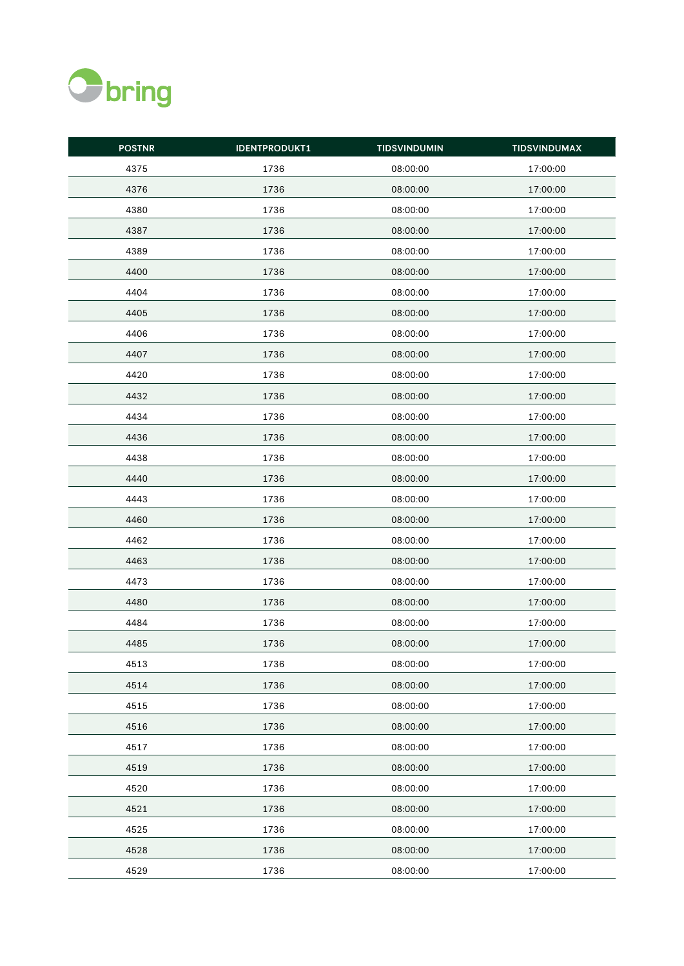

| <b>POSTNR</b> | <b>IDENTPRODUKT1</b> | <b>TIDSVINDUMIN</b> | <b>TIDSVINDUMAX</b> |
|---------------|----------------------|---------------------|---------------------|
| 4375          | 1736                 | 08:00:00            | 17:00:00            |
| 4376          | 1736                 | 08:00:00            | 17:00:00            |
| 4380          | 1736                 | 08:00:00            | 17:00:00            |
| 4387          | 1736                 | 08:00:00            | 17:00:00            |
| 4389          | 1736                 | 08:00:00            | 17:00:00            |
| 4400          | 1736                 | 08:00:00            | 17:00:00            |
| 4404          | 1736                 | 08:00:00            | 17:00:00            |
| 4405          | 1736                 | 08:00:00            | 17:00:00            |
| 4406          | 1736                 | 08:00:00            | 17:00:00            |
| 4407          | 1736                 | 08:00:00            | 17:00:00            |
| 4420          | 1736                 | 08:00:00            | 17:00:00            |
| 4432          | 1736                 | 08:00:00            | 17:00:00            |
| 4434          | 1736                 | 08:00:00            | 17:00:00            |
| 4436          | 1736                 | 08:00:00            | 17:00:00            |
| 4438          | 1736                 | 08:00:00            | 17:00:00            |
| 4440          | 1736                 | 08:00:00            | 17:00:00            |
| 4443          | 1736                 | 08:00:00            | 17:00:00            |
| 4460          | 1736                 | 08:00:00            | 17:00:00            |
| 4462          | 1736                 | 08:00:00            | 17:00:00            |
| 4463          | 1736                 | 08:00:00            | 17:00:00            |
| 4473          | 1736                 | 08:00:00            | 17:00:00            |
| 4480          | 1736                 | 08:00:00            | 17:00:00            |
| 4484          | 1736                 | 08:00:00            | 17:00:00            |
| 4485          | 1736                 | 08:00:00            | 17:00:00            |
| 4513          | 1736                 | 08:00:00            | 17:00:00            |
| 4514          | 1736                 | 08:00:00            | 17:00:00            |
| 4515          | 1736                 | 08:00:00            | 17:00:00            |
| 4516          | 1736                 | 08:00:00            | 17:00:00            |
| 4517          | 1736                 | 08:00:00            | 17:00:00            |
| 4519          | 1736                 | 08:00:00            | 17:00:00            |
| 4520          | 1736                 | 08:00:00            | 17:00:00            |
| 4521          | 1736                 | 08:00:00            | 17:00:00            |
| 4525          | 1736                 | 08:00:00            | 17:00:00            |
| 4528          | 1736                 | 08:00:00            | 17:00:00            |
| 4529          | 1736                 | 08:00:00            | 17:00:00            |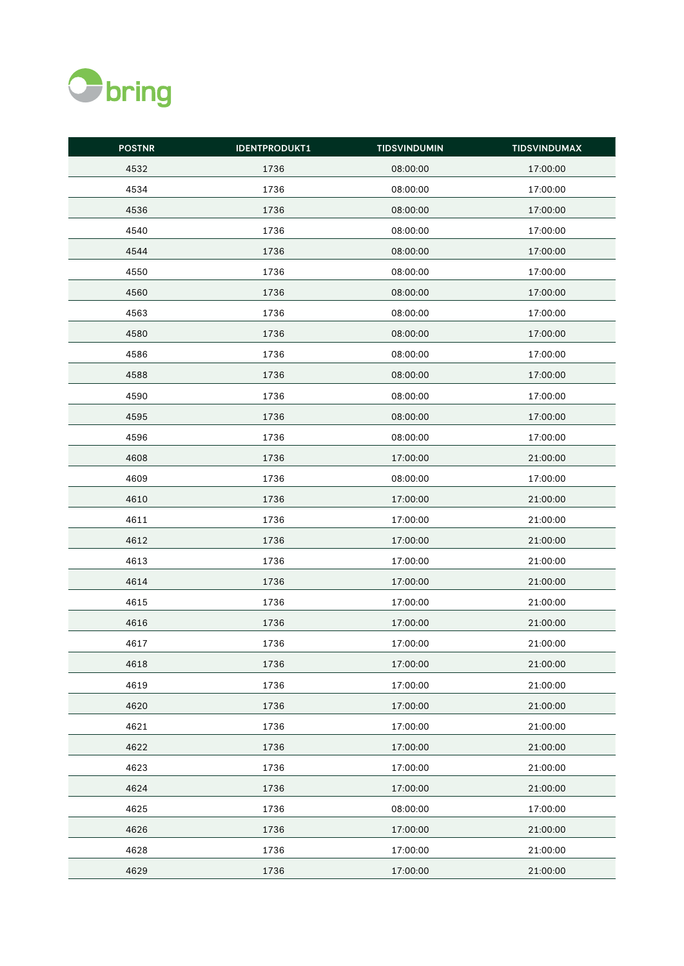

| <b>POSTNR</b> | <b>IDENTPRODUKT1</b> | <b>TIDSVINDUMIN</b> | <b>TIDSVINDUMAX</b> |
|---------------|----------------------|---------------------|---------------------|
| 4532          | 1736                 | 08:00:00            | 17:00:00            |
| 4534          | 1736                 | 08:00:00            | 17:00:00            |
| 4536          | 1736                 | 08:00:00            | 17:00:00            |
| 4540          | 1736                 | 08:00:00            | 17:00:00            |
| 4544          | 1736                 | 08:00:00            | 17:00:00            |
| 4550          | 1736                 | 08:00:00            | 17:00:00            |
| 4560          | 1736                 | 08:00:00            | 17:00:00            |
| 4563          | 1736                 | 08:00:00            | 17:00:00            |
| 4580          | 1736                 | 08:00:00            | 17:00:00            |
| 4586          | 1736                 | 08:00:00            | 17:00:00            |
| 4588          | 1736                 | 08:00:00            | 17:00:00            |
| 4590          | 1736                 | 08:00:00            | 17:00:00            |
| 4595          | 1736                 | 08:00:00            | 17:00:00            |
| 4596          | 1736                 | 08:00:00            | 17:00:00            |
| 4608          | 1736                 | 17:00:00            | 21:00:00            |
| 4609          | 1736                 | 08:00:00            | 17:00:00            |
| 4610          | 1736                 | 17:00:00            | 21:00:00            |
| 4611          | 1736                 | 17:00:00            | 21:00:00            |
| 4612          | 1736                 | 17:00:00            | 21:00:00            |
| 4613          | 1736                 | 17:00:00            | 21:00:00            |
| 4614          | 1736                 | 17:00:00            | 21:00:00            |
| 4615          | 1736                 | 17:00:00            | 21:00:00            |
| 4616          | 1736                 | 17:00:00            | 21:00:00            |
| 4617          | 1736                 | 17:00:00            | 21:00:00            |
| 4618          | 1736                 | 17:00:00            | 21:00:00            |
| 4619          | 1736                 | 17:00:00            | 21:00:00            |
| 4620          | 1736                 | 17:00:00            | 21:00:00            |
| 4621          | 1736                 | 17:00:00            | 21:00:00            |
| 4622          | 1736                 | 17:00:00            | 21:00:00            |
| 4623          | 1736                 | 17:00:00            | 21:00:00            |
| 4624          | 1736                 | 17:00:00            | 21:00:00            |
| 4625          | 1736                 | 08:00:00            | 17:00:00            |
| 4626          | 1736                 | 17:00:00            | 21:00:00            |
| 4628          | 1736                 | 17:00:00            | 21:00:00            |
| 4629          | 1736                 | 17:00:00            | 21:00:00            |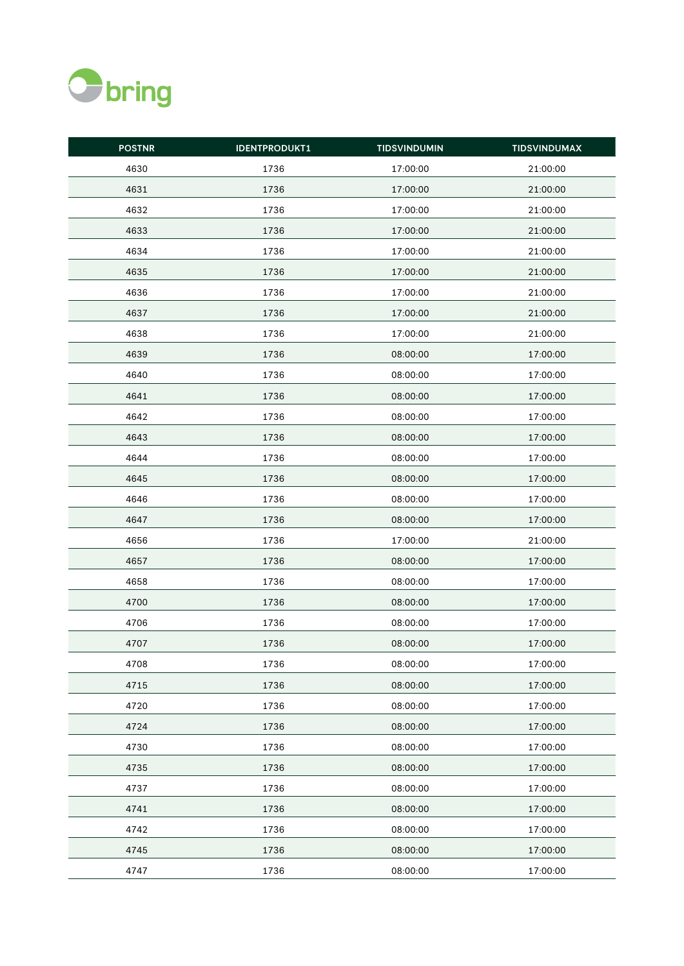

| <b>POSTNR</b> | <b>IDENTPRODUKT1</b> | <b>TIDSVINDUMIN</b> | <b>TIDSVINDUMAX</b> |
|---------------|----------------------|---------------------|---------------------|
| 4630          | 1736                 | 17:00:00            | 21:00:00            |
| 4631          | 1736                 | 17:00:00            | 21:00:00            |
| 4632          | 1736                 | 17:00:00            | 21:00:00            |
| 4633          | 1736                 | 17:00:00            | 21:00:00            |
| 4634          | 1736                 | 17:00:00            | 21:00:00            |
| 4635          | 1736                 | 17:00:00            | 21:00:00            |
| 4636          | 1736                 | 17:00:00            | 21:00:00            |
| 4637          | 1736                 | 17:00:00            | 21:00:00            |
| 4638          | 1736                 | 17:00:00            | 21:00:00            |
| 4639          | 1736                 | 08:00:00            | 17:00:00            |
| 4640          | 1736                 | 08:00:00            | 17:00:00            |
| 4641          | 1736                 | 08:00:00            | 17:00:00            |
| 4642          | 1736                 | 08:00:00            | 17:00:00            |
| 4643          | 1736                 | 08:00:00            | 17:00:00            |
| 4644          | 1736                 | 08:00:00            | 17:00:00            |
| 4645          | 1736                 | 08:00:00            | 17:00:00            |
| 4646          | 1736                 | 08:00:00            | 17:00:00            |
| 4647          | 1736                 | 08:00:00            | 17:00:00            |
| 4656          | 1736                 | 17:00:00            | 21:00:00            |
| 4657          | 1736                 | 08:00:00            | 17:00:00            |
| 4658          | 1736                 | 08:00:00            | 17:00:00            |
| 4700          | 1736                 | 08:00:00            | 17:00:00            |
| 4706          | 1736                 | 08:00:00            | 17:00:00            |
| 4707          | 1736                 | 08:00:00            | 17:00:00            |
| 4708          | 1736                 | 08:00:00            | 17:00:00            |
| 4715          | 1736                 | 08:00:00            | 17:00:00            |
| 4720          | 1736                 | 08:00:00            | 17:00:00            |
| 4724          | 1736                 | 08:00:00            | 17:00:00            |
| 4730          | 1736                 | 08:00:00            | 17:00:00            |
| 4735          | 1736                 | 08:00:00            | 17:00:00            |
| 4737          | 1736                 | 08:00:00            | 17:00:00            |
| 4741          | 1736                 | 08:00:00            | 17:00:00            |
| 4742          | 1736                 | 08:00:00            | 17:00:00            |
| 4745          | 1736                 | 08:00:00            | 17:00:00            |
| 4747          | 1736                 | 08:00:00            | 17:00:00            |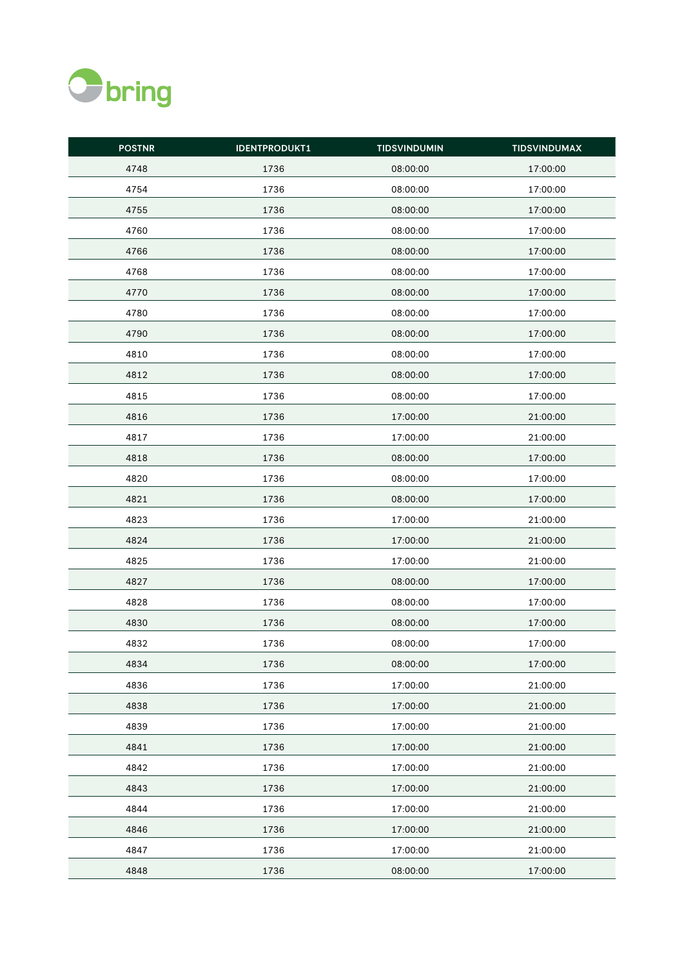

| <b>POSTNR</b> | <b>IDENTPRODUKT1</b> | <b>TIDSVINDUMIN</b> | <b>TIDSVINDUMAX</b> |
|---------------|----------------------|---------------------|---------------------|
| 4748          | 1736                 | 08:00:00            | 17:00:00            |
| 4754          | 1736                 | 08:00:00            | 17:00:00            |
| 4755          | 1736                 | 08:00:00            | 17:00:00            |
| 4760          | 1736                 | 08:00:00            | 17:00:00            |
| 4766          | 1736                 | 08:00:00            | 17:00:00            |
| 4768          | 1736                 | 08:00:00            | 17:00:00            |
| 4770          | 1736                 | 08:00:00            | 17:00:00            |
| 4780          | 1736                 | 08:00:00            | 17:00:00            |
| 4790          | 1736                 | 08:00:00            | 17:00:00            |
| 4810          | 1736                 | 08:00:00            | 17:00:00            |
| 4812          | 1736                 | 08:00:00            | 17:00:00            |
| 4815          | 1736                 | 08:00:00            | 17:00:00            |
| 4816          | 1736                 | 17:00:00            | 21:00:00            |
| 4817          | 1736                 | 17:00:00            | 21:00:00            |
| 4818          | 1736                 | 08:00:00            | 17:00:00            |
| 4820          | 1736                 | 08:00:00            | 17:00:00            |
| 4821          | 1736                 | 08:00:00            | 17:00:00            |
| 4823          | 1736                 | 17:00:00            | 21:00:00            |
| 4824          | 1736                 | 17:00:00            | 21:00:00            |
| 4825          | 1736                 | 17:00:00            | 21:00:00            |
| 4827          | 1736                 | 08:00:00            | 17:00:00            |
| 4828          | 1736                 | 08:00:00            | 17:00:00            |
| 4830          | 1736                 | 08:00:00            | 17:00:00            |
| 4832          | 1736                 | 08:00:00            | 17:00:00            |
| 4834          | 1736                 | 08:00:00            | 17:00:00            |
| 4836          | 1736                 | 17:00:00            | 21:00:00            |
| 4838          | 1736                 | 17:00:00            | 21:00:00            |
| 4839          | 1736                 | 17:00:00            | 21:00:00            |
| 4841          | 1736                 | 17:00:00            | 21:00:00            |
| 4842          | 1736                 | 17:00:00            | 21:00:00            |
| 4843          | 1736                 | 17:00:00            | 21:00:00            |
| 4844          | 1736                 | 17:00:00            | 21:00:00            |
| 4846          | 1736                 | 17:00:00            | 21:00:00            |
| 4847          | 1736                 | 17:00:00            | 21:00:00            |
| 4848          | 1736                 | 08:00:00            | 17:00:00            |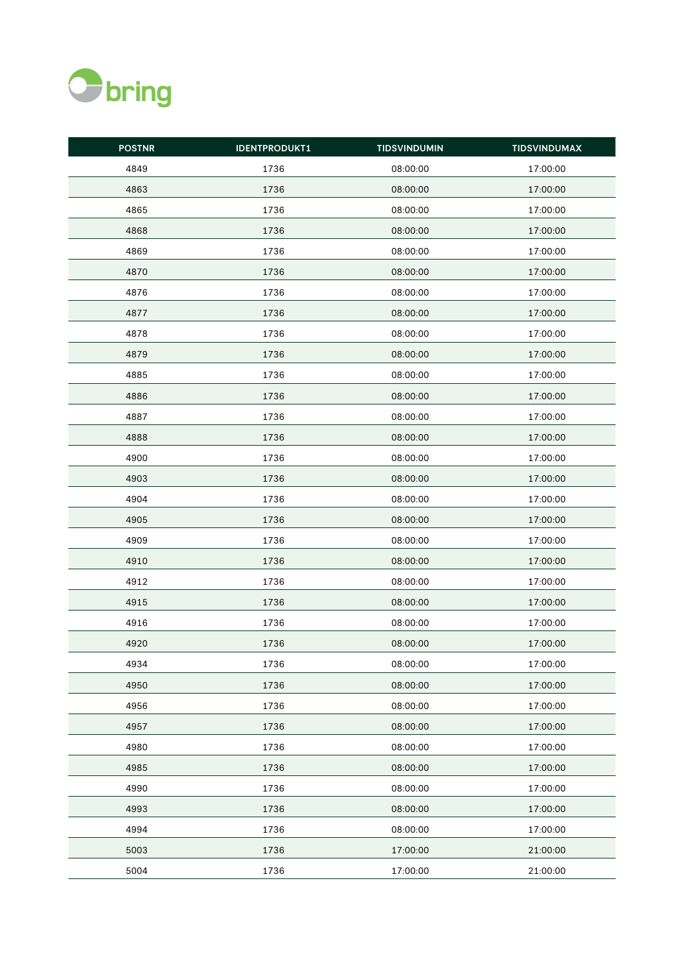

| <b>POSTNR</b> | <b>IDENTPRODUKT1</b> | <b>TIDSVINDUMIN</b> | <b>TIDSVINDUMAX</b> |
|---------------|----------------------|---------------------|---------------------|
| 4849          | 1736                 | 08:00:00            | 17:00:00            |
| 4863          | 1736                 | 08:00:00            | 17:00:00            |
| 4865          | 1736                 | 08:00:00            | 17:00:00            |
| 4868          | 1736                 | 08:00:00            | 17:00:00            |
| 4869          | 1736                 | 08:00:00            | 17:00:00            |
| 4870          | 1736                 | 08:00:00            | 17:00:00            |
| 4876          | 1736                 | 08:00:00            | 17:00:00            |
| 4877          | 1736                 | 08:00:00            | 17:00:00            |
| 4878          | 1736                 | 08:00:00            | 17:00:00            |
| 4879          | 1736                 | 08:00:00            | 17:00:00            |
| 4885          | 1736                 | 08:00:00            | 17:00:00            |
| 4886          | 1736                 | 08:00:00            | 17:00:00            |
| 4887          | 1736                 | 08:00:00            | 17:00:00            |
| 4888          | 1736                 | 08:00:00            | 17:00:00            |
| 4900          | 1736                 | 08:00:00            | 17:00:00            |
| 4903          | 1736                 | 08:00:00            | 17:00:00            |
| 4904          | 1736                 | 08:00:00            | 17:00:00            |
| 4905          | 1736                 | 08:00:00            | 17:00:00            |
| 4909          | 1736                 | 08:00:00            | 17:00:00            |
| 4910          | 1736                 | 08:00:00            | 17:00:00            |
| 4912          | 1736                 | 08:00:00            | 17:00:00            |
| 4915          | 1736                 | 08:00:00            | 17:00:00            |
| 4916          | 1736                 | 08:00:00            | 17:00:00            |
| 4920          | 1736                 | 08:00:00            | 17:00:00            |
| 4934          | 1736                 | 08:00:00            | 17:00:00            |
| 4950          | 1736                 | 08:00:00            | 17:00:00            |
| 4956          | 1736                 | 08:00:00            | 17:00:00            |
| 4957          | 1736                 | 08:00:00            | 17:00:00            |
| 4980          | 1736                 | 08:00:00            | 17:00:00            |
| 4985          | 1736                 | 08:00:00            | 17:00:00            |
| 4990          | 1736                 | 08:00:00            | 17:00:00            |
| 4993          | 1736                 | 08:00:00            | 17:00:00            |
| 4994          | 1736                 | 08:00:00            | 17:00:00            |
| 5003          | 1736                 | 17:00:00            | 21:00:00            |
| 5004          | 1736                 | 17:00:00            | 21:00:00            |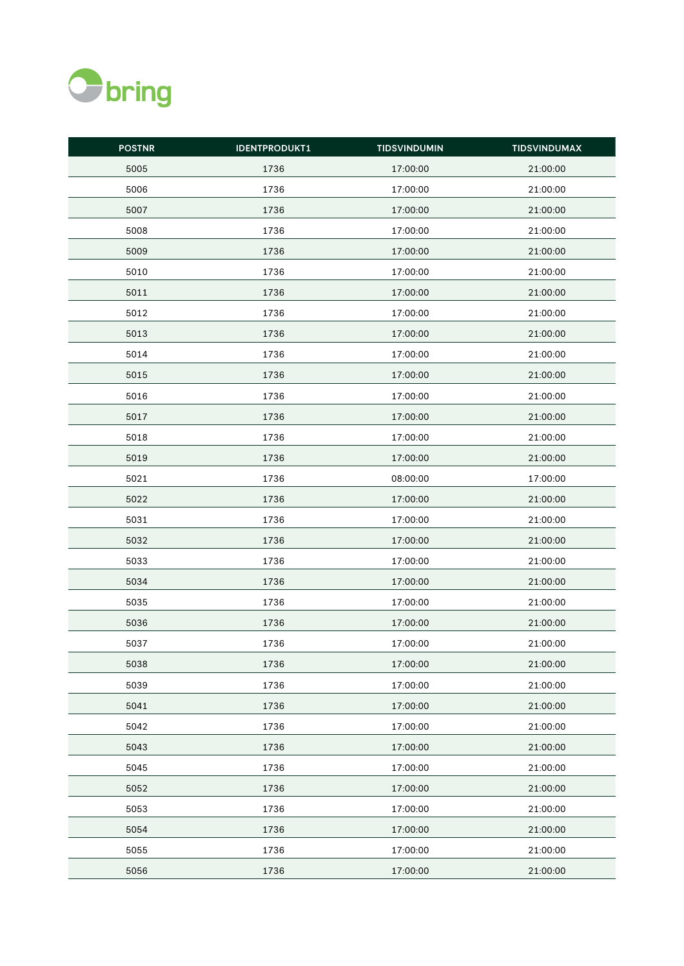

| <b>POSTNR</b> | <b>IDENTPRODUKT1</b> | <b>TIDSVINDUMIN</b> | <b>TIDSVINDUMAX</b> |
|---------------|----------------------|---------------------|---------------------|
| 5005          | 1736                 | 17:00:00            | 21:00:00            |
| 5006          | 1736                 | 17:00:00            | 21:00:00            |
| 5007          | 1736                 | 17:00:00            | 21:00:00            |
| 5008          | 1736                 | 17:00:00            | 21:00:00            |
| 5009          | 1736                 | 17:00:00            | 21:00:00            |
| 5010          | 1736                 | 17:00:00            | 21:00:00            |
| 5011          | 1736                 | 17:00:00            | 21:00:00            |
| 5012          | 1736                 | 17:00:00            | 21:00:00            |
| 5013          | 1736                 | 17:00:00            | 21:00:00            |
| 5014          | 1736                 | 17:00:00            | 21:00:00            |
| 5015          | 1736                 | 17:00:00            | 21:00:00            |
| 5016          | 1736                 | 17:00:00            | 21:00:00            |
| 5017          | 1736                 | 17:00:00            | 21:00:00            |
| 5018          | 1736                 | 17:00:00            | 21:00:00            |
| 5019          | 1736                 | 17:00:00            | 21:00:00            |
| 5021          | 1736                 | 08:00:00            | 17:00:00            |
| 5022          | 1736                 | 17:00:00            | 21:00:00            |
| 5031          | 1736                 | 17:00:00            | 21:00:00            |
| 5032          | 1736                 | 17:00:00            | 21:00:00            |
| 5033          | 1736                 | 17:00:00            | 21:00:00            |
| 5034          | 1736                 | 17:00:00            | 21:00:00            |
| 5035          | 1736                 | 17:00:00            | 21:00:00            |
| 5036          | 1736                 | 17:00:00            | 21:00:00            |
| 5037          | 1736                 | 17:00:00            | 21:00:00            |
| 5038          | 1736                 | 17:00:00            | 21:00:00            |
| 5039          | 1736                 | 17:00:00            | 21:00:00            |
| 5041          | 1736                 | 17:00:00            | 21:00:00            |
| 5042          | 1736                 | 17:00:00            | 21:00:00            |
| 5043          | 1736                 | 17:00:00            | 21:00:00            |
| 5045          | 1736                 | 17:00:00            | 21:00:00            |
| 5052          | 1736                 | 17:00:00            | 21:00:00            |
| 5053          | 1736                 | 17:00:00            | 21:00:00            |
| 5054          | 1736                 | 17:00:00            | 21:00:00            |
| 5055          | 1736                 | 17:00:00            | 21:00:00            |
| 5056          | 1736                 | 17:00:00            | 21:00:00            |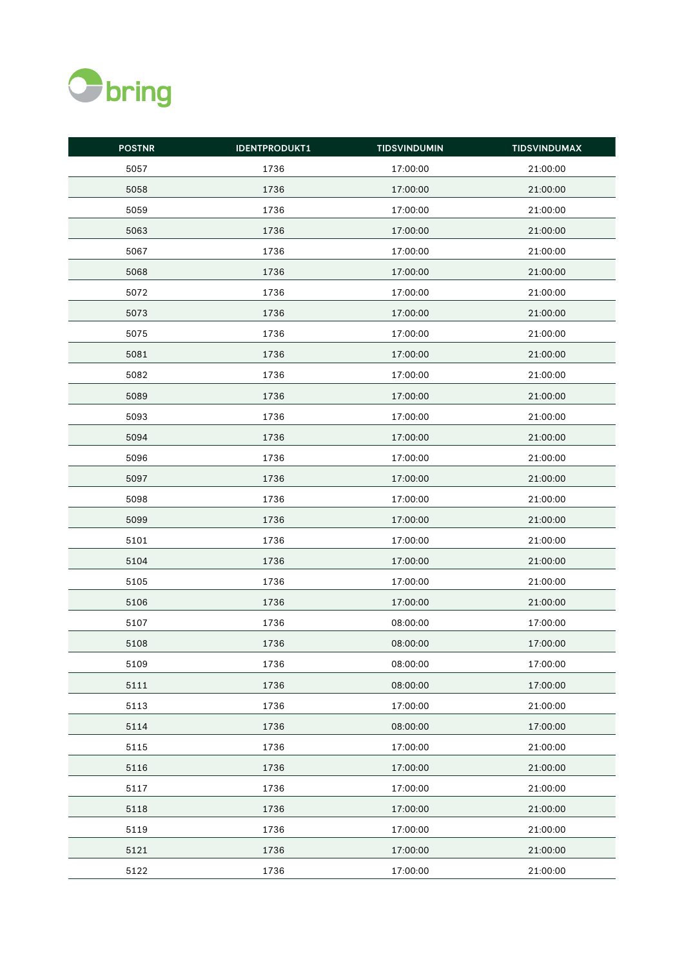

| <b>POSTNR</b> | <b>IDENTPRODUKT1</b> | <b>TIDSVINDUMIN</b> | <b>TIDSVINDUMAX</b> |
|---------------|----------------------|---------------------|---------------------|
| 5057          | 1736                 | 17:00:00            | 21:00:00            |
| 5058          | 1736                 | 17:00:00            | 21:00:00            |
| 5059          | 1736                 | 17:00:00            | 21:00:00            |
| 5063          | 1736                 | 17:00:00            | 21:00:00            |
| 5067          | 1736                 | 17:00:00            | 21:00:00            |
| 5068          | 1736                 | 17:00:00            | 21:00:00            |
| 5072          | 1736                 | 17:00:00            | 21:00:00            |
| 5073          | 1736                 | 17:00:00            | 21:00:00            |
| 5075          | 1736                 | 17:00:00            | 21:00:00            |
| 5081          | 1736                 | 17:00:00            | 21:00:00            |
| 5082          | 1736                 | 17:00:00            | 21:00:00            |
| 5089          | 1736                 | 17:00:00            | 21:00:00            |
| 5093          | 1736                 | 17:00:00            | 21:00:00            |
| 5094          | 1736                 | 17:00:00            | 21:00:00            |
| 5096          | 1736                 | 17:00:00            | 21:00:00            |
| 5097          | 1736                 | 17:00:00            | 21:00:00            |
| 5098          | 1736                 | 17:00:00            | 21:00:00            |
| 5099          | 1736                 | 17:00:00            | 21:00:00            |
| 5101          | 1736                 | 17:00:00            | 21:00:00            |
| 5104          | 1736                 | 17:00:00            | 21:00:00            |
| 5105          | 1736                 | 17:00:00            | 21:00:00            |
| 5106          | 1736                 | 17:00:00            | 21:00:00            |
| 5107          | 1736                 | 08:00:00            | 17:00:00            |
| 5108          | 1736                 | 08:00:00            | 17:00:00            |
| 5109          | 1736                 | 08:00:00            | 17:00:00            |
| 5111          | 1736                 | 08:00:00            | 17:00:00            |
| 5113          | 1736                 | 17:00:00            | 21:00:00            |
| 5114          | 1736                 | 08:00:00            | 17:00:00            |
| 5115          | 1736                 | 17:00:00            | 21:00:00            |
| 5116          | 1736                 | 17:00:00            | 21:00:00            |
| 5117          | 1736                 | 17:00:00            | 21:00:00            |
| 5118          | 1736                 | 17:00:00            | 21:00:00            |
| 5119          | 1736                 | 17:00:00            | 21:00:00            |
| 5121          | 1736                 | 17:00:00            | 21:00:00            |
| 5122          | 1736                 | 17:00:00            | 21:00:00            |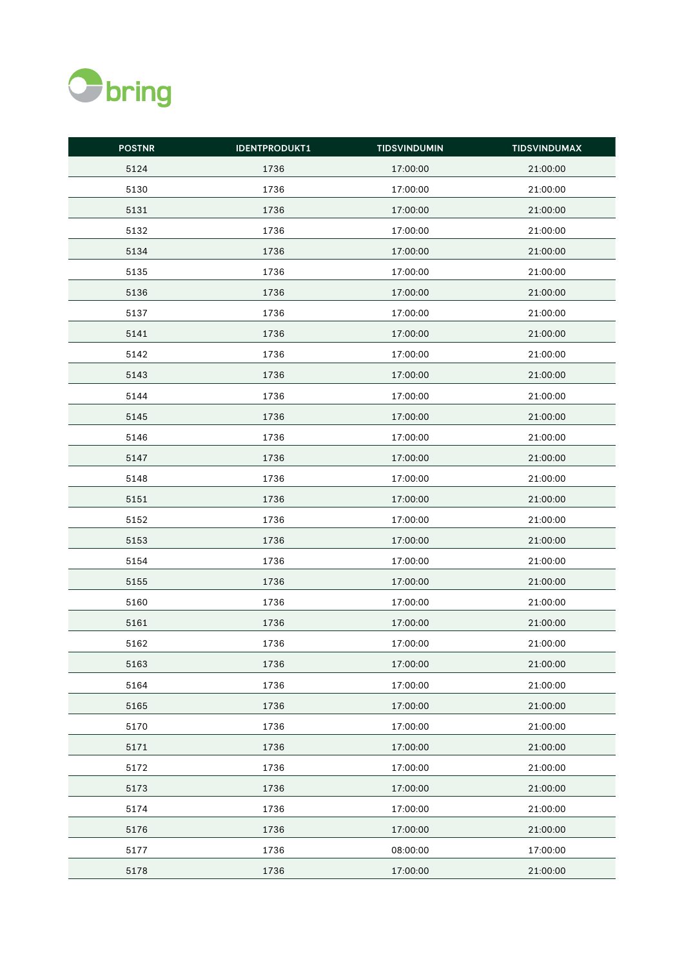

| <b>POSTNR</b> | <b>IDENTPRODUKT1</b> | <b>TIDSVINDUMIN</b> | <b>TIDSVINDUMAX</b> |
|---------------|----------------------|---------------------|---------------------|
| 5124          | 1736                 | 17:00:00            | 21:00:00            |
| 5130          | 1736                 | 17:00:00            | 21:00:00            |
| 5131          | 1736                 | 17:00:00            | 21:00:00            |
| 5132          | 1736                 | 17:00:00            | 21:00:00            |
| 5134          | 1736                 | 17:00:00            | 21:00:00            |
| 5135          | 1736                 | 17:00:00            | 21:00:00            |
| 5136          | 1736                 | 17:00:00            | 21:00:00            |
| 5137          | 1736                 | 17:00:00            | 21:00:00            |
| 5141          | 1736                 | 17:00:00            | 21:00:00            |
| 5142          | 1736                 | 17:00:00            | 21:00:00            |
| 5143          | 1736                 | 17:00:00            | 21:00:00            |
| 5144          | 1736                 | 17:00:00            | 21:00:00            |
| 5145          | 1736                 | 17:00:00            | 21:00:00            |
| 5146          | 1736                 | 17:00:00            | 21:00:00            |
| 5147          | 1736                 | 17:00:00            | 21:00:00            |
| 5148          | 1736                 | 17:00:00            | 21:00:00            |
| 5151          | 1736                 | 17:00:00            | 21:00:00            |
| 5152          | 1736                 | 17:00:00            | 21:00:00            |
| 5153          | 1736                 | 17:00:00            | 21:00:00            |
| 5154          | 1736                 | 17:00:00            | 21:00:00            |
| 5155          | 1736                 | 17:00:00            | 21:00:00            |
| 5160          | 1736                 | 17:00:00            | 21:00:00            |
| 5161          | 1736                 | 17:00:00            | 21:00:00            |
| 5162          | 1736                 | 17:00:00            | 21:00:00            |
| 5163          | 1736                 | 17:00:00            | 21:00:00            |
| 5164          | 1736                 | 17:00:00            | 21:00:00            |
| 5165          | 1736                 | 17:00:00            | 21:00:00            |
| 5170          | 1736                 | 17:00:00            | 21:00:00            |
| 5171          | 1736                 | 17:00:00            | 21:00:00            |
| 5172          | 1736                 | 17:00:00            | 21:00:00            |
| 5173          | 1736                 | 17:00:00            | 21:00:00            |
| 5174          | 1736                 | 17:00:00            | 21:00:00            |
| 5176          | 1736                 | 17:00:00            | 21:00:00            |
| 5177          | 1736                 | 08:00:00            | 17:00:00            |
| 5178          | 1736                 | 17:00:00            | 21:00:00            |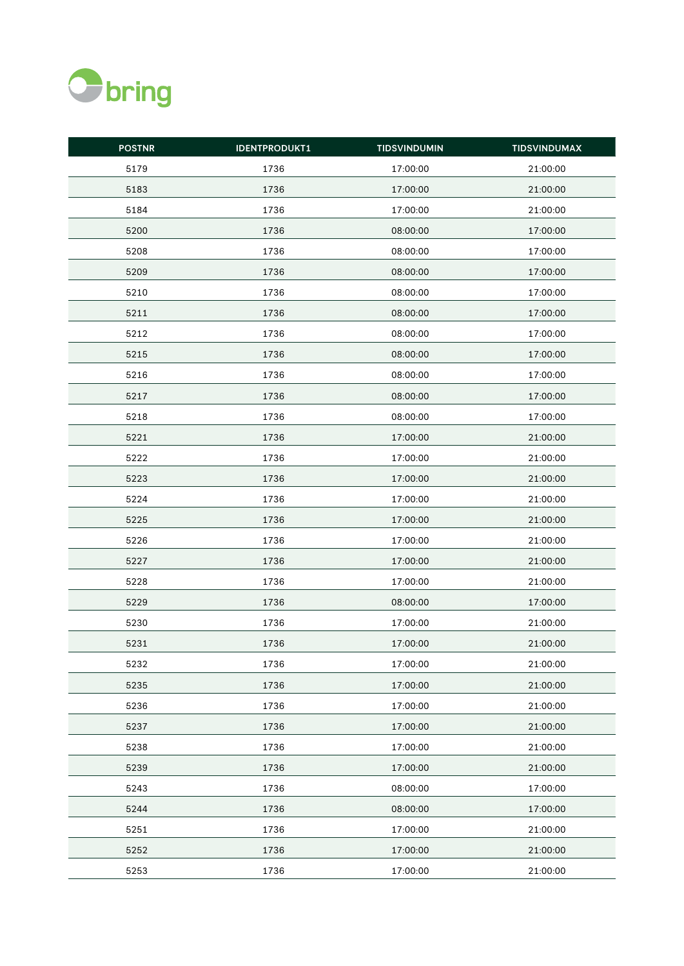

| <b>POSTNR</b> | <b>IDENTPRODUKT1</b> | <b>TIDSVINDUMIN</b> | <b>TIDSVINDUMAX</b> |
|---------------|----------------------|---------------------|---------------------|
| 5179          | 1736                 | 17:00:00            | 21:00:00            |
| 5183          | 1736                 | 17:00:00            | 21:00:00            |
| 5184          | 1736                 | 17:00:00            | 21:00:00            |
| 5200          | 1736                 | 08:00:00            | 17:00:00            |
| 5208          | 1736                 | 08:00:00            | 17:00:00            |
| 5209          | 1736                 | 08:00:00            | 17:00:00            |
| 5210          | 1736                 | 08:00:00            | 17:00:00            |
| 5211          | 1736                 | 08:00:00            | 17:00:00            |
| 5212          | 1736                 | 08:00:00            | 17:00:00            |
| 5215          | 1736                 | 08:00:00            | 17:00:00            |
| 5216          | 1736                 | 08:00:00            | 17:00:00            |
| 5217          | 1736                 | 08:00:00            | 17:00:00            |
| 5218          | 1736                 | 08:00:00            | 17:00:00            |
| 5221          | 1736                 | 17:00:00            | 21:00:00            |
| 5222          | 1736                 | 17:00:00            | 21:00:00            |
| 5223          | 1736                 | 17:00:00            | 21:00:00            |
| 5224          | 1736                 | 17:00:00            | 21:00:00            |
| 5225          | 1736                 | 17:00:00            | 21:00:00            |
| 5226          | 1736                 | 17:00:00            | 21:00:00            |
| 5227          | 1736                 | 17:00:00            | 21:00:00            |
| 5228          | 1736                 | 17:00:00            | 21:00:00            |
| 5229          | 1736                 | 08:00:00            | 17:00:00            |
| 5230          | 1736                 | 17:00:00            | 21:00:00            |
| 5231          | 1736                 | 17:00:00            | 21:00:00            |
| 5232          | 1736                 | 17:00:00            | 21:00:00            |
| 5235          | 1736                 | 17:00:00            | 21:00:00            |
| 5236          | 1736                 | 17:00:00            | 21:00:00            |
| 5237          | 1736                 | 17:00:00            | 21:00:00            |
| 5238          | 1736                 | 17:00:00            | 21:00:00            |
| 5239          | 1736                 | 17:00:00            | 21:00:00            |
| 5243          | 1736                 | 08:00:00            | 17:00:00            |
| 5244          | 1736                 | 08:00:00            | 17:00:00            |
| 5251          | 1736                 | 17:00:00            | 21:00:00            |
| 5252          | 1736                 | 17:00:00            | 21:00:00            |
| 5253          | 1736                 | 17:00:00            | 21:00:00            |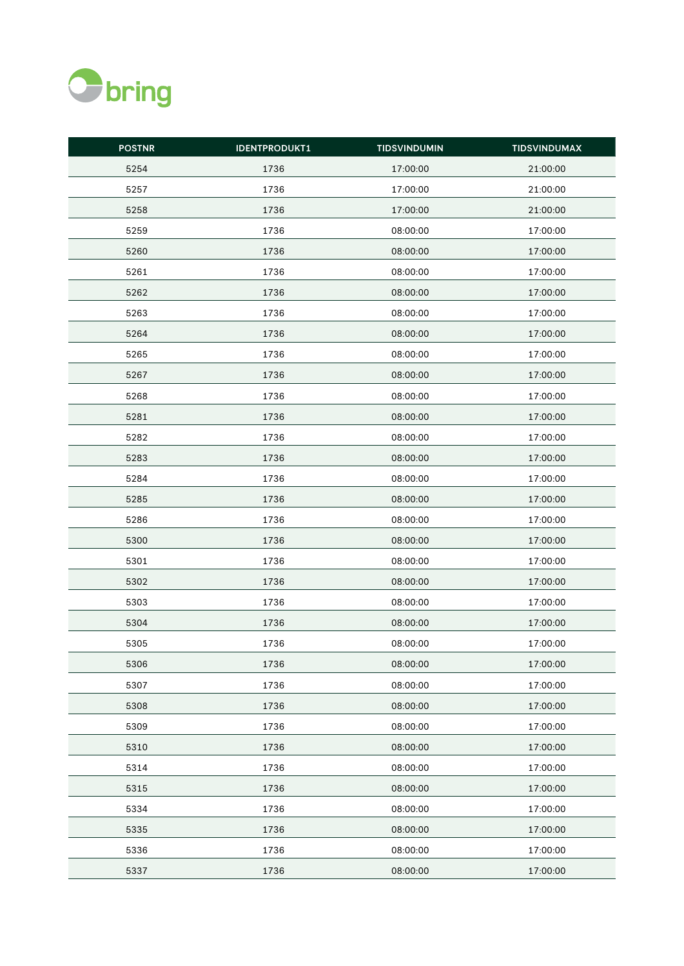

| <b>POSTNR</b> | <b>IDENTPRODUKT1</b> | <b>TIDSVINDUMIN</b> | <b>TIDSVINDUMAX</b> |
|---------------|----------------------|---------------------|---------------------|
| 5254          | 1736                 | 17:00:00            | 21:00:00            |
| 5257          | 1736                 | 17:00:00            | 21:00:00            |
| 5258          | 1736                 | 17:00:00            | 21:00:00            |
| 5259          | 1736                 | 08:00:00            | 17:00:00            |
| 5260          | 1736                 | 08:00:00            | 17:00:00            |
| 5261          | 1736                 | 08:00:00            | 17:00:00            |
| 5262          | 1736                 | 08:00:00            | 17:00:00            |
| 5263          | 1736                 | 08:00:00            | 17:00:00            |
| 5264          | 1736                 | 08:00:00            | 17:00:00            |
| 5265          | 1736                 | 08:00:00            | 17:00:00            |
| 5267          | 1736                 | 08:00:00            | 17:00:00            |
| 5268          | 1736                 | 08:00:00            | 17:00:00            |
| 5281          | 1736                 | 08:00:00            | 17:00:00            |
| 5282          | 1736                 | 08:00:00            | 17:00:00            |
| 5283          | 1736                 | 08:00:00            | 17:00:00            |
| 5284          | 1736                 | 08:00:00            | 17:00:00            |
| 5285          | 1736                 | 08:00:00            | 17:00:00            |
| 5286          | 1736                 | 08:00:00            | 17:00:00            |
| 5300          | 1736                 | 08:00:00            | 17:00:00            |
| 5301          | 1736                 | 08:00:00            | 17:00:00            |
| 5302          | 1736                 | 08:00:00            | 17:00:00            |
| 5303          | 1736                 | 08:00:00            | 17:00:00            |
| 5304          | 1736                 | 08:00:00            | 17:00:00            |
| 5305          | 1736                 | 08:00:00            | 17:00:00            |
| 5306          | 1736                 | 08:00:00            | 17:00:00            |
| 5307          | 1736                 | 08:00:00            | 17:00:00            |
| 5308          | 1736                 | 08:00:00            | 17:00:00            |
| 5309          | 1736                 | 08:00:00            | 17:00:00            |
| 5310          | 1736                 | 08:00:00            | 17:00:00            |
| 5314          | 1736                 | 08:00:00            | 17:00:00            |
| 5315          | 1736                 | 08:00:00            | 17:00:00            |
| 5334          | 1736                 | 08:00:00            | 17:00:00            |
| 5335          | 1736                 | 08:00:00            | 17:00:00            |
| 5336          | 1736                 | 08:00:00            | 17:00:00            |
| 5337          | 1736                 | 08:00:00            | 17:00:00            |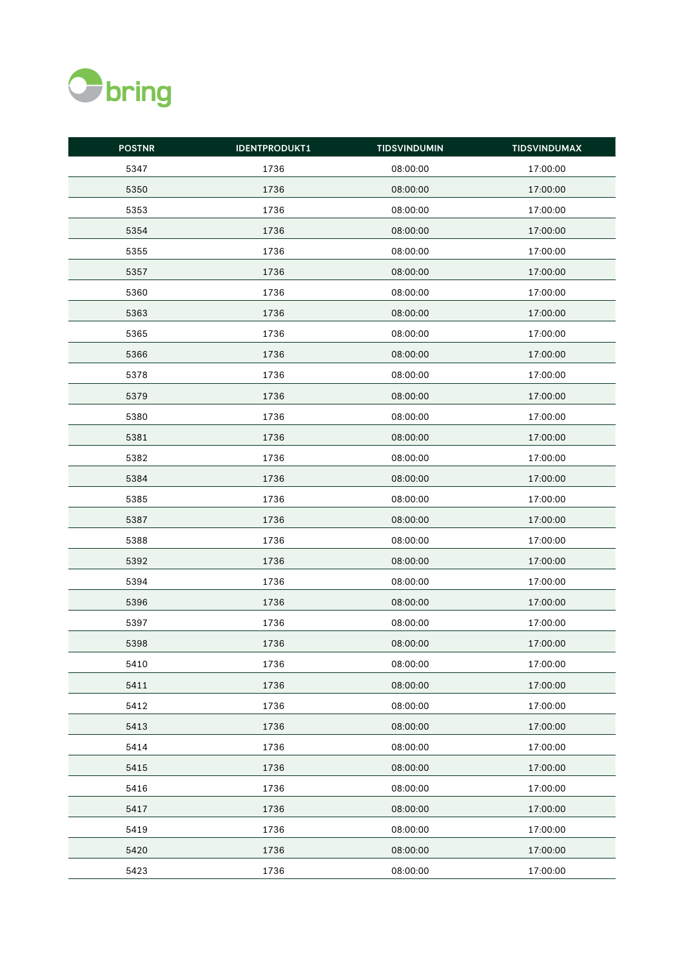

| <b>POSTNR</b> | <b>IDENTPRODUKT1</b> | <b>TIDSVINDUMIN</b> | <b>TIDSVINDUMAX</b> |
|---------------|----------------------|---------------------|---------------------|
| 5347          | 1736                 | 08:00:00            | 17:00:00            |
| 5350          | 1736                 | 08:00:00            | 17:00:00            |
| 5353          | 1736                 | 08:00:00            | 17:00:00            |
| 5354          | 1736                 | 08:00:00            | 17:00:00            |
| 5355          | 1736                 | 08:00:00            | 17:00:00            |
| 5357          | 1736                 | 08:00:00            | 17:00:00            |
| 5360          | 1736                 | 08:00:00            | 17:00:00            |
| 5363          | 1736                 | 08:00:00            | 17:00:00            |
| 5365          | 1736                 | 08:00:00            | 17:00:00            |
| 5366          | 1736                 | 08:00:00            | 17:00:00            |
| 5378          | 1736                 | 08:00:00            | 17:00:00            |
| 5379          | 1736                 | 08:00:00            | 17:00:00            |
| 5380          | 1736                 | 08:00:00            | 17:00:00            |
| 5381          | 1736                 | 08:00:00            | 17:00:00            |
| 5382          | 1736                 | 08:00:00            | 17:00:00            |
| 5384          | 1736                 | 08:00:00            | 17:00:00            |
| 5385          | 1736                 | 08:00:00            | 17:00:00            |
| 5387          | 1736                 | 08:00:00            | 17:00:00            |
| 5388          | 1736                 | 08:00:00            | 17:00:00            |
| 5392          | 1736                 | 08:00:00            | 17:00:00            |
| 5394          | 1736                 | 08:00:00            | 17:00:00            |
| 5396          | 1736                 | 08:00:00            | 17:00:00            |
| 5397          | 1736                 | 08:00:00            | 17:00:00            |
| 5398          | 1736                 | 08:00:00            | 17:00:00            |
| 5410          | 1736                 | 08:00:00            | 17:00:00            |
| 5411          | 1736                 | 08:00:00            | 17:00:00            |
| 5412          | 1736                 | 08:00:00            | 17:00:00            |
| 5413          | 1736                 | 08:00:00            | 17:00:00            |
| 5414          | 1736                 | 08:00:00            | 17:00:00            |
| 5415          | 1736                 | 08:00:00            | 17:00:00            |
| 5416          | 1736                 | 08:00:00            | 17:00:00            |
| 5417          | 1736                 | 08:00:00            | 17:00:00            |
| 5419          | 1736                 | 08:00:00            | 17:00:00            |
| 5420          | 1736                 | 08:00:00            | 17:00:00            |
| 5423          | 1736                 | 08:00:00            | 17:00:00            |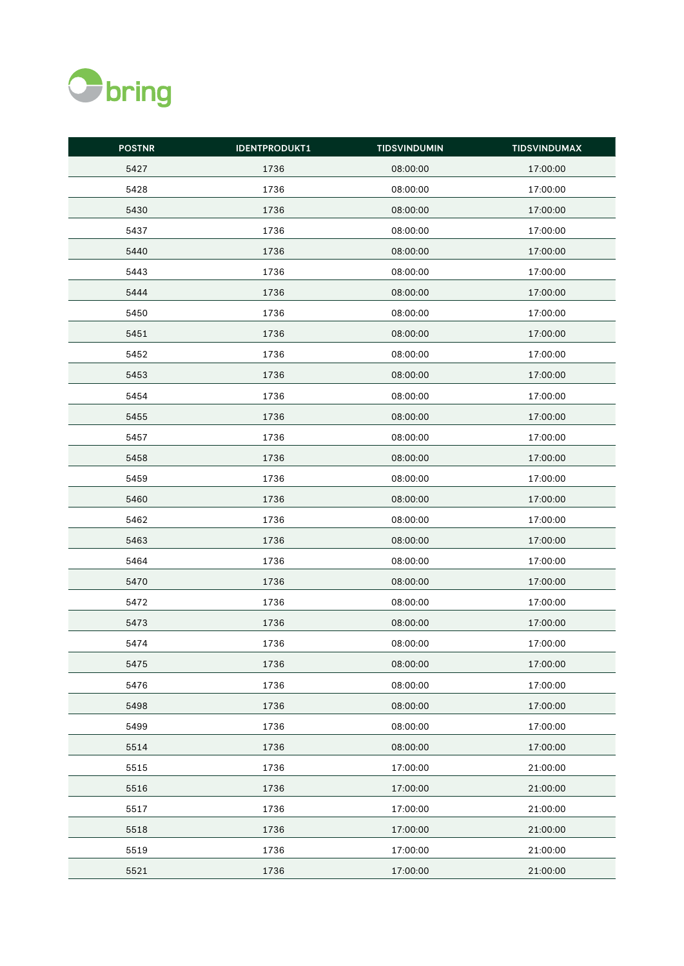

| <b>POSTNR</b> | <b>IDENTPRODUKT1</b> | <b>TIDSVINDUMIN</b> | <b>TIDSVINDUMAX</b> |
|---------------|----------------------|---------------------|---------------------|
| 5427          | 1736                 | 08:00:00            | 17:00:00            |
| 5428          | 1736                 | 08:00:00            | 17:00:00            |
| 5430          | 1736                 | 08:00:00            | 17:00:00            |
| 5437          | 1736                 | 08:00:00            | 17:00:00            |
| 5440          | 1736                 | 08:00:00            | 17:00:00            |
| 5443          | 1736                 | 08:00:00            | 17:00:00            |
| 5444          | 1736                 | 08:00:00            | 17:00:00            |
| 5450          | 1736                 | 08:00:00            | 17:00:00            |
| 5451          | 1736                 | 08:00:00            | 17:00:00            |
| 5452          | 1736                 | 08:00:00            | 17:00:00            |
| 5453          | 1736                 | 08:00:00            | 17:00:00            |
| 5454          | 1736                 | 08:00:00            | 17:00:00            |
| 5455          | 1736                 | 08:00:00            | 17:00:00            |
| 5457          | 1736                 | 08:00:00            | 17:00:00            |
| 5458          | 1736                 | 08:00:00            | 17:00:00            |
| 5459          | 1736                 | 08:00:00            | 17:00:00            |
| 5460          | 1736                 | 08:00:00            | 17:00:00            |
| 5462          | 1736                 | 08:00:00            | 17:00:00            |
| 5463          | 1736                 | 08:00:00            | 17:00:00            |
| 5464          | 1736                 | 08:00:00            | 17:00:00            |
| 5470          | 1736                 | 08:00:00            | 17:00:00            |
| 5472          | 1736                 | 08:00:00            | 17:00:00            |
| 5473          | 1736                 | 08:00:00            | 17:00:00            |
| 5474          | 1736                 | 08:00:00            | 17:00:00            |
| 5475          | 1736                 | 08:00:00            | 17:00:00            |
| 5476          | 1736                 | 08:00:00            | 17:00:00            |
| 5498          | 1736                 | 08:00:00            | 17:00:00            |
| 5499          | 1736                 | 08:00:00            | 17:00:00            |
| 5514          | 1736                 | 08:00:00            | 17:00:00            |
| 5515          | 1736                 | 17:00:00            | 21:00:00            |
| 5516          | 1736                 | 17:00:00            | 21:00:00            |
| 5517          | 1736                 | 17:00:00            | 21:00:00            |
| 5518          | 1736                 | 17:00:00            | 21:00:00            |
| 5519          | 1736                 | 17:00:00            | 21:00:00            |
| 5521          | 1736                 | 17:00:00            | 21:00:00            |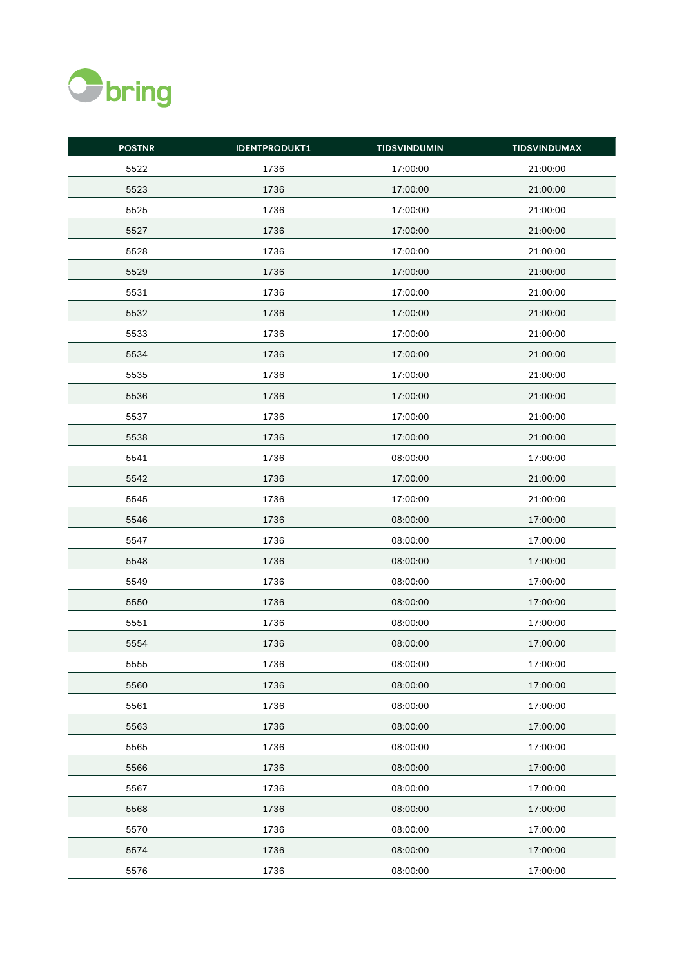

| <b>POSTNR</b> | <b>IDENTPRODUKT1</b> | <b>TIDSVINDUMIN</b> | <b>TIDSVINDUMAX</b> |
|---------------|----------------------|---------------------|---------------------|
| 5522          | 1736                 | 17:00:00            | 21:00:00            |
| 5523          | 1736                 | 17:00:00            | 21:00:00            |
| 5525          | 1736                 | 17:00:00            | 21:00:00            |
| 5527          | 1736                 | 17:00:00            | 21:00:00            |
| 5528          | 1736                 | 17:00:00            | 21:00:00            |
| 5529          | 1736                 | 17:00:00            | 21:00:00            |
| 5531          | 1736                 | 17:00:00            | 21:00:00            |
| 5532          | 1736                 | 17:00:00            | 21:00:00            |
| 5533          | 1736                 | 17:00:00            | 21:00:00            |
| 5534          | 1736                 | 17:00:00            | 21:00:00            |
| 5535          | 1736                 | 17:00:00            | 21:00:00            |
| 5536          | 1736                 | 17:00:00            | 21:00:00            |
| 5537          | 1736                 | 17:00:00            | 21:00:00            |
| 5538          | 1736                 | 17:00:00            | 21:00:00            |
| 5541          | 1736                 | 08:00:00            | 17:00:00            |
| 5542          | 1736                 | 17:00:00            | 21:00:00            |
| 5545          | 1736                 | 17:00:00            | 21:00:00            |
| 5546          | 1736                 | 08:00:00            | 17:00:00            |
| 5547          | 1736                 | 08:00:00            | 17:00:00            |
| 5548          | 1736                 | 08:00:00            | 17:00:00            |
| 5549          | 1736                 | 08:00:00            | 17:00:00            |
| 5550          | 1736                 | 08:00:00            | 17:00:00            |
| 5551          | 1736                 | 08:00:00            | 17:00:00            |
| 5554          | 1736                 | 08:00:00            | 17:00:00            |
| 5555          | 1736                 | 08:00:00            | 17:00:00            |
| 5560          | 1736                 | 08:00:00            | 17:00:00            |
| 5561          | 1736                 | 08:00:00            | 17:00:00            |
| 5563          | 1736                 | 08:00:00            | 17:00:00            |
| 5565          | 1736                 | 08:00:00            | 17:00:00            |
| 5566          | 1736                 | 08:00:00            | 17:00:00            |
| 5567          | 1736                 | 08:00:00            | 17:00:00            |
| 5568          | 1736                 | 08:00:00            | 17:00:00            |
| 5570          | 1736                 | 08:00:00            | 17:00:00            |
| 5574          | 1736                 | 08:00:00            | 17:00:00            |
| 5576          | 1736                 | 08:00:00            | 17:00:00            |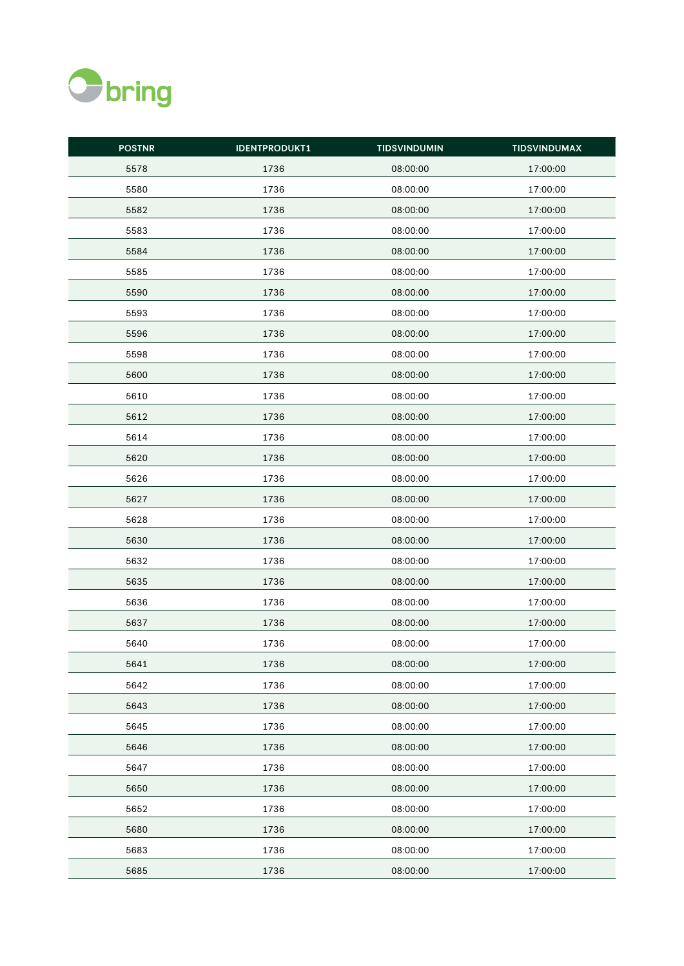

| <b>POSTNR</b> | <b>IDENTPRODUKT1</b> | <b>TIDSVINDUMIN</b> | <b>TIDSVINDUMAX</b> |
|---------------|----------------------|---------------------|---------------------|
| 5578          | 1736                 | 08:00:00            | 17:00:00            |
| 5580          | 1736                 | 08:00:00            | 17:00:00            |
| 5582          | 1736                 | 08:00:00            | 17:00:00            |
| 5583          | 1736                 | 08:00:00            | 17:00:00            |
| 5584          | 1736                 | 08:00:00            | 17:00:00            |
| 5585          | 1736                 | 08:00:00            | 17:00:00            |
| 5590          | 1736                 | 08:00:00            | 17:00:00            |
| 5593          | 1736                 | 08:00:00            | 17:00:00            |
| 5596          | 1736                 | 08:00:00            | 17:00:00            |
| 5598          | 1736                 | 08:00:00            | 17:00:00            |
| 5600          | 1736                 | 08:00:00            | 17:00:00            |
| 5610          | 1736                 | 08:00:00            | 17:00:00            |
| 5612          | 1736                 | 08:00:00            | 17:00:00            |
| 5614          | 1736                 | 08:00:00            | 17:00:00            |
| 5620          | 1736                 | 08:00:00            | 17:00:00            |
| 5626          | 1736                 | 08:00:00            | 17:00:00            |
| 5627          | 1736                 | 08:00:00            | 17:00:00            |
| 5628          | 1736                 | 08:00:00            | 17:00:00            |
| 5630          | 1736                 | 08:00:00            | 17:00:00            |
| 5632          | 1736                 | 08:00:00            | 17:00:00            |
| 5635          | 1736                 | 08:00:00            | 17:00:00            |
| 5636          | 1736                 | 08:00:00            | 17:00:00            |
| 5637          | 1736                 | 08:00:00            | 17:00:00            |
| 5640          | 1736                 | 08:00:00            | 17:00:00            |
| 5641          | 1736                 | 08:00:00            | 17:00:00            |
| 5642          | 1736                 | 08:00:00            | 17:00:00            |
| 5643          | 1736                 | 08:00:00            | 17:00:00            |
| 5645          | 1736                 | 08:00:00            | 17:00:00            |
| 5646          | 1736                 | 08:00:00            | 17:00:00            |
| 5647          | 1736                 | 08:00:00            | 17:00:00            |
| 5650          | 1736                 | 08:00:00            | 17:00:00            |
| 5652          | 1736                 | 08:00:00            | 17:00:00            |
| 5680          | 1736                 | 08:00:00            | 17:00:00            |
| 5683          | 1736                 | 08:00:00            | 17:00:00            |
| 5685          | 1736                 | 08:00:00            | 17:00:00            |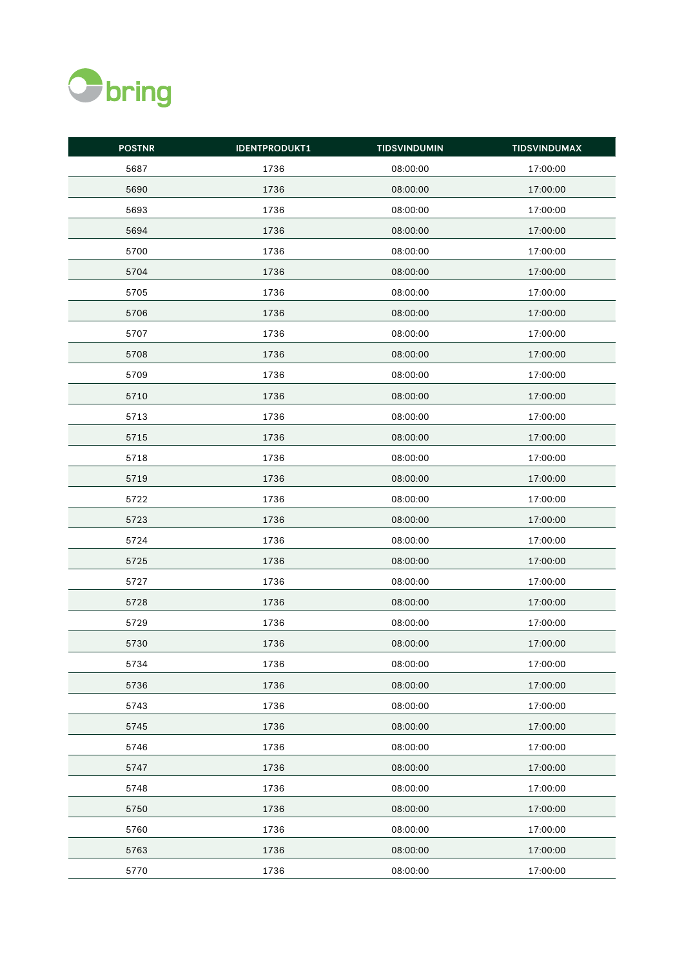

| <b>POSTNR</b> | <b>IDENTPRODUKT1</b> | <b>TIDSVINDUMIN</b> | <b>TIDSVINDUMAX</b> |
|---------------|----------------------|---------------------|---------------------|
| 5687          | 1736                 | 08:00:00            | 17:00:00            |
| 5690          | 1736                 | 08:00:00            | 17:00:00            |
| 5693          | 1736                 | 08:00:00            | 17:00:00            |
| 5694          | 1736                 | 08:00:00            | 17:00:00            |
| 5700          | 1736                 | 08:00:00            | 17:00:00            |
| 5704          | 1736                 | 08:00:00            | 17:00:00            |
| 5705          | 1736                 | 08:00:00            | 17:00:00            |
| 5706          | 1736                 | 08:00:00            | 17:00:00            |
| 5707          | 1736                 | 08:00:00            | 17:00:00            |
| 5708          | 1736                 | 08:00:00            | 17:00:00            |
| 5709          | 1736                 | 08:00:00            | 17:00:00            |
| 5710          | 1736                 | 08:00:00            | 17:00:00            |
| 5713          | 1736                 | 08:00:00            | 17:00:00            |
| 5715          | 1736                 | 08:00:00            | 17:00:00            |
| 5718          | 1736                 | 08:00:00            | 17:00:00            |
| 5719          | 1736                 | 08:00:00            | 17:00:00            |
| 5722          | 1736                 | 08:00:00            | 17:00:00            |
| 5723          | 1736                 | 08:00:00            | 17:00:00            |
| 5724          | 1736                 | 08:00:00            | 17:00:00            |
| 5725          | 1736                 | 08:00:00            | 17:00:00            |
| 5727          | 1736                 | 08:00:00            | 17:00:00            |
| 5728          | 1736                 | 08:00:00            | 17:00:00            |
| 5729          | 1736                 | 08:00:00            | 17:00:00            |
| 5730          | 1736                 | 08:00:00            | 17:00:00            |
| 5734          | 1736                 | 08:00:00            | 17:00:00            |
| 5736          | 1736                 | 08:00:00            | 17:00:00            |
| 5743          | 1736                 | 08:00:00            | 17:00:00            |
| 5745          | 1736                 | 08:00:00            | 17:00:00            |
| 5746          | 1736                 | 08:00:00            | 17:00:00            |
| 5747          | 1736                 | 08:00:00            | 17:00:00            |
| 5748          | 1736                 | 08:00:00            | 17:00:00            |
| 5750          | 1736                 | 08:00:00            | 17:00:00            |
| 5760          | 1736                 | 08:00:00            | 17:00:00            |
| 5763          | 1736                 | 08:00:00            | 17:00:00            |
| 5770          | 1736                 | 08:00:00            | 17:00:00            |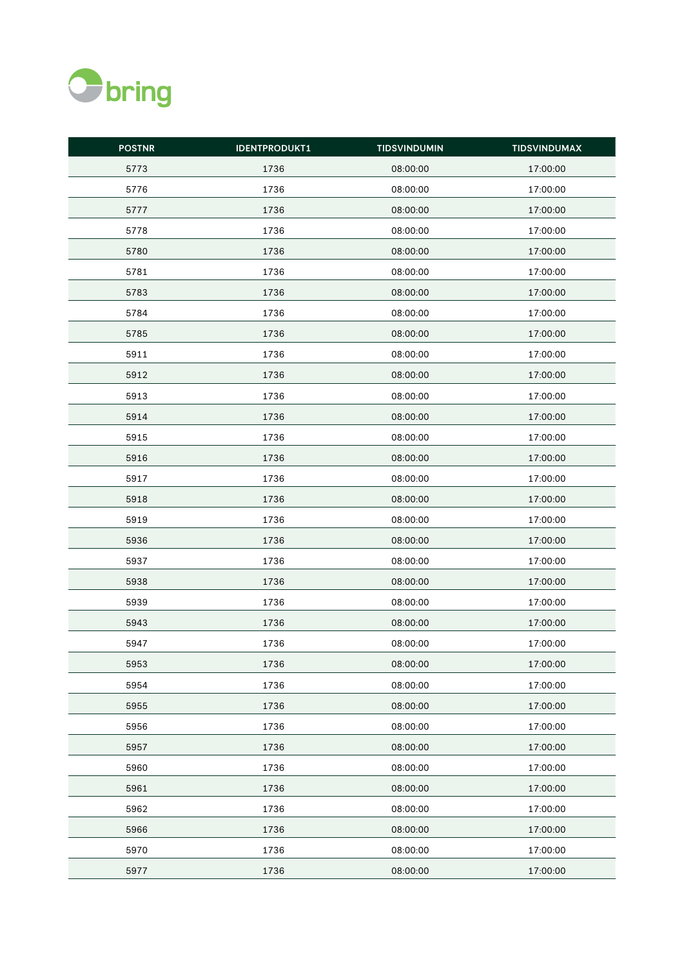

| <b>POSTNR</b> | <b>IDENTPRODUKT1</b> | <b>TIDSVINDUMIN</b> | <b>TIDSVINDUMAX</b> |
|---------------|----------------------|---------------------|---------------------|
| 5773          | 1736                 | 08:00:00            | 17:00:00            |
| 5776          | 1736                 | 08:00:00            | 17:00:00            |
| 5777          | 1736                 | 08:00:00            | 17:00:00            |
| 5778          | 1736                 | 08:00:00            | 17:00:00            |
| 5780          | 1736                 | 08:00:00            | 17:00:00            |
| 5781          | 1736                 | 08:00:00            | 17:00:00            |
| 5783          | 1736                 | 08:00:00            | 17:00:00            |
| 5784          | 1736                 | 08:00:00            | 17:00:00            |
| 5785          | 1736                 | 08:00:00            | 17:00:00            |
| 5911          | 1736                 | 08:00:00            | 17:00:00            |
| 5912          | 1736                 | 08:00:00            | 17:00:00            |
| 5913          | 1736                 | 08:00:00            | 17:00:00            |
| 5914          | 1736                 | 08:00:00            | 17:00:00            |
| 5915          | 1736                 | 08:00:00            | 17:00:00            |
| 5916          | 1736                 | 08:00:00            | 17:00:00            |
| 5917          | 1736                 | 08:00:00            | 17:00:00            |
| 5918          | 1736                 | 08:00:00            | 17:00:00            |
| 5919          | 1736                 | 08:00:00            | 17:00:00            |
| 5936          | 1736                 | 08:00:00            | 17:00:00            |
| 5937          | 1736                 | 08:00:00            | 17:00:00            |
| 5938          | 1736                 | 08:00:00            | 17:00:00            |
| 5939          | 1736                 | 08:00:00            | 17:00:00            |
| 5943          | 1736                 | 08:00:00            | 17:00:00            |
| 5947          | 1736                 | 08:00:00            | 17:00:00            |
| 5953          | 1736                 | 08:00:00            | 17:00:00            |
| 5954          | 1736                 | 08:00:00            | 17:00:00            |
| 5955          | 1736                 | 08:00:00            | 17:00:00            |
| 5956          | 1736                 | 08:00:00            | 17:00:00            |
| 5957          | 1736                 | 08:00:00            | 17:00:00            |
| 5960          | 1736                 | 08:00:00            | 17:00:00            |
| 5961          | 1736                 | 08:00:00            | 17:00:00            |
| 5962          | 1736                 | 08:00:00            | 17:00:00            |
| 5966          | 1736                 | 08:00:00            | 17:00:00            |
| 5970          | 1736                 | 08:00:00            | 17:00:00            |
| 5977          | 1736                 | 08:00:00            | 17:00:00            |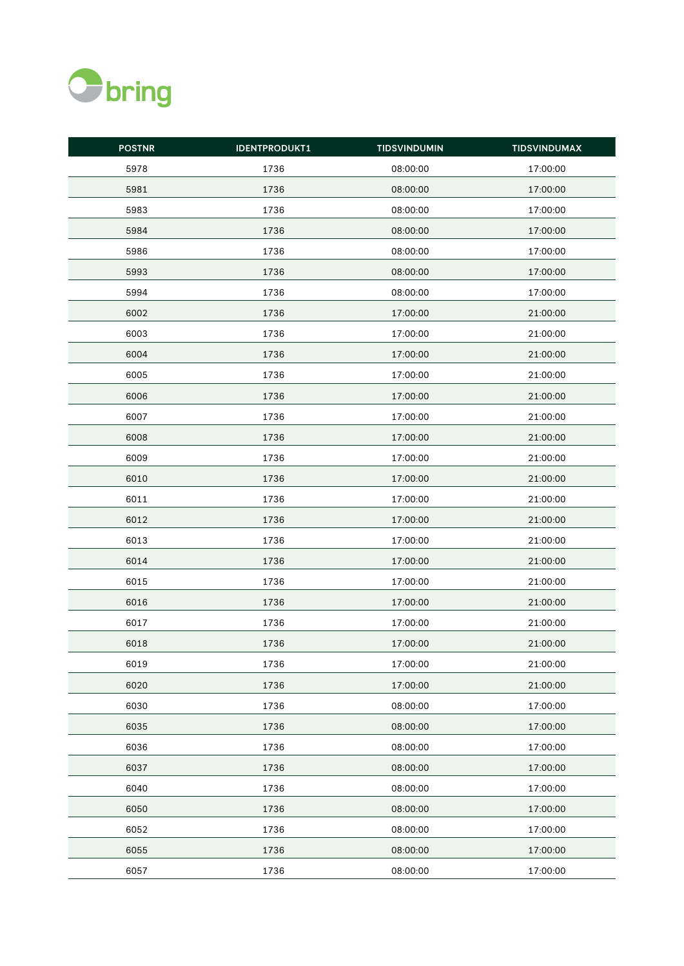

| <b>POSTNR</b> | <b>IDENTPRODUKT1</b> | <b>TIDSVINDUMIN</b> | <b>TIDSVINDUMAX</b> |
|---------------|----------------------|---------------------|---------------------|
| 5978          | 1736                 | 08:00:00            | 17:00:00            |
| 5981          | 1736                 | 08:00:00            | 17:00:00            |
| 5983          | 1736                 | 08:00:00            | 17:00:00            |
| 5984          | 1736                 | 08:00:00            | 17:00:00            |
| 5986          | 1736                 | 08:00:00            | 17:00:00            |
| 5993          | 1736                 | 08:00:00            | 17:00:00            |
| 5994          | 1736                 | 08:00:00            | 17:00:00            |
| 6002          | 1736                 | 17:00:00            | 21:00:00            |
| 6003          | 1736                 | 17:00:00            | 21:00:00            |
| 6004          | 1736                 | 17:00:00            | 21:00:00            |
| 6005          | 1736                 | 17:00:00            | 21:00:00            |
| 6006          | 1736                 | 17:00:00            | 21:00:00            |
| 6007          | 1736                 | 17:00:00            | 21:00:00            |
| 6008          | 1736                 | 17:00:00            | 21:00:00            |
| 6009          | 1736                 | 17:00:00            | 21:00:00            |
| 6010          | 1736                 | 17:00:00            | 21:00:00            |
| 6011          | 1736                 | 17:00:00            | 21:00:00            |
| 6012          | 1736                 | 17:00:00            | 21:00:00            |
| 6013          | 1736                 | 17:00:00            | 21:00:00            |
| 6014          | 1736                 | 17:00:00            | 21:00:00            |
| 6015          | 1736                 | 17:00:00            | 21:00:00            |
| 6016          | 1736                 | 17:00:00            | 21:00:00            |
| 6017          | 1736                 | 17:00:00            | 21:00:00            |
| 6018          | 1736                 | 17:00:00            | 21:00:00            |
| 6019          | 1736                 | 17:00:00            | 21:00:00            |
| 6020          | 1736                 | 17:00:00            | 21:00:00            |
| 6030          | 1736                 | 08:00:00            | 17:00:00            |
| 6035          | 1736                 | 08:00:00            | 17:00:00            |
| 6036          | 1736                 | 08:00:00            | 17:00:00            |
| 6037          | 1736                 | 08:00:00            | 17:00:00            |
| 6040          | 1736                 | 08:00:00            | 17:00:00            |
| 6050          | 1736                 | 08:00:00            | 17:00:00            |
| 6052          | 1736                 | 08:00:00            | 17:00:00            |
| 6055          | 1736                 | 08:00:00            | 17:00:00            |
| 6057          | 1736                 | 08:00:00            | 17:00:00            |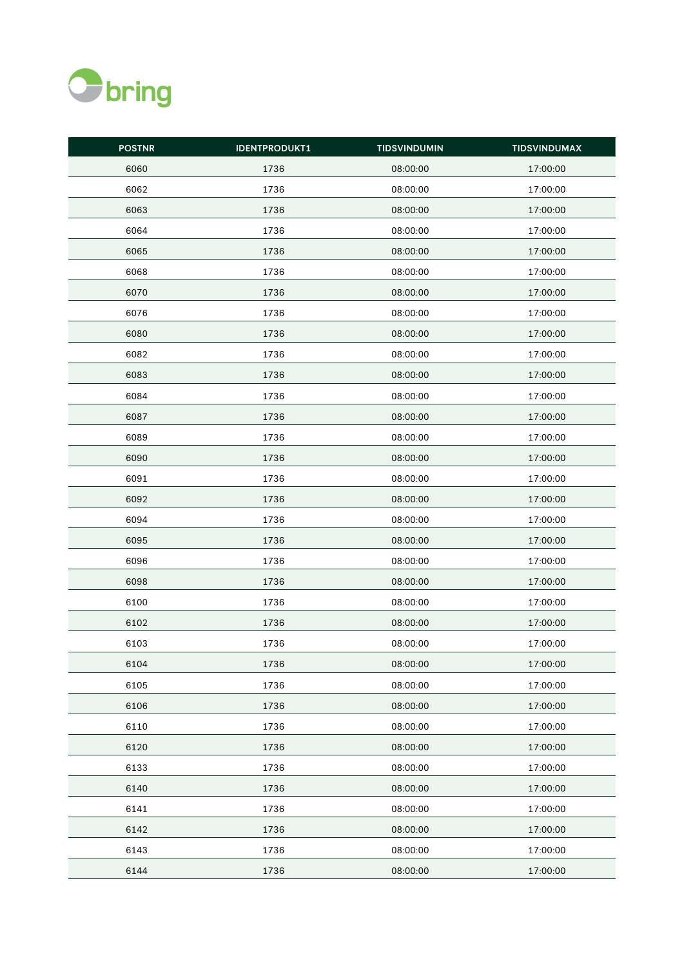

| <b>POSTNR</b> | <b>IDENTPRODUKT1</b> | <b>TIDSVINDUMIN</b> | <b>TIDSVINDUMAX</b> |
|---------------|----------------------|---------------------|---------------------|
| 6060          | 1736                 | 08:00:00            | 17:00:00            |
| 6062          | 1736                 | 08:00:00            | 17:00:00            |
| 6063          | 1736                 | 08:00:00            | 17:00:00            |
| 6064          | 1736                 | 08:00:00            | 17:00:00            |
| 6065          | 1736                 | 08:00:00            | 17:00:00            |
| 6068          | 1736                 | 08:00:00            | 17:00:00            |
| 6070          | 1736                 | 08:00:00            | 17:00:00            |
| 6076          | 1736                 | 08:00:00            | 17:00:00            |
| 6080          | 1736                 | 08:00:00            | 17:00:00            |
| 6082          | 1736                 | 08:00:00            | 17:00:00            |
| 6083          | 1736                 | 08:00:00            | 17:00:00            |
| 6084          | 1736                 | 08:00:00            | 17:00:00            |
| 6087          | 1736                 | 08:00:00            | 17:00:00            |
| 6089          | 1736                 | 08:00:00            | 17:00:00            |
| 6090          | 1736                 | 08:00:00            | 17:00:00            |
| 6091          | 1736                 | 08:00:00            | 17:00:00            |
| 6092          | 1736                 | 08:00:00            | 17:00:00            |
| 6094          | 1736                 | 08:00:00            | 17:00:00            |
| 6095          | 1736                 | 08:00:00            | 17:00:00            |
| 6096          | 1736                 | 08:00:00            | 17:00:00            |
| 6098          | 1736                 | 08:00:00            | 17:00:00            |
| 6100          | 1736                 | 08:00:00            | 17:00:00            |
| 6102          | 1736                 | 08:00:00            | 17:00:00            |
| 6103          | 1736                 | 08:00:00            | 17:00:00            |
| 6104          | 1736                 | 08:00:00            | 17:00:00            |
| 6105          | 1736                 | 08:00:00            | 17:00:00            |
| 6106          | 1736                 | 08:00:00            | 17:00:00            |
| 6110          | 1736                 | 08:00:00            | 17:00:00            |
| 6120          | 1736                 | 08:00:00            | 17:00:00            |
| 6133          | 1736                 | 08:00:00            | 17:00:00            |
| 6140          | 1736                 | 08:00:00            | 17:00:00            |
| 6141          | 1736                 | 08:00:00            | 17:00:00            |
| 6142          | 1736                 | 08:00:00            | 17:00:00            |
| 6143          | 1736                 | 08:00:00            | 17:00:00            |
| 6144          | 1736                 | 08:00:00            | 17:00:00            |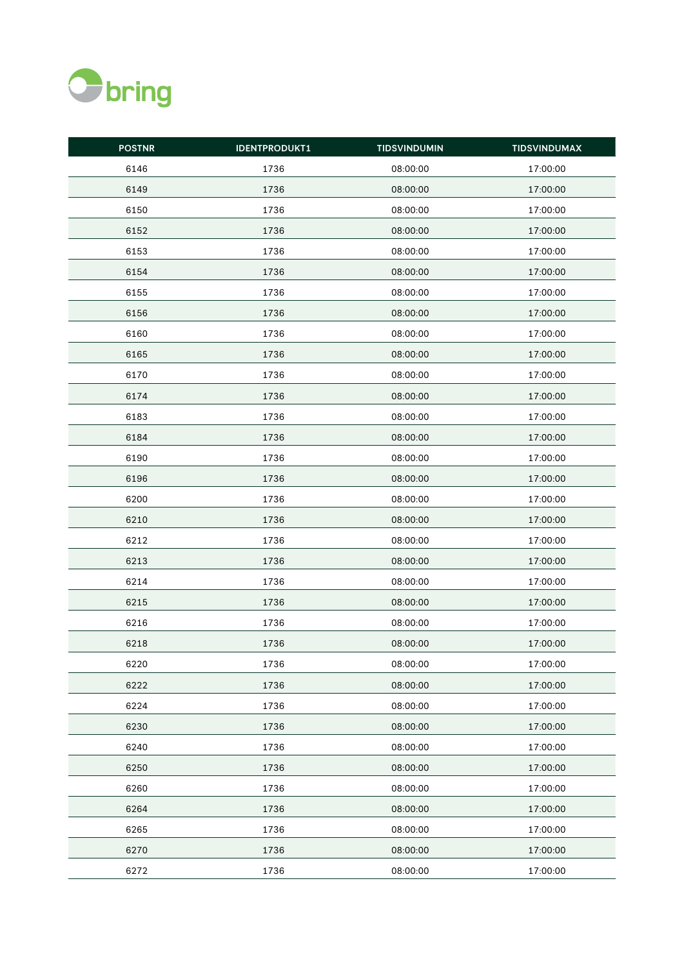

| <b>POSTNR</b> | <b>IDENTPRODUKT1</b> | <b>TIDSVINDUMIN</b> | <b>TIDSVINDUMAX</b> |
|---------------|----------------------|---------------------|---------------------|
| 6146          | 1736                 | 08:00:00            | 17:00:00            |
| 6149          | 1736                 | 08:00:00            | 17:00:00            |
| 6150          | 1736                 | 08:00:00            | 17:00:00            |
| 6152          | 1736                 | 08:00:00            | 17:00:00            |
| 6153          | 1736                 | 08:00:00            | 17:00:00            |
| 6154          | 1736                 | 08:00:00            | 17:00:00            |
| 6155          | 1736                 | 08:00:00            | 17:00:00            |
| 6156          | 1736                 | 08:00:00            | 17:00:00            |
| 6160          | 1736                 | 08:00:00            | 17:00:00            |
| 6165          | 1736                 | 08:00:00            | 17:00:00            |
| 6170          | 1736                 | 08:00:00            | 17:00:00            |
| 6174          | 1736                 | 08:00:00            | 17:00:00            |
| 6183          | 1736                 | 08:00:00            | 17:00:00            |
| 6184          | 1736                 | 08:00:00            | 17:00:00            |
| 6190          | 1736                 | 08:00:00            | 17:00:00            |
| 6196          | 1736                 | 08:00:00            | 17:00:00            |
| 6200          | 1736                 | 08:00:00            | 17:00:00            |
| 6210          | 1736                 | 08:00:00            | 17:00:00            |
| 6212          | 1736                 | 08:00:00            | 17:00:00            |
| 6213          | 1736                 | 08:00:00            | 17:00:00            |
| 6214          | 1736                 | 08:00:00            | 17:00:00            |
| 6215          | 1736                 | 08:00:00            | 17:00:00            |
| 6216          | 1736                 | 08:00:00            | 17:00:00            |
| 6218          | 1736                 | 08:00:00            | 17:00:00            |
| 6220          | 1736                 | 08:00:00            | 17:00:00            |
| 6222          | 1736                 | 08:00:00            | 17:00:00            |
| 6224          | 1736                 | 08:00:00            | 17:00:00            |
| 6230          | 1736                 | 08:00:00            | 17:00:00            |
| 6240          | 1736                 | 08:00:00            | 17:00:00            |
| 6250          | 1736                 | 08:00:00            | 17:00:00            |
| 6260          | 1736                 | 08:00:00            | 17:00:00            |
| 6264          | 1736                 | 08:00:00            | 17:00:00            |
| 6265          | 1736                 | 08:00:00            | 17:00:00            |
| 6270          | 1736                 | 08:00:00            | 17:00:00            |
| 6272          | 1736                 | 08:00:00            | 17:00:00            |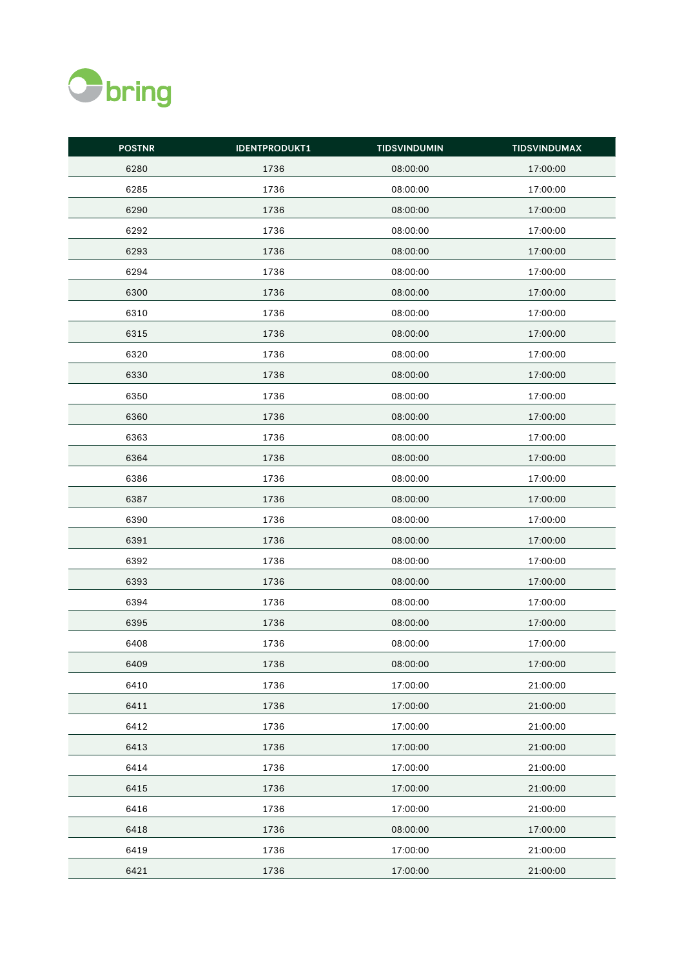

| <b>POSTNR</b> | <b>IDENTPRODUKT1</b> | <b>TIDSVINDUMIN</b> | <b>TIDSVINDUMAX</b> |
|---------------|----------------------|---------------------|---------------------|
| 6280          | 1736                 | 08:00:00            | 17:00:00            |
| 6285          | 1736                 | 08:00:00            | 17:00:00            |
| 6290          | 1736                 | 08:00:00            | 17:00:00            |
| 6292          | 1736                 | 08:00:00            | 17:00:00            |
| 6293          | 1736                 | 08:00:00            | 17:00:00            |
| 6294          | 1736                 | 08:00:00            | 17:00:00            |
| 6300          | 1736                 | 08:00:00            | 17:00:00            |
| 6310          | 1736                 | 08:00:00            | 17:00:00            |
| 6315          | 1736                 | 08:00:00            | 17:00:00            |
| 6320          | 1736                 | 08:00:00            | 17:00:00            |
| 6330          | 1736                 | 08:00:00            | 17:00:00            |
| 6350          | 1736                 | 08:00:00            | 17:00:00            |
| 6360          | 1736                 | 08:00:00            | 17:00:00            |
| 6363          | 1736                 | 08:00:00            | 17:00:00            |
| 6364          | 1736                 | 08:00:00            | 17:00:00            |
| 6386          | 1736                 | 08:00:00            | 17:00:00            |
| 6387          | 1736                 | 08:00:00            | 17:00:00            |
| 6390          | 1736                 | 08:00:00            | 17:00:00            |
| 6391          | 1736                 | 08:00:00            | 17:00:00            |
| 6392          | 1736                 | 08:00:00            | 17:00:00            |
| 6393          | 1736                 | 08:00:00            | 17:00:00            |
| 6394          | 1736                 | 08:00:00            | 17:00:00            |
| 6395          | 1736                 | 08:00:00            | 17:00:00            |
| 6408          | 1736                 | 08:00:00            | 17:00:00            |
| 6409          | 1736                 | 08:00:00            | 17:00:00            |
| 6410          | 1736                 | 17:00:00            | 21:00:00            |
| 6411          | 1736                 | 17:00:00            | 21:00:00            |
| 6412          | 1736                 | 17:00:00            | 21:00:00            |
| 6413          | 1736                 | 17:00:00            | 21:00:00            |
| 6414          | 1736                 | 17:00:00            | 21:00:00            |
| 6415          | 1736                 | 17:00:00            | 21:00:00            |
| 6416          | 1736                 | 17:00:00            | 21:00:00            |
| 6418          | 1736                 | 08:00:00            | 17:00:00            |
| 6419          | 1736                 | 17:00:00            | 21:00:00            |
| 6421          | 1736                 | 17:00:00            | 21:00:00            |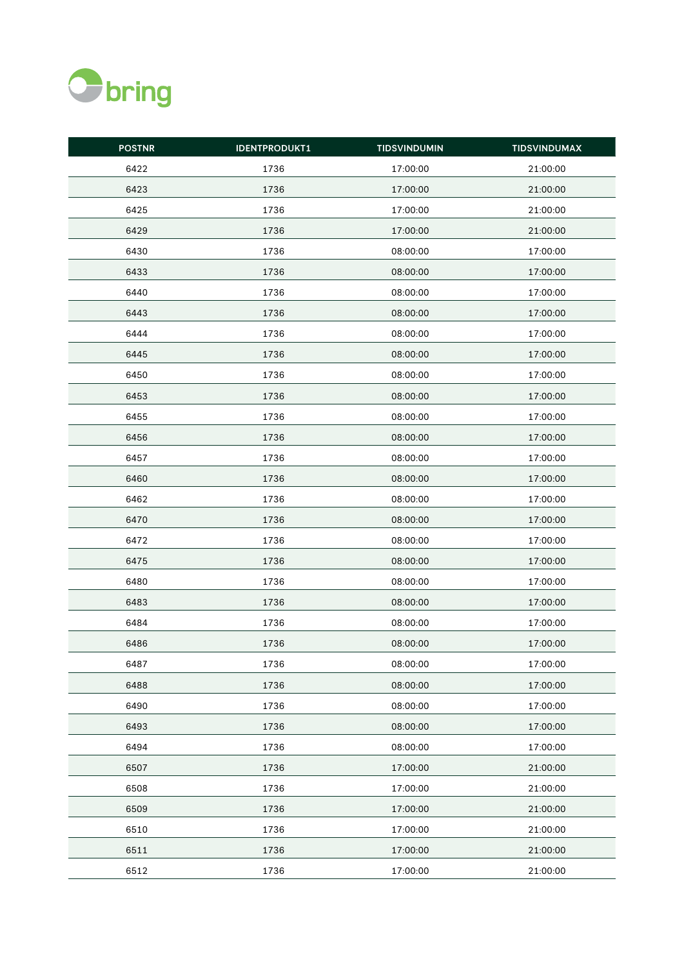

| <b>POSTNR</b> | <b>IDENTPRODUKT1</b> | <b>TIDSVINDUMIN</b> | <b>TIDSVINDUMAX</b> |
|---------------|----------------------|---------------------|---------------------|
| 6422          | 1736                 | 17:00:00            | 21:00:00            |
| 6423          | 1736                 | 17:00:00            | 21:00:00            |
| 6425          | 1736                 | 17:00:00            | 21:00:00            |
| 6429          | 1736                 | 17:00:00            | 21:00:00            |
| 6430          | 1736                 | 08:00:00            | 17:00:00            |
| 6433          | 1736                 | 08:00:00            | 17:00:00            |
| 6440          | 1736                 | 08:00:00            | 17:00:00            |
| 6443          | 1736                 | 08:00:00            | 17:00:00            |
| 6444          | 1736                 | 08:00:00            | 17:00:00            |
| 6445          | 1736                 | 08:00:00            | 17:00:00            |
| 6450          | 1736                 | 08:00:00            | 17:00:00            |
| 6453          | 1736                 | 08:00:00            | 17:00:00            |
| 6455          | 1736                 | 08:00:00            | 17:00:00            |
| 6456          | 1736                 | 08:00:00            | 17:00:00            |
| 6457          | 1736                 | 08:00:00            | 17:00:00            |
| 6460          | 1736                 | 08:00:00            | 17:00:00            |
| 6462          | 1736                 | 08:00:00            | 17:00:00            |
| 6470          | 1736                 | 08:00:00            | 17:00:00            |
| 6472          | 1736                 | 08:00:00            | 17:00:00            |
| 6475          | 1736                 | 08:00:00            | 17:00:00            |
| 6480          | 1736                 | 08:00:00            | 17:00:00            |
| 6483          | 1736                 | 08:00:00            | 17:00:00            |
| 6484          | 1736                 | 08:00:00            | 17:00:00            |
| 6486          | 1736                 | 08:00:00            | 17:00:00            |
| 6487          | 1736                 | 08:00:00            | 17:00:00            |
| 6488          | 1736                 | 08:00:00            | 17:00:00            |
| 6490          | 1736                 | 08:00:00            | 17:00:00            |
| 6493          | 1736                 | 08:00:00            | 17:00:00            |
| 6494          | 1736                 | 08:00:00            | 17:00:00            |
| 6507          | 1736                 | 17:00:00            | 21:00:00            |
| 6508          | 1736                 | 17:00:00            | 21:00:00            |
| 6509          | 1736                 | 17:00:00            | 21:00:00            |
| 6510          | 1736                 | 17:00:00            | 21:00:00            |
| 6511          | 1736                 | 17:00:00            | 21:00:00            |
| 6512          | 1736                 | 17:00:00            | 21:00:00            |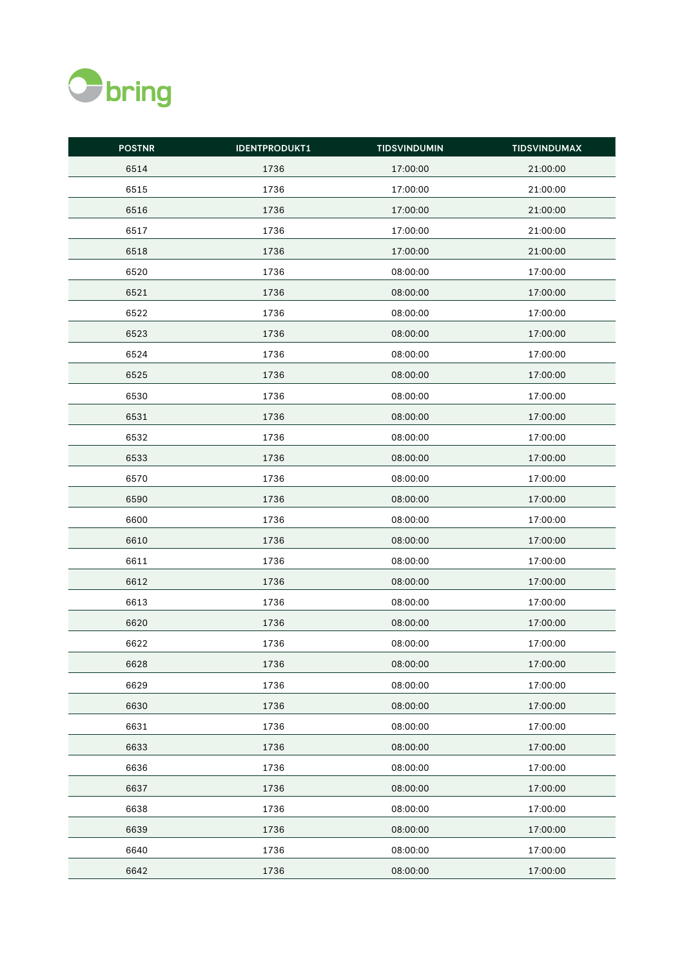

| <b>POSTNR</b> | <b>IDENTPRODUKT1</b> | <b>TIDSVINDUMIN</b> | <b>TIDSVINDUMAX</b> |
|---------------|----------------------|---------------------|---------------------|
| 6514          | 1736                 | 17:00:00            | 21:00:00            |
| 6515          | 1736                 | 17:00:00            | 21:00:00            |
| 6516          | 1736                 | 17:00:00            | 21:00:00            |
| 6517          | 1736                 | 17:00:00            | 21:00:00            |
| 6518          | 1736                 | 17:00:00            | 21:00:00            |
| 6520          | 1736                 | 08:00:00            | 17:00:00            |
| 6521          | 1736                 | 08:00:00            | 17:00:00            |
| 6522          | 1736                 | 08:00:00            | 17:00:00            |
| 6523          | 1736                 | 08:00:00            | 17:00:00            |
| 6524          | 1736                 | 08:00:00            | 17:00:00            |
| 6525          | 1736                 | 08:00:00            | 17:00:00            |
| 6530          | 1736                 | 08:00:00            | 17:00:00            |
| 6531          | 1736                 | 08:00:00            | 17:00:00            |
| 6532          | 1736                 | 08:00:00            | 17:00:00            |
| 6533          | 1736                 | 08:00:00            | 17:00:00            |
| 6570          | 1736                 | 08:00:00            | 17:00:00            |
| 6590          | 1736                 | 08:00:00            | 17:00:00            |
| 6600          | 1736                 | 08:00:00            | 17:00:00            |
| 6610          | 1736                 | 08:00:00            | 17:00:00            |
| 6611          | 1736                 | 08:00:00            | 17:00:00            |
| 6612          | 1736                 | 08:00:00            | 17:00:00            |
| 6613          | 1736                 | 08:00:00            | 17:00:00            |
| 6620          | 1736                 | 08:00:00            | 17:00:00            |
| 6622          | 1736                 | 08:00:00            | 17:00:00            |
| 6628          | 1736                 | 08:00:00            | 17:00:00            |
| 6629          | 1736                 | 08:00:00            | 17:00:00            |
| 6630          | 1736                 | 08:00:00            | 17:00:00            |
| 6631          | 1736                 | 08:00:00            | 17:00:00            |
| 6633          | 1736                 | 08:00:00            | 17:00:00            |
| 6636          | 1736                 | 08:00:00            | 17:00:00            |
| 6637          | 1736                 | 08:00:00            | 17:00:00            |
| 6638          | 1736                 | 08:00:00            | 17:00:00            |
| 6639          | 1736                 | 08:00:00            | 17:00:00            |
| 6640          | 1736                 | 08:00:00            | 17:00:00            |
| 6642          | 1736                 | 08:00:00            | 17:00:00            |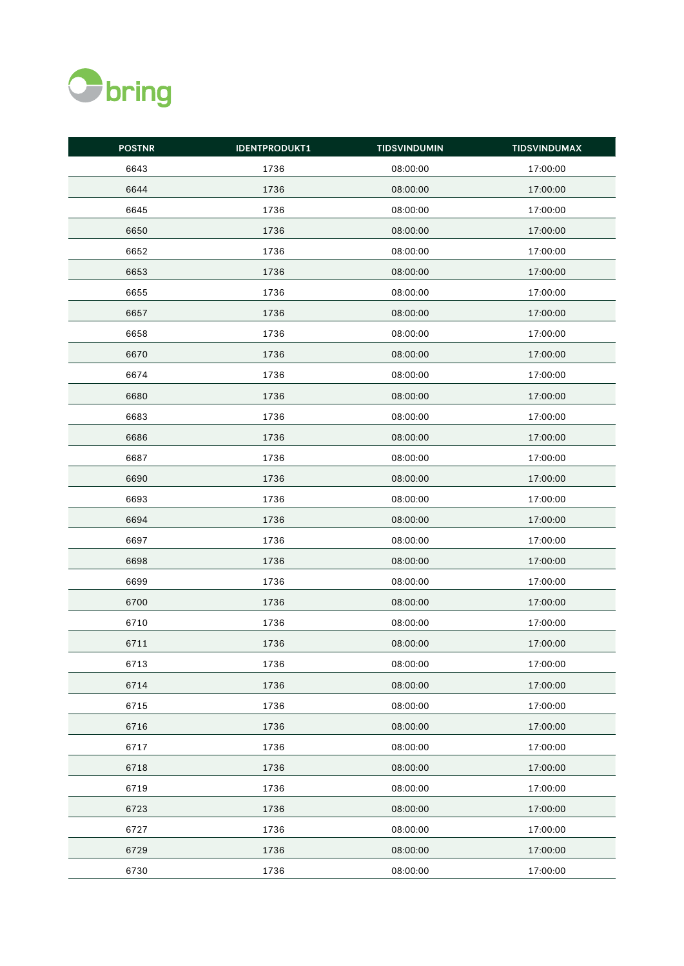

| <b>POSTNR</b> | <b>IDENTPRODUKT1</b> | <b>TIDSVINDUMIN</b> | <b>TIDSVINDUMAX</b> |
|---------------|----------------------|---------------------|---------------------|
| 6643          | 1736                 | 08:00:00            | 17:00:00            |
| 6644          | 1736                 | 08:00:00            | 17:00:00            |
| 6645          | 1736                 | 08:00:00            | 17:00:00            |
| 6650          | 1736                 | 08:00:00            | 17:00:00            |
| 6652          | 1736                 | 08:00:00            | 17:00:00            |
| 6653          | 1736                 | 08:00:00            | 17:00:00            |
| 6655          | 1736                 | 08:00:00            | 17:00:00            |
| 6657          | 1736                 | 08:00:00            | 17:00:00            |
| 6658          | 1736                 | 08:00:00            | 17:00:00            |
| 6670          | 1736                 | 08:00:00            | 17:00:00            |
| 6674          | 1736                 | 08:00:00            | 17:00:00            |
| 6680          | 1736                 | 08:00:00            | 17:00:00            |
| 6683          | 1736                 | 08:00:00            | 17:00:00            |
| 6686          | 1736                 | 08:00:00            | 17:00:00            |
| 6687          | 1736                 | 08:00:00            | 17:00:00            |
| 6690          | 1736                 | 08:00:00            | 17:00:00            |
| 6693          | 1736                 | 08:00:00            | 17:00:00            |
| 6694          | 1736                 | 08:00:00            | 17:00:00            |
| 6697          | 1736                 | 08:00:00            | 17:00:00            |
| 6698          | 1736                 | 08:00:00            | 17:00:00            |
| 6699          | 1736                 | 08:00:00            | 17:00:00            |
| 6700          | 1736                 | 08:00:00            | 17:00:00            |
| 6710          | 1736                 | 08:00:00            | 17:00:00            |
| 6711          | 1736                 | 08:00:00            | 17:00:00            |
| 6713          | 1736                 | 08:00:00            | 17:00:00            |
| 6714          | 1736                 | 08:00:00            | 17:00:00            |
| 6715          | 1736                 | 08:00:00            | 17:00:00            |
| 6716          | 1736                 | 08:00:00            | 17:00:00            |
| 6717          | 1736                 | 08:00:00            | 17:00:00            |
| 6718          | 1736                 | 08:00:00            | 17:00:00            |
| 6719          | 1736                 | 08:00:00            | 17:00:00            |
| 6723          | 1736                 | 08:00:00            | 17:00:00            |
| 6727          | 1736                 | 08:00:00            | 17:00:00            |
| 6729          | 1736                 | 08:00:00            | 17:00:00            |
| 6730          | 1736                 | 08:00:00            | 17:00:00            |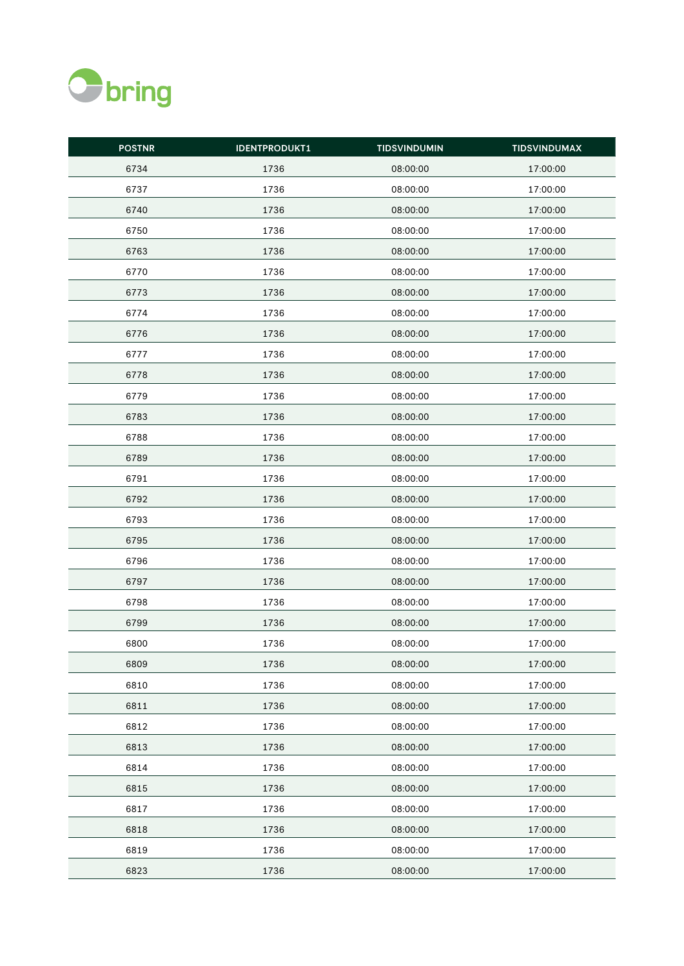

| <b>POSTNR</b> | <b>IDENTPRODUKT1</b> | <b>TIDSVINDUMIN</b> | <b>TIDSVINDUMAX</b> |
|---------------|----------------------|---------------------|---------------------|
| 6734          | 1736                 | 08:00:00            | 17:00:00            |
| 6737          | 1736                 | 08:00:00            | 17:00:00            |
| 6740          | 1736                 | 08:00:00            | 17:00:00            |
| 6750          | 1736                 | 08:00:00            | 17:00:00            |
| 6763          | 1736                 | 08:00:00            | 17:00:00            |
| 6770          | 1736                 | 08:00:00            | 17:00:00            |
| 6773          | 1736                 | 08:00:00            | 17:00:00            |
| 6774          | 1736                 | 08:00:00            | 17:00:00            |
| 6776          | 1736                 | 08:00:00            | 17:00:00            |
| 6777          | 1736                 | 08:00:00            | 17:00:00            |
| 6778          | 1736                 | 08:00:00            | 17:00:00            |
| 6779          | 1736                 | 08:00:00            | 17:00:00            |
| 6783          | 1736                 | 08:00:00            | 17:00:00            |
| 6788          | 1736                 | 08:00:00            | 17:00:00            |
| 6789          | 1736                 | 08:00:00            | 17:00:00            |
| 6791          | 1736                 | 08:00:00            | 17:00:00            |
| 6792          | 1736                 | 08:00:00            | 17:00:00            |
| 6793          | 1736                 | 08:00:00            | 17:00:00            |
| 6795          | 1736                 | 08:00:00            | 17:00:00            |
| 6796          | 1736                 | 08:00:00            | 17:00:00            |
| 6797          | 1736                 | 08:00:00            | 17:00:00            |
| 6798          | 1736                 | 08:00:00            | 17:00:00            |
| 6799          | 1736                 | 08:00:00            | 17:00:00            |
| 6800          | 1736                 | 08:00:00            | 17:00:00            |
| 6809          | 1736                 | 08:00:00            | 17:00:00            |
| 6810          | 1736                 | 08:00:00            | 17:00:00            |
| 6811          | 1736                 | 08:00:00            | 17:00:00            |
| 6812          | 1736                 | 08:00:00            | 17:00:00            |
| 6813          | 1736                 | 08:00:00            | 17:00:00            |
| 6814          | 1736                 | 08:00:00            | 17:00:00            |
| 6815          | 1736                 | 08:00:00            | 17:00:00            |
| 6817          | 1736                 | 08:00:00            | 17:00:00            |
| 6818          | 1736                 | 08:00:00            | 17:00:00            |
| 6819          | 1736                 | 08:00:00            | 17:00:00            |
| 6823          | 1736                 | 08:00:00            | 17:00:00            |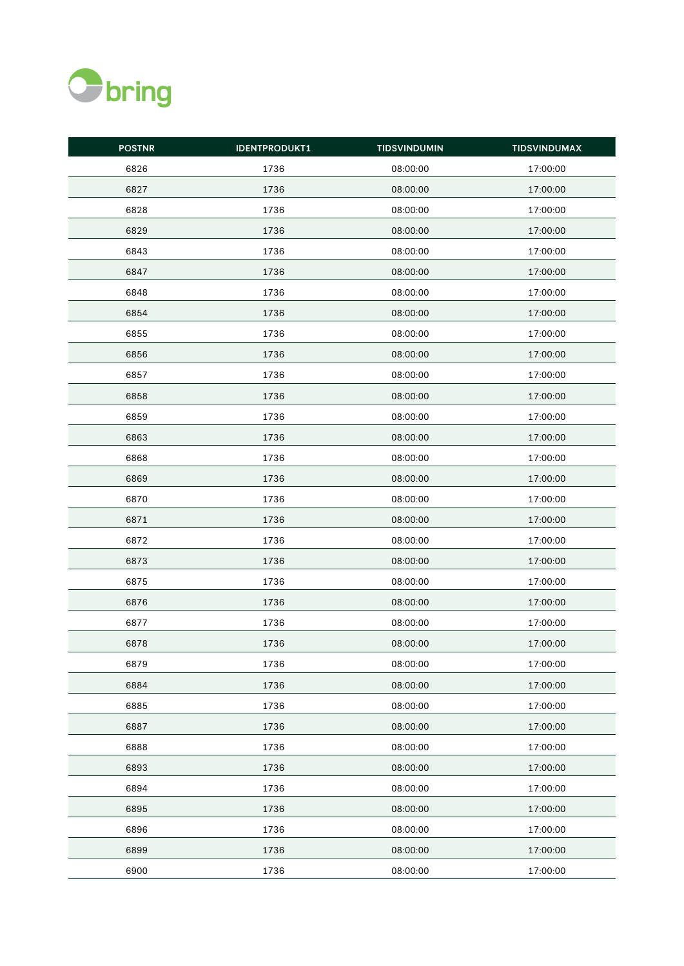

| <b>POSTNR</b> | <b>IDENTPRODUKT1</b> | <b>TIDSVINDUMIN</b> | <b>TIDSVINDUMAX</b> |
|---------------|----------------------|---------------------|---------------------|
| 6826          | 1736                 | 08:00:00            | 17:00:00            |
| 6827          | 1736                 | 08:00:00            | 17:00:00            |
| 6828          | 1736                 | 08:00:00            | 17:00:00            |
| 6829          | 1736                 | 08:00:00            | 17:00:00            |
| 6843          | 1736                 | 08:00:00            | 17:00:00            |
| 6847          | 1736                 | 08:00:00            | 17:00:00            |
| 6848          | 1736                 | 08:00:00            | 17:00:00            |
| 6854          | 1736                 | 08:00:00            | 17:00:00            |
| 6855          | 1736                 | 08:00:00            | 17:00:00            |
| 6856          | 1736                 | 08:00:00            | 17:00:00            |
| 6857          | 1736                 | 08:00:00            | 17:00:00            |
| 6858          | 1736                 | 08:00:00            | 17:00:00            |
| 6859          | 1736                 | 08:00:00            | 17:00:00            |
| 6863          | 1736                 | 08:00:00            | 17:00:00            |
| 6868          | 1736                 | 08:00:00            | 17:00:00            |
| 6869          | 1736                 | 08:00:00            | 17:00:00            |
| 6870          | 1736                 | 08:00:00            | 17:00:00            |
| 6871          | 1736                 | 08:00:00            | 17:00:00            |
| 6872          | 1736                 | 08:00:00            | 17:00:00            |
| 6873          | 1736                 | 08:00:00            | 17:00:00            |
| 6875          | 1736                 | 08:00:00            | 17:00:00            |
| 6876          | 1736                 | 08:00:00            | 17:00:00            |
| 6877          | 1736                 | 08:00:00            | 17:00:00            |
| 6878          | 1736                 | 08:00:00            | 17:00:00            |
| 6879          | 1736                 | 08:00:00            | 17:00:00            |
| 6884          | 1736                 | 08:00:00            | 17:00:00            |
| 6885          | 1736                 | 08:00:00            | 17:00:00            |
| 6887          | 1736                 | 08:00:00            | 17:00:00            |
| 6888          | 1736                 | 08:00:00            | 17:00:00            |
| 6893          | 1736                 | 08:00:00            | 17:00:00            |
| 6894          | 1736                 | 08:00:00            | 17:00:00            |
| 6895          | 1736                 | 08:00:00            | 17:00:00            |
| 6896          | 1736                 | 08:00:00            | 17:00:00            |
| 6899          | 1736                 | 08:00:00            | 17:00:00            |
| 6900          | 1736                 | 08:00:00            | 17:00:00            |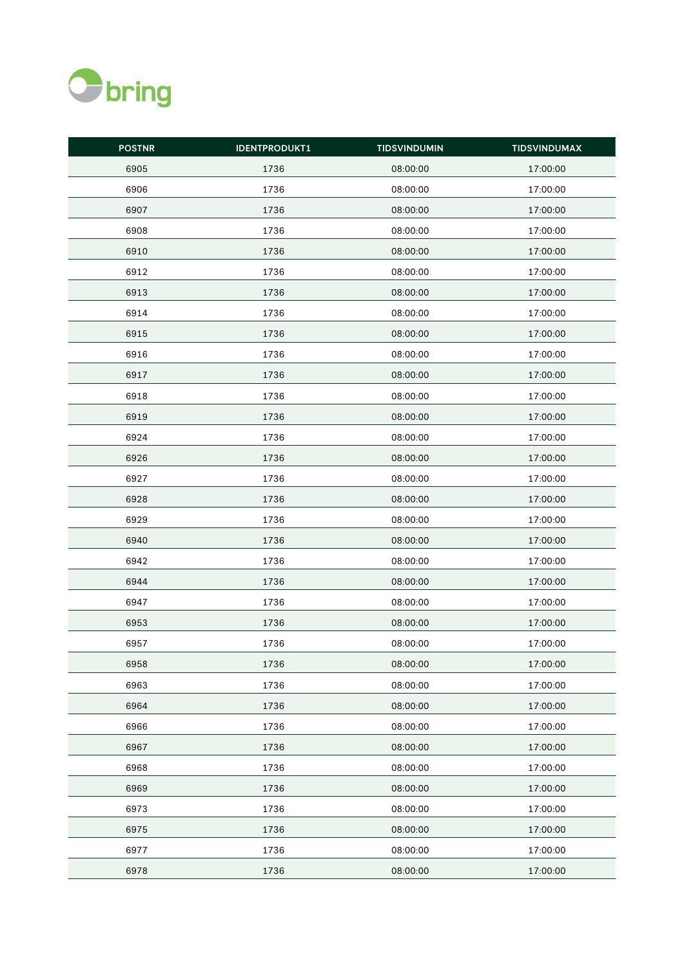

| <b>POSTNR</b> | <b>IDENTPRODUKT1</b> | <b>TIDSVINDUMIN</b> | <b>TIDSVINDUMAX</b> |
|---------------|----------------------|---------------------|---------------------|
| 6905          | 1736                 | 08:00:00            | 17:00:00            |
| 6906          | 1736                 | 08:00:00            | 17:00:00            |
| 6907          | 1736                 | 08:00:00            | 17:00:00            |
| 6908          | 1736                 | 08:00:00            | 17:00:00            |
| 6910          | 1736                 | 08:00:00            | 17:00:00            |
| 6912          | 1736                 | 08:00:00            | 17:00:00            |
| 6913          | 1736                 | 08:00:00            | 17:00:00            |
| 6914          | 1736                 | 08:00:00            | 17:00:00            |
| 6915          | 1736                 | 08:00:00            | 17:00:00            |
| 6916          | 1736                 | 08:00:00            | 17:00:00            |
| 6917          | 1736                 | 08:00:00            | 17:00:00            |
| 6918          | 1736                 | 08:00:00            | 17:00:00            |
| 6919          | 1736                 | 08:00:00            | 17:00:00            |
| 6924          | 1736                 | 08:00:00            | 17:00:00            |
| 6926          | 1736                 | 08:00:00            | 17:00:00            |
| 6927          | 1736                 | 08:00:00            | 17:00:00            |
| 6928          | 1736                 | 08:00:00            | 17:00:00            |
| 6929          | 1736                 | 08:00:00            | 17:00:00            |
| 6940          | 1736                 | 08:00:00            | 17:00:00            |
| 6942          | 1736                 | 08:00:00            | 17:00:00            |
| 6944          | 1736                 | 08:00:00            | 17:00:00            |
| 6947          | 1736                 | 08:00:00            | 17:00:00            |
| 6953          | 1736                 | 08:00:00            | 17:00:00            |
| 6957          | 1736                 | 08:00:00            | 17:00:00            |
| 6958          | 1736                 | 08:00:00            | 17:00:00            |
| 6963          | 1736                 | 08:00:00            | 17:00:00            |
| 6964          | 1736                 | 08:00:00            | 17:00:00            |
| 6966          | 1736                 | 08:00:00            | 17:00:00            |
| 6967          | 1736                 | 08:00:00            | 17:00:00            |
| 6968          | 1736                 | 08:00:00            | 17:00:00            |
| 6969          | 1736                 | 08:00:00            | 17:00:00            |
| 6973          | 1736                 | 08:00:00            | 17:00:00            |
| 6975          | 1736                 | 08:00:00            | 17:00:00            |
| 6977          | 1736                 | 08:00:00            | 17:00:00            |
| 6978          | 1736                 | 08:00:00            | 17:00:00            |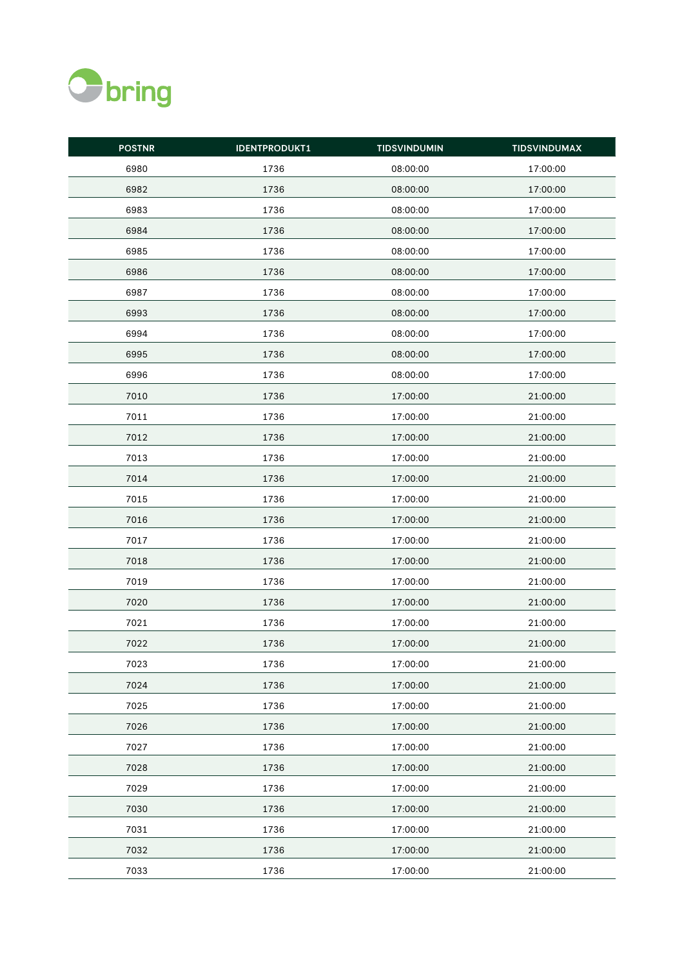

| <b>POSTNR</b> | <b>IDENTPRODUKT1</b> | <b>TIDSVINDUMIN</b> | <b>TIDSVINDUMAX</b> |
|---------------|----------------------|---------------------|---------------------|
| 6980          | 1736                 | 08:00:00            | 17:00:00            |
| 6982          | 1736                 | 08:00:00            | 17:00:00            |
| 6983          | 1736                 | 08:00:00            | 17:00:00            |
| 6984          | 1736                 | 08:00:00            | 17:00:00            |
| 6985          | 1736                 | 08:00:00            | 17:00:00            |
| 6986          | 1736                 | 08:00:00            | 17:00:00            |
| 6987          | 1736                 | 08:00:00            | 17:00:00            |
| 6993          | 1736                 | 08:00:00            | 17:00:00            |
| 6994          | 1736                 | 08:00:00            | 17:00:00            |
| 6995          | 1736                 | 08:00:00            | 17:00:00            |
| 6996          | 1736                 | 08:00:00            | 17:00:00            |
| 7010          | 1736                 | 17:00:00            | 21:00:00            |
| 7011          | 1736                 | 17:00:00            | 21:00:00            |
| 7012          | 1736                 | 17:00:00            | 21:00:00            |
| 7013          | 1736                 | 17:00:00            | 21:00:00            |
| 7014          | 1736                 | 17:00:00            | 21:00:00            |
| 7015          | 1736                 | 17:00:00            | 21:00:00            |
| 7016          | 1736                 | 17:00:00            | 21:00:00            |
| 7017          | 1736                 | 17:00:00            | 21:00:00            |
| 7018          | 1736                 | 17:00:00            | 21:00:00            |
| 7019          | 1736                 | 17:00:00            | 21:00:00            |
| 7020          | 1736                 | 17:00:00            | 21:00:00            |
| 7021          | 1736                 | 17:00:00            | 21:00:00            |
| 7022          | 1736                 | 17:00:00            | 21:00:00            |
| 7023          | 1736                 | 17:00:00            | 21:00:00            |
| 7024          | 1736                 | 17:00:00            | 21:00:00            |
| 7025          | 1736                 | 17:00:00            | 21:00:00            |
| 7026          | 1736                 | 17:00:00            | 21:00:00            |
| 7027          | 1736                 | 17:00:00            | 21:00:00            |
| 7028          | 1736                 | 17:00:00            | 21:00:00            |
| 7029          | 1736                 | 17:00:00            | 21:00:00            |
| 7030          | 1736                 | 17:00:00            | 21:00:00            |
| 7031          | 1736                 | 17:00:00            | 21:00:00            |
| 7032          | 1736                 | 17:00:00            | 21:00:00            |
| 7033          | 1736                 | 17:00:00            | 21:00:00            |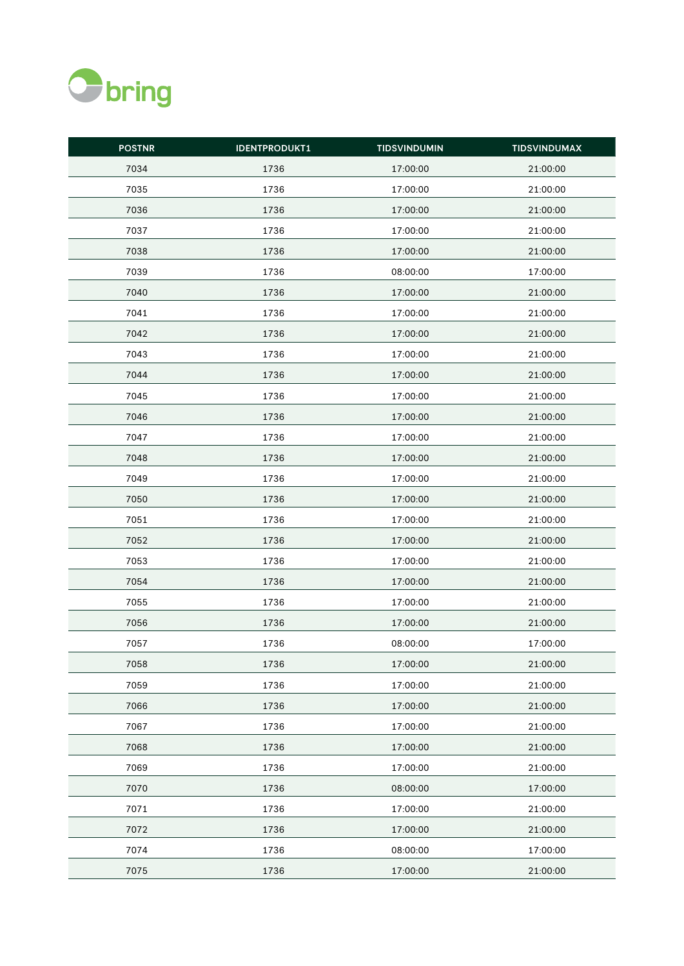

| <b>POSTNR</b> | <b>IDENTPRODUKT1</b> | <b>TIDSVINDUMIN</b> | <b>TIDSVINDUMAX</b> |
|---------------|----------------------|---------------------|---------------------|
| 7034          | 1736                 | 17:00:00            | 21:00:00            |
| 7035          | 1736                 | 17:00:00            | 21:00:00            |
| 7036          | 1736                 | 17:00:00            | 21:00:00            |
| 7037          | 1736                 | 17:00:00            | 21:00:00            |
| 7038          | 1736                 | 17:00:00            | 21:00:00            |
| 7039          | 1736                 | 08:00:00            | 17:00:00            |
| 7040          | 1736                 | 17:00:00            | 21:00:00            |
| 7041          | 1736                 | 17:00:00            | 21:00:00            |
| 7042          | 1736                 | 17:00:00            | 21:00:00            |
| 7043          | 1736                 | 17:00:00            | 21:00:00            |
| 7044          | 1736                 | 17:00:00            | 21:00:00            |
| 7045          | 1736                 | 17:00:00            | 21:00:00            |
| 7046          | 1736                 | 17:00:00            | 21:00:00            |
| 7047          | 1736                 | 17:00:00            | 21:00:00            |
| 7048          | 1736                 | 17:00:00            | 21:00:00            |
| 7049          | 1736                 | 17:00:00            | 21:00:00            |
| 7050          | 1736                 | 17:00:00            | 21:00:00            |
| 7051          | 1736                 | 17:00:00            | 21:00:00            |
| 7052          | 1736                 | 17:00:00            | 21:00:00            |
| 7053          | 1736                 | 17:00:00            | 21:00:00            |
| 7054          | 1736                 | 17:00:00            | 21:00:00            |
| 7055          | 1736                 | 17:00:00            | 21:00:00            |
| 7056          | 1736                 | 17:00:00            | 21:00:00            |
| 7057          | 1736                 | 08:00:00            | 17:00:00            |
| 7058          | 1736                 | 17:00:00            | 21:00:00            |
| 7059          | 1736                 | 17:00:00            | 21:00:00            |
| 7066          | 1736                 | 17:00:00            | 21:00:00            |
| 7067          | 1736                 | 17:00:00            | 21:00:00            |
| 7068          | 1736                 | 17:00:00            | 21:00:00            |
| 7069          | 1736                 | 17:00:00            | 21:00:00            |
| 7070          | 1736                 | 08:00:00            | 17:00:00            |
| 7071          | 1736                 | 17:00:00            | 21:00:00            |
| 7072          | 1736                 | 17:00:00            | 21:00:00            |
| 7074          | 1736                 | 08:00:00            | 17:00:00            |
| 7075          | 1736                 | 17:00:00            | 21:00:00            |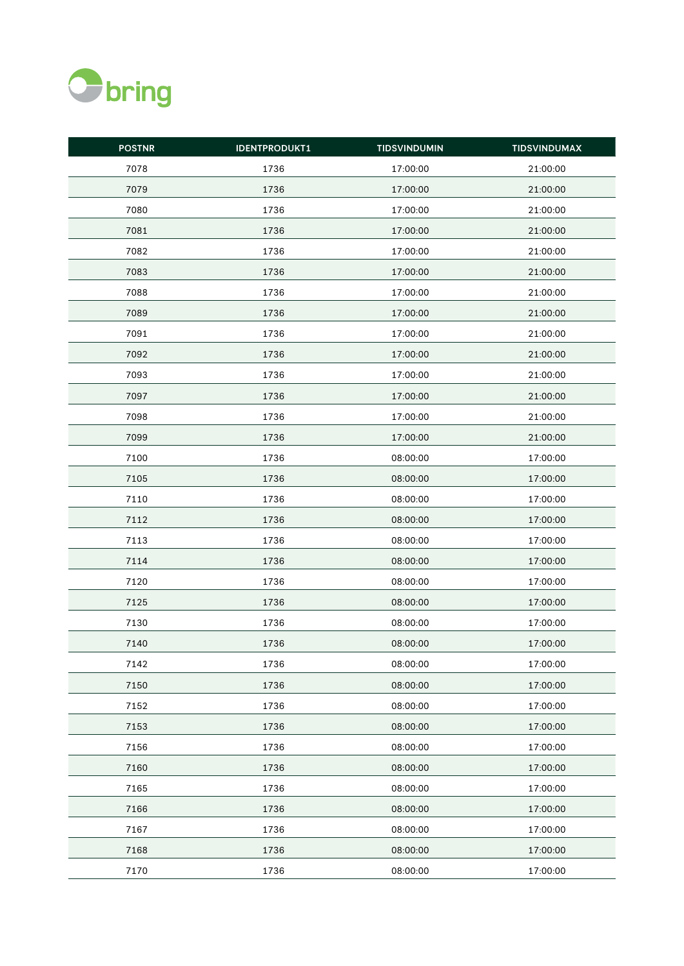

| <b>POSTNR</b> | <b>IDENTPRODUKT1</b> | <b>TIDSVINDUMIN</b> | <b>TIDSVINDUMAX</b> |
|---------------|----------------------|---------------------|---------------------|
| 7078          | 1736                 | 17:00:00            | 21:00:00            |
| 7079          | 1736                 | 17:00:00            | 21:00:00            |
| 7080          | 1736                 | 17:00:00            | 21:00:00            |
| 7081          | 1736                 | 17:00:00            | 21:00:00            |
| 7082          | 1736                 | 17:00:00            | 21:00:00            |
| 7083          | 1736                 | 17:00:00            | 21:00:00            |
| 7088          | 1736                 | 17:00:00            | 21:00:00            |
| 7089          | 1736                 | 17:00:00            | 21:00:00            |
| 7091          | 1736                 | 17:00:00            | 21:00:00            |
| 7092          | 1736                 | 17:00:00            | 21:00:00            |
| 7093          | 1736                 | 17:00:00            | 21:00:00            |
| 7097          | 1736                 | 17:00:00            | 21:00:00            |
| 7098          | 1736                 | 17:00:00            | 21:00:00            |
| 7099          | 1736                 | 17:00:00            | 21:00:00            |
| 7100          | 1736                 | 08:00:00            | 17:00:00            |
| 7105          | 1736                 | 08:00:00            | 17:00:00            |
| 7110          | 1736                 | 08:00:00            | 17:00:00            |
| 7112          | 1736                 | 08:00:00            | 17:00:00            |
| 7113          | 1736                 | 08:00:00            | 17:00:00            |
| 7114          | 1736                 | 08:00:00            | 17:00:00            |
| 7120          | 1736                 | 08:00:00            | 17:00:00            |
| 7125          | 1736                 | 08:00:00            | 17:00:00            |
| 7130          | 1736                 | 08:00:00            | 17:00:00            |
| 7140          | 1736                 | 08:00:00            | 17:00:00            |
| 7142          | 1736                 | 08:00:00            | 17:00:00            |
| 7150          | 1736                 | 08:00:00            | 17:00:00            |
| 7152          | 1736                 | 08:00:00            | 17:00:00            |
| 7153          | 1736                 | 08:00:00            | 17:00:00            |
| 7156          | 1736                 | 08:00:00            | 17:00:00            |
| 7160          | 1736                 | 08:00:00            | 17:00:00            |
| 7165          | 1736                 | 08:00:00            | 17:00:00            |
| 7166          | 1736                 | 08:00:00            | 17:00:00            |
| 7167          | 1736                 | 08:00:00            | 17:00:00            |
| 7168          | 1736                 | 08:00:00            | 17:00:00            |
| 7170          | 1736                 | 08:00:00            | 17:00:00            |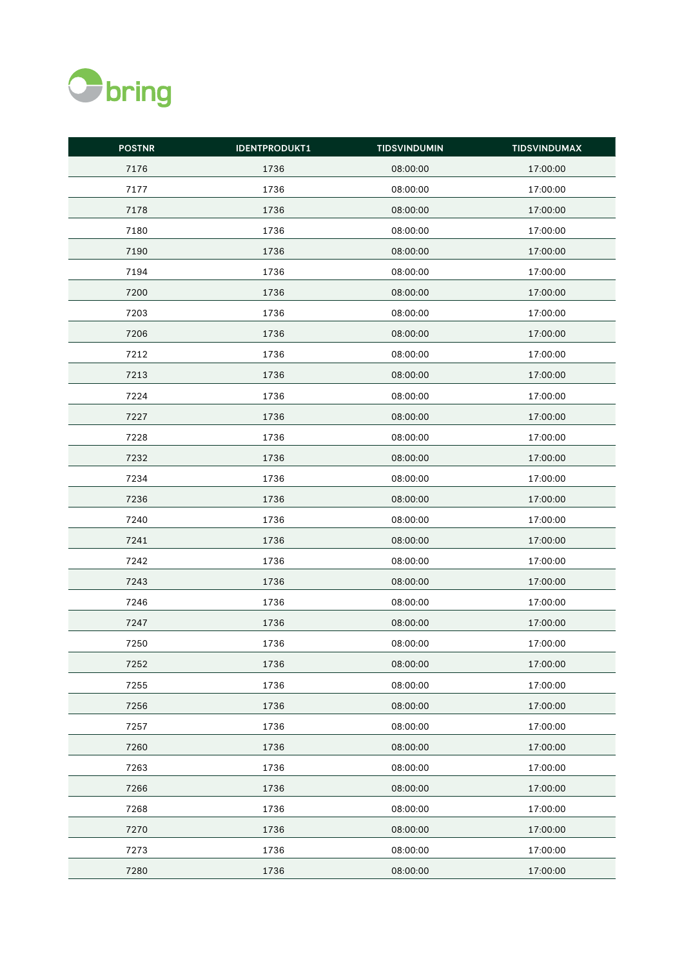

| <b>POSTNR</b> | <b>IDENTPRODUKT1</b> | <b>TIDSVINDUMIN</b> | <b>TIDSVINDUMAX</b> |
|---------------|----------------------|---------------------|---------------------|
| 7176          | 1736                 | 08:00:00            | 17:00:00            |
| 7177          | 1736                 | 08:00:00            | 17:00:00            |
| 7178          | 1736                 | 08:00:00            | 17:00:00            |
| 7180          | 1736                 | 08:00:00            | 17:00:00            |
| 7190          | 1736                 | 08:00:00            | 17:00:00            |
| 7194          | 1736                 | 08:00:00            | 17:00:00            |
| 7200          | 1736                 | 08:00:00            | 17:00:00            |
| 7203          | 1736                 | 08:00:00            | 17:00:00            |
| 7206          | 1736                 | 08:00:00            | 17:00:00            |
| 7212          | 1736                 | 08:00:00            | 17:00:00            |
| 7213          | 1736                 | 08:00:00            | 17:00:00            |
| 7224          | 1736                 | 08:00:00            | 17:00:00            |
| 7227          | 1736                 | 08:00:00            | 17:00:00            |
| 7228          | 1736                 | 08:00:00            | 17:00:00            |
| 7232          | 1736                 | 08:00:00            | 17:00:00            |
| 7234          | 1736                 | 08:00:00            | 17:00:00            |
| 7236          | 1736                 | 08:00:00            | 17:00:00            |
| 7240          | 1736                 | 08:00:00            | 17:00:00            |
| 7241          | 1736                 | 08:00:00            | 17:00:00            |
| 7242          | 1736                 | 08:00:00            | 17:00:00            |
| 7243          | 1736                 | 08:00:00            | 17:00:00            |
| 7246          | 1736                 | 08:00:00            | 17:00:00            |
| 7247          | 1736                 | 08:00:00            | 17:00:00            |
| 7250          | 1736                 | 08:00:00            | 17:00:00            |
| 7252          | 1736                 | 08:00:00            | 17:00:00            |
| 7255          | 1736                 | 08:00:00            | 17:00:00            |
| 7256          | 1736                 | 08:00:00            | 17:00:00            |
| 7257          | 1736                 | 08:00:00            | 17:00:00            |
| 7260          | 1736                 | 08:00:00            | 17:00:00            |
| 7263          | 1736                 | 08:00:00            | 17:00:00            |
| 7266          | 1736                 | 08:00:00            | 17:00:00            |
| 7268          | 1736                 | 08:00:00            | 17:00:00            |
| 7270          | 1736                 | 08:00:00            | 17:00:00            |
| 7273          | 1736                 | 08:00:00            | 17:00:00            |
| 7280          | 1736                 | 08:00:00            | 17:00:00            |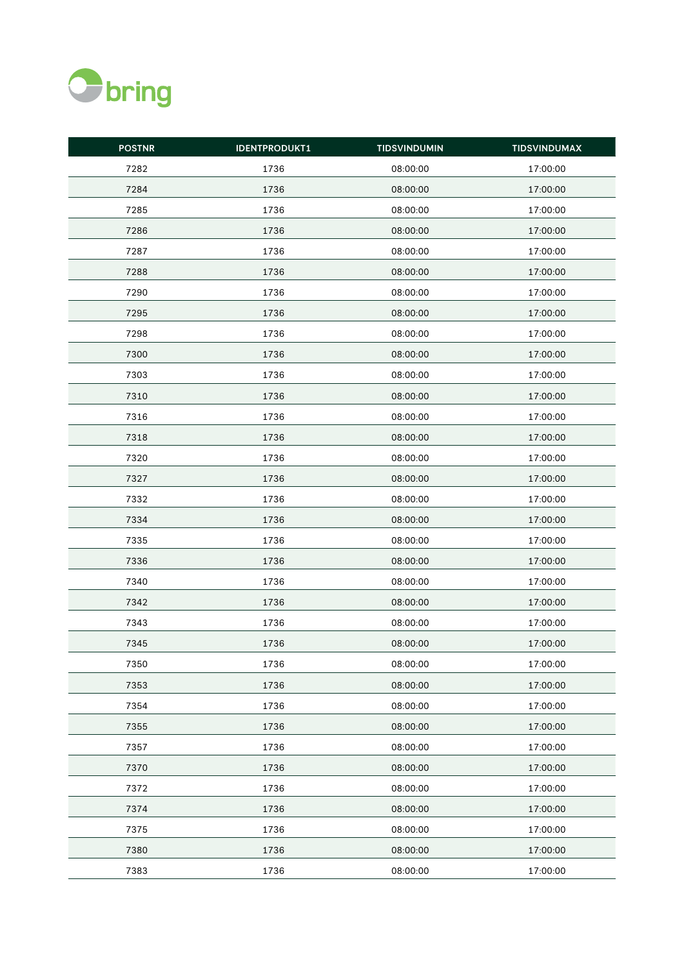

| <b>POSTNR</b> | <b>IDENTPRODUKT1</b> | <b>TIDSVINDUMIN</b> | <b>TIDSVINDUMAX</b> |
|---------------|----------------------|---------------------|---------------------|
| 7282          | 1736                 | 08:00:00            | 17:00:00            |
| 7284          | 1736                 | 08:00:00            | 17:00:00            |
| 7285          | 1736                 | 08:00:00            | 17:00:00            |
| 7286          | 1736                 | 08:00:00            | 17:00:00            |
| 7287          | 1736                 | 08:00:00            | 17:00:00            |
| 7288          | 1736                 | 08:00:00            | 17:00:00            |
| 7290          | 1736                 | 08:00:00            | 17:00:00            |
| 7295          | 1736                 | 08:00:00            | 17:00:00            |
| 7298          | 1736                 | 08:00:00            | 17:00:00            |
| 7300          | 1736                 | 08:00:00            | 17:00:00            |
| 7303          | 1736                 | 08:00:00            | 17:00:00            |
| 7310          | 1736                 | 08:00:00            | 17:00:00            |
| 7316          | 1736                 | 08:00:00            | 17:00:00            |
| 7318          | 1736                 | 08:00:00            | 17:00:00            |
| 7320          | 1736                 | 08:00:00            | 17:00:00            |
| 7327          | 1736                 | 08:00:00            | 17:00:00            |
| 7332          | 1736                 | 08:00:00            | 17:00:00            |
| 7334          | 1736                 | 08:00:00            | 17:00:00            |
| 7335          | 1736                 | 08:00:00            | 17:00:00            |
| 7336          | 1736                 | 08:00:00            | 17:00:00            |
| 7340          | 1736                 | 08:00:00            | 17:00:00            |
| 7342          | 1736                 | 08:00:00            | 17:00:00            |
| 7343          | 1736                 | 08:00:00            | 17:00:00            |
| 7345          | 1736                 | 08:00:00            | 17:00:00            |
| 7350          | 1736                 | 08:00:00            | 17:00:00            |
| 7353          | 1736                 | 08:00:00            | 17:00:00            |
| 7354          | 1736                 | 08:00:00            | 17:00:00            |
| 7355          | 1736                 | 08:00:00            | 17:00:00            |
| 7357          | 1736                 | 08:00:00            | 17:00:00            |
| 7370          | 1736                 | 08:00:00            | 17:00:00            |
| 7372          | 1736                 | 08:00:00            | 17:00:00            |
| 7374          | 1736                 | 08:00:00            | 17:00:00            |
| 7375          | 1736                 | 08:00:00            | 17:00:00            |
| 7380          | 1736                 | 08:00:00            | 17:00:00            |
| 7383          | 1736                 | 08:00:00            | 17:00:00            |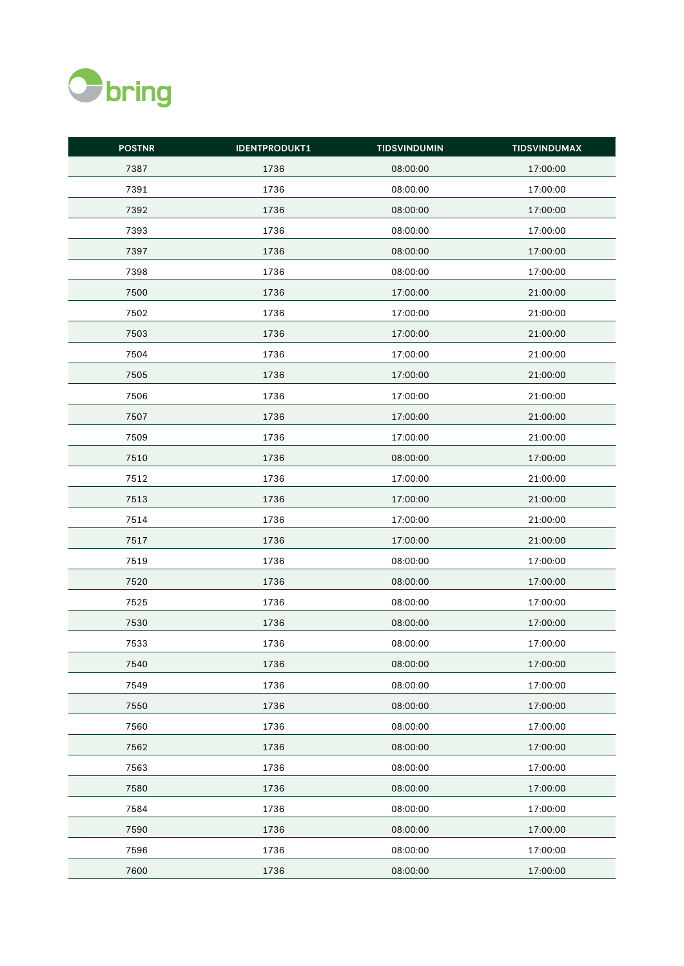

| <b>POSTNR</b> | <b>IDENTPRODUKT1</b> | <b>TIDSVINDUMIN</b> | <b>TIDSVINDUMAX</b> |
|---------------|----------------------|---------------------|---------------------|
| 7387          | 1736                 | 08:00:00            | 17:00:00            |
| 7391          | 1736                 | 08:00:00            | 17:00:00            |
| 7392          | 1736                 | 08:00:00            | 17:00:00            |
| 7393          | 1736                 | 08:00:00            | 17:00:00            |
| 7397          | 1736                 | 08:00:00            | 17:00:00            |
| 7398          | 1736                 | 08:00:00            | 17:00:00            |
| 7500          | 1736                 | 17:00:00            | 21:00:00            |
| 7502          | 1736                 | 17:00:00            | 21:00:00            |
| 7503          | 1736                 | 17:00:00            | 21:00:00            |
| 7504          | 1736                 | 17:00:00            | 21:00:00            |
| 7505          | 1736                 | 17:00:00            | 21:00:00            |
| 7506          | 1736                 | 17:00:00            | 21:00:00            |
| 7507          | 1736                 | 17:00:00            | 21:00:00            |
| 7509          | 1736                 | 17:00:00            | 21:00:00            |
| 7510          | 1736                 | 08:00:00            | 17:00:00            |
| 7512          | 1736                 | 17:00:00            | 21:00:00            |
| 7513          | 1736                 | 17:00:00            | 21:00:00            |
| 7514          | 1736                 | 17:00:00            | 21:00:00            |
| 7517          | 1736                 | 17:00:00            | 21:00:00            |
| 7519          | 1736                 | 08:00:00            | 17:00:00            |
| 7520          | 1736                 | 08:00:00            | 17:00:00            |
| 7525          | 1736                 | 08:00:00            | 17:00:00            |
| 7530          | 1736                 | 08:00:00            | 17:00:00            |
| 7533          | 1736                 | 08:00:00            | 17:00:00            |
| 7540          | 1736                 | 08:00:00            | 17:00:00            |
| 7549          | 1736                 | 08:00:00            | 17:00:00            |
| 7550          | 1736                 | 08:00:00            | 17:00:00            |
| 7560          | 1736                 | 08:00:00            | 17:00:00            |
| 7562          | 1736                 | 08:00:00            | 17:00:00            |
| 7563          | 1736                 | 08:00:00            | 17:00:00            |
| 7580          | 1736                 | 08:00:00            | 17:00:00            |
| 7584          | 1736                 | 08:00:00            | 17:00:00            |
| 7590          | 1736                 | 08:00:00            | 17:00:00            |
| 7596          | 1736                 | 08:00:00            | 17:00:00            |
| 7600          | 1736                 | 08:00:00            | 17:00:00            |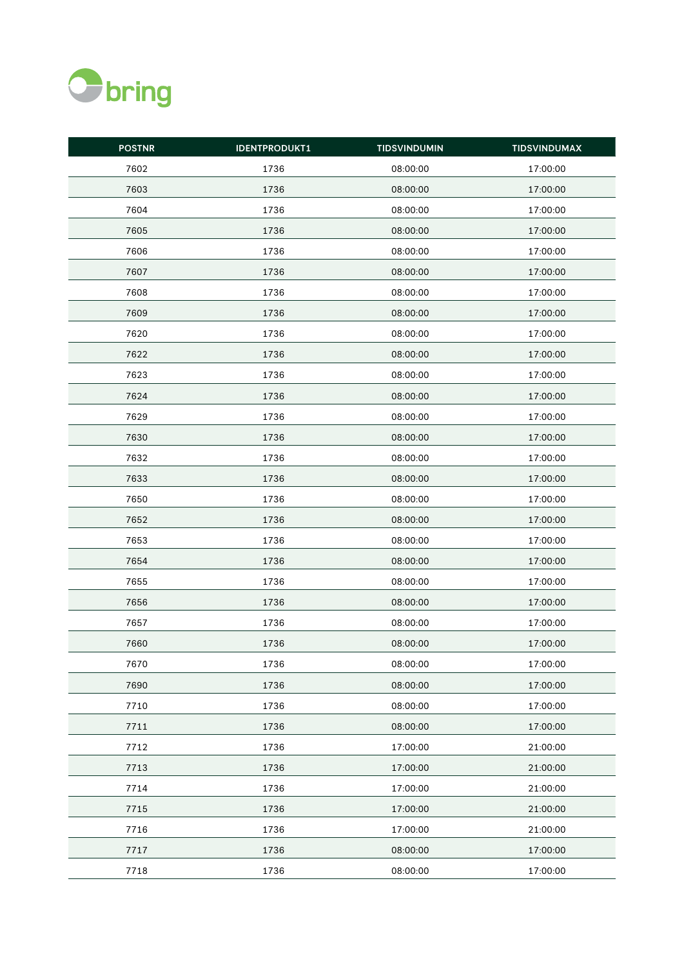

| <b>POSTNR</b> | <b>IDENTPRODUKT1</b> | <b>TIDSVINDUMIN</b> | <b>TIDSVINDUMAX</b> |
|---------------|----------------------|---------------------|---------------------|
| 7602          | 1736                 | 08:00:00            | 17:00:00            |
| 7603          | 1736                 | 08:00:00            | 17:00:00            |
| 7604          | 1736                 | 08:00:00            | 17:00:00            |
| 7605          | 1736                 | 08:00:00            | 17:00:00            |
| 7606          | 1736                 | 08:00:00            | 17:00:00            |
| 7607          | 1736                 | 08:00:00            | 17:00:00            |
| 7608          | 1736                 | 08:00:00            | 17:00:00            |
| 7609          | 1736                 | 08:00:00            | 17:00:00            |
| 7620          | 1736                 | 08:00:00            | 17:00:00            |
| 7622          | 1736                 | 08:00:00            | 17:00:00            |
| 7623          | 1736                 | 08:00:00            | 17:00:00            |
| 7624          | 1736                 | 08:00:00            | 17:00:00            |
| 7629          | 1736                 | 08:00:00            | 17:00:00            |
| 7630          | 1736                 | 08:00:00            | 17:00:00            |
| 7632          | 1736                 | 08:00:00            | 17:00:00            |
| 7633          | 1736                 | 08:00:00            | 17:00:00            |
| 7650          | 1736                 | 08:00:00            | 17:00:00            |
| 7652          | 1736                 | 08:00:00            | 17:00:00            |
| 7653          | 1736                 | 08:00:00            | 17:00:00            |
| 7654          | 1736                 | 08:00:00            | 17:00:00            |
| 7655          | 1736                 | 08:00:00            | 17:00:00            |
| 7656          | 1736                 | 08:00:00            | 17:00:00            |
| 7657          | 1736                 | 08:00:00            | 17:00:00            |
| 7660          | 1736                 | 08:00:00            | 17:00:00            |
| 7670          | 1736                 | 08:00:00            | 17:00:00            |
| 7690          | 1736                 | 08:00:00            | 17:00:00            |
| 7710          | 1736                 | 08:00:00            | 17:00:00            |
| 7711          | 1736                 | 08:00:00            | 17:00:00            |
| 7712          | 1736                 | 17:00:00            | 21:00:00            |
| 7713          | 1736                 | 17:00:00            | 21:00:00            |
| 7714          | 1736                 | 17:00:00            | 21:00:00            |
| 7715          | 1736                 | 17:00:00            | 21:00:00            |
| 7716          | 1736                 | 17:00:00            | 21:00:00            |
| 7717          | 1736                 | 08:00:00            | 17:00:00            |
| 7718          | 1736                 | 08:00:00            | 17:00:00            |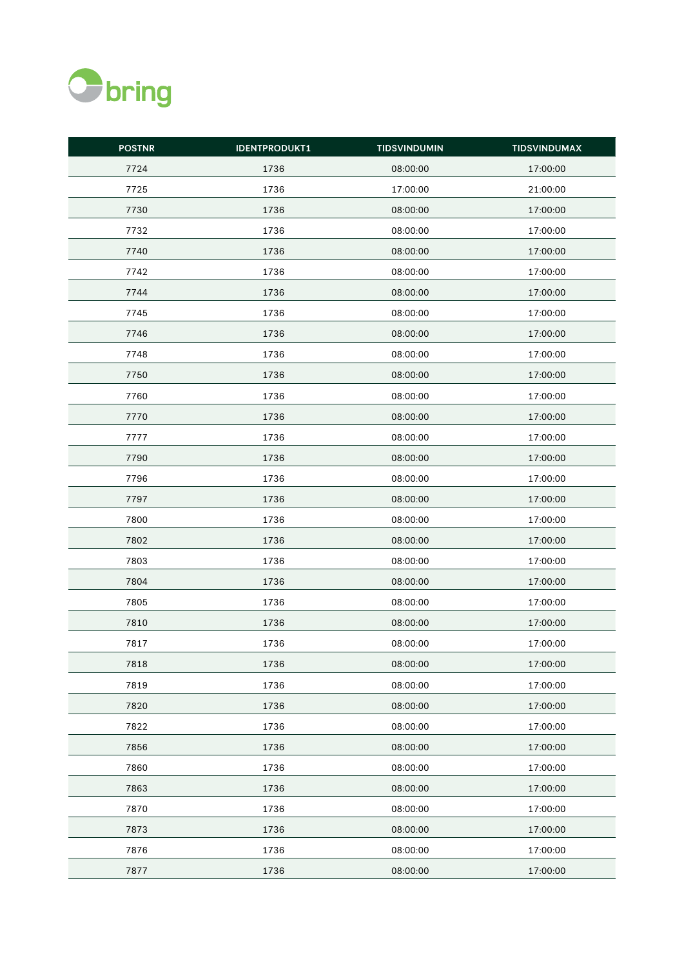

| <b>POSTNR</b> | <b>IDENTPRODUKT1</b> | <b>TIDSVINDUMIN</b> | <b>TIDSVINDUMAX</b> |
|---------------|----------------------|---------------------|---------------------|
| 7724          | 1736                 | 08:00:00            | 17:00:00            |
| 7725          | 1736                 | 17:00:00            | 21:00:00            |
| 7730          | 1736                 | 08:00:00            | 17:00:00            |
| 7732          | 1736                 | 08:00:00            | 17:00:00            |
| 7740          | 1736                 | 08:00:00            | 17:00:00            |
| 7742          | 1736                 | 08:00:00            | 17:00:00            |
| 7744          | 1736                 | 08:00:00            | 17:00:00            |
| 7745          | 1736                 | 08:00:00            | 17:00:00            |
| 7746          | 1736                 | 08:00:00            | 17:00:00            |
| 7748          | 1736                 | 08:00:00            | 17:00:00            |
| 7750          | 1736                 | 08:00:00            | 17:00:00            |
| 7760          | 1736                 | 08:00:00            | 17:00:00            |
| 7770          | 1736                 | 08:00:00            | 17:00:00            |
| 7777          | 1736                 | 08:00:00            | 17:00:00            |
| 7790          | 1736                 | 08:00:00            | 17:00:00            |
| 7796          | 1736                 | 08:00:00            | 17:00:00            |
| 7797          | 1736                 | 08:00:00            | 17:00:00            |
| 7800          | 1736                 | 08:00:00            | 17:00:00            |
| 7802          | 1736                 | 08:00:00            | 17:00:00            |
| 7803          | 1736                 | 08:00:00            | 17:00:00            |
| 7804          | 1736                 | 08:00:00            | 17:00:00            |
| 7805          | 1736                 | 08:00:00            | 17:00:00            |
| 7810          | 1736                 | 08:00:00            | 17:00:00            |
| 7817          | 1736                 | 08:00:00            | 17:00:00            |
| 7818          | 1736                 | 08:00:00            | 17:00:00            |
| 7819          | 1736                 | 08:00:00            | 17:00:00            |
| 7820          | 1736                 | 08:00:00            | 17:00:00            |
| 7822          | 1736                 | 08:00:00            | 17:00:00            |
| 7856          | 1736                 | 08:00:00            | 17:00:00            |
| 7860          | 1736                 | 08:00:00            | 17:00:00            |
| 7863          | 1736                 | 08:00:00            | 17:00:00            |
| 7870          | 1736                 | 08:00:00            | 17:00:00            |
| 7873          | 1736                 | 08:00:00            | 17:00:00            |
| 7876          | 1736                 | 08:00:00            | 17:00:00            |
| 7877          | 1736                 | 08:00:00            | 17:00:00            |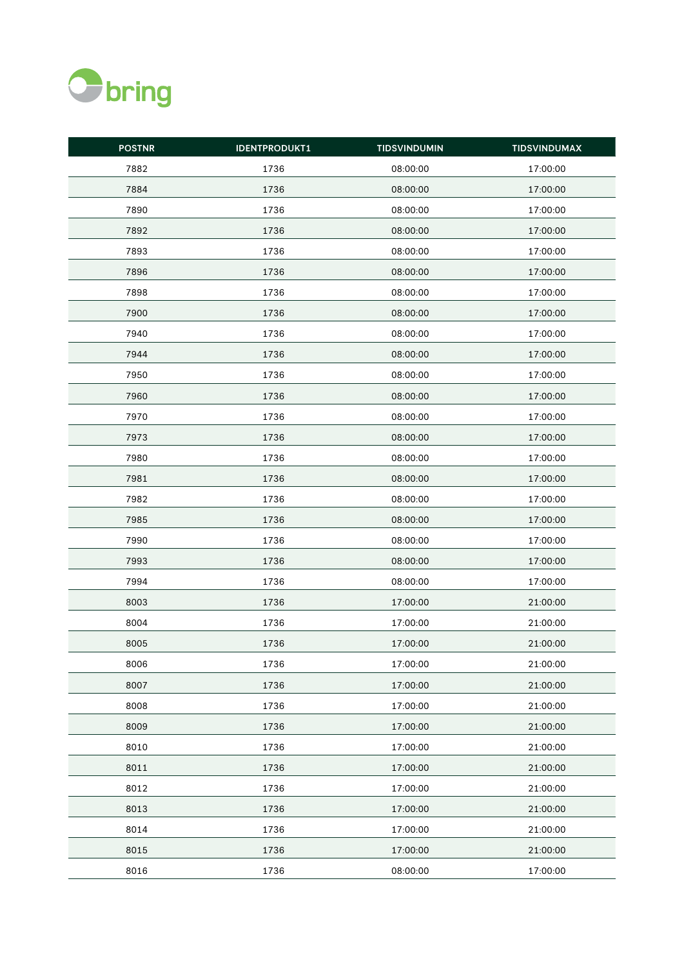

| <b>POSTNR</b> | <b>IDENTPRODUKT1</b> | <b>TIDSVINDUMIN</b> | <b>TIDSVINDUMAX</b> |
|---------------|----------------------|---------------------|---------------------|
| 7882          | 1736                 | 08:00:00            | 17:00:00            |
| 7884          | 1736                 | 08:00:00            | 17:00:00            |
| 7890          | 1736                 | 08:00:00            | 17:00:00            |
| 7892          | 1736                 | 08:00:00            | 17:00:00            |
| 7893          | 1736                 | 08:00:00            | 17:00:00            |
| 7896          | 1736                 | 08:00:00            | 17:00:00            |
| 7898          | 1736                 | 08:00:00            | 17:00:00            |
| 7900          | 1736                 | 08:00:00            | 17:00:00            |
| 7940          | 1736                 | 08:00:00            | 17:00:00            |
| 7944          | 1736                 | 08:00:00            | 17:00:00            |
| 7950          | 1736                 | 08:00:00            | 17:00:00            |
| 7960          | 1736                 | 08:00:00            | 17:00:00            |
| 7970          | 1736                 | 08:00:00            | 17:00:00            |
| 7973          | 1736                 | 08:00:00            | 17:00:00            |
| 7980          | 1736                 | 08:00:00            | 17:00:00            |
| 7981          | 1736                 | 08:00:00            | 17:00:00            |
| 7982          | 1736                 | 08:00:00            | 17:00:00            |
| 7985          | 1736                 | 08:00:00            | 17:00:00            |
| 7990          | 1736                 | 08:00:00            | 17:00:00            |
| 7993          | 1736                 | 08:00:00            | 17:00:00            |
| 7994          | 1736                 | 08:00:00            | 17:00:00            |
| 8003          | 1736                 | 17:00:00            | 21:00:00            |
| 8004          | 1736                 | 17:00:00            | 21:00:00            |
| 8005          | 1736                 | 17:00:00            | 21:00:00            |
| 8006          | 1736                 | 17:00:00            | 21:00:00            |
| 8007          | 1736                 | 17:00:00            | 21:00:00            |
| 8008          | 1736                 | 17:00:00            | 21:00:00            |
| 8009          | 1736                 | 17:00:00            | 21:00:00            |
| 8010          | 1736                 | 17:00:00            | 21:00:00            |
| 8011          | 1736                 | 17:00:00            | 21:00:00            |
| 8012          | 1736                 | 17:00:00            | 21:00:00            |
| 8013          | 1736                 | 17:00:00            | 21:00:00            |
| 8014          | 1736                 | 17:00:00            | 21:00:00            |
| 8015          | 1736                 | 17:00:00            | 21:00:00            |
| 8016          | 1736                 | 08:00:00            | 17:00:00            |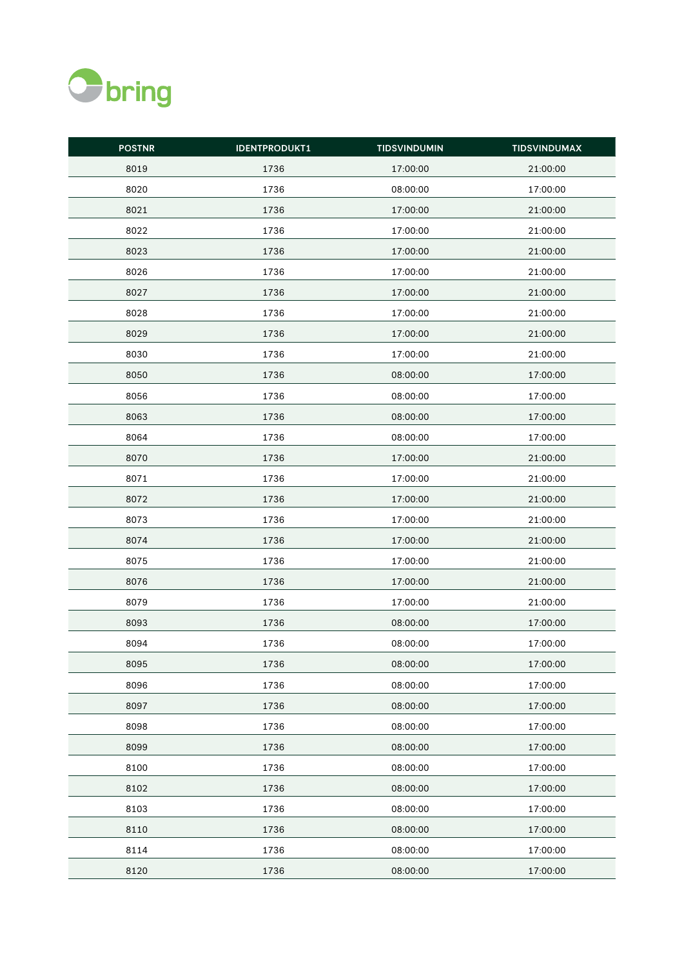

| <b>POSTNR</b> | <b>IDENTPRODUKT1</b> | <b>TIDSVINDUMIN</b> | <b>TIDSVINDUMAX</b> |
|---------------|----------------------|---------------------|---------------------|
| 8019          | 1736                 | 17:00:00            | 21:00:00            |
| 8020          | 1736                 | 08:00:00            | 17:00:00            |
| 8021          | 1736                 | 17:00:00            | 21:00:00            |
| 8022          | 1736                 | 17:00:00            | 21:00:00            |
| 8023          | 1736                 | 17:00:00            | 21:00:00            |
| 8026          | 1736                 | 17:00:00            | 21:00:00            |
| 8027          | 1736                 | 17:00:00            | 21:00:00            |
| 8028          | 1736                 | 17:00:00            | 21:00:00            |
| 8029          | 1736                 | 17:00:00            | 21:00:00            |
| 8030          | 1736                 | 17:00:00            | 21:00:00            |
| 8050          | 1736                 | 08:00:00            | 17:00:00            |
| 8056          | 1736                 | 08:00:00            | 17:00:00            |
| 8063          | 1736                 | 08:00:00            | 17:00:00            |
| 8064          | 1736                 | 08:00:00            | 17:00:00            |
| 8070          | 1736                 | 17:00:00            | 21:00:00            |
| 8071          | 1736                 | 17:00:00            | 21:00:00            |
| 8072          | 1736                 | 17:00:00            | 21:00:00            |
| 8073          | 1736                 | 17:00:00            | 21:00:00            |
| 8074          | 1736                 | 17:00:00            | 21:00:00            |
| 8075          | 1736                 | 17:00:00            | 21:00:00            |
| 8076          | 1736                 | 17:00:00            | 21:00:00            |
| 8079          | 1736                 | 17:00:00            | 21:00:00            |
| 8093          | 1736                 | 08:00:00            | 17:00:00            |
| 8094          | 1736                 | 08:00:00            | 17:00:00            |
| 8095          | 1736                 | 08:00:00            | 17:00:00            |
| 8096          | 1736                 | 08:00:00            | 17:00:00            |
| 8097          | 1736                 | 08:00:00            | 17:00:00            |
| 8098          | 1736                 | 08:00:00            | 17:00:00            |
| 8099          | 1736                 | 08:00:00            | 17:00:00            |
| 8100          | 1736                 | 08:00:00            | 17:00:00            |
| 8102          | 1736                 | 08:00:00            | 17:00:00            |
| 8103          | 1736                 | 08:00:00            | 17:00:00            |
| 8110          | 1736                 | 08:00:00            | 17:00:00            |
| 8114          | 1736                 | 08:00:00            | 17:00:00            |
| 8120          | 1736                 | 08:00:00            | 17:00:00            |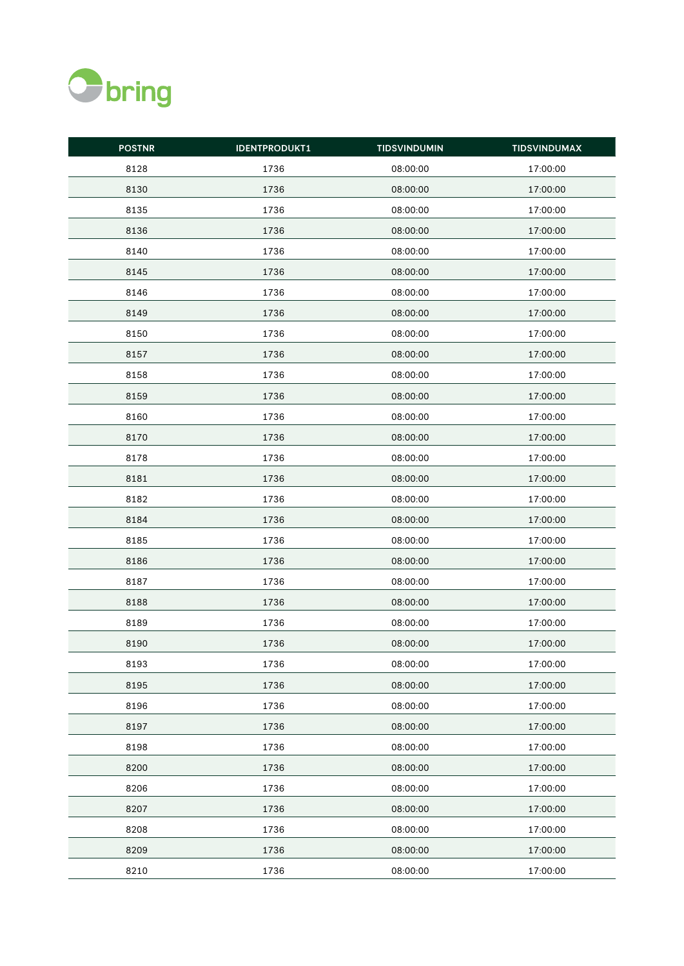

| <b>POSTNR</b> | <b>IDENTPRODUKT1</b> | <b>TIDSVINDUMIN</b> | <b>TIDSVINDUMAX</b> |
|---------------|----------------------|---------------------|---------------------|
| 8128          | 1736                 | 08:00:00            | 17:00:00            |
| 8130          | 1736                 | 08:00:00            | 17:00:00            |
| 8135          | 1736                 | 08:00:00            | 17:00:00            |
| 8136          | 1736                 | 08:00:00            | 17:00:00            |
| 8140          | 1736                 | 08:00:00            | 17:00:00            |
| 8145          | 1736                 | 08:00:00            | 17:00:00            |
| 8146          | 1736                 | 08:00:00            | 17:00:00            |
| 8149          | 1736                 | 08:00:00            | 17:00:00            |
| 8150          | 1736                 | 08:00:00            | 17:00:00            |
| 8157          | 1736                 | 08:00:00            | 17:00:00            |
| 8158          | 1736                 | 08:00:00            | 17:00:00            |
| 8159          | 1736                 | 08:00:00            | 17:00:00            |
| 8160          | 1736                 | 08:00:00            | 17:00:00            |
| 8170          | 1736                 | 08:00:00            | 17:00:00            |
| 8178          | 1736                 | 08:00:00            | 17:00:00            |
| 8181          | 1736                 | 08:00:00            | 17:00:00            |
| 8182          | 1736                 | 08:00:00            | 17:00:00            |
| 8184          | 1736                 | 08:00:00            | 17:00:00            |
| 8185          | 1736                 | 08:00:00            | 17:00:00            |
| 8186          | 1736                 | 08:00:00            | 17:00:00            |
| 8187          | 1736                 | 08:00:00            | 17:00:00            |
| 8188          | 1736                 | 08:00:00            | 17:00:00            |
| 8189          | 1736                 | 08:00:00            | 17:00:00            |
| 8190          | 1736                 | 08:00:00            | 17:00:00            |
| 8193          | 1736                 | 08:00:00            | 17:00:00            |
| 8195          | 1736                 | 08:00:00            | 17:00:00            |
| 8196          | 1736                 | 08:00:00            | 17:00:00            |
| 8197          | 1736                 | 08:00:00            | 17:00:00            |
| 8198          | 1736                 | 08:00:00            | 17:00:00            |
| 8200          | 1736                 | 08:00:00            | 17:00:00            |
| 8206          | 1736                 | 08:00:00            | 17:00:00            |
| 8207          | 1736                 | 08:00:00            | 17:00:00            |
| 8208          | 1736                 | 08:00:00            | 17:00:00            |
| 8209          | 1736                 | 08:00:00            | 17:00:00            |
| 8210          | 1736                 | 08:00:00            | 17:00:00            |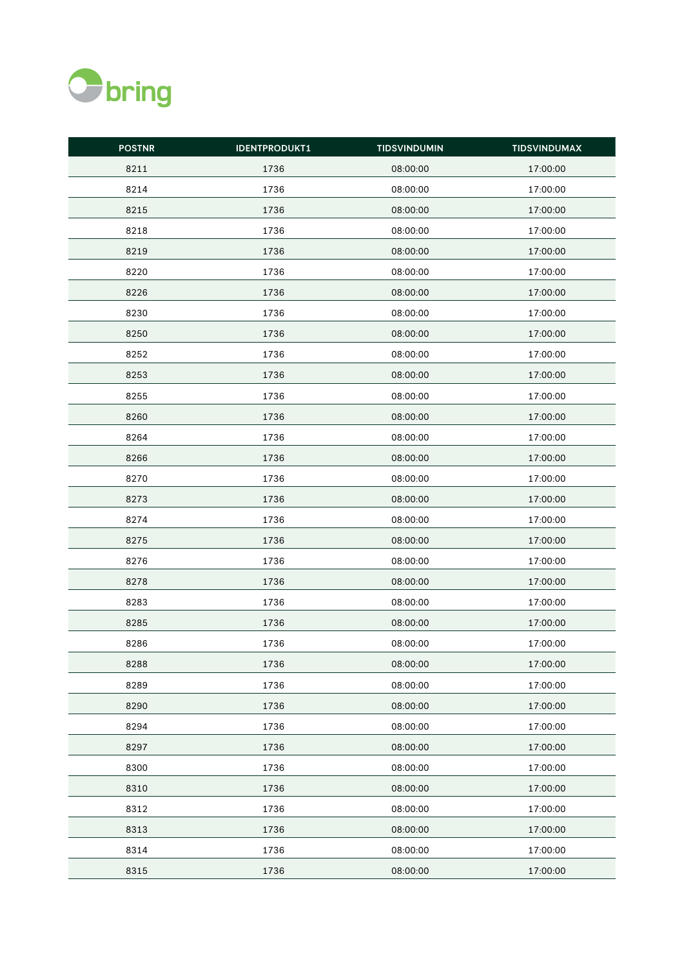

| <b>POSTNR</b> | <b>IDENTPRODUKT1</b> | <b>TIDSVINDUMIN</b> | <b>TIDSVINDUMAX</b> |
|---------------|----------------------|---------------------|---------------------|
| 8211          | 1736                 | 08:00:00            | 17:00:00            |
| 8214          | 1736                 | 08:00:00            | 17:00:00            |
| 8215          | 1736                 | 08:00:00            | 17:00:00            |
| 8218          | 1736                 | 08:00:00            | 17:00:00            |
| 8219          | 1736                 | 08:00:00            | 17:00:00            |
| 8220          | 1736                 | 08:00:00            | 17:00:00            |
| 8226          | 1736                 | 08:00:00            | 17:00:00            |
| 8230          | 1736                 | 08:00:00            | 17:00:00            |
| 8250          | 1736                 | 08:00:00            | 17:00:00            |
| 8252          | 1736                 | 08:00:00            | 17:00:00            |
| 8253          | 1736                 | 08:00:00            | 17:00:00            |
| 8255          | 1736                 | 08:00:00            | 17:00:00            |
| 8260          | 1736                 | 08:00:00            | 17:00:00            |
| 8264          | 1736                 | 08:00:00            | 17:00:00            |
| 8266          | 1736                 | 08:00:00            | 17:00:00            |
| 8270          | 1736                 | 08:00:00            | 17:00:00            |
| 8273          | 1736                 | 08:00:00            | 17:00:00            |
| 8274          | 1736                 | 08:00:00            | 17:00:00            |
| 8275          | 1736                 | 08:00:00            | 17:00:00            |
| 8276          | 1736                 | 08:00:00            | 17:00:00            |
| 8278          | 1736                 | 08:00:00            | 17:00:00            |
| 8283          | 1736                 | 08:00:00            | 17:00:00            |
| 8285          | 1736                 | 08:00:00            | 17:00:00            |
| 8286          | 1736                 | 08:00:00            | 17:00:00            |
| 8288          | 1736                 | 08:00:00            | 17:00:00            |
| 8289          | 1736                 | 08:00:00            | 17:00:00            |
| 8290          | 1736                 | 08:00:00            | 17:00:00            |
| 8294          | 1736                 | 08:00:00            | 17:00:00            |
| 8297          | 1736                 | 08:00:00            | 17:00:00            |
| 8300          | 1736                 | 08:00:00            | 17:00:00            |
| 8310          | 1736                 | 08:00:00            | 17:00:00            |
| 8312          | 1736                 | 08:00:00            | 17:00:00            |
| 8313          | 1736                 | 08:00:00            | 17:00:00            |
| 8314          | 1736                 | 08:00:00            | 17:00:00            |
| 8315          | 1736                 | 08:00:00            | 17:00:00            |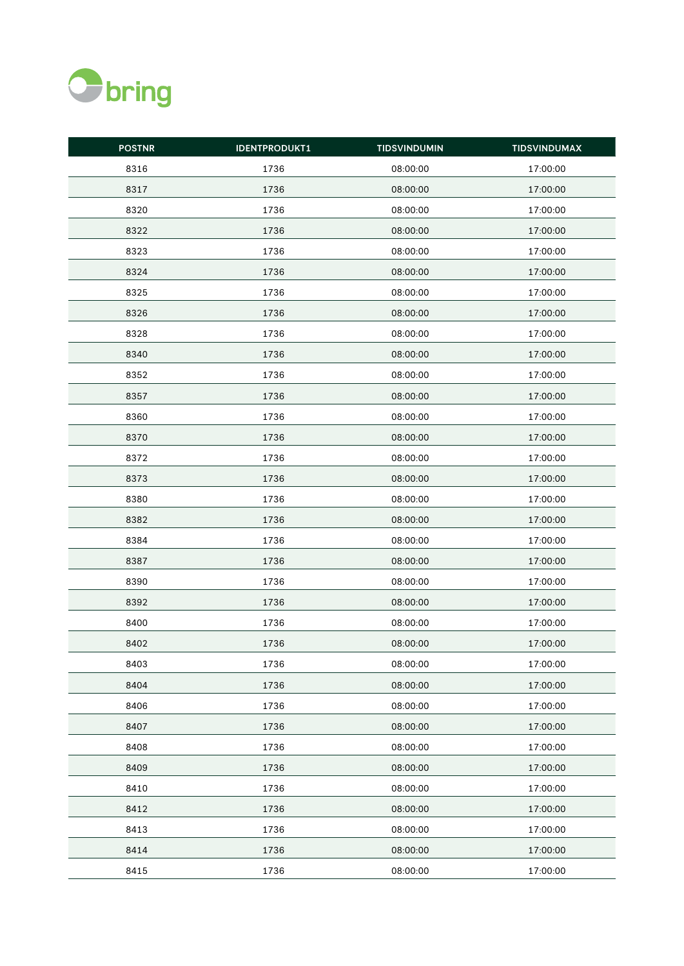

| <b>POSTNR</b> | <b>IDENTPRODUKT1</b> | <b>TIDSVINDUMIN</b> | <b>TIDSVINDUMAX</b> |
|---------------|----------------------|---------------------|---------------------|
| 8316          | 1736                 | 08:00:00            | 17:00:00            |
| 8317          | 1736                 | 08:00:00            | 17:00:00            |
| 8320          | 1736                 | 08:00:00            | 17:00:00            |
| 8322          | 1736                 | 08:00:00            | 17:00:00            |
| 8323          | 1736                 | 08:00:00            | 17:00:00            |
| 8324          | 1736                 | 08:00:00            | 17:00:00            |
| 8325          | 1736                 | 08:00:00            | 17:00:00            |
| 8326          | 1736                 | 08:00:00            | 17:00:00            |
| 8328          | 1736                 | 08:00:00            | 17:00:00            |
| 8340          | 1736                 | 08:00:00            | 17:00:00            |
| 8352          | 1736                 | 08:00:00            | 17:00:00            |
| 8357          | 1736                 | 08:00:00            | 17:00:00            |
| 8360          | 1736                 | 08:00:00            | 17:00:00            |
| 8370          | 1736                 | 08:00:00            | 17:00:00            |
| 8372          | 1736                 | 08:00:00            | 17:00:00            |
| 8373          | 1736                 | 08:00:00            | 17:00:00            |
| 8380          | 1736                 | 08:00:00            | 17:00:00            |
| 8382          | 1736                 | 08:00:00            | 17:00:00            |
| 8384          | 1736                 | 08:00:00            | 17:00:00            |
| 8387          | 1736                 | 08:00:00            | 17:00:00            |
| 8390          | 1736                 | 08:00:00            | 17:00:00            |
| 8392          | 1736                 | 08:00:00            | 17:00:00            |
| 8400          | 1736                 | 08:00:00            | 17:00:00            |
| 8402          | 1736                 | 08:00:00            | 17:00:00            |
| 8403          | 1736                 | 08:00:00            | 17:00:00            |
| 8404          | 1736                 | 08:00:00            | 17:00:00            |
| 8406          | 1736                 | 08:00:00            | 17:00:00            |
| 8407          | 1736                 | 08:00:00            | 17:00:00            |
| 8408          | 1736                 | 08:00:00            | 17:00:00            |
| 8409          | 1736                 | 08:00:00            | 17:00:00            |
| 8410          | 1736                 | 08:00:00            | 17:00:00            |
| 8412          | 1736                 | 08:00:00            | 17:00:00            |
| 8413          | 1736                 | 08:00:00            | 17:00:00            |
| 8414          | 1736                 | 08:00:00            | 17:00:00            |
| 8415          | 1736                 | 08:00:00            | 17:00:00            |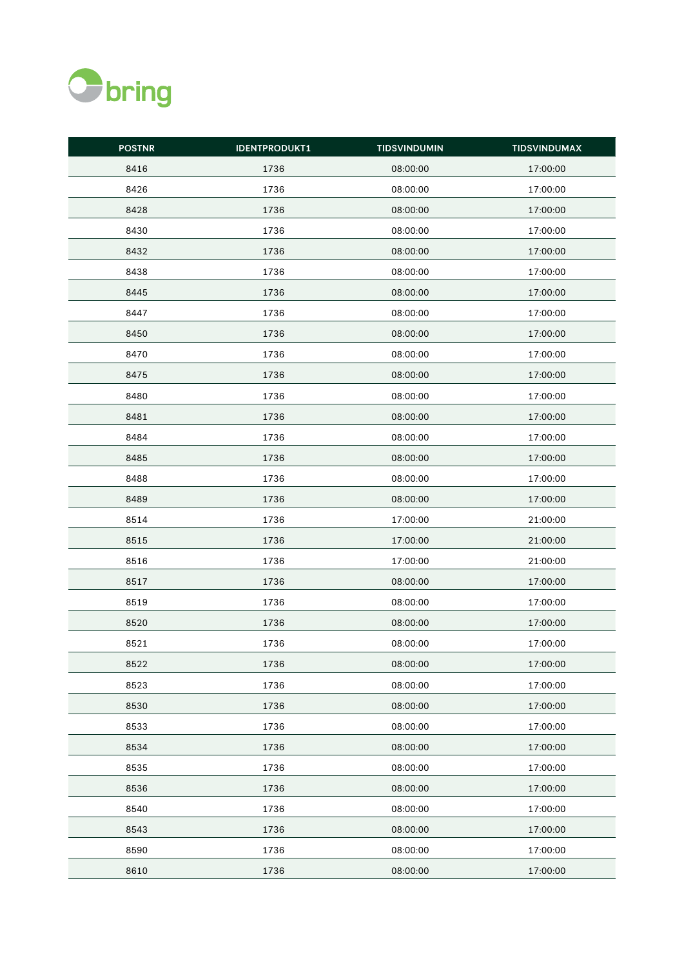

| <b>POSTNR</b> | <b>IDENTPRODUKT1</b> | <b>TIDSVINDUMIN</b> | <b>TIDSVINDUMAX</b> |
|---------------|----------------------|---------------------|---------------------|
| 8416          | 1736                 | 08:00:00            | 17:00:00            |
| 8426          | 1736                 | 08:00:00            | 17:00:00            |
| 8428          | 1736                 | 08:00:00            | 17:00:00            |
| 8430          | 1736                 | 08:00:00            | 17:00:00            |
| 8432          | 1736                 | 08:00:00            | 17:00:00            |
| 8438          | 1736                 | 08:00:00            | 17:00:00            |
| 8445          | 1736                 | 08:00:00            | 17:00:00            |
| 8447          | 1736                 | 08:00:00            | 17:00:00            |
| 8450          | 1736                 | 08:00:00            | 17:00:00            |
| 8470          | 1736                 | 08:00:00            | 17:00:00            |
| 8475          | 1736                 | 08:00:00            | 17:00:00            |
| 8480          | 1736                 | 08:00:00            | 17:00:00            |
| 8481          | 1736                 | 08:00:00            | 17:00:00            |
| 8484          | 1736                 | 08:00:00            | 17:00:00            |
| 8485          | 1736                 | 08:00:00            | 17:00:00            |
| 8488          | 1736                 | 08:00:00            | 17:00:00            |
| 8489          | 1736                 | 08:00:00            | 17:00:00            |
| 8514          | 1736                 | 17:00:00            | 21:00:00            |
| 8515          | 1736                 | 17:00:00            | 21:00:00            |
| 8516          | 1736                 | 17:00:00            | 21:00:00            |
| 8517          | 1736                 | 08:00:00            | 17:00:00            |
| 8519          | 1736                 | 08:00:00            | 17:00:00            |
| 8520          | 1736                 | 08:00:00            | 17:00:00            |
| 8521          | 1736                 | 08:00:00            | 17:00:00            |
| 8522          | 1736                 | 08:00:00            | 17:00:00            |
| 8523          | 1736                 | 08:00:00            | 17:00:00            |
| 8530          | 1736                 | 08:00:00            | 17:00:00            |
| 8533          | 1736                 | 08:00:00            | 17:00:00            |
| 8534          | 1736                 | 08:00:00            | 17:00:00            |
| 8535          | 1736                 | 08:00:00            | 17:00:00            |
| 8536          | 1736                 | 08:00:00            | 17:00:00            |
| 8540          | 1736                 | 08:00:00            | 17:00:00            |
| 8543          | 1736                 | 08:00:00            | 17:00:00            |
| 8590          | 1736                 | 08:00:00            | 17:00:00            |
| 8610          | 1736                 | 08:00:00            | 17:00:00            |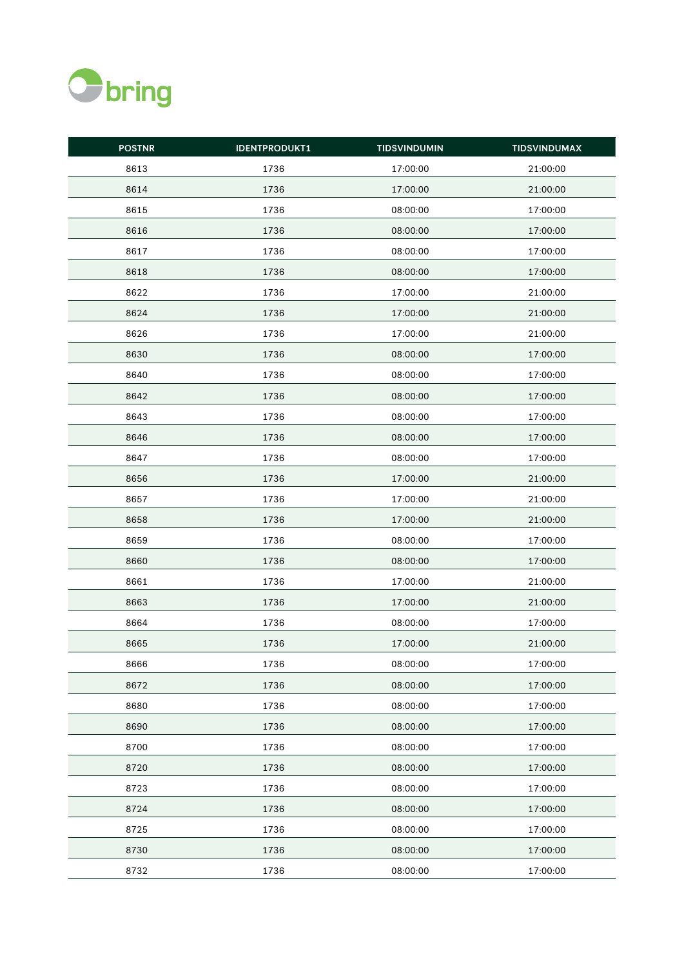

| <b>POSTNR</b> | <b>IDENTPRODUKT1</b> | <b>TIDSVINDUMIN</b> | <b>TIDSVINDUMAX</b> |
|---------------|----------------------|---------------------|---------------------|
| 8613          | 1736                 | 17:00:00            | 21:00:00            |
| 8614          | 1736                 | 17:00:00            | 21:00:00            |
| 8615          | 1736                 | 08:00:00            | 17:00:00            |
| 8616          | 1736                 | 08:00:00            | 17:00:00            |
| 8617          | 1736                 | 08:00:00            | 17:00:00            |
| 8618          | 1736                 | 08:00:00            | 17:00:00            |
| 8622          | 1736                 | 17:00:00            | 21:00:00            |
| 8624          | 1736                 | 17:00:00            | 21:00:00            |
| 8626          | 1736                 | 17:00:00            | 21:00:00            |
| 8630          | 1736                 | 08:00:00            | 17:00:00            |
| 8640          | 1736                 | 08:00:00            | 17:00:00            |
| 8642          | 1736                 | 08:00:00            | 17:00:00            |
| 8643          | 1736                 | 08:00:00            | 17:00:00            |
| 8646          | 1736                 | 08:00:00            | 17:00:00            |
| 8647          | 1736                 | 08:00:00            | 17:00:00            |
| 8656          | 1736                 | 17:00:00            | 21:00:00            |
| 8657          | 1736                 | 17:00:00            | 21:00:00            |
| 8658          | 1736                 | 17:00:00            | 21:00:00            |
| 8659          | 1736                 | 08:00:00            | 17:00:00            |
| 8660          | 1736                 | 08:00:00            | 17:00:00            |
| 8661          | 1736                 | 17:00:00            | 21:00:00            |
| 8663          | 1736                 | 17:00:00            | 21:00:00            |
| 8664          | 1736                 | 08:00:00            | 17:00:00            |
| 8665          | 1736                 | 17:00:00            | 21:00:00            |
| 8666          | 1736                 | 08:00:00            | 17:00:00            |
| 8672          | 1736                 | 08:00:00            | 17:00:00            |
| 8680          | 1736                 | 08:00:00            | 17:00:00            |
| 8690          | 1736                 | 08:00:00            | 17:00:00            |
| 8700          | 1736                 | 08:00:00            | 17:00:00            |
| 8720          | 1736                 | 08:00:00            | 17:00:00            |
| 8723          | 1736                 | 08:00:00            | 17:00:00            |
| 8724          | 1736                 | 08:00:00            | 17:00:00            |
| 8725          | 1736                 | 08:00:00            | 17:00:00            |
| 8730          | 1736                 | 08:00:00            | 17:00:00            |
| 8732          | 1736                 | 08:00:00            | 17:00:00            |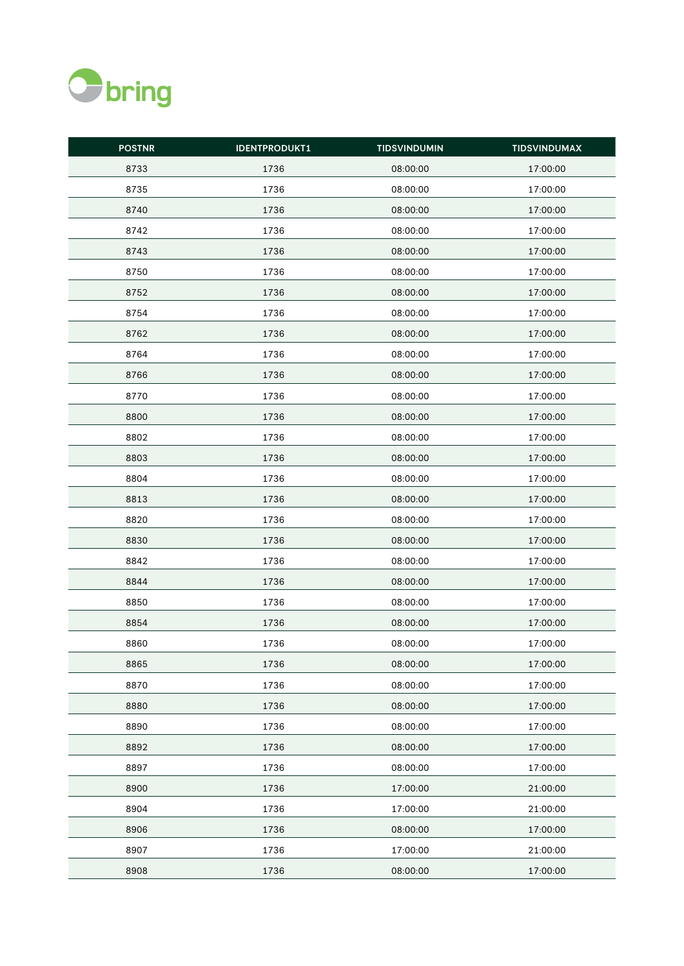

| <b>POSTNR</b> | <b>IDENTPRODUKT1</b> | <b>TIDSVINDUMIN</b> | <b>TIDSVINDUMAX</b> |
|---------------|----------------------|---------------------|---------------------|
| 8733          | 1736                 | 08:00:00            | 17:00:00            |
| 8735          | 1736                 | 08:00:00            | 17:00:00            |
| 8740          | 1736                 | 08:00:00            | 17:00:00            |
| 8742          | 1736                 | 08:00:00            | 17:00:00            |
| 8743          | 1736                 | 08:00:00            | 17:00:00            |
| 8750          | 1736                 | 08:00:00            | 17:00:00            |
| 8752          | 1736                 | 08:00:00            | 17:00:00            |
| 8754          | 1736                 | 08:00:00            | 17:00:00            |
| 8762          | 1736                 | 08:00:00            | 17:00:00            |
| 8764          | 1736                 | 08:00:00            | 17:00:00            |
| 8766          | 1736                 | 08:00:00            | 17:00:00            |
| 8770          | 1736                 | 08:00:00            | 17:00:00            |
| 8800          | 1736                 | 08:00:00            | 17:00:00            |
| 8802          | 1736                 | 08:00:00            | 17:00:00            |
| 8803          | 1736                 | 08:00:00            | 17:00:00            |
| 8804          | 1736                 | 08:00:00            | 17:00:00            |
| 8813          | 1736                 | 08:00:00            | 17:00:00            |
| 8820          | 1736                 | 08:00:00            | 17:00:00            |
| 8830          | 1736                 | 08:00:00            | 17:00:00            |
| 8842          | 1736                 | 08:00:00            | 17:00:00            |
| 8844          | 1736                 | 08:00:00            | 17:00:00            |
| 8850          | 1736                 | 08:00:00            | 17:00:00            |
| 8854          | 1736                 | 08:00:00            | 17:00:00            |
| 8860          | 1736                 | 08:00:00            | 17:00:00            |
| 8865          | 1736                 | 08:00:00            | 17:00:00            |
| 8870          | 1736                 | 08:00:00            | 17:00:00            |
| 8880          | 1736                 | 08:00:00            | 17:00:00            |
| 8890          | 1736                 | 08:00:00            | 17:00:00            |
| 8892          | 1736                 | 08:00:00            | 17:00:00            |
| 8897          | 1736                 | 08:00:00            | 17:00:00            |
| 8900          | 1736                 | 17:00:00            | 21:00:00            |
| 8904          | 1736                 | 17:00:00            | 21:00:00            |
| 8906          | 1736                 | 08:00:00            | 17:00:00            |
| 8907          | 1736                 | 17:00:00            | 21:00:00            |
| 8908          | 1736                 | 08:00:00            | 17:00:00            |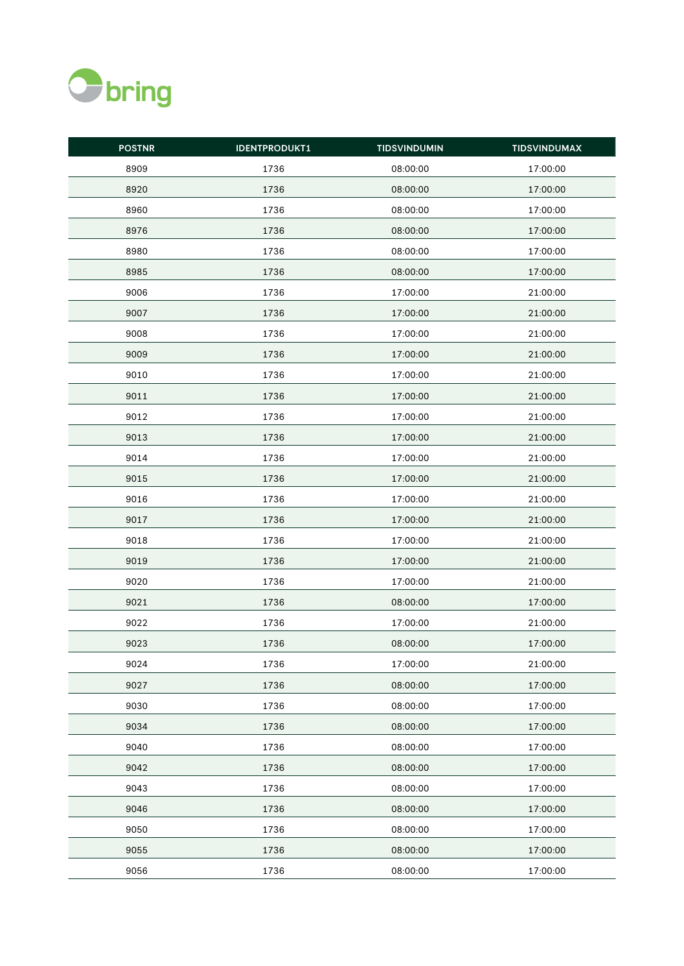

| <b>POSTNR</b> | <b>IDENTPRODUKT1</b> | <b>TIDSVINDUMIN</b> | <b>TIDSVINDUMAX</b> |
|---------------|----------------------|---------------------|---------------------|
| 8909          | 1736                 | 08:00:00            | 17:00:00            |
| 8920          | 1736                 | 08:00:00            | 17:00:00            |
| 8960          | 1736                 | 08:00:00            | 17:00:00            |
| 8976          | 1736                 | 08:00:00            | 17:00:00            |
| 8980          | 1736                 | 08:00:00            | 17:00:00            |
| 8985          | 1736                 | 08:00:00            | 17:00:00            |
| 9006          | 1736                 | 17:00:00            | 21:00:00            |
| 9007          | 1736                 | 17:00:00            | 21:00:00            |
| 9008          | 1736                 | 17:00:00            | 21:00:00            |
| 9009          | 1736                 | 17:00:00            | 21:00:00            |
| 9010          | 1736                 | 17:00:00            | 21:00:00            |
| 9011          | 1736                 | 17:00:00            | 21:00:00            |
| 9012          | 1736                 | 17:00:00            | 21:00:00            |
| 9013          | 1736                 | 17:00:00            | 21:00:00            |
| 9014          | 1736                 | 17:00:00            | 21:00:00            |
| 9015          | 1736                 | 17:00:00            | 21:00:00            |
| 9016          | 1736                 | 17:00:00            | 21:00:00            |
| 9017          | 1736                 | 17:00:00            | 21:00:00            |
| 9018          | 1736                 | 17:00:00            | 21:00:00            |
| 9019          | 1736                 | 17:00:00            | 21:00:00            |
| 9020          | 1736                 | 17:00:00            | 21:00:00            |
| 9021          | 1736                 | 08:00:00            | 17:00:00            |
| 9022          | 1736                 | 17:00:00            | 21:00:00            |
| 9023          | 1736                 | 08:00:00            | 17:00:00            |
| 9024          | 1736                 | 17:00:00            | 21:00:00            |
| 9027          | 1736                 | 08:00:00            | 17:00:00            |
| 9030          | 1736                 | 08:00:00            | 17:00:00            |
| 9034          | 1736                 | 08:00:00            | 17:00:00            |
| 9040          | 1736                 | 08:00:00            | 17:00:00            |
| 9042          | 1736                 | 08:00:00            | 17:00:00            |
| 9043          | 1736                 | 08:00:00            | 17:00:00            |
| 9046          | 1736                 | 08:00:00            | 17:00:00            |
| 9050          | 1736                 | 08:00:00            | 17:00:00            |
| 9055          | 1736                 | 08:00:00            | 17:00:00            |
| 9056          | 1736                 | 08:00:00            | 17:00:00            |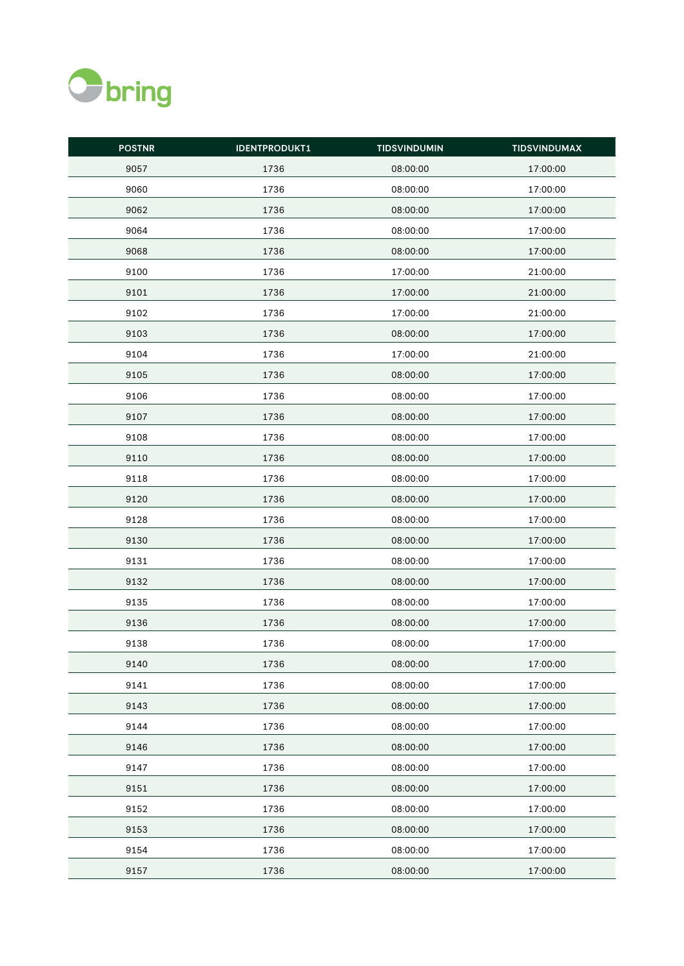

| <b>POSTNR</b> | <b>IDENTPRODUKT1</b> | <b>TIDSVINDUMIN</b> | <b>TIDSVINDUMAX</b> |
|---------------|----------------------|---------------------|---------------------|
| 9057          | 1736                 | 08:00:00            | 17:00:00            |
| 9060          | 1736                 | 08:00:00            | 17:00:00            |
| 9062          | 1736                 | 08:00:00            | 17:00:00            |
| 9064          | 1736                 | 08:00:00            | 17:00:00            |
| 9068          | 1736                 | 08:00:00            | 17:00:00            |
| 9100          | 1736                 | 17:00:00            | 21:00:00            |
| 9101          | 1736                 | 17:00:00            | 21:00:00            |
| 9102          | 1736                 | 17:00:00            | 21:00:00            |
| 9103          | 1736                 | 08:00:00            | 17:00:00            |
| 9104          | 1736                 | 17:00:00            | 21:00:00            |
| 9105          | 1736                 | 08:00:00            | 17:00:00            |
| 9106          | 1736                 | 08:00:00            | 17:00:00            |
| 9107          | 1736                 | 08:00:00            | 17:00:00            |
| 9108          | 1736                 | 08:00:00            | 17:00:00            |
| 9110          | 1736                 | 08:00:00            | 17:00:00            |
| 9118          | 1736                 | 08:00:00            | 17:00:00            |
| 9120          | 1736                 | 08:00:00            | 17:00:00            |
| 9128          | 1736                 | 08:00:00            | 17:00:00            |
| 9130          | 1736                 | 08:00:00            | 17:00:00            |
| 9131          | 1736                 | 08:00:00            | 17:00:00            |
| 9132          | 1736                 | 08:00:00            | 17:00:00            |
| 9135          | 1736                 | 08:00:00            | 17:00:00            |
| 9136          | 1736                 | 08:00:00            | 17:00:00            |
| 9138          | 1736                 | 08:00:00            | 17:00:00            |
| 9140          | 1736                 | 08:00:00            | 17:00:00            |
| 9141          | 1736                 | 08:00:00            | 17:00:00            |
| 9143          | 1736                 | 08:00:00            | 17:00:00            |
| 9144          | 1736                 | 08:00:00            | 17:00:00            |
| 9146          | 1736                 | 08:00:00            | 17:00:00            |
| 9147          | 1736                 | 08:00:00            | 17:00:00            |
| 9151          | 1736                 | 08:00:00            | 17:00:00            |
| 9152          | 1736                 | 08:00:00            | 17:00:00            |
| 9153          | 1736                 | 08:00:00            | 17:00:00            |
| 9154          | 1736                 | 08:00:00            | 17:00:00            |
| 9157          | 1736                 | 08:00:00            | 17:00:00            |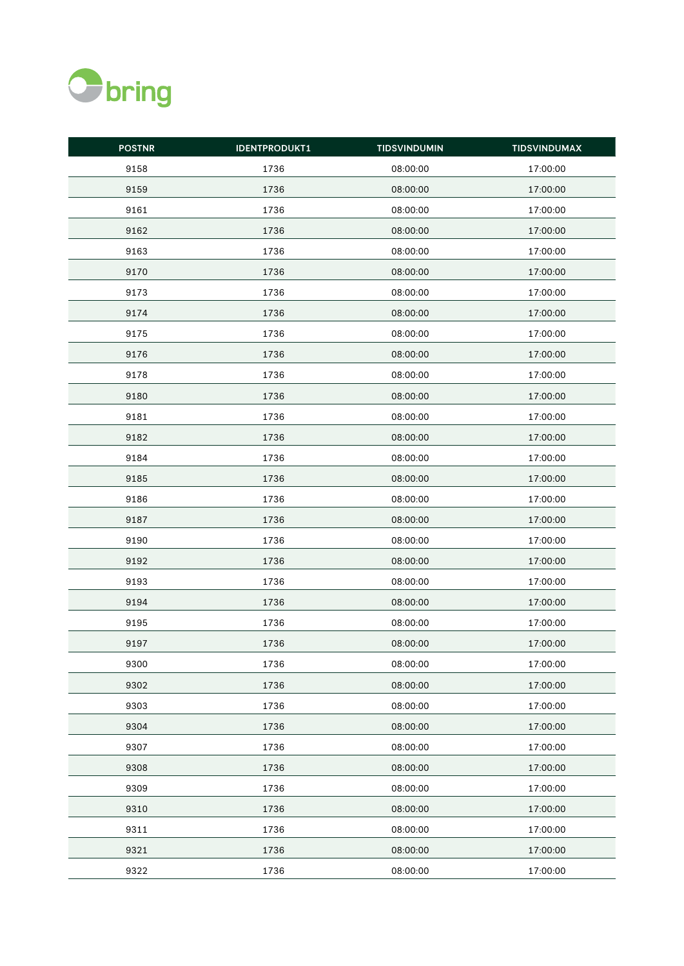

| <b>POSTNR</b> | <b>IDENTPRODUKT1</b> | <b>TIDSVINDUMIN</b> | <b>TIDSVINDUMAX</b> |
|---------------|----------------------|---------------------|---------------------|
| 9158          | 1736                 | 08:00:00            | 17:00:00            |
| 9159          | 1736                 | 08:00:00            | 17:00:00            |
| 9161          | 1736                 | 08:00:00            | 17:00:00            |
| 9162          | 1736                 | 08:00:00            | 17:00:00            |
| 9163          | 1736                 | 08:00:00            | 17:00:00            |
| 9170          | 1736                 | 08:00:00            | 17:00:00            |
| 9173          | 1736                 | 08:00:00            | 17:00:00            |
| 9174          | 1736                 | 08:00:00            | 17:00:00            |
| 9175          | 1736                 | 08:00:00            | 17:00:00            |
| 9176          | 1736                 | 08:00:00            | 17:00:00            |
| 9178          | 1736                 | 08:00:00            | 17:00:00            |
| 9180          | 1736                 | 08:00:00            | 17:00:00            |
| 9181          | 1736                 | 08:00:00            | 17:00:00            |
| 9182          | 1736                 | 08:00:00            | 17:00:00            |
| 9184          | 1736                 | 08:00:00            | 17:00:00            |
| 9185          | 1736                 | 08:00:00            | 17:00:00            |
| 9186          | 1736                 | 08:00:00            | 17:00:00            |
| 9187          | 1736                 | 08:00:00            | 17:00:00            |
| 9190          | 1736                 | 08:00:00            | 17:00:00            |
| 9192          | 1736                 | 08:00:00            | 17:00:00            |
| 9193          | 1736                 | 08:00:00            | 17:00:00            |
| 9194          | 1736                 | 08:00:00            | 17:00:00            |
| 9195          | 1736                 | 08:00:00            | 17:00:00            |
| 9197          | 1736                 | 08:00:00            | 17:00:00            |
| 9300          | 1736                 | 08:00:00            | 17:00:00            |
| 9302          | 1736                 | 08:00:00            | 17:00:00            |
| 9303          | 1736                 | 08:00:00            | 17:00:00            |
| 9304          | 1736                 | 08:00:00            | 17:00:00            |
| 9307          | 1736                 | 08:00:00            | 17:00:00            |
| 9308          | 1736                 | 08:00:00            | 17:00:00            |
| 9309          | 1736                 | 08:00:00            | 17:00:00            |
| 9310          | 1736                 | 08:00:00            | 17:00:00            |
| 9311          | 1736                 | 08:00:00            | 17:00:00            |
| 9321          | 1736                 | 08:00:00            | 17:00:00            |
| 9322          | 1736                 | 08:00:00            | 17:00:00            |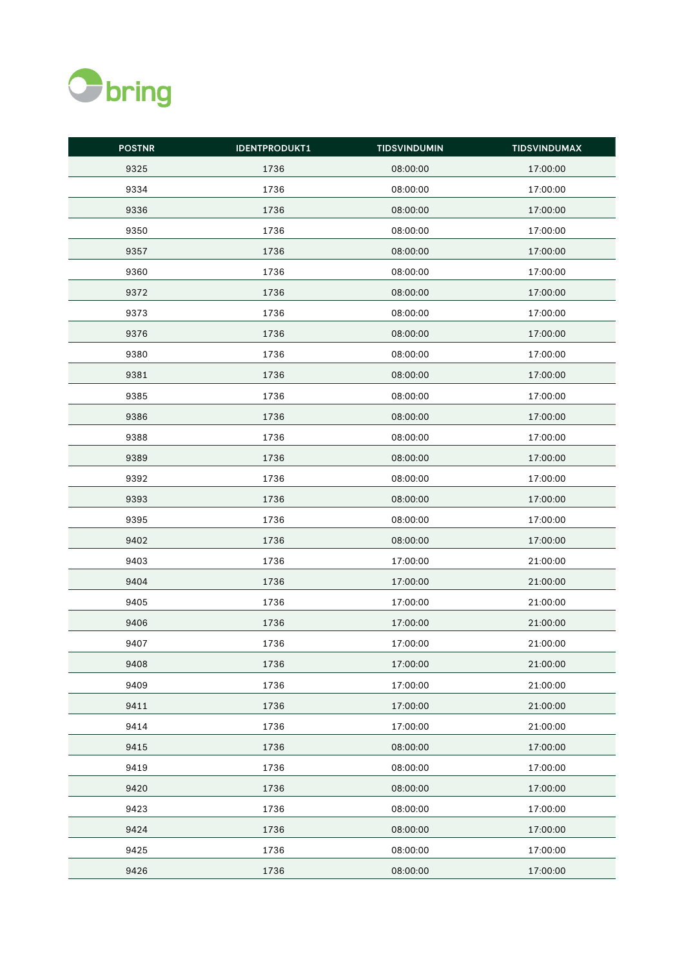

| <b>POSTNR</b> | <b>IDENTPRODUKT1</b> | <b>TIDSVINDUMIN</b> | <b>TIDSVINDUMAX</b> |
|---------------|----------------------|---------------------|---------------------|
| 9325          | 1736                 | 08:00:00            | 17:00:00            |
| 9334          | 1736                 | 08:00:00            | 17:00:00            |
| 9336          | 1736                 | 08:00:00            | 17:00:00            |
| 9350          | 1736                 | 08:00:00            | 17:00:00            |
| 9357          | 1736                 | 08:00:00            | 17:00:00            |
| 9360          | 1736                 | 08:00:00            | 17:00:00            |
| 9372          | 1736                 | 08:00:00            | 17:00:00            |
| 9373          | 1736                 | 08:00:00            | 17:00:00            |
| 9376          | 1736                 | 08:00:00            | 17:00:00            |
| 9380          | 1736                 | 08:00:00            | 17:00:00            |
| 9381          | 1736                 | 08:00:00            | 17:00:00            |
| 9385          | 1736                 | 08:00:00            | 17:00:00            |
| 9386          | 1736                 | 08:00:00            | 17:00:00            |
| 9388          | 1736                 | 08:00:00            | 17:00:00            |
| 9389          | 1736                 | 08:00:00            | 17:00:00            |
| 9392          | 1736                 | 08:00:00            | 17:00:00            |
| 9393          | 1736                 | 08:00:00            | 17:00:00            |
| 9395          | 1736                 | 08:00:00            | 17:00:00            |
| 9402          | 1736                 | 08:00:00            | 17:00:00            |
| 9403          | 1736                 | 17:00:00            | 21:00:00            |
| 9404          | 1736                 | 17:00:00            | 21:00:00            |
| 9405          | 1736                 | 17:00:00            | 21:00:00            |
| 9406          | 1736                 | 17:00:00            | 21:00:00            |
| 9407          | 1736                 | 17:00:00            | 21:00:00            |
| 9408          | 1736                 | 17:00:00            | 21:00:00            |
| 9409          | 1736                 | 17:00:00            | 21:00:00            |
| 9411          | 1736                 | 17:00:00            | 21:00:00            |
| 9414          | 1736                 | 17:00:00            | 21:00:00            |
| 9415          | 1736                 | 08:00:00            | 17:00:00            |
| 9419          | 1736                 | 08:00:00            | 17:00:00            |
| 9420          | 1736                 | 08:00:00            | 17:00:00            |
| 9423          | 1736                 | 08:00:00            | 17:00:00            |
| 9424          | 1736                 | 08:00:00            | 17:00:00            |
| 9425          | 1736                 | 08:00:00            | 17:00:00            |
| 9426          | 1736                 | 08:00:00            | 17:00:00            |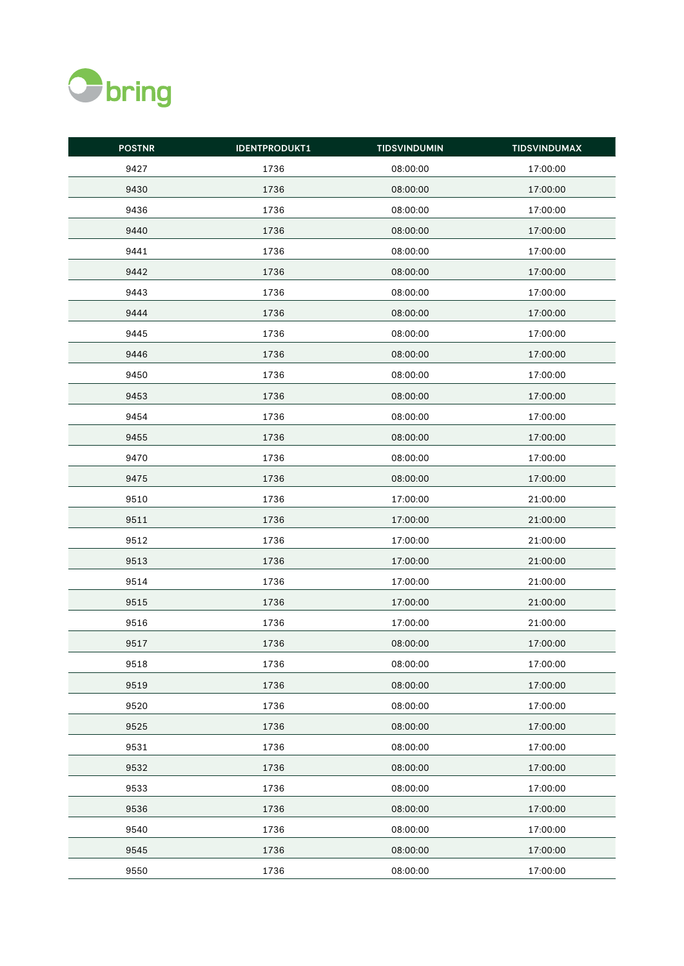

| <b>POSTNR</b> | <b>IDENTPRODUKT1</b> | <b>TIDSVINDUMIN</b> | <b>TIDSVINDUMAX</b> |
|---------------|----------------------|---------------------|---------------------|
| 9427          | 1736                 | 08:00:00            | 17:00:00            |
| 9430          | 1736                 | 08:00:00            | 17:00:00            |
| 9436          | 1736                 | 08:00:00            | 17:00:00            |
| 9440          | 1736                 | 08:00:00            | 17:00:00            |
| 9441          | 1736                 | 08:00:00            | 17:00:00            |
| 9442          | 1736                 | 08:00:00            | 17:00:00            |
| 9443          | 1736                 | 08:00:00            | 17:00:00            |
| 9444          | 1736                 | 08:00:00            | 17:00:00            |
| 9445          | 1736                 | 08:00:00            | 17:00:00            |
| 9446          | 1736                 | 08:00:00            | 17:00:00            |
| 9450          | 1736                 | 08:00:00            | 17:00:00            |
| 9453          | 1736                 | 08:00:00            | 17:00:00            |
| 9454          | 1736                 | 08:00:00            | 17:00:00            |
| 9455          | 1736                 | 08:00:00            | 17:00:00            |
| 9470          | 1736                 | 08:00:00            | 17:00:00            |
| 9475          | 1736                 | 08:00:00            | 17:00:00            |
| 9510          | 1736                 | 17:00:00            | 21:00:00            |
| 9511          | 1736                 | 17:00:00            | 21:00:00            |
| 9512          | 1736                 | 17:00:00            | 21:00:00            |
| 9513          | 1736                 | 17:00:00            | 21:00:00            |
| 9514          | 1736                 | 17:00:00            | 21:00:00            |
| 9515          | 1736                 | 17:00:00            | 21:00:00            |
| 9516          | 1736                 | 17:00:00            | 21:00:00            |
| 9517          | 1736                 | 08:00:00            | 17:00:00            |
| 9518          | 1736                 | 08:00:00            | 17:00:00            |
| 9519          | 1736                 | 08:00:00            | 17:00:00            |
| 9520          | 1736                 | 08:00:00            | 17:00:00            |
| 9525          | 1736                 | 08:00:00            | 17:00:00            |
| 9531          | 1736                 | 08:00:00            | 17:00:00            |
| 9532          | 1736                 | 08:00:00            | 17:00:00            |
| 9533          | 1736                 | 08:00:00            | 17:00:00            |
| 9536          | 1736                 | 08:00:00            | 17:00:00            |
| 9540          | 1736                 | 08:00:00            | 17:00:00            |
| 9545          | 1736                 | 08:00:00            | 17:00:00            |
| 9550          | 1736                 | 08:00:00            | 17:00:00            |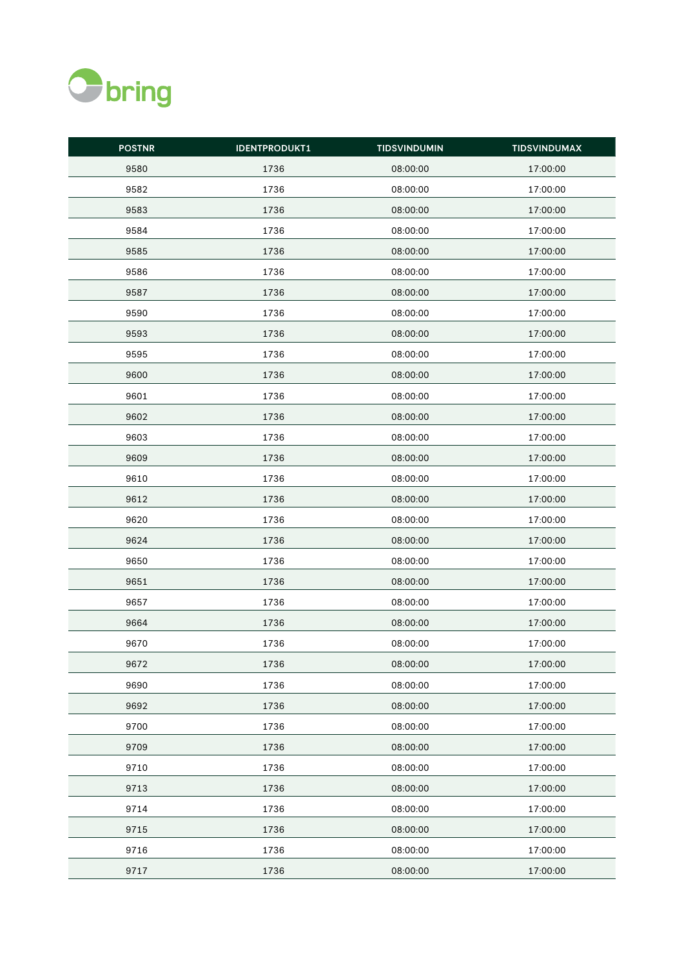

| <b>POSTNR</b> | <b>IDENTPRODUKT1</b> | <b>TIDSVINDUMIN</b> | <b>TIDSVINDUMAX</b> |
|---------------|----------------------|---------------------|---------------------|
| 9580          | 1736                 | 08:00:00            | 17:00:00            |
| 9582          | 1736                 | 08:00:00            | 17:00:00            |
| 9583          | 1736                 | 08:00:00            | 17:00:00            |
| 9584          | 1736                 | 08:00:00            | 17:00:00            |
| 9585          | 1736                 | 08:00:00            | 17:00:00            |
| 9586          | 1736                 | 08:00:00            | 17:00:00            |
| 9587          | 1736                 | 08:00:00            | 17:00:00            |
| 9590          | 1736                 | 08:00:00            | 17:00:00            |
| 9593          | 1736                 | 08:00:00            | 17:00:00            |
| 9595          | 1736                 | 08:00:00            | 17:00:00            |
| 9600          | 1736                 | 08:00:00            | 17:00:00            |
| 9601          | 1736                 | 08:00:00            | 17:00:00            |
| 9602          | 1736                 | 08:00:00            | 17:00:00            |
| 9603          | 1736                 | 08:00:00            | 17:00:00            |
| 9609          | 1736                 | 08:00:00            | 17:00:00            |
| 9610          | 1736                 | 08:00:00            | 17:00:00            |
| 9612          | 1736                 | 08:00:00            | 17:00:00            |
| 9620          | 1736                 | 08:00:00            | 17:00:00            |
| 9624          | 1736                 | 08:00:00            | 17:00:00            |
| 9650          | 1736                 | 08:00:00            | 17:00:00            |
| 9651          | 1736                 | 08:00:00            | 17:00:00            |
| 9657          | 1736                 | 08:00:00            | 17:00:00            |
| 9664          | 1736                 | 08:00:00            | 17:00:00            |
| 9670          | 1736                 | 08:00:00            | 17:00:00            |
| 9672          | 1736                 | 08:00:00            | 17:00:00            |
| 9690          | 1736                 | 08:00:00            | 17:00:00            |
| 9692          | 1736                 | 08:00:00            | 17:00:00            |
| 9700          | 1736                 | 08:00:00            | 17:00:00            |
| 9709          | 1736                 | 08:00:00            | 17:00:00            |
| 9710          | 1736                 | 08:00:00            | 17:00:00            |
| 9713          | 1736                 | 08:00:00            | 17:00:00            |
| 9714          | 1736                 | 08:00:00            | 17:00:00            |
| 9715          | 1736                 | 08:00:00            | 17:00:00            |
| 9716          | 1736                 | 08:00:00            | 17:00:00            |
| 9717          | 1736                 | 08:00:00            | 17:00:00            |